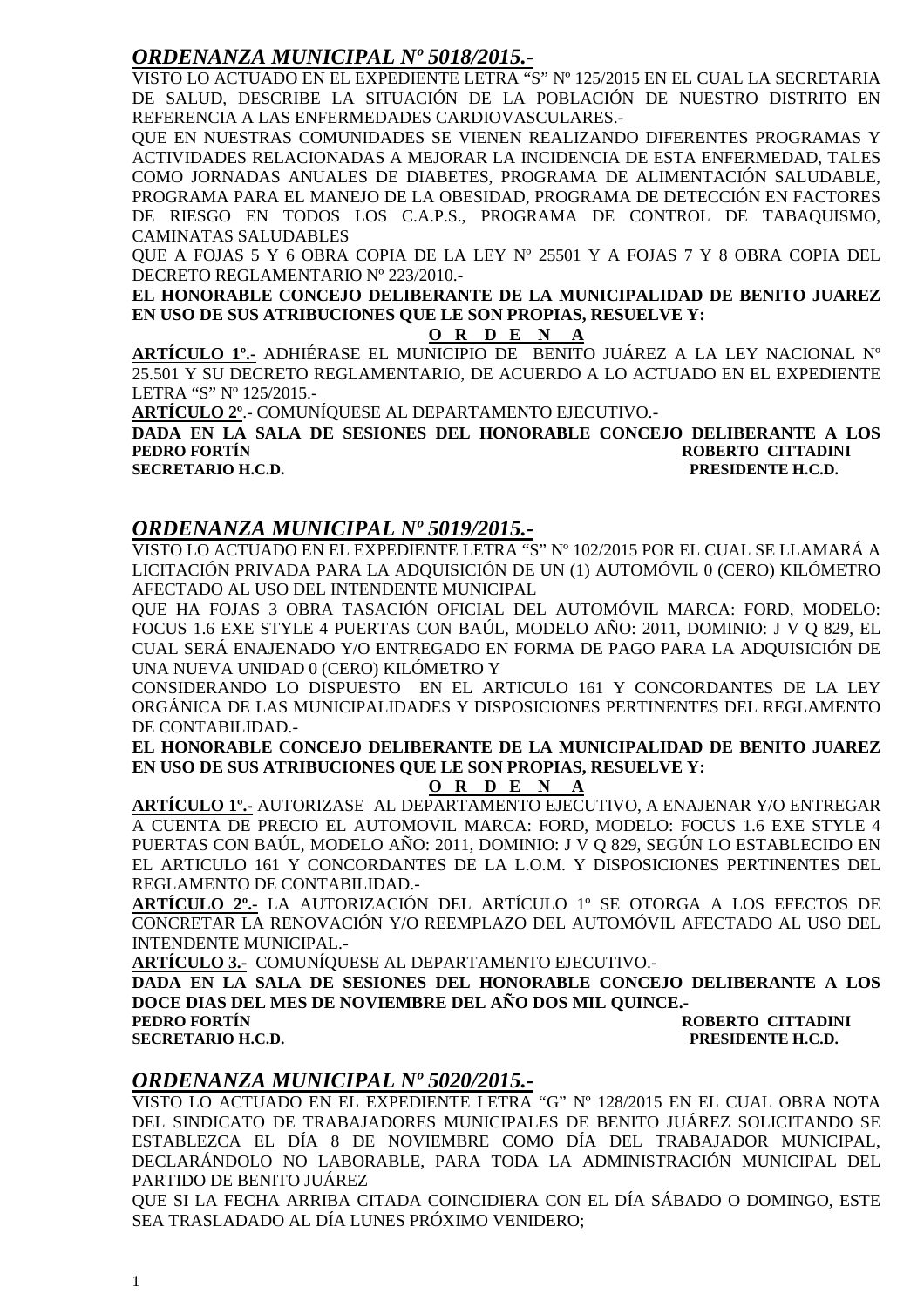### *ORDENANZA MUNICIPAL Nº 5018/2015.-*

VISTO LO ACTUADO EN EL EXPEDIENTE LETRA "S" Nº 125/2015 EN EL CUAL LA SECRETARIA DE SALUD, DESCRIBE LA SITUACIÓN DE LA POBLACIÓN DE NUESTRO DISTRITO EN REFERENCIA A LAS ENFERMEDADES CARDIOVASCULARES.-

QUE EN NUESTRAS COMUNIDADES SE VIENEN REALIZANDO DIFERENTES PROGRAMAS Y ACTIVIDADES RELACIONADAS A MEJORAR LA INCIDENCIA DE ESTA ENFERMEDAD, TALES COMO JORNADAS ANUALES DE DIABETES, PROGRAMA DE ALIMENTACIÓN SALUDABLE, PROGRAMA PARA EL MANEJO DE LA OBESIDAD, PROGRAMA DE DETECCIÓN EN FACTORES DE RIESGO EN TODOS LOS C.A.P.S., PROGRAMA DE CONTROL DE TABAQUISMO, CAMINATAS SALUDABLES

QUE A FOJAS 5 Y 6 OBRA COPIA DE LA LEY Nº 25501 Y A FOJAS 7 Y 8 OBRA COPIA DEL DECRETO REGLAMENTARIO Nº 223/2010.-

**EL HONORABLE CONCEJO DELIBERANTE DE LA MUNICIPALIDAD DE BENITO JUAREZ EN USO DE SUS ATRIBUCIONES QUE LE SON PROPIAS, RESUELVE Y:** 

#### **O R D E N A**

**ARTÍCULO 1º.-** ADHIÉRASE EL MUNICIPIO DE BENITO JUÁREZ A LA LEY NACIONAL Nº 25.501 Y SU DECRETO REGLAMENTARIO, DE ACUERDO A LO ACTUADO EN EL EXPEDIENTE LETRA "S" Nº 125/2015.-

**ARTÍCULO 2º**.- COMUNÍQUESE AL DEPARTAMENTO EJECUTIVO.-

**DADA EN LA SALA DE SESIONES DEL HONORABLE CONCEJO DELIBERANTE A LOS PEDRO FORTÍN ROBERTO CITTADINI SECRETARIO H.C.D.** 

#### *ORDENANZA MUNICIPAL Nº 5019/2015.-*

VISTO LO ACTUADO EN EL EXPEDIENTE LETRA "S" Nº 102/2015 POR EL CUAL SE LLAMARÁ A LICITACIÓN PRIVADA PARA LA ADQUISICIÓN DE UN (1) AUTOMÓVIL 0 (CERO) KILÓMETRO AFECTADO AL USO DEL INTENDENTE MUNICIPAL

QUE HA FOJAS 3 OBRA TASACIÓN OFICIAL DEL AUTOMÓVIL MARCA: FORD, MODELO: FOCUS 1.6 EXE STYLE 4 PUERTAS CON BAÚL, MODELO AÑO: 2011, DOMINIO: J V Q 829, EL CUAL SERÁ ENAJENADO Y/O ENTREGADO EN FORMA DE PAGO PARA LA ADQUISICIÓN DE UNA NUEVA UNIDAD 0 (CERO) KILÓMETRO Y

CONSIDERANDO LO DISPUESTO EN EL ARTICULO 161 Y CONCORDANTES DE LA LEY ORGÁNICA DE LAS MUNICIPALIDADES Y DISPOSICIONES PERTINENTES DEL REGLAMENTO DE CONTABILIDAD.-

**EL HONORABLE CONCEJO DELIBERANTE DE LA MUNICIPALIDAD DE BENITO JUAREZ EN USO DE SUS ATRIBUCIONES QUE LE SON PROPIAS, RESUELVE Y:** 

#### **O R D E N A**

**ARTÍCULO 1º.-** AUTORIZASE AL DEPARTAMENTO EJECUTIVO, A ENAJENAR Y/O ENTREGAR A CUENTA DE PRECIO EL AUTOMOVIL MARCA: FORD, MODELO: FOCUS 1.6 EXE STYLE 4 PUERTAS CON BAÚL, MODELO AÑO: 2011, DOMINIO: J V Q 829, SEGÚN LO ESTABLECIDO EN EL ARTICULO 161 Y CONCORDANTES DE LA L.O.M. Y DISPOSICIONES PERTINENTES DEL REGLAMENTO DE CONTABILIDAD.-

**ARTÍCULO 2º.-** LA AUTORIZACIÓN DEL ARTÍCULO 1º SE OTORGA A LOS EFECTOS DE CONCRETAR LA RENOVACIÓN Y/O REEMPLAZO DEL AUTOMÓVIL AFECTADO AL USO DEL INTENDENTE MUNICIPAL.-

**ARTÍCULO 3.-** COMUNÍQUESE AL DEPARTAMENTO EJECUTIVO.-

**DADA EN LA SALA DE SESIONES DEL HONORABLE CONCEJO DELIBERANTE A LOS DOCE DIAS DEL MES DE NOVIEMBRE DEL AÑO DOS MIL QUINCE.- ROBERTO CITTADINI** 

**SECRETARIO H.C.D. PRESIDENTE H.C.D.** 

### *ORDENANZA MUNICIPAL Nº 5020/2015.-*

VISTO LO ACTUADO EN EL EXPEDIENTE LETRA "G" Nº 128/2015 EN EL CUAL OBRA NOTA DEL SINDICATO DE TRABAJADORES MUNICIPALES DE BENITO JUÁREZ SOLICITANDO SE ESTABLEZCA EL DÍA 8 DE NOVIEMBRE COMO DÍA DEL TRABAJADOR MUNICIPAL, DECLARÁNDOLO NO LABORABLE, PARA TODA LA ADMINISTRACIÓN MUNICIPAL DEL PARTIDO DE BENITO JUÁREZ

QUE SI LA FECHA ARRIBA CITADA COINCIDIERA CON EL DÍA SÁBADO O DOMINGO, ESTE SEA TRASLADADO AL DÍA LUNES PRÓXIMO VENIDERO;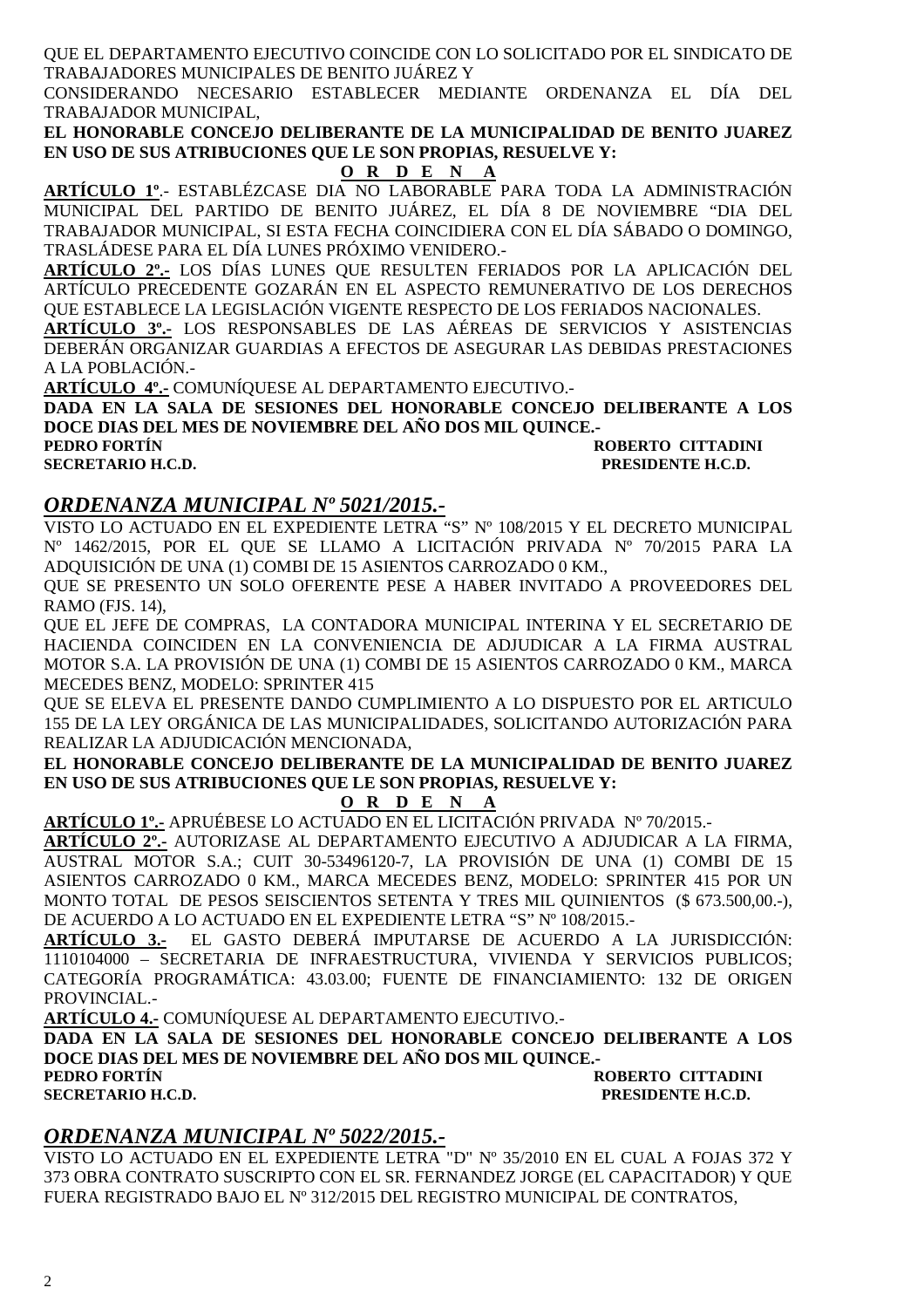QUE EL DEPARTAMENTO EJECUTIVO COINCIDE CON LO SOLICITADO POR EL SINDICATO DE TRABAJADORES MUNICIPALES DE BENITO JUÁREZ Y

CONSIDERANDO NECESARIO ESTABLECER MEDIANTE ORDENANZA EL DÍA DEL TRABAJADOR MUNICIPAL,

**EL HONORABLE CONCEJO DELIBERANTE DE LA MUNICIPALIDAD DE BENITO JUAREZ EN USO DE SUS ATRIBUCIONES QUE LE SON PROPIAS, RESUELVE Y:** 

**O R D E N A** 

**ARTÍCULO 1º**.- ESTABLÉZCASE DIA NO LABORABLE PARA TODA LA ADMINISTRACIÓN MUNICIPAL DEL PARTIDO DE BENITO JUÁREZ, EL DÍA 8 DE NOVIEMBRE "DIA DEL TRABAJADOR MUNICIPAL, SI ESTA FECHA COINCIDIERA CON EL DÍA SÁBADO O DOMINGO, TRASLÁDESE PARA EL DÍA LUNES PRÓXIMO VENIDERO.-

**ARTÍCULO 2º.-** LOS DÍAS LUNES QUE RESULTEN FERIADOS POR LA APLICACIÓN DEL ARTÍCULO PRECEDENTE GOZARÁN EN EL ASPECTO REMUNERATIVO DE LOS DERECHOS QUE ESTABLECE LA LEGISLACIÓN VIGENTE RESPECTO DE LOS FERIADOS NACIONALES.

**ARTÍCULO 3º.-** LOS RESPONSABLES DE LAS AÉREAS DE SERVICIOS Y ASISTENCIAS DEBERÁN ORGANIZAR GUARDIAS A EFECTOS DE ASEGURAR LAS DEBIDAS PRESTACIONES A LA POBLACIÓN.-

**ARTÍCULO 4º.-** COMUNÍQUESE AL DEPARTAMENTO EJECUTIVO.-

**DADA EN LA SALA DE SESIONES DEL HONORABLE CONCEJO DELIBERANTE A LOS DOCE DIAS DEL MES DE NOVIEMBRE DEL AÑO DOS MIL QUINCE.-** 

**PEDRO FORTÍN ROBERTO CITTADINI SECRETARIO H.C.D. PRESIDENTE H.C.D.** 

### *ORDENANZA MUNICIPAL Nº 5021/2015.-*

VISTO LO ACTUADO EN EL EXPEDIENTE LETRA "S" Nº 108/2015 Y EL DECRETO MUNICIPAL Nº 1462/2015, POR EL QUE SE LLAMO A LICITACIÓN PRIVADA Nº 70/2015 PARA LA ADQUISICIÓN DE UNA (1) COMBI DE 15 ASIENTOS CARROZADO 0 KM.,

QUE SE PRESENTO UN SOLO OFERENTE PESE A HABER INVITADO A PROVEEDORES DEL RAMO (FJS. 14),

QUE EL JEFE DE COMPRAS, LA CONTADORA MUNICIPAL INTERINA Y EL SECRETARIO DE HACIENDA COINCIDEN EN LA CONVENIENCIA DE ADJUDICAR A LA FIRMA AUSTRAL MOTOR S.A. LA PROVISIÓN DE UNA (1) COMBI DE 15 ASIENTOS CARROZADO 0 KM., MARCA MECEDES BENZ, MODELO: SPRINTER 415

QUE SE ELEVA EL PRESENTE DANDO CUMPLIMIENTO A LO DISPUESTO POR EL ARTICULO 155 DE LA LEY ORGÁNICA DE LAS MUNICIPALIDADES, SOLICITANDO AUTORIZACIÓN PARA REALIZAR LA ADJUDICACIÓN MENCIONADA,

**EL HONORABLE CONCEJO DELIBERANTE DE LA MUNICIPALIDAD DE BENITO JUAREZ EN USO DE SUS ATRIBUCIONES QUE LE SON PROPIAS, RESUELVE Y:** 

### **O R D E N A**

**ARTÍCULO 1º.-** APRUÉBESE LO ACTUADO EN EL LICITACIÓN PRIVADA Nº 70/2015.-

**ARTÍCULO 2º.-** AUTORIZASE AL DEPARTAMENTO EJECUTIVO A ADJUDICAR A LA FIRMA, AUSTRAL MOTOR S.A.; CUIT 30-53496120-7, LA PROVISIÓN DE UNA (1) COMBI DE 15 ASIENTOS CARROZADO 0 KM., MARCA MECEDES BENZ, MODELO: SPRINTER 415 POR UN MONTO TOTAL DE PESOS SEISCIENTOS SETENTA Y TRES MIL QUINIENTOS (\$ 673.500,00.-), DE ACUERDO A LO ACTUADO EN EL EXPEDIENTE LETRA "S" Nº 108/2015.-

**ARTÍCULO 3.-** EL GASTO DEBERÁ IMPUTARSE DE ACUERDO A LA JURISDICCIÓN: 1110104000 – SECRETARIA DE INFRAESTRUCTURA, VIVIENDA Y SERVICIOS PUBLICOS; CATEGORÍA PROGRAMÁTICA: 43.03.00; FUENTE DE FINANCIAMIENTO: 132 DE ORIGEN PROVINCIAL.-

**ARTÍCULO 4.-** COMUNÍQUESE AL DEPARTAMENTO EJECUTIVO.-

**DADA EN LA SALA DE SESIONES DEL HONORABLE CONCEJO DELIBERANTE A LOS DOCE DIAS DEL MES DE NOVIEMBRE DEL AÑO DOS MIL QUINCE.-** 

**PEDRO FORTÍN ROBERTO CITTADINI SECRETARIO H.C.D. PRESIDENTE H.C.D. PRESIDENTE H.C.D.** 

### *ORDENANZA MUNICIPAL Nº 5022/2015.-*

VISTO LO ACTUADO EN EL EXPEDIENTE LETRA "D" Nº 35/2010 EN EL CUAL A FOJAS 372 Y 373 OBRA CONTRATO SUSCRIPTO CON EL SR. FERNANDEZ JORGE (EL CAPACITADOR) Y QUE FUERA REGISTRADO BAJO EL Nº 312/2015 DEL REGISTRO MUNICIPAL DE CONTRATOS,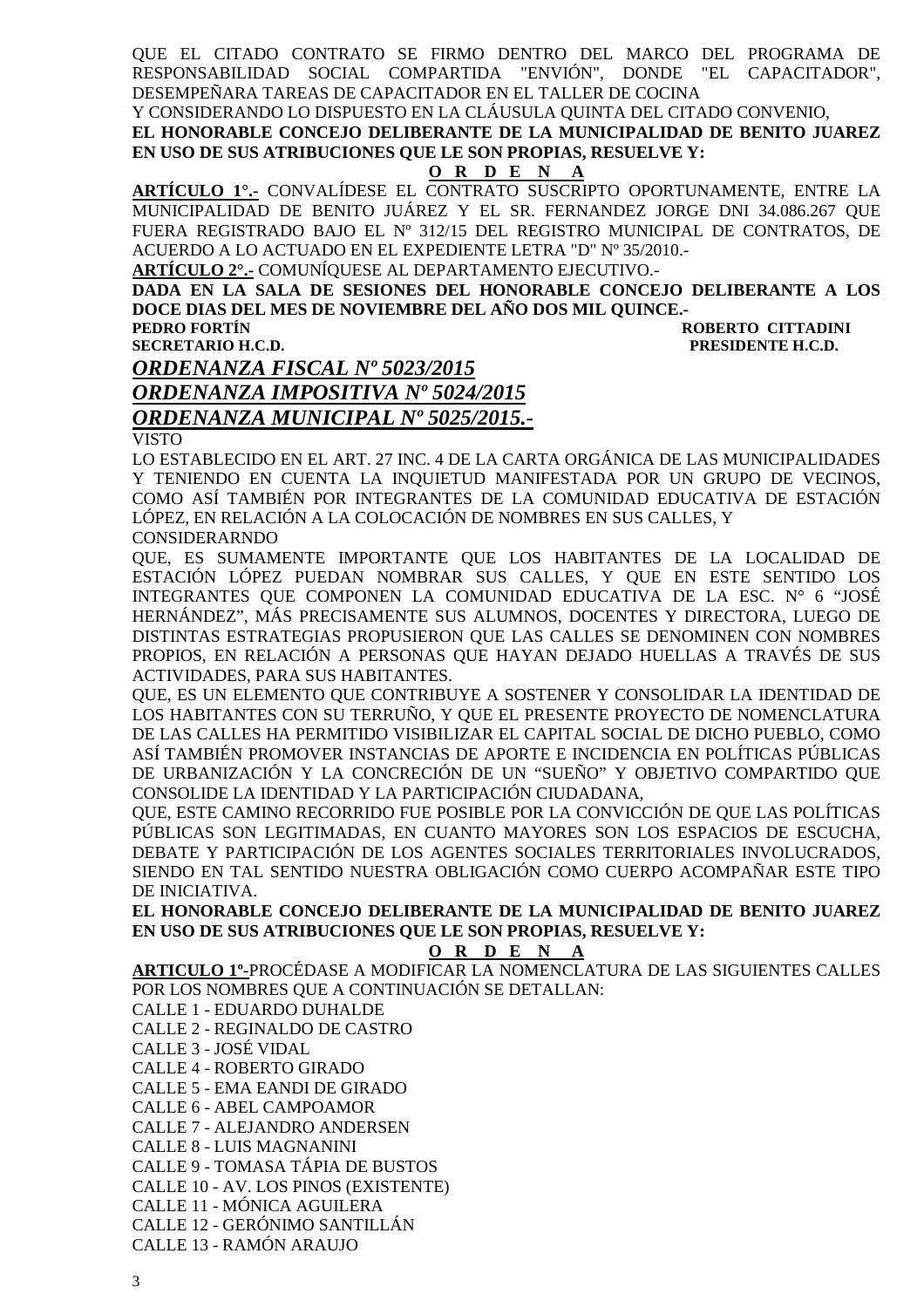QUE EL CITADO CONTRATO SE FIRMO DENTRO DEL MARCO DEL PROGRAMA DE RESPONSABILIDAD SOCIAL COMPARTIDA "ENVIÓN", DONDE "EL CAPACITADOR", DESEMPEÑARA TAREAS DE CAPACITADOR EN EL TALLER DE COCINA

Y CONSIDERANDO LO DISPUESTO EN LA CLÁUSULA QUINTA DEL CITADO CONVENIO,

**EL HONORABLE CONCEJO DELIBERANTE DE LA MUNICIPALIDAD DE BENITO JUAREZ EN USO DE SUS ATRIBUCIONES QUE LE SON PROPIAS, RESUELVE Y:** 

#### **O R D E N A**

**ARTÍCULO 1°.-** CONVALÍDESE EL CONTRATO SUSCRIPTO OPORTUNAMENTE, ENTRE LA MUNICIPALIDAD DE BENITO JUÁREZ Y EL SR. FERNANDEZ JORGE DNI 34.086.267 QUE FUERA REGISTRADO BAJO EL Nº 312/15 DEL REGISTRO MUNICIPAL DE CONTRATOS, DE ACUERDO A LO ACTUADO EN EL EXPEDIENTE LETRA "D" Nº 35/2010.-

**ARTÍCULO 2°.-** COMUNÍQUESE AL DEPARTAMENTO EJECUTIVO.-

**DADA EN LA SALA DE SESIONES DEL HONORABLE CONCEJO DELIBERANTE A LOS DOCE DIAS DEL MES DE NOVIEMBRE DEL AÑO DOS MIL QUINCE.-** 

**PEDRO FORTÍN ROBERTO CITTADINI SECRETARIO H.C.D. PRESIDENTE H.C.D.** 

### *ORDENANZA FISCAL Nº 5023/2015 ORDENANZA IMPOSITIVA Nº 5024/2015 ORDENANZA MUNICIPAL Nº 5025/2015.-*  **VISTO**

LO ESTABLECIDO EN EL ART. 27 INC. 4 DE LA CARTA ORGÁNICA DE LAS MUNICIPALIDADES Y TENIENDO EN CUENTA LA INQUIETUD MANIFESTADA POR UN GRUPO DE VECINOS, COMO ASÍ TAMBIÉN POR INTEGRANTES DE LA COMUNIDAD EDUCATIVA DE ESTACIÓN LÓPEZ, EN RELACIÓN A LA COLOCACIÓN DE NOMBRES EN SUS CALLES, Y CONSIDERARNDO

QUE, ES SUMAMENTE IMPORTANTE QUE LOS HABITANTES DE LA LOCALIDAD DE ESTACIÓN LÓPEZ PUEDAN NOMBRAR SUS CALLES, Y QUE EN ESTE SENTIDO LOS INTEGRANTES QUE COMPONEN LA COMUNIDAD EDUCATIVA DE LA ESC. N° 6 "JOSÉ HERNÁNDEZ", MÁS PRECISAMENTE SUS ALUMNOS, DOCENTES Y DIRECTORA, LUEGO DE DISTINTAS ESTRATEGIAS PROPUSIERON QUE LAS CALLES SE DENOMINEN CON NOMBRES PROPIOS, EN RELACIÓN A PERSONAS QUE HAYAN DEJADO HUELLAS A TRAVÉS DE SUS ACTIVIDADES, PARA SUS HABITANTES.

QUE, ES UN ELEMENTO QUE CONTRIBUYE A SOSTENER Y CONSOLIDAR LA IDENTIDAD DE LOS HABITANTES CON SU TERRUÑO, Y QUE EL PRESENTE PROYECTO DE NOMENCLATURA DE LAS CALLES HA PERMITIDO VISIBILIZAR EL CAPITAL SOCIAL DE DICHO PUEBLO, COMO ASÍ TAMBIÉN PROMOVER INSTANCIAS DE APORTE E INCIDENCIA EN POLÍTICAS PÚBLICAS DE URBANIZACIÓN Y LA CONCRECIÓN DE UN "SUEÑO" Y OBJETIVO COMPARTIDO QUE CONSOLIDE LA IDENTIDAD Y LA PARTICIPACIÓN CIUDADANA,

QUE, ESTE CAMINO RECORRIDO FUE POSIBLE POR LA CONVICCIÓN DE QUE LAS POLÍTICAS PÚBLICAS SON LEGITIMADAS, EN CUANTO MAYORES SON LOS ESPACIOS DE ESCUCHA, DEBATE Y PARTICIPACIÓN DE LOS AGENTES SOCIALES TERRITORIALES INVOLUCRADOS, SIENDO EN TAL SENTIDO NUESTRA OBLIGACIÓN COMO CUERPO ACOMPAÑAR ESTE TIPO DE INICIATIVA.

**EL HONORABLE CONCEJO DELIBERANTE DE LA MUNICIPALIDAD DE BENITO JUAREZ EN USO DE SUS ATRIBUCIONES QUE LE SON PROPIAS, RESUELVE Y:** 

#### **O R D E N A**

**ARTICULO 1º-**PROCÉDASE A MODIFICAR LA NOMENCLATURA DE LAS SIGUIENTES CALLES POR LOS NOMBRES QUE A CONTINUACIÓN SE DETALLAN:

CALLE 1 - EDUARDO DUHALDE

CALLE 2 - REGINALDO DE CASTRO

CALLE 3 - JOSÉ VIDAL

CALLE 4 - ROBERTO GIRADO

CALLE 5 - EMA EANDI DE GIRADO

CALLE 6 - ABEL CAMPOAMOR

CALLE 7 - ALEJANDRO ANDERSEN

CALLE 8 - LUIS MAGNANINI

CALLE 9 - TOMASA TÁPIA DE BUSTOS

CALLE 10 - AV. LOS PINOS (EXISTENTE)

CALLE 11 - MÓNICA AGUILERA

CALLE 12 - GERÓNIMO SANTILLÁN

CALLE 13 - RAMÓN ARAUJO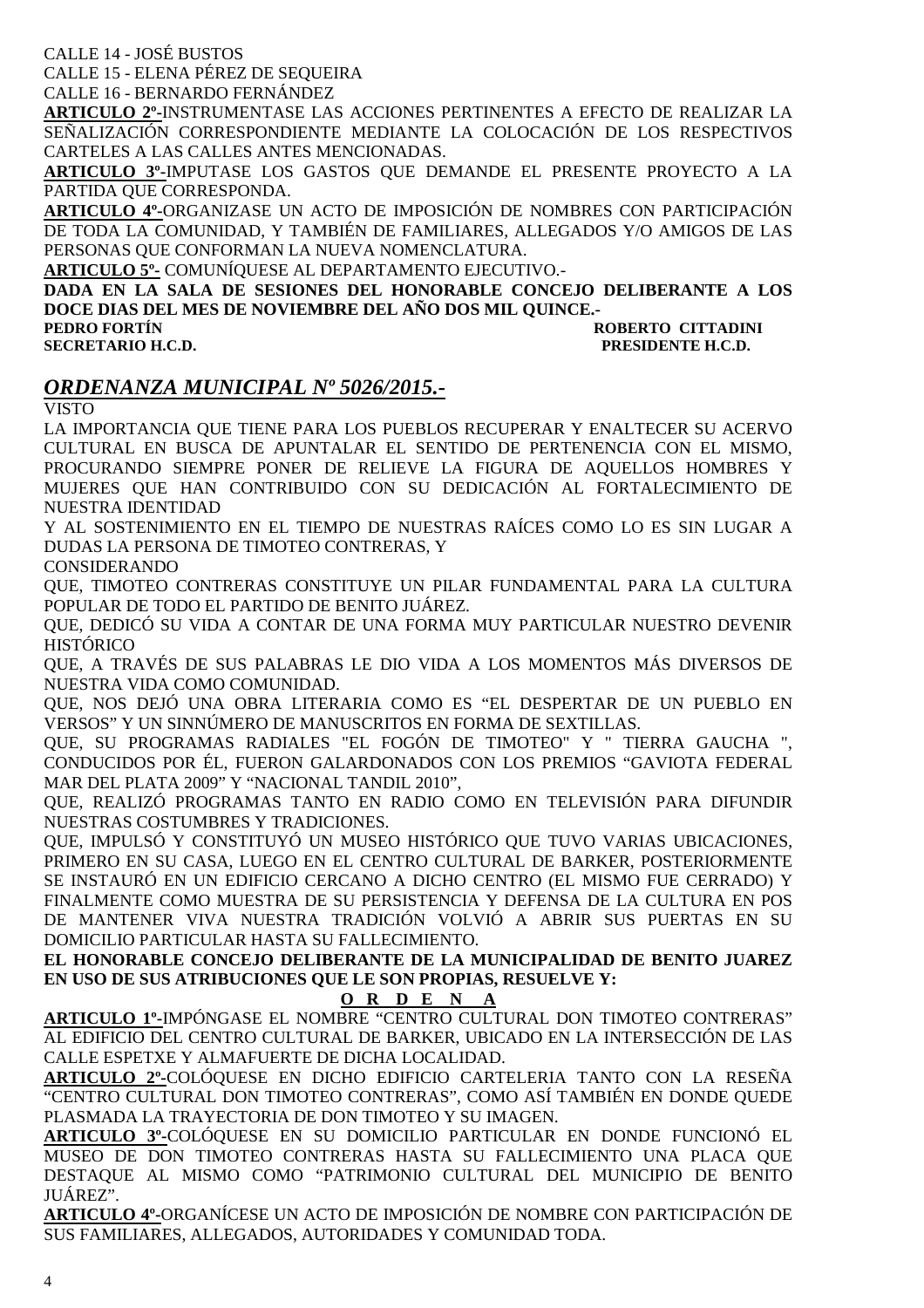CALLE 14 - JOSÉ BUSTOS

CALLE 15 - ELENA PÉREZ DE SEQUEIRA

CALLE 16 - BERNARDO FERNÁNDEZ

**ARTICULO 2º-**INSTRUMENTASE LAS ACCIONES PERTINENTES A EFECTO DE REALIZAR LA SEÑALIZACIÓN CORRESPONDIENTE MEDIANTE LA COLOCACIÓN DE LOS RESPECTIVOS CARTELES A LAS CALLES ANTES MENCIONADAS.

**ARTICULO 3º-**IMPUTASE LOS GASTOS QUE DEMANDE EL PRESENTE PROYECTO A LA PARTIDA QUE CORRESPONDA.

**ARTICULO 4º-**ORGANIZASE UN ACTO DE IMPOSICIÓN DE NOMBRES CON PARTICIPACIÓN DE TODA LA COMUNIDAD, Y TAMBIÉN DE FAMILIARES, ALLEGADOS Y/O AMIGOS DE LAS PERSONAS QUE CONFORMAN LA NUEVA NOMENCLATURA.

**ARTICULO 5º-** COMUNÍQUESE AL DEPARTAMENTO EJECUTIVO.-

**DADA EN LA SALA DE SESIONES DEL HONORABLE CONCEJO DELIBERANTE A LOS DOCE DIAS DEL MES DE NOVIEMBRE DEL AÑO DOS MIL QUINCE.-** 

**ROBERTO CITTADINI SECRETARIO H.C.D. PRESIDENTE H.C.D.** 

### *ORDENANZA MUNICIPAL Nº 5026/2015.-*

VISTO

LA IMPORTANCIA QUE TIENE PARA LOS PUEBLOS RECUPERAR Y ENALTECER SU ACERVO CULTURAL EN BUSCA DE APUNTALAR EL SENTIDO DE PERTENENCIA CON EL MISMO, PROCURANDO SIEMPRE PONER DE RELIEVE LA FIGURA DE AQUELLOS HOMBRES Y MUJERES QUE HAN CONTRIBUIDO CON SU DEDICACIÓN AL FORTALECIMIENTO DE NUESTRA IDENTIDAD

Y AL SOSTENIMIENTO EN EL TIEMPO DE NUESTRAS RAÍCES COMO LO ES SIN LUGAR A DUDAS LA PERSONA DE TIMOTEO CONTRERAS, Y

CONSIDERANDO

QUE, TIMOTEO CONTRERAS CONSTITUYE UN PILAR FUNDAMENTAL PARA LA CULTURA POPULAR DE TODO EL PARTIDO DE BENITO JUÁREZ.

QUE, DEDICÓ SU VIDA A CONTAR DE UNA FORMA MUY PARTICULAR NUESTRO DEVENIR HISTÓRICO

QUE, A TRAVÉS DE SUS PALABRAS LE DIO VIDA A LOS MOMENTOS MÁS DIVERSOS DE NUESTRA VIDA COMO COMUNIDAD.

QUE, NOS DEJÓ UNA OBRA LITERARIA COMO ES "EL DESPERTAR DE UN PUEBLO EN VERSOS" Y UN SINNÚMERO DE MANUSCRITOS EN FORMA DE SEXTILLAS.

QUE, SU PROGRAMAS RADIALES "EL FOGÓN DE TIMOTEO" Y " TIERRA GAUCHA ", CONDUCIDOS POR ÉL, FUERON GALARDONADOS CON LOS PREMIOS "GAVIOTA FEDERAL MAR DEL PLATA 2009" Y "NACIONAL TANDIL 2010",

QUE, REALIZÓ PROGRAMAS TANTO EN RADIO COMO EN TELEVISIÓN PARA DIFUNDIR NUESTRAS COSTUMBRES Y TRADICIONES.

QUE, IMPULSÓ Y CONSTITUYÓ UN MUSEO HISTÓRICO QUE TUVO VARIAS UBICACIONES, PRIMERO EN SU CASA, LUEGO EN EL CENTRO CULTURAL DE BARKER, POSTERIORMENTE SE INSTAURÓ EN UN EDIFICIO CERCANO A DICHO CENTRO (EL MISMO FUE CERRADO) Y FINALMENTE COMO MUESTRA DE SU PERSISTENCIA Y DEFENSA DE LA CULTURA EN POS DE MANTENER VIVA NUESTRA TRADICIÓN VOLVIÓ A ABRIR SUS PUERTAS EN SU DOMICILIO PARTICULAR HASTA SU FALLECIMIENTO.

**EL HONORABLE CONCEJO DELIBERANTE DE LA MUNICIPALIDAD DE BENITO JUAREZ EN USO DE SUS ATRIBUCIONES QUE LE SON PROPIAS, RESUELVE Y:** 

#### **O R D E N A**

**ARTICULO 1º-**IMPÓNGASE EL NOMBRE "CENTRO CULTURAL DON TIMOTEO CONTRERAS" AL EDIFICIO DEL CENTRO CULTURAL DE BARKER, UBICADO EN LA INTERSECCIÓN DE LAS CALLE ESPETXE Y ALMAFUERTE DE DICHA LOCALIDAD.

**ARTICULO 2º-**COLÓQUESE EN DICHO EDIFICIO CARTELERIA TANTO CON LA RESEÑA "CENTRO CULTURAL DON TIMOTEO CONTRERAS", COMO ASÍ TAMBIÉN EN DONDE QUEDE PLASMADA LA TRAYECTORIA DE DON TIMOTEO Y SU IMAGEN.

**ARTICULO 3º-**COLÓQUESE EN SU DOMICILIO PARTICULAR EN DONDE FUNCIONÓ EL MUSEO DE DON TIMOTEO CONTRERAS HASTA SU FALLECIMIENTO UNA PLACA QUE DESTAQUE AL MISMO COMO "PATRIMONIO CULTURAL DEL MUNICIPIO DE BENITO JUÁREZ".

**ARTICULO 4º-**ORGANÍCESE UN ACTO DE IMPOSICIÓN DE NOMBRE CON PARTICIPACIÓN DE SUS FAMILIARES, ALLEGADOS, AUTORIDADES Y COMUNIDAD TODA.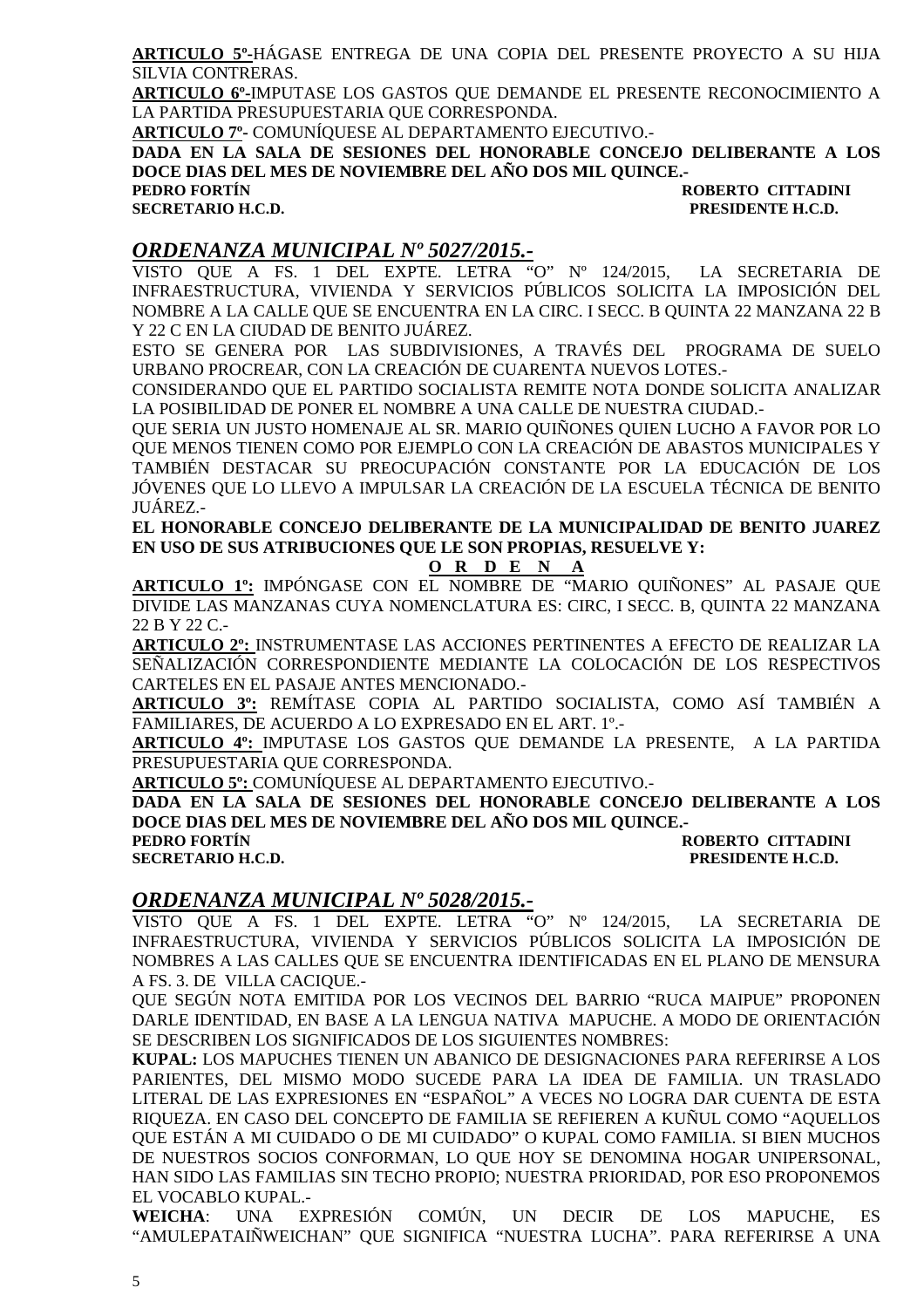**ARTICULO 5º-**HÁGASE ENTREGA DE UNA COPIA DEL PRESENTE PROYECTO A SU HIJA SILVIA CONTRERAS.

**ARTICULO 6º-**IMPUTASE LOS GASTOS QUE DEMANDE EL PRESENTE RECONOCIMIENTO A LA PARTIDA PRESUPUESTARIA QUE CORRESPONDA.

**ARTICULO 7º-** COMUNÍQUESE AL DEPARTAMENTO EJECUTIVO.-

**DADA EN LA SALA DE SESIONES DEL HONORABLE CONCEJO DELIBERANTE A LOS DOCE DIAS DEL MES DE NOVIEMBRE DEL AÑO DOS MIL QUINCE.-** 

**PEDRO FORTÍN ROBERTO CITTADINI SECRETARIO H.C.D. PRESIDENTE H.C.D.** 

### *ORDENANZA MUNICIPAL Nº 5027/2015.-*

VISTO QUE A FS. 1 DEL EXPTE. LETRA "O" Nº 124/2015, LA SECRETARIA DE INFRAESTRUCTURA, VIVIENDA Y SERVICIOS PÚBLICOS SOLICITA LA IMPOSICIÓN DEL NOMBRE A LA CALLE QUE SE ENCUENTRA EN LA CIRC. I SECC. B QUINTA 22 MANZANA 22 B Y 22 C EN LA CIUDAD DE BENITO JUÁREZ.

ESTO SE GENERA POR LAS SUBDIVISIONES, A TRAVÉS DEL PROGRAMA DE SUELO URBANO PROCREAR, CON LA CREACIÓN DE CUARENTA NUEVOS LOTES.-

CONSIDERANDO QUE EL PARTIDO SOCIALISTA REMITE NOTA DONDE SOLICITA ANALIZAR LA POSIBILIDAD DE PONER EL NOMBRE A UNA CALLE DE NUESTRA CIUDAD.-

QUE SERIA UN JUSTO HOMENAJE AL SR. MARIO QUIÑONES QUIEN LUCHO A FAVOR POR LO QUE MENOS TIENEN COMO POR EJEMPLO CON LA CREACIÓN DE ABASTOS MUNICIPALES Y TAMBIÉN DESTACAR SU PREOCUPACIÓN CONSTANTE POR LA EDUCACIÓN DE LOS JÓVENES QUE LO LLEVO A IMPULSAR LA CREACIÓN DE LA ESCUELA TÉCNICA DE BENITO JUÁREZ.-

**EL HONORABLE CONCEJO DELIBERANTE DE LA MUNICIPALIDAD DE BENITO JUAREZ EN USO DE SUS ATRIBUCIONES QUE LE SON PROPIAS, RESUELVE Y:** 

#### **O R D E N A**

**ARTICULO 1º:** IMPÓNGASE CON EL NOMBRE DE "MARIO QUIÑONES" AL PASAJE QUE DIVIDE LAS MANZANAS CUYA NOMENCLATURA ES: CIRC, I SECC. B, QUINTA 22 MANZANA 22 B Y 22 C.-

**ARTICULO 2º:** INSTRUMENTASE LAS ACCIONES PERTINENTES A EFECTO DE REALIZAR LA SEÑALIZACIÓN CORRESPONDIENTE MEDIANTE LA COLOCACIÓN DE LOS RESPECTIVOS CARTELES EN EL PASAJE ANTES MENCIONADO.-

**ARTICULO 3º:** REMÍTASE COPIA AL PARTIDO SOCIALISTA, COMO ASÍ TAMBIÉN A FAMILIARES, DE ACUERDO A LO EXPRESADO EN EL ART. 1º.-

**ARTICULO 4º:** IMPUTASE LOS GASTOS QUE DEMANDE LA PRESENTE, A LA PARTIDA PRESUPUESTARIA QUE CORRESPONDA.

**ARTICULO 5º:** COMUNÍQUESE AL DEPARTAMENTO EJECUTIVO.-

**DADA EN LA SALA DE SESIONES DEL HONORABLE CONCEJO DELIBERANTE A LOS DOCE DIAS DEL MES DE NOVIEMBRE DEL AÑO DOS MIL QUINCE.-** 

**ROBERTO CITTADINI SECRETARIO H.C.D. PRESIDENTE H.C.D.** 

#### *ORDENANZA MUNICIPAL Nº 5028/2015.-*

VISTO QUE A FS. 1 DEL EXPTE. LETRA "O" Nº 124/2015, LA SECRETARIA DE INFRAESTRUCTURA, VIVIENDA Y SERVICIOS PÚBLICOS SOLICITA LA IMPOSICIÓN DE NOMBRES A LAS CALLES QUE SE ENCUENTRA IDENTIFICADAS EN EL PLANO DE MENSURA A FS. 3. DE VILLA CACIQUE.-

QUE SEGÚN NOTA EMITIDA POR LOS VECINOS DEL BARRIO "RUCA MAIPUE" PROPONEN DARLE IDENTIDAD, EN BASE A LA LENGUA NATIVA MAPUCHE. A MODO DE ORIENTACIÓN SE DESCRIBEN LOS SIGNIFICADOS DE LOS SIGUIENTES NOMBRES:

**KUPAL:** LOS MAPUCHES TIENEN UN ABANICO DE DESIGNACIONES PARA REFERIRSE A LOS PARIENTES, DEL MISMO MODO SUCEDE PARA LA IDEA DE FAMILIA. UN TRASLADO LITERAL DE LAS EXPRESIONES EN "ESPAÑOL" A VECES NO LOGRA DAR CUENTA DE ESTA RIQUEZA. EN CASO DEL CONCEPTO DE FAMILIA SE REFIEREN A KUÑUL COMO "AQUELLOS QUE ESTÁN A MI CUIDADO O DE MI CUIDADO" O KUPAL COMO FAMILIA. SI BIEN MUCHOS DE NUESTROS SOCIOS CONFORMAN, LO QUE HOY SE DENOMINA HOGAR UNIPERSONAL, HAN SIDO LAS FAMILIAS SIN TECHO PROPIO; NUESTRA PRIORIDAD, POR ESO PROPONEMOS EL VOCABLO KUPAL.-

**WEICHA**: UNA EXPRESIÓN COMÚN, UN DECIR DE LOS MAPUCHE, ES "AMULEPATAIÑWEICHAN" QUE SIGNIFICA "NUESTRA LUCHA". PARA REFERIRSE A UNA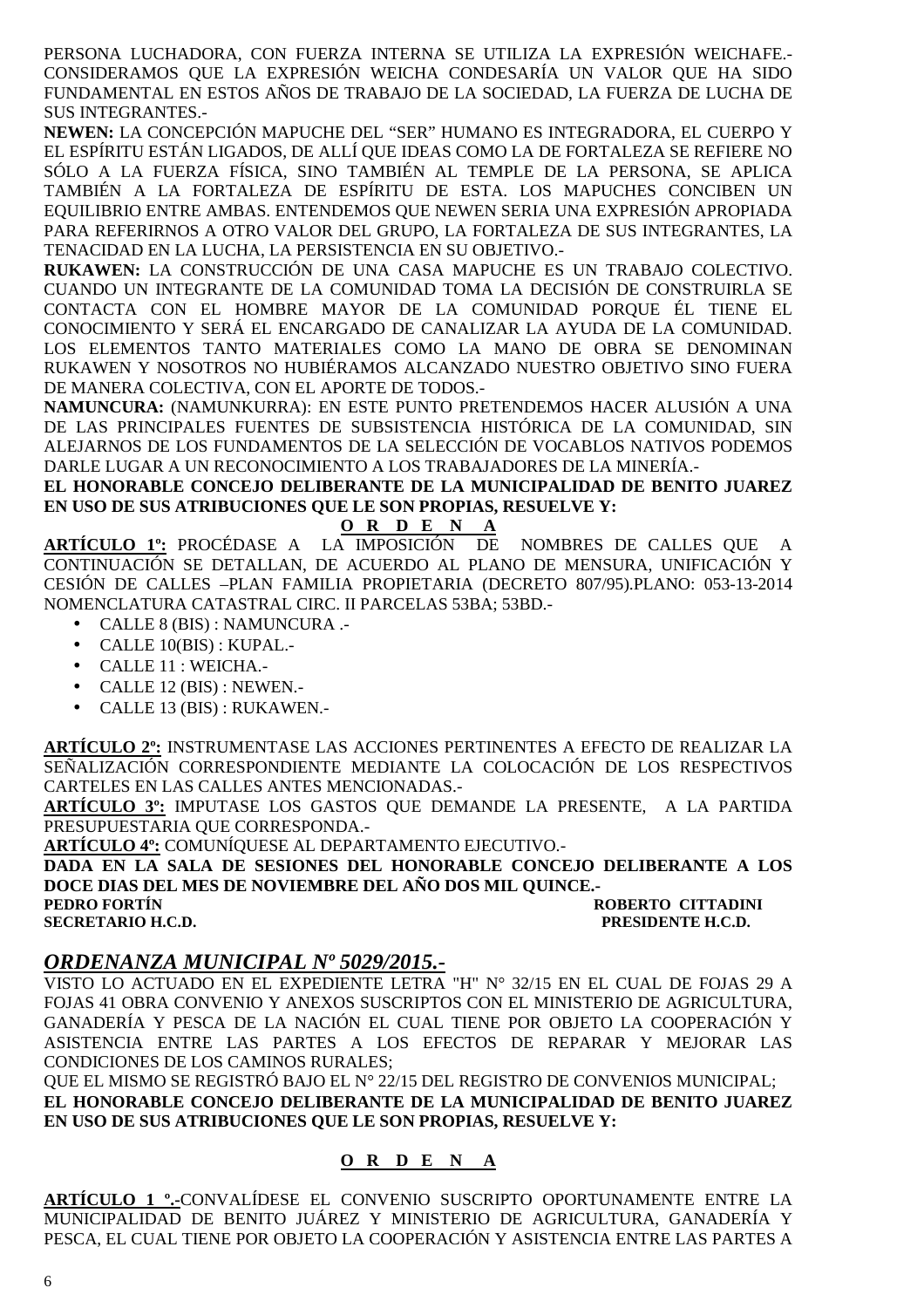PERSONA LUCHADORA, CON FUERZA INTERNA SE UTILIZA LA EXPRESIÓN WEICHAFE.- CONSIDERAMOS QUE LA EXPRESIÓN WEICHA CONDESARÍA UN VALOR QUE HA SIDO FUNDAMENTAL EN ESTOS AÑOS DE TRABAJO DE LA SOCIEDAD, LA FUERZA DE LUCHA DE SUS INTEGRANTES.-

**NEWEN:** LA CONCEPCIÓN MAPUCHE DEL "SER" HUMANO ES INTEGRADORA, EL CUERPO Y EL ESPÍRITU ESTÁN LIGADOS, DE ALLÍ QUE IDEAS COMO LA DE FORTALEZA SE REFIERE NO SÓLO A LA FUERZA FÍSICA, SINO TAMBIÉN AL TEMPLE DE LA PERSONA, SE APLICA TAMBIÉN A LA FORTALEZA DE ESPÍRITU DE ESTA. LOS MAPUCHES CONCIBEN UN EQUILIBRIO ENTRE AMBAS. ENTENDEMOS QUE NEWEN SERIA UNA EXPRESIÓN APROPIADA PARA REFERIRNOS A OTRO VALOR DEL GRUPO, LA FORTALEZA DE SUS INTEGRANTES, LA TENACIDAD EN LA LUCHA, LA PERSISTENCIA EN SU OBJETIVO.-

**RUKAWEN:** LA CONSTRUCCIÓN DE UNA CASA MAPUCHE ES UN TRABAJO COLECTIVO. CUANDO UN INTEGRANTE DE LA COMUNIDAD TOMA LA DECISIÓN DE CONSTRUIRLA SE CONTACTA CON EL HOMBRE MAYOR DE LA COMUNIDAD PORQUE ÉL TIENE EL CONOCIMIENTO Y SERÁ EL ENCARGADO DE CANALIZAR LA AYUDA DE LA COMUNIDAD. LOS ELEMENTOS TANTO MATERIALES COMO LA MANO DE OBRA SE DENOMINAN RUKAWEN Y NOSOTROS NO HUBIÉRAMOS ALCANZADO NUESTRO OBJETIVO SINO FUERA DE MANERA COLECTIVA, CON EL APORTE DE TODOS.-

**NAMUNCURA:** (NAMUNKURRA): EN ESTE PUNTO PRETENDEMOS HACER ALUSIÓN A UNA DE LAS PRINCIPALES FUENTES DE SUBSISTENCIA HISTÓRICA DE LA COMUNIDAD, SIN ALEJARNOS DE LOS FUNDAMENTOS DE LA SELECCIÓN DE VOCABLOS NATIVOS PODEMOS DARLE LUGAR A UN RECONOCIMIENTO A LOS TRABAJADORES DE LA MINERÍA.-

**EL HONORABLE CONCEJO DELIBERANTE DE LA MUNICIPALIDAD DE BENITO JUAREZ EN USO DE SUS ATRIBUCIONES QUE LE SON PROPIAS, RESUELVE Y:**

#### **O R D E N A**

**ARTÍCULO 1º:** PROCÉDASE A LA IMPOSICIÓN DE NOMBRES DE CALLES QUE A CONTINUACIÓN SE DETALLAN, DE ACUERDO AL PLANO DE MENSURA, UNIFICACIÓN Y CESIÓN DE CALLES –PLAN FAMILIA PROPIETARIA (DECRETO 807/95).PLANO: 053-13-2014 NOMENCLATURA CATASTRAL CIRC. II PARCELAS 53BA; 53BD.-

- CALLE 8 (BIS) : NAMUNCURA .-
- CALLE 10(BIS) : KUPAL.-
- CALLE 11 : WEICHA.-
- CALLE 12 (BIS) : NEWEN.-
- CALLE 13 (BIS) : RUKAWEN.-

**ARTÍCULO 2º:** INSTRUMENTASE LAS ACCIONES PERTINENTES A EFECTO DE REALIZAR LA SEÑALIZACIÓN CORRESPONDIENTE MEDIANTE LA COLOCACIÓN DE LOS RESPECTIVOS CARTELES EN LAS CALLES ANTES MENCIONADAS.-

**ARTÍCULO 3º:** IMPUTASE LOS GASTOS QUE DEMANDE LA PRESENTE, A LA PARTIDA PRESUPUESTARIA QUE CORRESPONDA.-

**ARTÍCULO 4º:** COMUNÍQUESE AL DEPARTAMENTO EJECUTIVO.-

**DADA EN LA SALA DE SESIONES DEL HONORABLE CONCEJO DELIBERANTE A LOS DOCE DIAS DEL MES DE NOVIEMBRE DEL AÑO DOS MIL QUINCE.-** 

**PEDRO FORTÍN ROBERTO CITTADINI SECRETARIO H.C.D. PRESIDENTE H.C.D.** 

### *ORDENANZA MUNICIPAL Nº 5029/2015.-*

VISTO LO ACTUADO EN EL EXPEDIENTE LETRA "H" N° 32/15 EN EL CUAL DE FOJAS 29 A FOJAS 41 OBRA CONVENIO Y ANEXOS SUSCRIPTOS CON EL MINISTERIO DE AGRICULTURA, GANADERÍA Y PESCA DE LA NACIÓN EL CUAL TIENE POR OBJETO LA COOPERACIÓN Y ASISTENCIA ENTRE LAS PARTES A LOS EFECTOS DE REPARAR Y MEJORAR LAS CONDICIONES DE LOS CAMINOS RURALES;

QUE EL MISMO SE REGISTRÓ BAJO EL N° 22/15 DEL REGISTRO DE CONVENIOS MUNICIPAL; **EL HONORABLE CONCEJO DELIBERANTE DE LA MUNICIPALIDAD DE BENITO JUAREZ EN USO DE SUS ATRIBUCIONES QUE LE SON PROPIAS, RESUELVE Y:** 

#### **O R D E N A**

**ARTÍCULO 1 º.-**CONVALÍDESE EL CONVENIO SUSCRIPTO OPORTUNAMENTE ENTRE LA MUNICIPALIDAD DE BENITO JUÁREZ Y MINISTERIO DE AGRICULTURA, GANADERÍA Y PESCA, EL CUAL TIENE POR OBJETO LA COOPERACIÓN Y ASISTENCIA ENTRE LAS PARTES A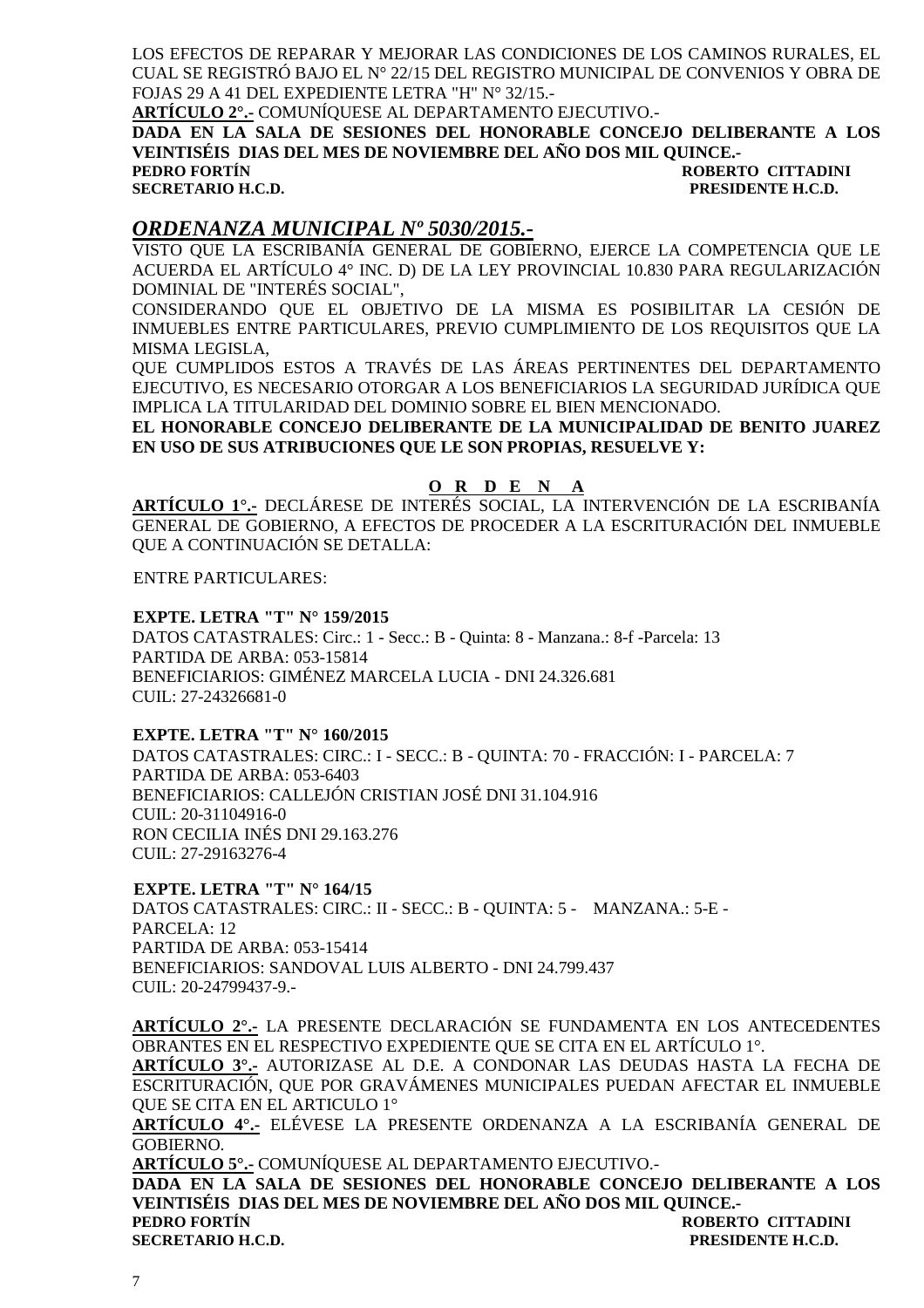LOS EFECTOS DE REPARAR Y MEJORAR LAS CONDICIONES DE LOS CAMINOS RURALES, EL CUAL SE REGISTRÓ BAJO EL N° 22/15 DEL REGISTRO MUNICIPAL DE CONVENIOS Y OBRA DE FOJAS 29 A 41 DEL EXPEDIENTE LETRA "H" N° 32/15.-

**ARTÍCULO 2°.-** COMUNÍQUESE AL DEPARTAMENTO EJECUTIVO.-

**DADA EN LA SALA DE SESIONES DEL HONORABLE CONCEJO DELIBERANTE A LOS VEINTISÉIS DIAS DEL MES DE NOVIEMBRE DEL AÑO DOS MIL QUINCE.- PEDRO FORTÍN CONTRADINI DE LA CONTRADINI EN EL ENCONTRADINI EN EL ENCONTRADINI** 

**SECRETARIO H.C.D. PRESIDENTE H.C.D.** 

### *ORDENANZA MUNICIPAL Nº 5030/2015.-*

VISTO QUE LA ESCRIBANÍA GENERAL DE GOBIERNO, EJERCE LA COMPETENCIA QUE LE ACUERDA EL ARTÍCULO 4° INC. D) DE LA LEY PROVINCIAL 10.830 PARA REGULARIZACIÓN DOMINIAL DE "INTERÉS SOCIAL",

CONSIDERANDO QUE EL OBJETIVO DE LA MISMA ES POSIBILITAR LA CESIÓN DE INMUEBLES ENTRE PARTICULARES, PREVIO CUMPLIMIENTO DE LOS REQUISITOS QUE LA MISMA LEGISLA,

QUE CUMPLIDOS ESTOS A TRAVÉS DE LAS ÁREAS PERTINENTES DEL DEPARTAMENTO EJECUTIVO, ES NECESARIO OTORGAR A LOS BENEFICIARIOS LA SEGURIDAD JURÍDICA QUE IMPLICA LA TITULARIDAD DEL DOMINIO SOBRE EL BIEN MENCIONADO.

**EL HONORABLE CONCEJO DELIBERANTE DE LA MUNICIPALIDAD DE BENITO JUAREZ EN USO DE SUS ATRIBUCIONES QUE LE SON PROPIAS, RESUELVE Y:** 

#### **O R D E N A**

**ARTÍCULO 1°.-** DECLÁRESE DE INTERÉS SOCIAL, LA INTERVENCIÓN DE LA ESCRIBANÍA GENERAL DE GOBIERNO, A EFECTOS DE PROCEDER A LA ESCRITURACIÓN DEL INMUEBLE QUE A CONTINUACIÓN SE DETALLA:

ENTRE PARTICULARES:

#### **EXPTE. LETRA "T" N° 159/2015**

DATOS CATASTRALES: Circ.: 1 - Secc.: B - Quinta: 8 - Manzana.: 8-f -Parcela: 13 PARTIDA DE ARBA: 053-15814 BENEFICIARIOS: GIMÉNEZ MARCELA LUCIA - DNI 24.326.681 CUIL: 27-24326681-0

#### **EXPTE. LETRA "T" N° 160/2015**

DATOS CATASTRALES: CIRC.: I - SECC.: B - QUINTA: 70 - FRACCIÓN: I - PARCELA: 7 PARTIDA DE ARBA: 053-6403 BENEFICIARIOS: CALLEJÓN CRISTIAN JOSÉ DNI 31.104.916 CUIL: 20-31104916-0 RON CECILIA INÉS DNI 29.163.276 CUIL: 27-29163276-4

#### **EXPTE. LETRA "T" N° 164/15**

DATOS CATASTRALES: CIRC.: II - SECC.: B - QUINTA: 5 - MANZANA.: 5-E - PARCELA: 12 PARTIDA DE ARBA: 053-15414 BENEFICIARIOS: SANDOVAL LUIS ALBERTO - DNI 24.799.437 CUIL: 20-24799437-9.-

**ARTÍCULO 2°.-** LA PRESENTE DECLARACIÓN SE FUNDAMENTA EN LOS ANTECEDENTES OBRANTES EN EL RESPECTIVO EXPEDIENTE QUE SE CITA EN EL ARTÍCULO 1°.

**ARTÍCULO 3°.-** AUTORIZASE AL D.E. A CONDONAR LAS DEUDAS HASTA LA FECHA DE ESCRITURACIÓN, QUE POR GRAVÁMENES MUNICIPALES PUEDAN AFECTAR EL INMUEBLE QUE SE CITA EN EL ARTICULO 1°

**ARTÍCULO 4°.-** ELÉVESE LA PRESENTE ORDENANZA A LA ESCRIBANÍA GENERAL DE GOBIERNO.

**ARTÍCULO 5°.-** COMUNÍQUESE AL DEPARTAMENTO EJECUTIVO.-

**DADA EN LA SALA DE SESIONES DEL HONORABLE CONCEJO DELIBERANTE A LOS VEINTISÉIS DIAS DEL MES DE NOVIEMBRE DEL AÑO DOS MIL QUINCE.- PEDRO FORTÍN ROBERTO CITTADINI SECRETARIO H.C.D. PRESIDENTE H.C.D.**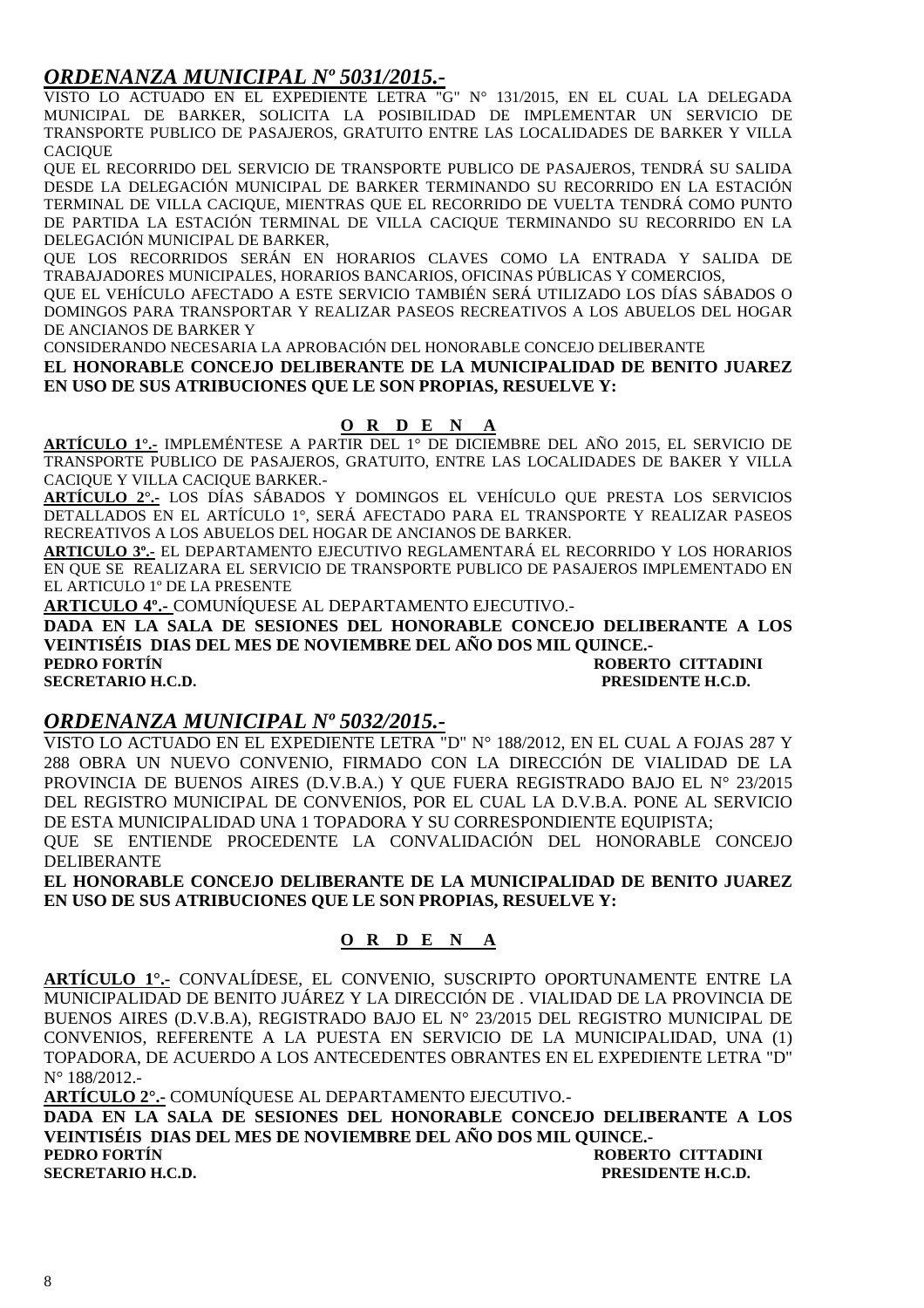### *ORDENANZA MUNICIPAL Nº 5031/2015.-*

VISTO LO ACTUADO EN EL EXPEDIENTE LETRA "G" N° 131/2015, EN EL CUAL LA DELEGADA MUNICIPAL DE BARKER, SOLICITA LA POSIBILIDAD DE IMPLEMENTAR UN SERVICIO DE TRANSPORTE PUBLICO DE PASAJEROS, GRATUITO ENTRE LAS LOCALIDADES DE BARKER Y VILLA **CACIOUE** 

QUE EL RECORRIDO DEL SERVICIO DE TRANSPORTE PUBLICO DE PASAJEROS, TENDRÁ SU SALIDA DESDE LA DELEGACIÓN MUNICIPAL DE BARKER TERMINANDO SU RECORRIDO EN LA ESTACIÓN TERMINAL DE VILLA CACIQUE, MIENTRAS QUE EL RECORRIDO DE VUELTA TENDRÁ COMO PUNTO DE PARTIDA LA ESTACIÓN TERMINAL DE VILLA CACIQUE TERMINANDO SU RECORRIDO EN LA DELEGACIÓN MUNICIPAL DE BARKER,

QUE LOS RECORRIDOS SERÁN EN HORARIOS CLAVES COMO LA ENTRADA Y SALIDA DE TRABAJADORES MUNICIPALES, HORARIOS BANCARIOS, OFICINAS PÚBLICAS Y COMERCIOS,

QUE EL VEHÍCULO AFECTADO A ESTE SERVICIO TAMBIÉN SERÁ UTILIZADO LOS DÍAS SÁBADOS O DOMINGOS PARA TRANSPORTAR Y REALIZAR PASEOS RECREATIVOS A LOS ABUELOS DEL HOGAR DE ANCIANOS DE BARKER Y

CONSIDERANDO NECESARIA LA APROBACIÓN DEL HONORABLE CONCEJO DELIBERANTE

**EL HONORABLE CONCEJO DELIBERANTE DE LA MUNICIPALIDAD DE BENITO JUAREZ EN USO DE SUS ATRIBUCIONES QUE LE SON PROPIAS, RESUELVE Y:** 

#### **O R D E N A**

**ARTÍCULO 1°.-** IMPLEMÉNTESE A PARTIR DEL 1° DE DICIEMBRE DEL AÑO 2015, EL SERVICIO DE TRANSPORTE PUBLICO DE PASAJEROS, GRATUITO, ENTRE LAS LOCALIDADES DE BAKER Y VILLA CACIQUE Y VILLA CACIQUE BARKER.-

**ARTÍCULO 2°.-** LOS DÍAS SÁBADOS Y DOMINGOS EL VEHÍCULO QUE PRESTA LOS SERVICIOS DETALLADOS EN EL ARTÍCULO 1°, SERÁ AFECTADO PARA EL TRANSPORTE Y REALIZAR PASEOS RECREATIVOS A LOS ABUELOS DEL HOGAR DE ANCIANOS DE BARKER.

**ARTICULO 3º.-** EL DEPARTAMENTO EJECUTIVO REGLAMENTARÁ EL RECORRIDO Y LOS HORARIOS EN QUE SE REALIZARA EL SERVICIO DE TRANSPORTE PUBLICO DE PASAJEROS IMPLEMENTADO EN EL ARTICULO 1º DE LA PRESENTE

**ARTICULO 4º.-** COMUNÍQUESE AL DEPARTAMENTO EJECUTIVO.-

**DADA EN LA SALA DE SESIONES DEL HONORABLE CONCEJO DELIBERANTE A LOS VEINTISÉIS DIAS DEL MES DE NOVIEMBRE DEL AÑO DOS MIL QUINCE.-** 

**PEDRO FORTÍN ROBERTO CITTADINI SECRETARIO H.C.D. PRESIDENTE H.C.D.** 

#### *ORDENANZA MUNICIPAL Nº 5032/2015.-*

VISTO LO ACTUADO EN EL EXPEDIENTE LETRA "D" N° 188/2012, EN EL CUAL A FOJAS 287 Y 288 OBRA UN NUEVO CONVENIO, FIRMADO CON LA DIRECCIÓN DE VIALIDAD DE LA PROVINCIA DE BUENOS AIRES (D.V.B.A.) Y QUE FUERA REGISTRADO BAJO EL N° 23/2015 DEL REGISTRO MUNICIPAL DE CONVENIOS, POR EL CUAL LA D.V.B.A. PONE AL SERVICIO DE ESTA MUNICIPALIDAD UNA 1 TOPADORA Y SU CORRESPONDIENTE EQUIPISTA; QUE SE ENTIENDE PROCEDENTE LA CONVALIDACIÓN DEL HONORABLE CONCEJO DELIBERANTE

**EL HONORABLE CONCEJO DELIBERANTE DE LA MUNICIPALIDAD DE BENITO JUAREZ EN USO DE SUS ATRIBUCIONES QUE LE SON PROPIAS, RESUELVE Y:** 

#### **O R D E N A**

**ARTÍCULO 1°.-** CONVALÍDESE, EL CONVENIO, SUSCRIPTO OPORTUNAMENTE ENTRE LA MUNICIPALIDAD DE BENITO JUÁREZ Y LA DIRECCIÓN DE . VIALIDAD DE LA PROVINCIA DE BUENOS AIRES (D.V.B.A), REGISTRADO BAJO EL N° 23/2015 DEL REGISTRO MUNICIPAL DE CONVENIOS, REFERENTE A LA PUESTA EN SERVICIO DE LA MUNICIPALIDAD, UNA (1) TOPADORA, DE ACUERDO A LOS ANTECEDENTES OBRANTES EN EL EXPEDIENTE LETRA "D" N° 188/2012.-

**ARTÍCULO 2°.-** COMUNÍQUESE AL DEPARTAMENTO EJECUTIVO.- **DADA EN LA SALA DE SESIONES DEL HONORABLE CONCEJO DELIBERANTE A LOS VEINTISÉIS DIAS DEL MES DE NOVIEMBRE DEL AÑO DOS MIL QUINCE.- PEDRO FORTÍN ROBERTO CITTADINI** 

**SECRETARIO H.C.D. PRESIDENTE H.C.D.**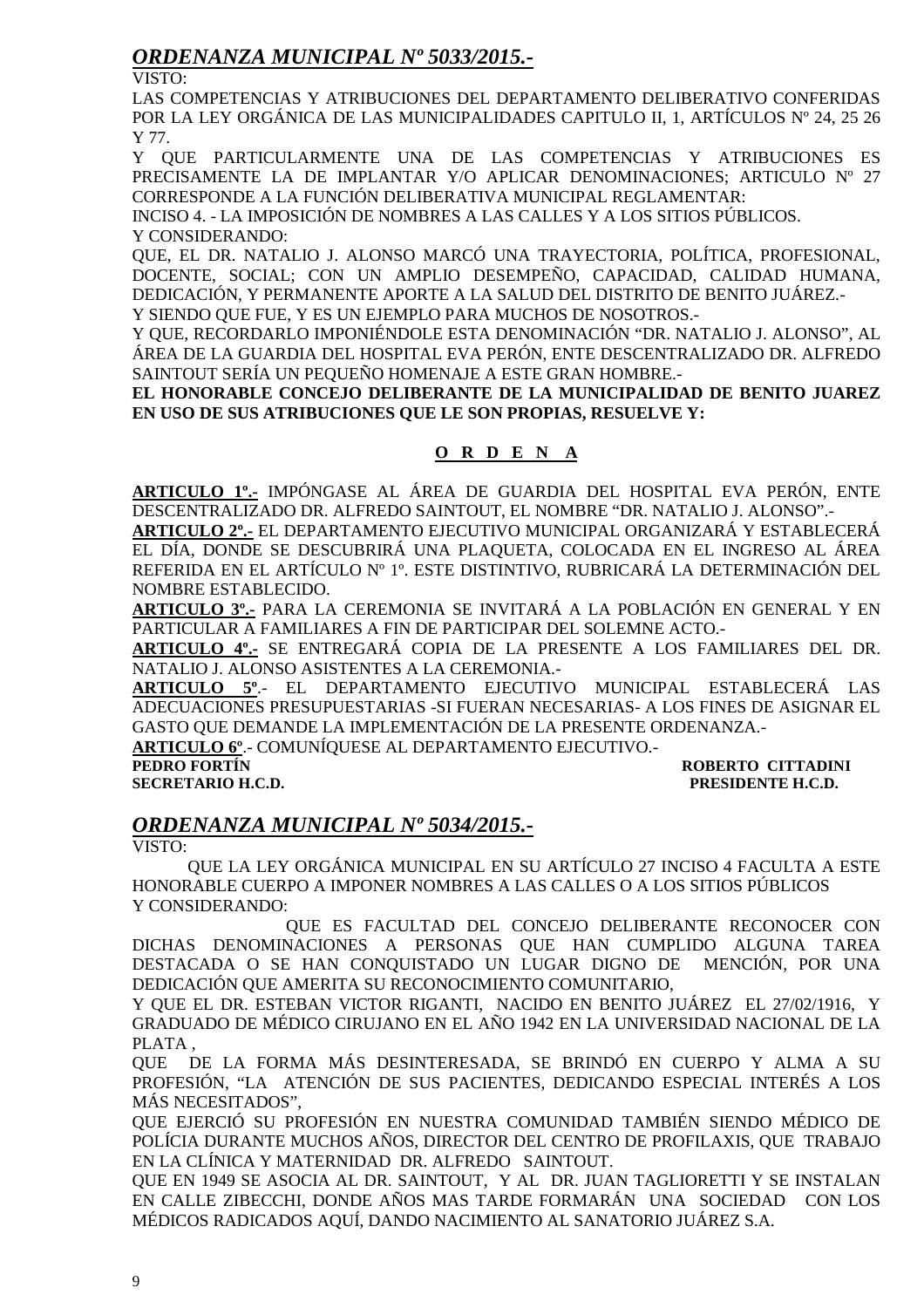### *ORDENANZA MUNICIPAL Nº 5033/2015.-*

VISTO:

LAS COMPETENCIAS Y ATRIBUCIONES DEL DEPARTAMENTO DELIBERATIVO CONFERIDAS POR LA LEY ORGÁNICA DE LAS MUNICIPALIDADES CAPITULO II, 1, ARTÍCULOS Nº 24, 25 26 Y 77.

Y QUE PARTICULARMENTE UNA DE LAS COMPETENCIAS Y ATRIBUCIONES ES PRECISAMENTE LA DE IMPLANTAR Y/O APLICAR DENOMINACIONES; ARTICULO Nº 27 CORRESPONDE A LA FUNCIÓN DELIBERATIVA MUNICIPAL REGLAMENTAR:

INCISO 4. - LA IMPOSICIÓN DE NOMBRES A LAS CALLES Y A LOS SITIOS PÚBLICOS. Y CONSIDERANDO:

QUE, EL DR. NATALIO J. ALONSO MARCÓ UNA TRAYECTORIA, POLÍTICA, PROFESIONAL, DOCENTE, SOCIAL; CON UN AMPLIO DESEMPEÑO, CAPACIDAD, CALIDAD HUMANA, DEDICACIÓN, Y PERMANENTE APORTE A LA SALUD DEL DISTRITO DE BENITO JUÁREZ.- Y SIENDO QUE FUE, Y ES UN EJEMPLO PARA MUCHOS DE NOSOTROS.-

Y QUE, RECORDARLO IMPONIÉNDOLE ESTA DENOMINACIÓN "DR. NATALIO J. ALONSO", AL ÁREA DE LA GUARDIA DEL HOSPITAL EVA PERÓN, ENTE DESCENTRALIZADO DR. ALFREDO SAINTOUT SERÍA UN PEQUEÑO HOMENAJE A ESTE GRAN HOMBRE.-

**EL HONORABLE CONCEJO DELIBERANTE DE LA MUNICIPALIDAD DE BENITO JUAREZ EN USO DE SUS ATRIBUCIONES QUE LE SON PROPIAS, RESUELVE Y:** 

### **O R D E N A**

**ARTICULO 1º.-** IMPÓNGASE AL ÁREA DE GUARDIA DEL HOSPITAL EVA PERÓN, ENTE DESCENTRALIZADO DR. ALFREDO SAINTOUT, EL NOMBRE "DR. NATALIO J. ALONSO".-

**ARTICULO 2º.-** EL DEPARTAMENTO EJECUTIVO MUNICIPAL ORGANIZARÁ Y ESTABLECERÁ EL DÍA, DONDE SE DESCUBRIRÁ UNA PLAQUETA, COLOCADA EN EL INGRESO AL ÁREA REFERIDA EN EL ARTÍCULO Nº 1º. ESTE DISTINTIVO, RUBRICARÁ LA DETERMINACIÓN DEL NOMBRE ESTABLECIDO.

**ARTICULO 3º.-** PARA LA CEREMONIA SE INVITARÁ A LA POBLACIÓN EN GENERAL Y EN PARTICULAR A FAMILIARES A FIN DE PARTICIPAR DEL SOLEMNE ACTO.-

**ARTICULO 4º.-** SE ENTREGARÁ COPIA DE LA PRESENTE A LOS FAMILIARES DEL DR. NATALIO J. ALONSO ASISTENTES A LA CEREMONIA.-

**ARTICULO 5º**.- EL DEPARTAMENTO EJECUTIVO MUNICIPAL ESTABLECERÁ LAS ADECUACIONES PRESUPUESTARIAS -SI FUERAN NECESARIAS- A LOS FINES DE ASIGNAR EL GASTO QUE DEMANDE LA IMPLEMENTACIÓN DE LA PRESENTE ORDENANZA.-

**ARTICULO 6º**.- COMUNÍQUESE AL DEPARTAMENTO EJECUTIVO.-

**SECRETARIO H.C.D. PRESIDENTE H.C.D.** 

### **ROBERTO CITTADINI**

### *ORDENANZA MUNICIPAL Nº 5034/2015.-*

VISTO:

 QUE LA LEY ORGÁNICA MUNICIPAL EN SU ARTÍCULO 27 INCISO 4 FACULTA A ESTE HONORABLE CUERPO A IMPONER NOMBRES A LAS CALLES O A LOS SITIOS PÚBLICOS Y CONSIDERANDO:

 QUE ES FACULTAD DEL CONCEJO DELIBERANTE RECONOCER CON DICHAS DENOMINACIONES A PERSONAS QUE HAN CUMPLIDO ALGUNA TAREA DESTACADA O SE HAN CONQUISTADO UN LUGAR DIGNO DE MENCIÓN, POR UNA DEDICACIÓN QUE AMERITA SU RECONOCIMIENTO COMUNITARIO,

Y QUE EL DR. ESTEBAN VICTOR RIGANTI, NACIDO EN BENITO JUÁREZ EL 27/02/1916, Y GRADUADO DE MÉDICO CIRUJANO EN EL AÑO 1942 EN LA UNIVERSIDAD NACIONAL DE LA PLATA ,

QUE DE LA FORMA MÁS DESINTERESADA, SE BRINDÓ EN CUERPO Y ALMA A SU PROFESIÓN, "LA ATENCIÓN DE SUS PACIENTES, DEDICANDO ESPECIAL INTERÉS A LOS MÁS NECESITADOS",

QUE EJERCIÓ SU PROFESIÓN EN NUESTRA COMUNIDAD TAMBIÉN SIENDO MÉDICO DE POLÍCIA DURANTE MUCHOS AÑOS, DIRECTOR DEL CENTRO DE PROFILAXIS, QUE TRABAJO EN LA CLÍNICA Y MATERNIDAD DR. ALFREDO SAINTOUT.

QUE EN 1949 SE ASOCIA AL DR. SAINTOUT, Y AL DR. JUAN TAGLIORETTI Y SE INSTALAN EN CALLE ZIBECCHI, DONDE AÑOS MAS TARDE FORMARÁN UNA SOCIEDAD CON LOS MÉDICOS RADICADOS AQUÍ, DANDO NACIMIENTO AL SANATORIO JUÁREZ S.A.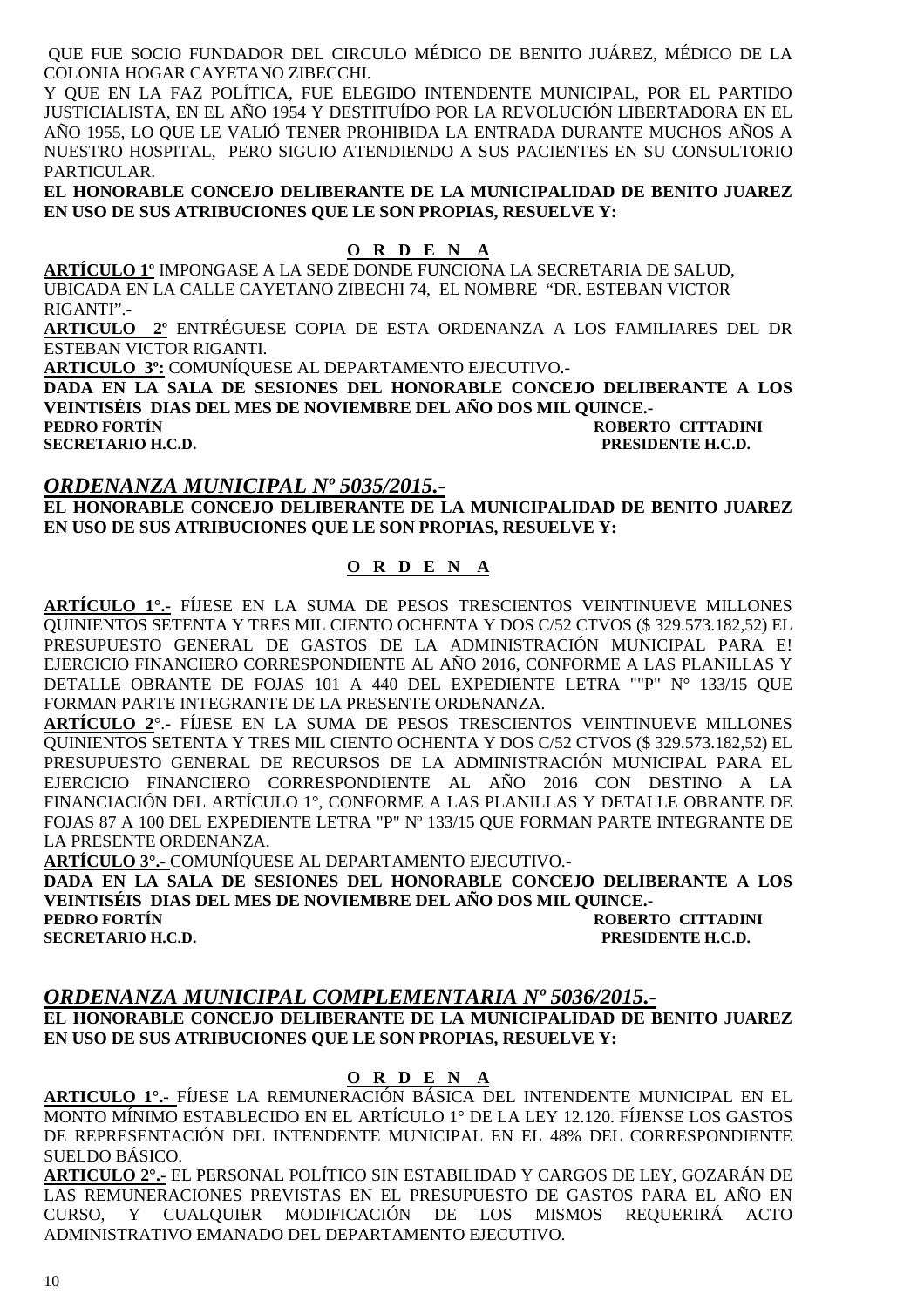QUE FUE SOCIO FUNDADOR DEL CIRCULO MÉDICO DE BENITO JUÁREZ, MÉDICO DE LA COLONIA HOGAR CAYETANO ZIBECCHI.

Y QUE EN LA FAZ POLÍTICA, FUE ELEGIDO INTENDENTE MUNICIPAL, POR EL PARTIDO JUSTICIALISTA, EN EL AÑO 1954 Y DESTITUÍDO POR LA REVOLUCIÓN LIBERTADORA EN EL AÑO 1955, LO QUE LE VALIÓ TENER PROHIBIDA LA ENTRADA DURANTE MUCHOS AÑOS A NUESTRO HOSPITAL, PERO SIGUIO ATENDIENDO A SUS PACIENTES EN SU CONSULTORIO PARTICULAR.

**EL HONORABLE CONCEJO DELIBERANTE DE LA MUNICIPALIDAD DE BENITO JUAREZ EN USO DE SUS ATRIBUCIONES QUE LE SON PROPIAS, RESUELVE Y:** 

### **O R D E N A**

**ARTÍCULO 1º** IMPONGASE A LA SEDE DONDE FUNCIONA LA SECRETARIA DE SALUD, UBICADA EN LA CALLE CAYETANO ZIBECHI 74, EL NOMBRE "DR. ESTEBAN VICTOR RIGANTI".-

**ARTICULO 2º** ENTRÉGUESE COPIA DE ESTA ORDENANZA A LOS FAMILIARES DEL DR ESTEBAN VICTOR RIGANTI.

**ARTICULO 3º:** COMUNÍQUESE AL DEPARTAMENTO EJECUTIVO.-

**DADA EN LA SALA DE SESIONES DEL HONORABLE CONCEJO DELIBERANTE A LOS VEINTISÉIS DIAS DEL MES DE NOVIEMBRE DEL AÑO DOS MIL QUINCE.- PEDRO FORTÍN ROBERTO CITTADINI SECRETARIO H.C.D. PRESIDENTE H.C.D.** 

### *ORDENANZA MUNICIPAL Nº 5035/2015.-*

**EL HONORABLE CONCEJO DELIBERANTE DE LA MUNICIPALIDAD DE BENITO JUAREZ EN USO DE SUS ATRIBUCIONES QUE LE SON PROPIAS, RESUELVE Y:** 

#### **O R D E N A**

**ARTÍCULO 1°.-** FÍJESE EN LA SUMA DE PESOS TRESCIENTOS VEINTINUEVE MILLONES QUINIENTOS SETENTA Y TRES MIL CIENTO OCHENTA Y DOS C/52 CTVOS (\$ 329.573.182,52) EL PRESUPUESTO GENERAL DE GASTOS DE LA ADMINISTRACIÓN MUNICIPAL PARA E! EJERCICIO FINANCIERO CORRESPONDIENTE AL AÑO 2016, CONFORME A LAS PLANILLAS Y DETALLE OBRANTE DE FOJAS 101 A 440 DEL EXPEDIENTE LETRA ""P" N° 133/15 QUE FORMAN PARTE INTEGRANTE DE LA PRESENTE ORDENANZA.

**ARTÍCULO 2**°.- FÍJESE EN LA SUMA DE PESOS TRESCIENTOS VEINTINUEVE MILLONES QUINIENTOS SETENTA Y TRES MIL CIENTO OCHENTA Y DOS C/52 CTVOS (\$ 329.573.182,52) EL PRESUPUESTO GENERAL DE RECURSOS DE LA ADMINISTRACIÓN MUNICIPAL PARA EL EJERCICIO FINANCIERO CORRESPONDIENTE AL AÑO 2016 CON DESTINO A LA FINANCIACIÓN DEL ARTÍCULO 1°, CONFORME A LAS PLANILLAS Y DETALLE OBRANTE DE FOJAS 87 A 100 DEL EXPEDIENTE LETRA "P" Nº 133/15 QUE FORMAN PARTE INTEGRANTE DE LA PRESENTE ORDENANZA.

**ARTÍCULO 3°.-** COMUNÍQUESE AL DEPARTAMENTO EJECUTIVO.-

**DADA EN LA SALA DE SESIONES DEL HONORABLE CONCEJO DELIBERANTE A LOS VEINTISÉIS DIAS DEL MES DE NOVIEMBRE DEL AÑO DOS MIL QUINCE.- PEDRO FORTÍN ROBERTO CITTADINI SECRETARIO H.C.D. PRESIDENTE H.C.D.** 

#### *ORDENANZA MUNICIPAL COMPLEMENTARIA Nº 5036/2015.-*

**EL HONORABLE CONCEJO DELIBERANTE DE LA MUNICIPALIDAD DE BENITO JUAREZ EN USO DE SUS ATRIBUCIONES QUE LE SON PROPIAS, RESUELVE Y:** 

#### **O R D E N A**

**ARTICULO 1°.-** FÍJESE LA REMUNERACIÓN BÁSICA DEL INTENDENTE MUNICIPAL EN EL MONTO MÍNIMO ESTABLECIDO EN EL ARTÍCULO 1° DE LA LEY 12.120. FÍJENSE LOS GASTOS DE REPRESENTACIÓN DEL INTENDENTE MUNICIPAL EN EL 48% DEL CORRESPONDIENTE SUELDO BÁSICO.

**ARTICULO 2°.-** EL PERSONAL POLÍTICO SIN ESTABILIDAD Y CARGOS DE LEY, GOZARÁN DE LAS REMUNERACIONES PREVISTAS EN EL PRESUPUESTO DE GASTOS PARA EL AÑO EN CURSO, Y CUALQUIER MODIFICACIÓN DE LOS MISMOS REQUERIRÁ ACTO ADMINISTRATIVO EMANADO DEL DEPARTAMENTO EJECUTIVO.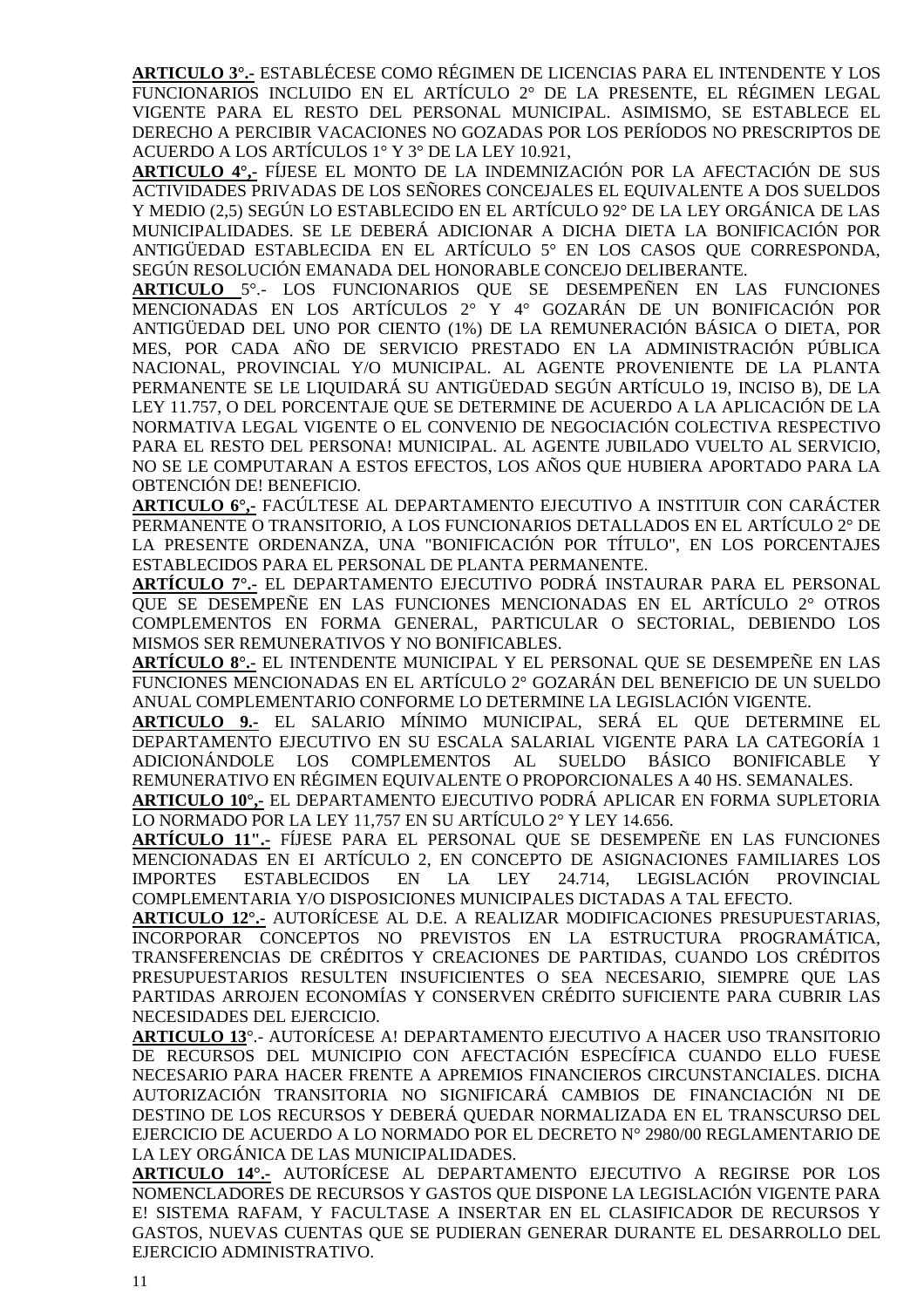**ARTICULO 3°.-** ESTABLÉCESE COMO RÉGIMEN DE LICENCIAS PARA EL INTENDENTE Y LOS FUNCIONARIOS INCLUIDO EN EL ARTÍCULO 2° DE LA PRESENTE, EL RÉGIMEN LEGAL VIGENTE PARA EL RESTO DEL PERSONAL MUNICIPAL. ASIMISMO, SE ESTABLECE EL DERECHO A PERCIBIR VACACIONES NO GOZADAS POR LOS PERÍODOS NO PRESCRIPTOS DE ACUERDO A LOS ARTÍCULOS 1° Y 3° DE LA LEY 10.921,

**ARTICULO 4°,-** FÍJESE EL MONTO DE LA INDEMNIZACIÓN POR LA AFECTACIÓN DE SUS ACTIVIDADES PRIVADAS DE LOS SEÑORES CONCEJALES EL EQUIVALENTE A DOS SUELDOS Y MEDIO (2,5) SEGÚN LO ESTABLECIDO EN EL ARTÍCULO 92° DE LA LEY ORGÁNICA DE LAS MUNICIPALIDADES. SE LE DEBERÁ ADICIONAR A DICHA DIETA LA BONIFICACIÓN POR ANTIGÜEDAD ESTABLECIDA EN EL ARTÍCULO 5° EN LOS CASOS QUE CORRESPONDA, SEGÚN RESOLUCIÓN EMANADA DEL HONORABLE CONCEJO DELIBERANTE.

**ARTICULO** 5°.- LOS FUNCIONARIOS QUE SE DESEMPEÑEN EN LAS FUNCIONES MENCIONADAS EN LOS ARTÍCULOS 2° Y 4° GOZARÁN DE UN BONIFICACIÓN POR ANTIGÜEDAD DEL UNO POR CIENTO (1%) DE LA REMUNERACIÓN BÁSICA O DIETA, POR MES, POR CADA AÑO DE SERVICIO PRESTADO EN LA ADMINISTRACIÓN PÚBLICA NACIONAL, PROVINCIAL Y/O MUNICIPAL. AL AGENTE PROVENIENTE DE LA PLANTA PERMANENTE SE LE LIQUIDARÁ SU ANTIGÜEDAD SEGÚN ARTÍCULO 19, INCISO B), DE LA LEY 11.757, O DEL PORCENTAJE QUE SE DETERMINE DE ACUERDO A LA APLICACIÓN DE LA NORMATIVA LEGAL VIGENTE O EL CONVENIO DE NEGOCIACIÓN COLECTIVA RESPECTIVO PARA EL RESTO DEL PERSONA! MUNICIPAL. AL AGENTE JUBILADO VUELTO AL SERVICIO, NO SE LE COMPUTARAN A ESTOS EFECTOS, LOS AÑOS QUE HUBIERA APORTADO PARA LA OBTENCIÓN DE! BENEFICIO.

**ARTICULO 6°,-** FACÚLTESE AL DEPARTAMENTO EJECUTIVO A INSTITUIR CON CARÁCTER PERMANENTE O TRANSITORIO, A LOS FUNCIONARIOS DETALLADOS EN EL ARTÍCULO 2° DE LA PRESENTE ORDENANZA, UNA "BONIFICACIÓN POR TÍTULO", EN LOS PORCENTAJES ESTABLECIDOS PARA EL PERSONAL DE PLANTA PERMANENTE.

**ARTÍCULO 7°.-** EL DEPARTAMENTO EJECUTIVO PODRÁ INSTAURAR PARA EL PERSONAL QUE SE DESEMPEÑE EN LAS FUNCIONES MENCIONADAS EN EL ARTÍCULO 2° OTROS COMPLEMENTOS EN FORMA GENERAL, PARTICULAR O SECTORIAL, DEBIENDO LOS MISMOS SER REMUNERATIVOS Y NO BONIFICABLES.

**ARTÍCULO 8°.-** EL INTENDENTE MUNICIPAL Y EL PERSONAL QUE SE DESEMPEÑE EN LAS FUNCIONES MENCIONADAS EN EL ARTÍCULO 2° GOZARÁN DEL BENEFICIO DE UN SUELDO ANUAL COMPLEMENTARIO CONFORME LO DETERMINE LA LEGISLACIÓN VIGENTE.

**ARTICULO 9.-** EL SALARIO MÍNIMO MUNICIPAL, SERÁ EL QUE DETERMINE EL DEPARTAMENTO EJECUTIVO EN SU ESCALA SALARIAL VIGENTE PARA LA CATEGORÍA 1 ADICIONÁNDOLE LOS COMPLEMENTOS AL SUELDO BÁSICO BONIFICABLE Y REMUNERATIVO EN RÉGIMEN EQUIVALENTE O PROPORCIONALES A 40 HS. SEMANALES.

**ARTICULO 10°,-** EL DEPARTAMENTO EJECUTIVO PODRÁ APLICAR EN FORMA SUPLETORIA LO NORMADO POR LA LEY 11,757 EN SU ARTÍCULO 2° Y LEY 14.656.

**ARTÍCULO 11".-** FÍJESE PARA EL PERSONAL QUE SE DESEMPEÑE EN LAS FUNCIONES MENCIONADAS EN EI ARTÍCULO 2, EN CONCEPTO DE ASIGNACIONES FAMILIARES LOS IMPORTES ESTABLECIDOS EN LA LEY 24.714, LEGISLACIÓN PROVINCIAL COMPLEMENTARIA Y/O DISPOSICIONES MUNICIPALES DICTADAS A TAL EFECTO.

**ARTICULO 12°.-** AUTORÍCESE AL D.E. A REALIZAR MODIFICACIONES PRESUPUESTARIAS, INCORPORAR CONCEPTOS NO PREVISTOS EN LA ESTRUCTURA PROGRAMÁTICA, TRANSFERENCIAS DE CRÉDITOS Y CREACIONES DE PARTIDAS, CUANDO LOS CRÉDITOS PRESUPUESTARIOS RESULTEN INSUFICIENTES O SEA NECESARIO, SIEMPRE QUE LAS PARTIDAS ARROJEN ECONOMÍAS Y CONSERVEN CRÉDITO SUFICIENTE PARA CUBRIR LAS NECESIDADES DEL EJERCICIO.

**ARTICULO 13**°.- AUTORÍCESE A! DEPARTAMENTO EJECUTIVO A HACER USO TRANSITORIO DE RECURSOS DEL MUNICIPIO CON AFECTACIÓN ESPECÍFICA CUANDO ELLO FUESE NECESARIO PARA HACER FRENTE A APREMIOS FINANCIEROS CIRCUNSTANCIALES. DICHA AUTORIZACIÓN TRANSITORIA NO SIGNIFICARÁ CAMBIOS DE FINANCIACIÓN NI DE DESTINO DE LOS RECURSOS Y DEBERÁ QUEDAR NORMALIZADA EN EL TRANSCURSO DEL EJERCICIO DE ACUERDO A LO NORMADO POR EL DECRETO N° 2980/00 REGLAMENTARIO DE LA LEY ORGÁNICA DE LAS MUNICIPALIDADES.

**ARTICULO 14°.-** AUTORÍCESE AL DEPARTAMENTO EJECUTIVO A REGIRSE POR LOS NOMENCLADORES DE RECURSOS Y GASTOS QUE DISPONE LA LEGISLACIÓN VIGENTE PARA E! SISTEMA RAFAM, Y FACULTASE A INSERTAR EN EL CLASIFICADOR DE RECURSOS Y GASTOS, NUEVAS CUENTAS QUE SE PUDIERAN GENERAR DURANTE EL DESARROLLO DEL EJERCICIO ADMINISTRATIVO.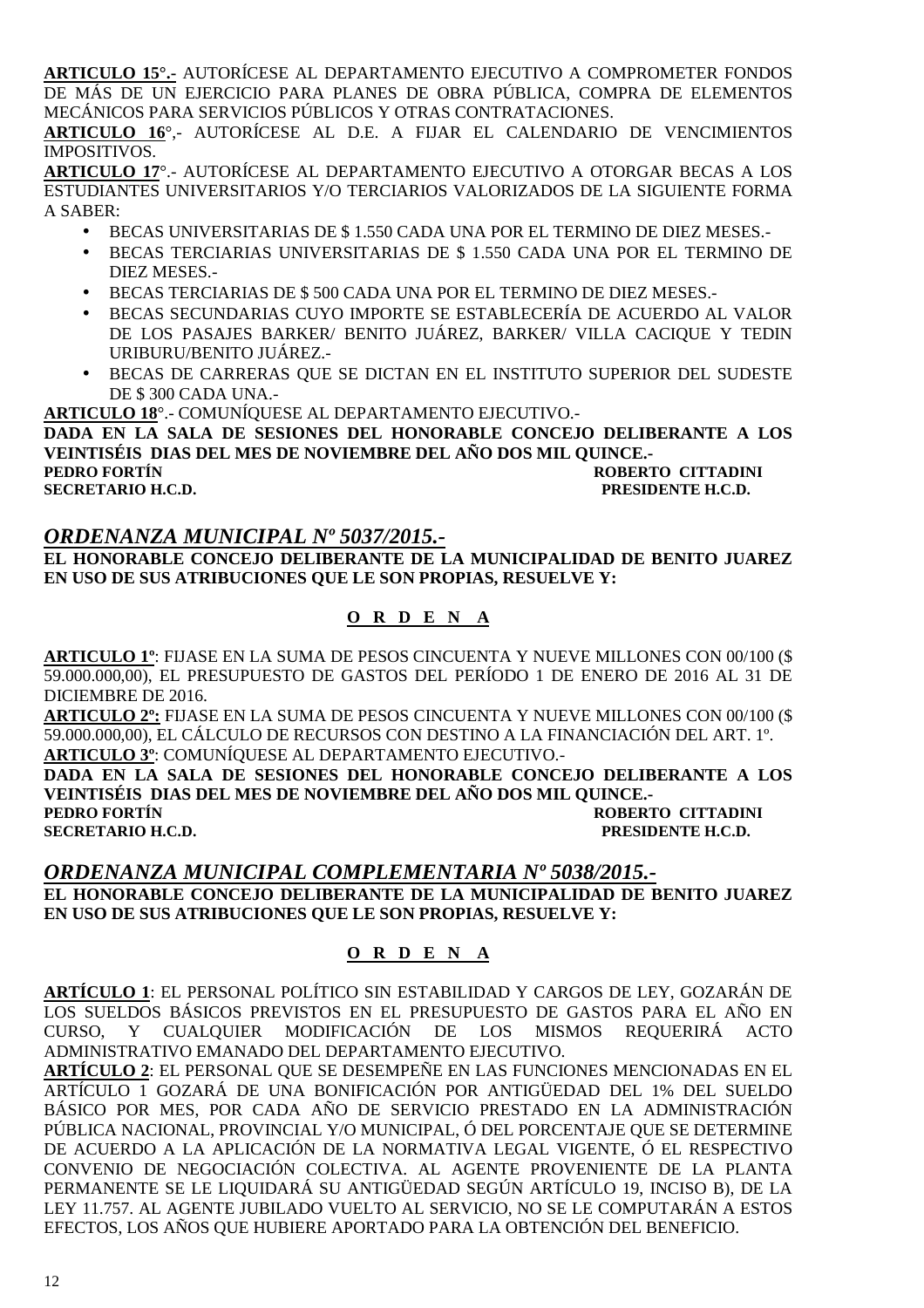**ARTICULO 15°.-** AUTORÍCESE AL DEPARTAMENTO EJECUTIVO A COMPROMETER FONDOS DE MÁS DE UN EJERCICIO PARA PLANES DE OBRA PÚBLICA, COMPRA DE ELEMENTOS MECÁNICOS PARA SERVICIOS PÚBLICOS Y OTRAS CONTRATACIONES.

**ARTICULO 16**°,- AUTORÍCESE AL D.E. A FIJAR EL CALENDARIO DE VENCIMIENTOS IMPOSITIVOS.

**ARTICULO 17**°.- AUTORÍCESE AL DEPARTAMENTO EJECUTIVO A OTORGAR BECAS A LOS ESTUDIANTES UNIVERSITARIOS Y/O TERCIARIOS VALORIZADOS DE LA SIGUIENTE FORMA A SABER:

- BECAS UNIVERSITARIAS DE \$ 1.550 CADA UNA POR EL TERMINO DE DIEZ MESES.-
- BECAS TERCIARIAS UNIVERSITARIAS DE \$ 1.550 CADA UNA POR EL TERMINO DE DIEZ MESES.-
- BECAS TERCIARIAS DE \$ 500 CADA UNA POR EL TERMINO DE DIEZ MESES.-
- BECAS SECUNDARIAS CUYO IMPORTE SE ESTABLECERÍA DE ACUERDO AL VALOR DE LOS PASAJES BARKER/ BENITO JUÁREZ, BARKER/ VILLA CACIQUE Y TEDIN URIBURU/BENITO JUÁREZ.-
- BECAS DE CARRERAS QUE SE DICTAN EN EL INSTITUTO SUPERIOR DEL SUDESTE DE \$ 300 CADA UNA.-

**ARTICULO 18**°.- COMUNÍQUESE AL DEPARTAMENTO EJECUTIVO.-

**DADA EN LA SALA DE SESIONES DEL HONORABLE CONCEJO DELIBERANTE A LOS VEINTISÉIS DIAS DEL MES DE NOVIEMBRE DEL AÑO DOS MIL QUINCE.-** 

**PEDRO FORTÍN ROBERTO CITTADINI A RECRETARIO H.C.D.**<br> **PERSIDENTE H.C.D. PRESIDENTE H.C.D.** 

#### *ORDENANZA MUNICIPAL Nº 5037/2015.-*

**EL HONORABLE CONCEJO DELIBERANTE DE LA MUNICIPALIDAD DE BENITO JUAREZ EN USO DE SUS ATRIBUCIONES QUE LE SON PROPIAS, RESUELVE Y:** 

#### **O R D E N A**

**ARTICULO 1º**: FIJASE EN LA SUMA DE PESOS CINCUENTA Y NUEVE MILLONES CON 00/100 (\$ 59.000.000,00), EL PRESUPUESTO DE GASTOS DEL PERÍODO 1 DE ENERO DE 2016 AL 31 DE DICIEMBRE DE 2016.

**ARTICULO 2º:** FIJASE EN LA SUMA DE PESOS CINCUENTA Y NUEVE MILLONES CON 00/100 (\$ 59.000.000,00), EL CÁLCULO DE RECURSOS CON DESTINO A LA FINANCIACIÓN DEL ART. 1º. **ARTICULO 3º**: COMUNÍQUESE AL DEPARTAMENTO EJECUTIVO.-

**DADA EN LA SALA DE SESIONES DEL HONORABLE CONCEJO DELIBERANTE A LOS VEINTISÉIS DIAS DEL MES DE NOVIEMBRE DEL AÑO DOS MIL QUINCE.- ROBERTO CITTADINI SECRETARIO H.C.D. PRESIDENTE H.C.D.** 

#### *ORDENANZA MUNICIPAL COMPLEMENTARIA Nº 5038/2015.-*

**EL HONORABLE CONCEJO DELIBERANTE DE LA MUNICIPALIDAD DE BENITO JUAREZ EN USO DE SUS ATRIBUCIONES QUE LE SON PROPIAS, RESUELVE Y:** 

#### **O R D E N A**

**ARTÍCULO 1**: EL PERSONAL POLÍTICO SIN ESTABILIDAD Y CARGOS DE LEY, GOZARÁN DE LOS SUELDOS BÁSICOS PREVISTOS EN EL PRESUPUESTO DE GASTOS PARA EL AÑO EN CURSO, Y CUALQUIER MODIFICACIÓN DE LOS MISMOS REQUERIRÁ ACTO ADMINISTRATIVO EMANADO DEL DEPARTAMENTO EJECUTIVO.

**ARTÍCULO 2**: EL PERSONAL QUE SE DESEMPEÑE EN LAS FUNCIONES MENCIONADAS EN EL ARTÍCULO 1 GOZARÁ DE UNA BONIFICACIÓN POR ANTIGÜEDAD DEL 1% DEL SUELDO BÁSICO POR MES, POR CADA AÑO DE SERVICIO PRESTADO EN LA ADMINISTRACIÓN PÚBLICA NACIONAL, PROVINCIAL Y/O MUNICIPAL, Ó DEL PORCENTAJE QUE SE DETERMINE DE ACUERDO A LA APLICACIÓN DE LA NORMATIVA LEGAL VIGENTE, Ó EL RESPECTIVO CONVENIO DE NEGOCIACIÓN COLECTIVA. AL AGENTE PROVENIENTE DE LA PLANTA PERMANENTE SE LE LIQUIDARÁ SU ANTIGÜEDAD SEGÚN ARTÍCULO 19, INCISO B), DE LA LEY 11.757. AL AGENTE JUBILADO VUELTO AL SERVICIO, NO SE LE COMPUTARÁN A ESTOS EFECTOS, LOS AÑOS QUE HUBIERE APORTADO PARA LA OBTENCIÓN DEL BENEFICIO.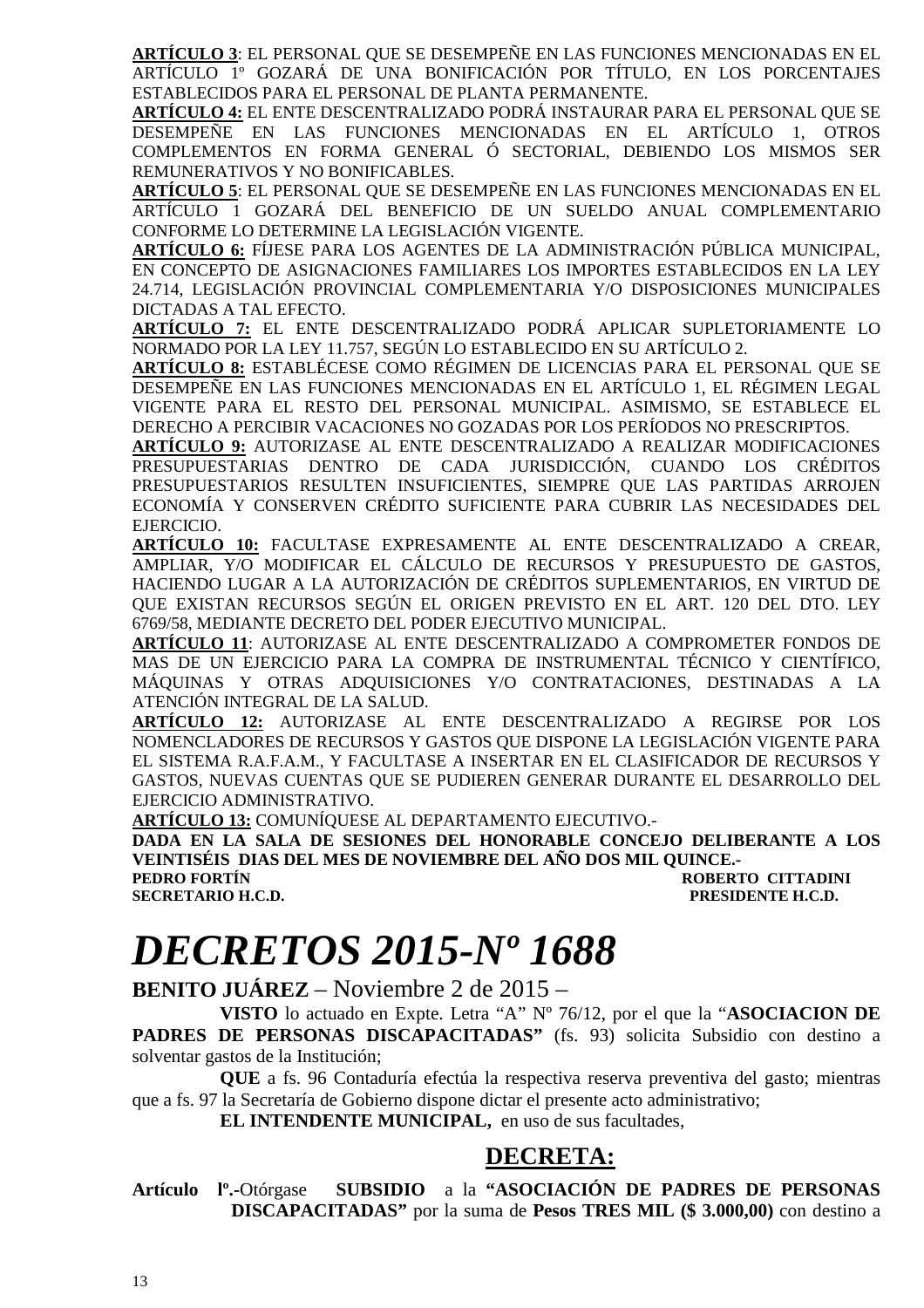**ARTÍCULO 3**: EL PERSONAL QUE SE DESEMPEÑE EN LAS FUNCIONES MENCIONADAS EN EL ARTÍCULO 1º GOZARÁ DE UNA BONIFICACIÓN POR TÍTULO, EN LOS PORCENTAJES ESTABLECIDOS PARA EL PERSONAL DE PLANTA PERMANENTE.

**ARTÍCULO 4:** EL ENTE DESCENTRALIZADO PODRÁ INSTAURAR PARA EL PERSONAL QUE SE DESEMPEÑE EN LAS FUNCIONES MENCIONADAS EN EL ARTÍCULO 1, OTROS COMPLEMENTOS EN FORMA GENERAL Ó SECTORIAL, DEBIENDO LOS MISMOS SER REMUNERATIVOS Y NO BONIFICABLES.

**ARTÍCULO 5**: EL PERSONAL QUE SE DESEMPEÑE EN LAS FUNCIONES MENCIONADAS EN EL ARTÍCULO 1 GOZARÁ DEL BENEFICIO DE UN SUELDO ANUAL COMPLEMENTARIO CONFORME LO DETERMINE LA LEGISLACIÓN VIGENTE.

**ARTÍCULO 6:** FÍJESE PARA LOS AGENTES DE LA ADMINISTRACIÓN PÚBLICA MUNICIPAL, EN CONCEPTO DE ASIGNACIONES FAMILIARES LOS IMPORTES ESTABLECIDOS EN LA LEY 24.714, LEGISLACIÓN PROVINCIAL COMPLEMENTARIA Y/O DISPOSICIONES MUNICIPALES DICTADAS A TAL EFECTO.

**ARTÍCULO 7:** EL ENTE DESCENTRALIZADO PODRÁ APLICAR SUPLETORIAMENTE LO NORMADO POR LA LEY 11.757, SEGÚN LO ESTABLECIDO EN SU ARTÍCULO 2.

**ARTÍCULO 8:** ESTABLÉCESE COMO RÉGIMEN DE LICENCIAS PARA EL PERSONAL QUE SE DESEMPEÑE EN LAS FUNCIONES MENCIONADAS EN EL ARTÍCULO 1, EL RÉGIMEN LEGAL VIGENTE PARA EL RESTO DEL PERSONAL MUNICIPAL. ASIMISMO, SE ESTABLECE EL DERECHO A PERCIBIR VACACIONES NO GOZADAS POR LOS PERÍODOS NO PRESCRIPTOS.

**ARTÍCULO 9:** AUTORIZASE AL ENTE DESCENTRALIZADO A REALIZAR MODIFICACIONES PRESUPUESTARIAS DENTRO DE CADA JURISDICCIÓN, CUANDO LOS CRÉDITOS PRESUPUESTARIOS RESULTEN INSUFICIENTES, SIEMPRE QUE LAS PARTIDAS ARROJEN ECONOMÍA Y CONSERVEN CRÉDITO SUFICIENTE PARA CUBRIR LAS NECESIDADES DEL EJERCICIO.

**ARTÍCULO 10:** FACULTASE EXPRESAMENTE AL ENTE DESCENTRALIZADO A CREAR, AMPLIAR, Y/O MODIFICAR EL CÁLCULO DE RECURSOS Y PRESUPUESTO DE GASTOS, HACIENDO LUGAR A LA AUTORIZACIÓN DE CRÉDITOS SUPLEMENTARIOS, EN VIRTUD DE QUE EXISTAN RECURSOS SEGÚN EL ORIGEN PREVISTO EN EL ART. 120 DEL DTO. LEY 6769/58, MEDIANTE DECRETO DEL PODER EJECUTIVO MUNICIPAL.

**ARTÍCULO 11**: AUTORIZASE AL ENTE DESCENTRALIZADO A COMPROMETER FONDOS DE MAS DE UN EJERCICIO PARA LA COMPRA DE INSTRUMENTAL TÉCNICO Y CIENTÍFICO, MÁQUINAS Y OTRAS ADQUISICIONES Y/O CONTRATACIONES, DESTINADAS A LA ATENCIÓN INTEGRAL DE LA SALUD.

**ARTÍCULO 12:** AUTORIZASE AL ENTE DESCENTRALIZADO A REGIRSE POR LOS NOMENCLADORES DE RECURSOS Y GASTOS QUE DISPONE LA LEGISLACIÓN VIGENTE PARA EL SISTEMA R.A.F.A.M., Y FACULTASE A INSERTAR EN EL CLASIFICADOR DE RECURSOS Y GASTOS, NUEVAS CUENTAS QUE SE PUDIEREN GENERAR DURANTE EL DESARROLLO DEL EJERCICIO ADMINISTRATIVO.

**ARTÍCULO 13:** COMUNÍQUESE AL DEPARTAMENTO EJECUTIVO.-

**DADA EN LA SALA DE SESIONES DEL HONORABLE CONCEJO DELIBERANTE A LOS VEINTISÉIS DIAS DEL MES DE NOVIEMBRE DEL AÑO DOS MIL QUINCE.-** 

**ROBERTO CITTADINI SECRETARIO H.C.D. PRESIDENTE H.C.D.** 

### *DECRETOS 2015-Nº 1688*

**BENITO JUÁREZ** – Noviembre 2 de 2015 –

**VISTO** lo actuado en Expte. Letra "A" Nº 76/12, por el que la "**ASOCIACION DE PADRES DE PERSONAS DISCAPACITADAS"** (fs. 93) solicita Subsidio con destino a solventar gastos de la Institución;

**QUE** a fs. 96 Contaduría efectúa la respectiva reserva preventiva del gasto; mientras que a fs. 97 la Secretaría de Gobierno dispone dictar el presente acto administrativo;

**EL INTENDENTE MUNICIPAL,** en uso de sus facultades,

### **DECRETA:**

**Artículo lº.-**Otórgase **SUBSIDIO** a la **"ASOCIACIÓN DE PADRES DE PERSONAS DISCAPACITADAS"** por la suma de **Pesos TRES MIL (\$ 3.000,00)** con destino a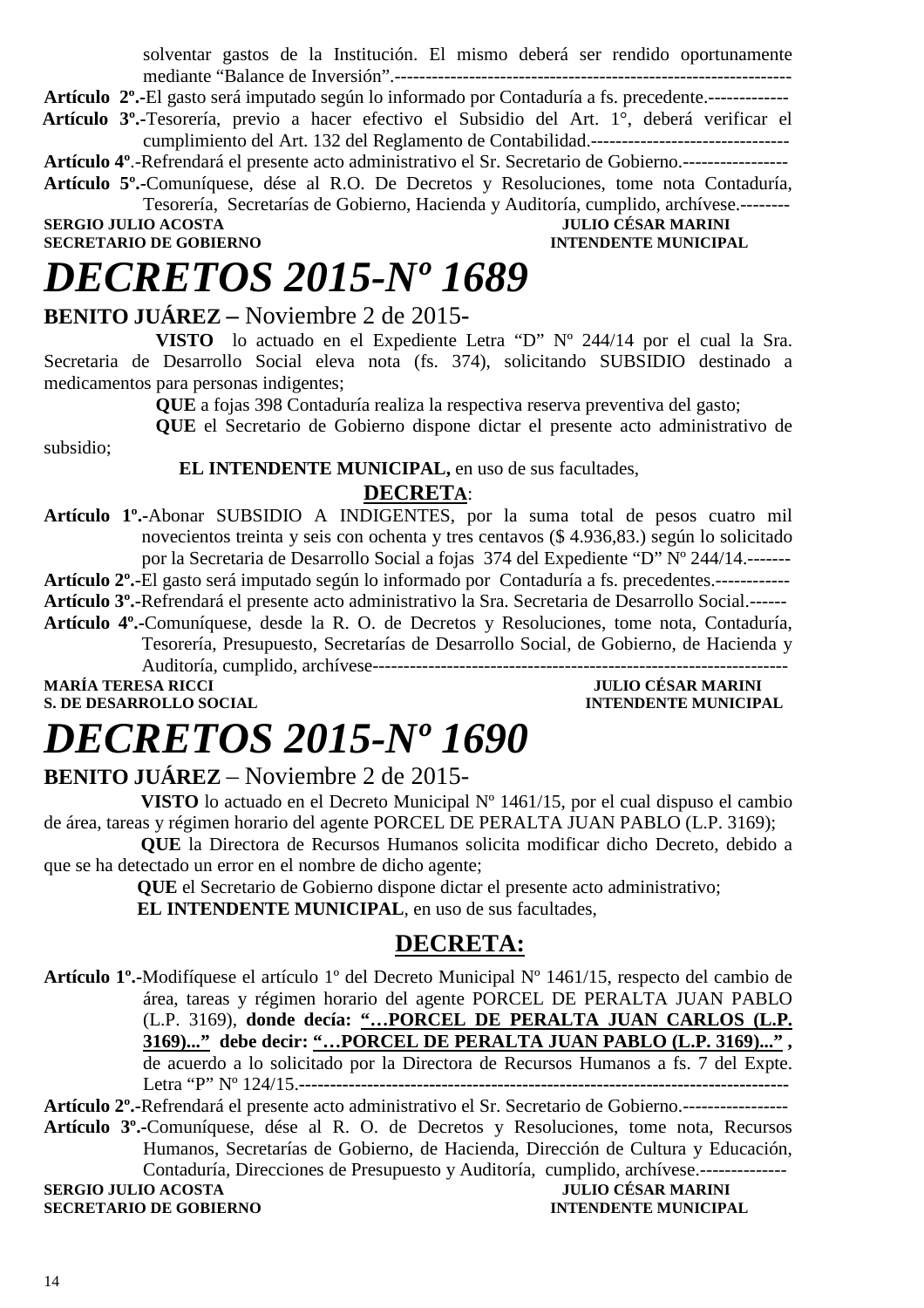solventar gastos de la Institución. El mismo deberá ser rendido oportunamente mediante "Balance de Inversión".----------------------------------------------------------------

**Artículo 2º.-**El gasto será imputado según lo informado por Contaduría a fs. precedente.-------------

 **Artículo 3º.-**Tesorería, previo a hacer efectivo el Subsidio del Art. 1°, deberá verificar el cumplimiento del Art. 132 del Reglamento de Contabilidad.--------------------------------

**Artículo 4º**.-Refrendará el presente acto administrativo el Sr. Secretario de Gobierno.-----------------

**Artículo 5º.-**Comuníquese, dése al R.O. De Decretos y Resoluciones, tome nota Contaduría, Tesorería, Secretarías de Gobierno, Hacienda y Auditoría, cumplido, archívese.-------- **JULIO CÉSAR MARINI** 

**SECRETARIO DE GOBIERNO INTENDENTE MUNICIPAL** 

## *DECRETOS 2015-Nº 1689*

### **BENITO JUÁREZ –** Noviembre 2 de 2015**-**

**VISTO** lo actuado en el Expediente Letra "D" Nº 244/14 por el cual la Sra. Secretaria de Desarrollo Social eleva nota (fs. 374), solicitando SUBSIDIO destinado a medicamentos para personas indigentes;

**QUE** a fojas 398 Contaduría realiza la respectiva reserva preventiva del gasto;

**QUE** el Secretario de Gobierno dispone dictar el presente acto administrativo de subsidio;

### **EL INTENDENTE MUNICIPAL,** en uso de sus facultades,

### **DECRETA**:

**Artículo 1º.-**Abonar SUBSIDIO A INDIGENTES, por la suma total de pesos cuatro mil novecientos treinta y seis con ochenta y tres centavos (\$ 4.936,83.) según lo solicitado por la Secretaria de Desarrollo Social a fojas 374 del Expediente "D" Nº 244/14.-------

**Artículo 2º.-**El gasto será imputado según lo informado por Contaduría a fs. precedentes.------------

**Artículo 3º.-**Refrendará el presente acto administrativo la Sra. Secretaria de Desarrollo Social.------

**Artículo 4º.-**Comuníquese, desde la R. O. de Decretos y Resoluciones, tome nota, Contaduría, Tesorería, Presupuesto, Secretarías de Desarrollo Social, de Gobierno, de Hacienda y

Auditoría, cumplido, archívese-------------------------------------------------------------------

**MARÍA TERESA RICCI JULIO CÉSAR MARINI S. DE DESARROLLO SOCIAL COMPUTE DESARROLLO SOCIAL COMPUTE DE L'ALGEBRE DE L'ALGEBRE DE L'ALGEBRE DE L'ALGEBRE DE L'ALGEBRE DE L'ALGEBRE DE L'ALGEBRE DE L'ALGEBRE DE L'ALGEBRE DE L'ALGEBRE DE L'ALGEBRE DE L'ALGEBRE DE L'AL** 

### *DECRETOS 2015-Nº 1690*

### **BENITO JUÁREZ** – Noviembre 2 de 2015-

**VISTO** lo actuado en el Decreto Municipal N° 1461/15, por el cual dispuso el cambio de área, tareas y régimen horario del agente PORCEL DE PERALTA JUAN PABLO (L.P. 3169);

 **QUE** la Directora de Recursos Humanos solicita modificar dicho Decreto, debido a que se ha detectado un error en el nombre de dicho agente;

> **QUE** el Secretario de Gobierno dispone dictar el presente acto administrativo;  **EL INTENDENTE MUNICIPAL**, en uso de sus facultades,

### **DECRETA:**

**Artículo 1º.-**Modifíquese el artículo 1º del Decreto Municipal Nº 1461/15, respecto del cambio de área, tareas y régimen horario del agente PORCEL DE PERALTA JUAN PABLO (L.P. 3169), **donde decía: "…PORCEL DE PERALTA JUAN CARLOS (L.P. 3169)..." debe decir: "…PORCEL DE PERALTA JUAN PABLO (L.P. 3169)..." ,**  de acuerdo a lo solicitado por la Directora de Recursos Humanos a fs. 7 del Expte. Letra "P" Nº 124/15.**-------------------------------------------------------------------------------** 

### **Artículo 2º.-**Refrendará el presente acto administrativo el Sr. Secretario de Gobierno.-----------------

**Artículo 3º.-**Comuníquese, dése al R. O. de Decretos y Resoluciones, tome nota, Recursos Humanos, Secretarías de Gobierno, de Hacienda, Dirección de Cultura y Educación, Contaduría, Direcciones de Presupuesto y Auditoría, cumplido, archívese.-------------- **SERGIO JULIO ACOSTA** JULIO CÉSAR MARINI

**SECRETARIO DE GOBIERNO INTENDENTE MUNICIPAL**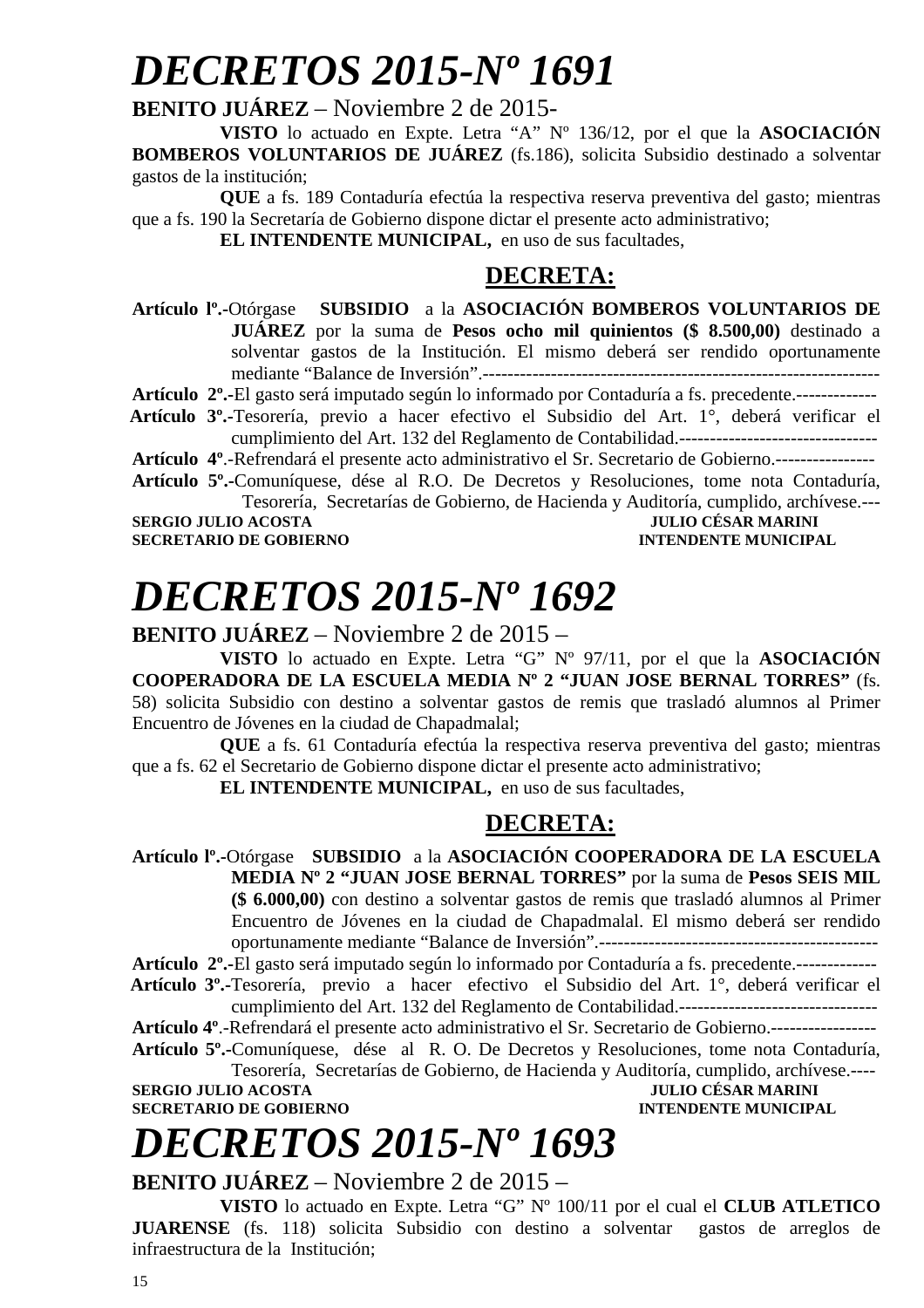# *DECRETOS 2015-Nº 1691*

### **BENITO JUÁREZ** – Noviembre 2 de 2015-

**VISTO** lo actuado en Expte. Letra "A" Nº 136/12, por el que la **ASOCIACIÓN BOMBEROS VOLUNTARIOS DE JUÁREZ** (fs.186), solicita Subsidio destinado a solventar gastos de la institución;

**QUE** a fs. 189 Contaduría efectúa la respectiva reserva preventiva del gasto; mientras que a fs. 190 la Secretaría de Gobierno dispone dictar el presente acto administrativo;

**EL INTENDENTE MUNICIPAL,** en uso de sus facultades,

### **DECRETA:**

**Artículo lº.-**Otórgase **SUBSIDIO** a la **ASOCIACIÓN BOMBEROS VOLUNTARIOS DE JUÁREZ** por la suma de **Pesos ocho mil quinientos (\$ 8.500,00)** destinado a solventar gastos de la Institución. El mismo deberá ser rendido oportunamente mediante "Balance de Inversión".----------------------------------------------------------------

**Artículo 2º.-**El gasto será imputado según lo informado por Contaduría a fs. precedente.-------------

 **Artículo 3º.-**Tesorería, previo a hacer efectivo el Subsidio del Art. 1°, deberá verificar el cumplimiento del Art. 132 del Reglamento de Contabilidad.--------------------------------

**Artículo 4º**.-Refrendará el presente acto administrativo el Sr. Secretario de Gobierno.----------------

**Artículo 5º.-**Comuníquese, dése al R.O. De Decretos y Resoluciones, tome nota Contaduría, Tesorería, Secretarías de Gobierno, de Hacienda y Auditoría, cumplido, archívese.---

**SERGIO JULIO ACOSTA JULIO CÉSAR MARINI SECRETARIO DE GOBIERNO** 

## *DECRETOS 2015-Nº 1692*

### **BENITO JUÁREZ** – Noviembre 2 de 2015 –

**VISTO** lo actuado en Expte. Letra "G" Nº 97/11, por el que la **ASOCIACIÓN COOPERADORA DE LA ESCUELA MEDIA Nº 2 "JUAN JOSE BERNAL TORRES"** (fs. 58) solicita Subsidio con destino a solventar gastos de remis que trasladó alumnos al Primer Encuentro de Jóvenes en la ciudad de Chapadmalal;

**QUE** a fs. 61 Contaduría efectúa la respectiva reserva preventiva del gasto; mientras que a fs. 62 el Secretario de Gobierno dispone dictar el presente acto administrativo;

**EL INTENDENTE MUNICIPAL,** en uso de sus facultades,

### **DECRETA:**

**Artículo lº.-**Otórgase **SUBSIDIO** a la **ASOCIACIÓN COOPERADORA DE LA ESCUELA MEDIA Nº 2 "JUAN JOSE BERNAL TORRES"** por la suma de **Pesos SEIS MIL (\$ 6.000,00)** con destino a solventar gastos de remis que trasladó alumnos al Primer Encuentro de Jóvenes en la ciudad de Chapadmalal. El mismo deberá ser rendido oportunamente mediante "Balance de Inversión".---------------------------------------------

**Artículo 2º.-**El gasto será imputado según lo informado por Contaduría a fs. precedente.-------------

 **Artículo 3º.-**Tesorería, previo a hacer efectivo el Subsidio del Art. 1°, deberá verificar el cumplimiento del Art. 132 del Reglamento de Contabilidad.--------------------------------

**Artículo 4º**.-Refrendará el presente acto administrativo el Sr. Secretario de Gobierno.-----------------

**Artículo 5º.-**Comuníquese, dése al R. O. De Decretos y Resoluciones, tome nota Contaduría, Tesorería, Secretarías de Gobierno, de Hacienda y Auditoría, cumplido, archívese.----

**SERGIO JULIO ACOSTA JULIO CÉSAR MARINI SECRETARIO DE GOBIERNO INTENDENTE MUNICIPAL** 

# *DECRETOS 2015-Nº 1693*

### **BENITO JUÁREZ** – Noviembre 2 de 2015 –

**VISTO** lo actuado en Expte. Letra "G" Nº 100/11 por el cual el **CLUB ATLETICO JUARENSE** (fs. 118) solicita Subsidio con destino a solventar gastos de arreglos de infraestructura de la Institución;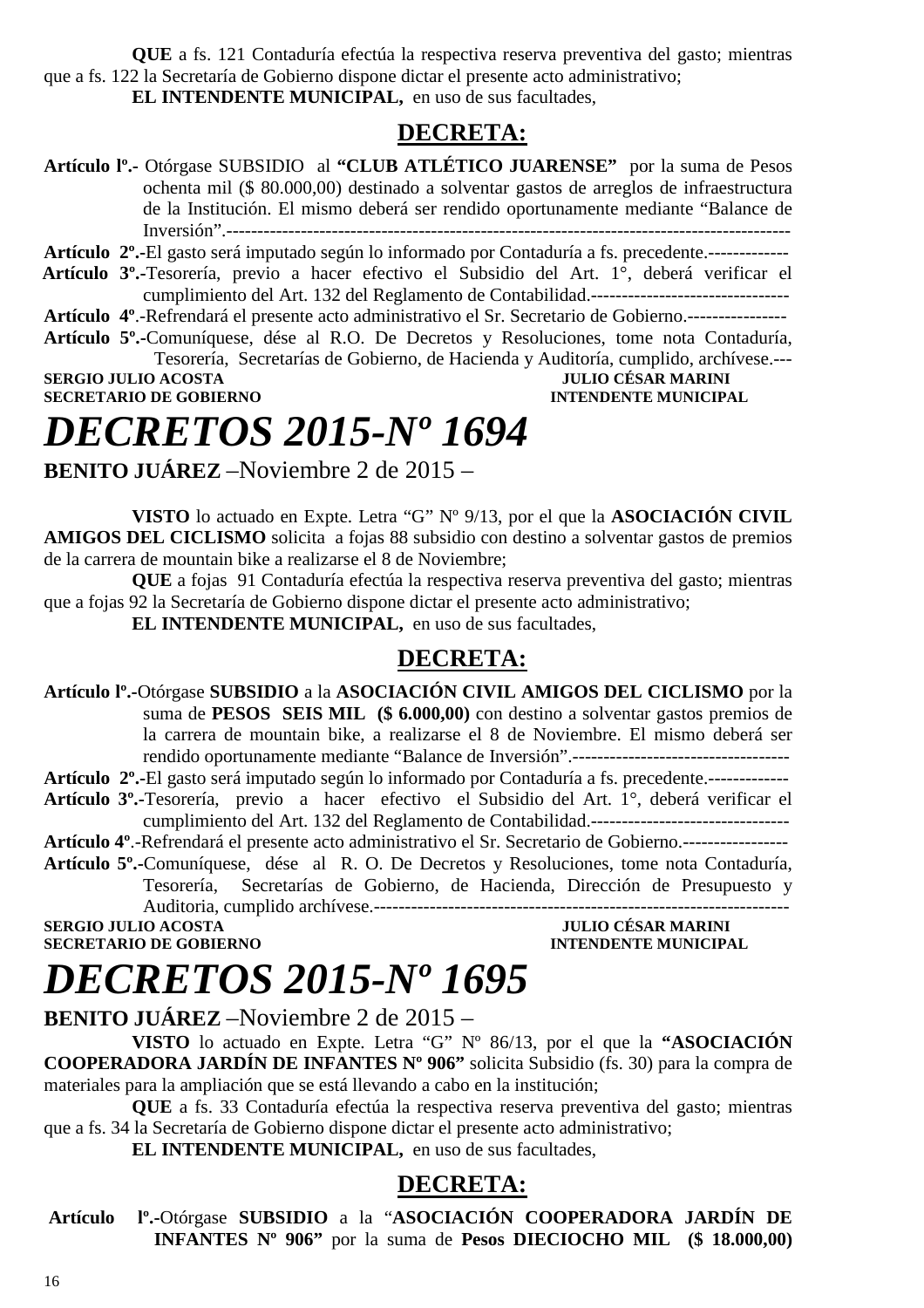**QUE** a fs. 121 Contaduría efectúa la respectiva reserva preventiva del gasto; mientras que a fs. 122 la Secretaría de Gobierno dispone dictar el presente acto administrativo; **EL INTENDENTE MUNICIPAL,** en uso de sus facultades,

### **DECRETA:**

- **Artículo lº.-** Otórgase SUBSIDIO al **"CLUB ATLÉTICO JUARENSE"** por la suma de Pesos ochenta mil (\$ 80.000,00) destinado a solventar gastos de arreglos de infraestructura de la Institución. El mismo deberá ser rendido oportunamente mediante "Balance de Inversión".-------------------------------------------------------------------------------------------
- **Artículo 2º.-**El gasto será imputado según lo informado por Contaduría a fs. precedente.-------------
- **Artículo 3º.-**Tesorería, previo a hacer efectivo el Subsidio del Art. 1°, deberá verificar el cumplimiento del Art. 132 del Reglamento de Contabilidad.--------------------------------
- **Artículo 4º**.-Refrendará el presente acto administrativo el Sr. Secretario de Gobierno.----------------
- **Artículo 5º.-**Comuníquese, dése al R.O. De Decretos y Resoluciones, tome nota Contaduría, Tesorería, Secretarías de Gobierno, de Hacienda y Auditoría, cumplido, archívese.--- **SERGIO JULIO ACOSTA JULIO CÉSAR MARINI**

**SECRETARIO DE GOBIERNO INTENDENTE MUNICIPAL** 

### *DECRETOS 2015-Nº 1694*

**BENITO JUÁREZ** –Noviembre 2 de 2015 –

**VISTO** lo actuado en Expte. Letra "G" Nº 9/13, por el que la **ASOCIACIÓN CIVIL AMIGOS DEL CICLISMO** solicita a fojas 88 subsidio con destino a solventar gastos de premios de la carrera de mountain bike a realizarse el 8 de Noviembre;

**QUE** a fojas 91 Contaduría efectúa la respectiva reserva preventiva del gasto; mientras que a fojas 92 la Secretaría de Gobierno dispone dictar el presente acto administrativo;

**EL INTENDENTE MUNICIPAL,** en uso de sus facultades,

### **DECRETA:**

**Artículo lº.-**Otórgase **SUBSIDIO** a la **ASOCIACIÓN CIVIL AMIGOS DEL CICLISMO** por la suma de **PESOS SEIS MIL (\$ 6.000,00)** con destino a solventar gastos premios de la carrera de mountain bike, a realizarse el 8 de Noviembre. El mismo deberá ser rendido oportunamente mediante "Balance de Inversión".-----------------------------------

**Artículo 2º.-**El gasto será imputado según lo informado por Contaduría a fs. precedente.-------------

- **Artículo 3º.-**Tesorería, previo a hacer efectivo el Subsidio del Art. 1°, deberá verificar el cumplimiento del Art. 132 del Reglamento de Contabilidad.--------------------------------
- **Artículo 4º**.-Refrendará el presente acto administrativo el Sr. Secretario de Gobierno.-----------------
- **Artículo 5º.-**Comuníquese, dése al R. O. De Decretos y Resoluciones, tome nota Contaduría, Tesorería, Secretarías de Gobierno, de Hacienda, Dirección de Presupuesto y Auditoria, cumplido archívese.-------------------------------------------------------------------

**SECRETARIO DE GOBIERNO** 

**SERGIO JULIO ACOSTA JULIO CÉSAR MARINI A LOGALIZAT DE LOGALIZAT DE LOGALIZAT DE LOGALIZAT DE LOGALIZAT DE LOGALIZAT DE LOGALIZAT DE LOGALIZAT DE LOGALIZAT DE LOGALIZAT DE LOGALIZAT DE LOGALIZAT DE LOGALIZAT DE LOGALIZAT D** 

# *DECRETOS 2015-Nº 1695*

**BENITO JUÁREZ** –Noviembre 2 de 2015 –

**VISTO** lo actuado en Expte. Letra "G" Nº 86/13, por el que la **"ASOCIACIÓN COOPERADORA JARDÍN DE INFANTES Nº 906"** solicita Subsidio (fs. 30) para la compra de materiales para la ampliación que se está llevando a cabo en la institución;

**QUE** a fs. 33 Contaduría efectúa la respectiva reserva preventiva del gasto; mientras que a fs. 34 la Secretaría de Gobierno dispone dictar el presente acto administrativo;

**EL INTENDENTE MUNICIPAL,** en uso de sus facultades,

### **DECRETA:**

 **Artículo lº.-**Otórgase **SUBSIDIO** a la "**ASOCIACIÓN COOPERADORA JARDÍN DE INFANTES Nº 906"** por la suma de **Pesos DIECIOCHO MIL (\$ 18.000,00)**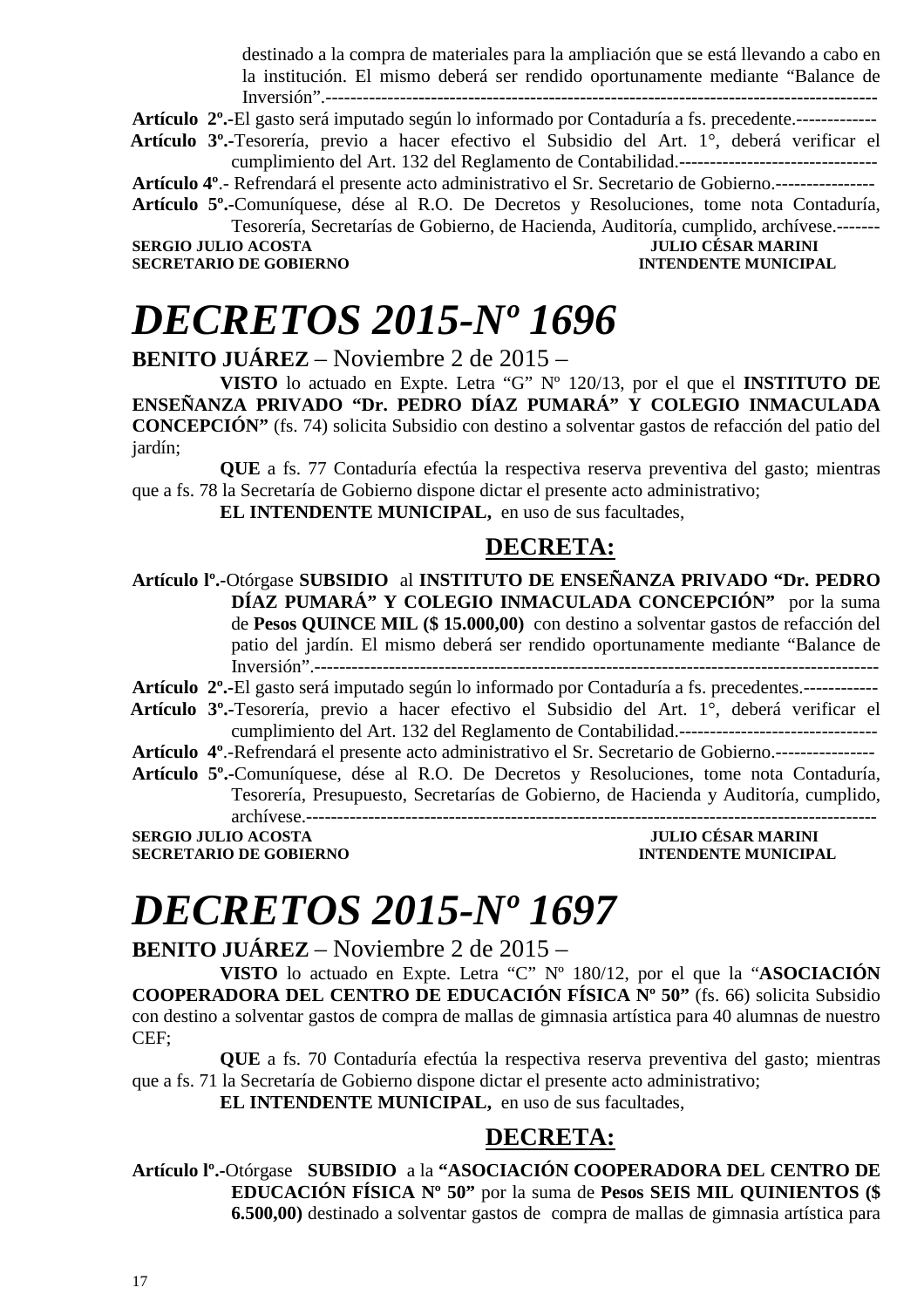destinado a la compra de materiales para la ampliación que se está llevando a cabo en la institución. El mismo deberá ser rendido oportunamente mediante "Balance de Inversión".--------------**---------------------------------------------------------------------------** 

**Artículo 2º.-**El gasto será imputado según lo informado por Contaduría a fs. precedente.-------------

 **Artículo 3º.-**Tesorería, previo a hacer efectivo el Subsidio del Art. 1°, deberá verificar el cumplimiento del Art. 132 del Reglamento de Contabilidad.--------------------------------

**Artículo 4º**.- Refrendará el presente acto administrativo el Sr. Secretario de Gobierno.----------------

**Artículo 5º.-**Comuníquese, dése al R.O. De Decretos y Resoluciones, tome nota Contaduría, Tesorería, Secretarías de Gobierno, de Hacienda, Auditoría, cumplido, archívese.-------

**SERGIO JULIO ACOSTA JULIO CÉSAR MARINI SECRETARIO DE GOBIERNO** 

### *DECRETOS 2015-Nº 1696*

**BENITO JUÁREZ** – Noviembre 2 de 2015 –

**VISTO** lo actuado en Expte. Letra "G" Nº 120/13, por el que el **INSTITUTO DE ENSEÑANZA PRIVADO "Dr. PEDRO DÍAZ PUMARÁ" Y COLEGIO INMACULADA CONCEPCIÓN"** (fs. 74) solicita Subsidio con destino a solventar gastos de refacción del patio del jardín;

**QUE** a fs. 77 Contaduría efectúa la respectiva reserva preventiva del gasto; mientras que a fs. 78 la Secretaría de Gobierno dispone dictar el presente acto administrativo;

**EL INTENDENTE MUNICIPAL,** en uso de sus facultades,

### **DECRETA:**

**Artículo lº.-**Otórgase **SUBSIDIO** al **INSTITUTO DE ENSEÑANZA PRIVADO "Dr. PEDRO DÍAZ PUMARÁ" Y COLEGIO INMACULADA CONCEPCIÓN"** por la suma de **Pesos QUINCE MIL (\$ 15.000,00)** con destino a solventar gastos de refacción del patio del jardín. El mismo deberá ser rendido oportunamente mediante "Balance de Inversión".-------------------------------------------------------------------------------------------

**Artículo 2º.-**El gasto será imputado según lo informado por Contaduría a fs. precedentes.------------

 **Artículo 3º.-**Tesorería, previo a hacer efectivo el Subsidio del Art. 1°, deberá verificar el cumplimiento del Art. 132 del Reglamento de Contabilidad.--------------------------------

**Artículo 4º**.-Refrendará el presente acto administrativo el Sr. Secretario de Gobierno.----------------

**Artículo 5º.-**Comuníquese, dése al R.O. De Decretos y Resoluciones, tome nota Contaduría, Tesorería, Presupuesto, Secretarías de Gobierno, de Hacienda y Auditoría, cumplido, archívese.--------------------------------------------------------------------------------------------

**SERGIO JULIO ACOSTA JULIO CÉSAR MARINI** 

**SECRETARIO DE GOBIERNO INTENDENTE MUNICIPAL** 

### *DECRETOS 2015-Nº 1697*

**BENITO JUÁREZ** – Noviembre 2 de 2015 –

**VISTO** lo actuado en Expte. Letra "C" Nº 180/12, por el que la "**ASOCIACIÓN COOPERADORA DEL CENTRO DE EDUCACIÓN FÍSICA Nº 50"** (fs. 66) solicita Subsidio con destino a solventar gastos de compra de mallas de gimnasia artística para 40 alumnas de nuestro CEF;

**QUE** a fs. 70 Contaduría efectúa la respectiva reserva preventiva del gasto; mientras que a fs. 71 la Secretaría de Gobierno dispone dictar el presente acto administrativo;

**EL INTENDENTE MUNICIPAL,** en uso de sus facultades,

### **DECRETA:**

**Artículo lº.-**Otórgase **SUBSIDIO** a la **"ASOCIACIÓN COOPERADORA DEL CENTRO DE EDUCACIÓN FÍSICA Nº 50"** por la suma de **Pesos SEIS MIL QUINIENTOS (\$ 6.500,00)** destinado a solventar gastos de compra de mallas de gimnasia artística para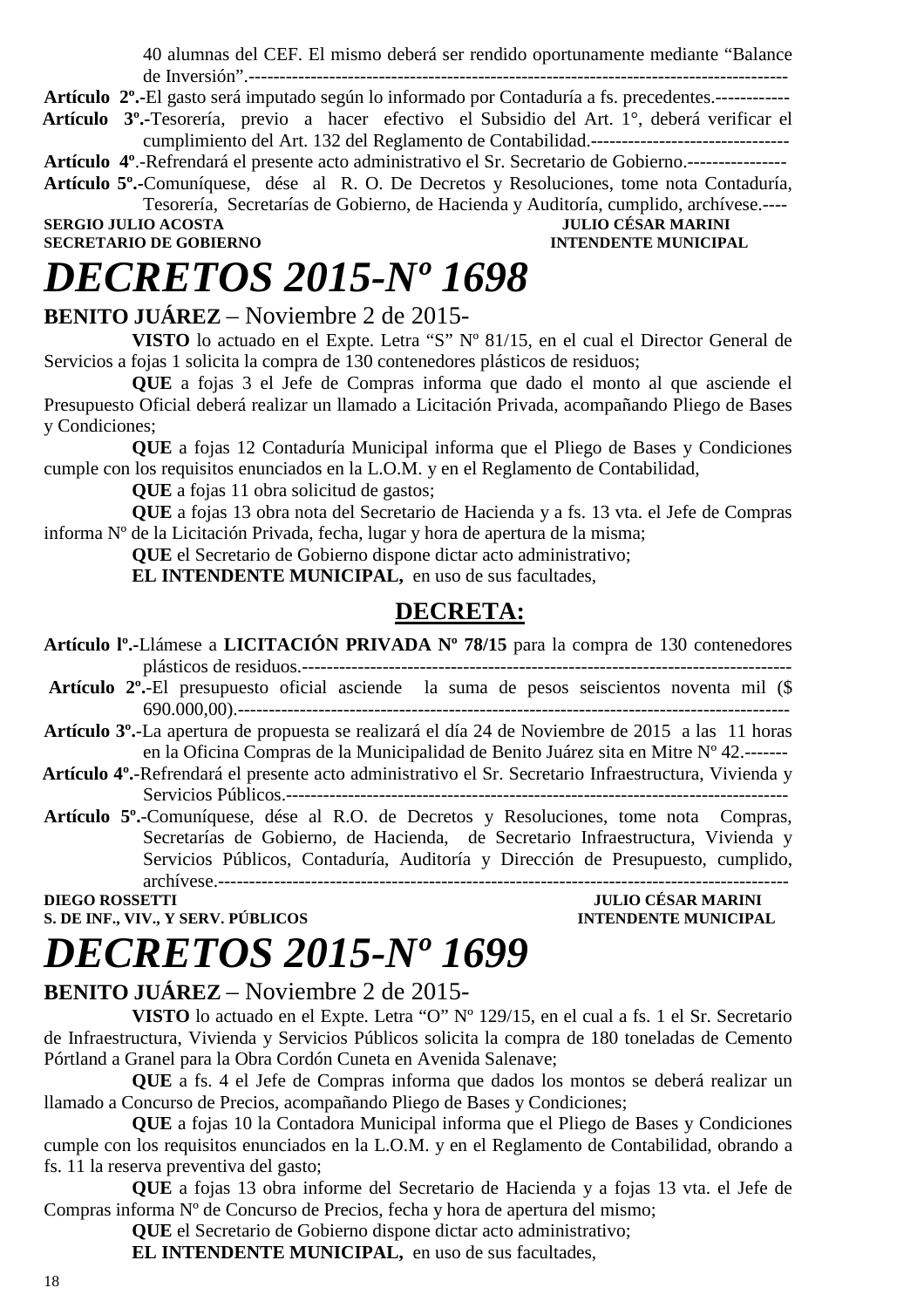40 alumnas del CEF. El mismo deberá ser rendido oportunamente mediante "Balance de Inversión".---------------------------------------------------------------------------------------

**Artículo 2º.-**El gasto será imputado según lo informado por Contaduría a fs. precedentes.------------

 **Artículo 3º.-**Tesorería, previo a hacer efectivo el Subsidio del Art. 1°, deberá verificar el cumplimiento del Art. 132 del Reglamento de Contabilidad.--------------------------------

**Artículo 4º**.-Refrendará el presente acto administrativo el Sr. Secretario de Gobierno.----------------

**Artículo 5º.-**Comuníquese, dése al R. O. De Decretos y Resoluciones, tome nota Contaduría, Tesorería, Secretarías de Gobierno, de Hacienda y Auditoría, cumplido, archívese.---- **JULIO CÉSAR MARINI** 

**SECRETARIO DE GOBIERNO INTENDENTE MUNICIPAL** 

### *DECRETOS 2015-Nº 1698*

### **BENITO JUÁREZ** – Noviembre 2 de 2015-

**VISTO** lo actuado en el Expte. Letra "S" Nº 81/15, en el cual el Director General de Servicios a fojas 1 solicita la compra de 130 contenedores plásticos de residuos;

**QUE** a fojas 3 el Jefe de Compras informa que dado el monto al que asciende el Presupuesto Oficial deberá realizar un llamado a Licitación Privada, acompañando Pliego de Bases y Condiciones;

**QUE** a fojas 12 Contaduría Municipal informa que el Pliego de Bases y Condiciones cumple con los requisitos enunciados en la L.O.M. y en el Reglamento de Contabilidad,

**QUE** a fojas 11 obra solicitud de gastos;

**QUE** a fojas 13 obra nota del Secretario de Hacienda y a fs. 13 vta. el Jefe de Compras informa Nº de la Licitación Privada, fecha, lugar y hora de apertura de la misma;

**QUE** el Secretario de Gobierno dispone dictar acto administrativo;

**EL INTENDENTE MUNICIPAL,** en uso de sus facultades,

### **DECRETA:**

**Artículo lº.-**Llámese a **LICITACIÓN PRIVADA Nº 78/15** para la compra de 130 contenedores plásticos de residuos.-------------------------------------------------------------------------------

**Artículo 2º.**-El presupuesto oficial asciende la suma de pesos seiscientos noventa mil (\$ 690.000,00).-----------------------------------------------------------------------------------------

**Artículo 3º.**-La apertura de propuesta se realizará el día 24 de Noviembre de 2015 a las 11 horas en la Oficina Compras de la Municipalidad de Benito Juárez sita en Mitre Nº 42.-------

- **Artículo 4º.**-Refrendará el presente acto administrativo el Sr. Secretario Infraestructura, Vivienda y Servicios Públicos.---------------------------------------------------------------------------------
- **Artículo 5º.**-Comuníquese, dése al R.O. de Decretos y Resoluciones, tome nota Compras, Secretarías de Gobierno, de Hacienda, de Secretario Infraestructura, Vivienda y Servicios Públicos, Contaduría, Auditoría y Dirección de Presupuesto, cumplido, archívese.--------------------------------------------------------------------------------------------

**DIEGO ROSSETTI JULIO CÉSAR MARINI S. DE INF., VIV., Y SERV. PÚBLICOS INTENDENTE MUNICIPAL** 

### *DECRETOS 2015-Nº 1699*

### **BENITO JUÁREZ** – Noviembre 2 de 2015-

**VISTO** lo actuado en el Expte. Letra "O" Nº 129/15, en el cual a fs. 1 el Sr. Secretario de Infraestructura, Vivienda y Servicios Públicos solicita la compra de 180 toneladas de Cemento Pórtland a Granel para la Obra Cordón Cuneta en Avenida Salenave;

**QUE** a fs. 4 el Jefe de Compras informa que dados los montos se deberá realizar un llamado a Concurso de Precios, acompañando Pliego de Bases y Condiciones;

**QUE** a fojas 10 la Contadora Municipal informa que el Pliego de Bases y Condiciones cumple con los requisitos enunciados en la L.O.M. y en el Reglamento de Contabilidad, obrando a fs. 11 la reserva preventiva del gasto;

**QUE** a fojas 13 obra informe del Secretario de Hacienda y a fojas 13 vta. el Jefe de Compras informa Nº de Concurso de Precios, fecha y hora de apertura del mismo;

**QUE** el Secretario de Gobierno dispone dictar acto administrativo;

**EL INTENDENTE MUNICIPAL,** en uso de sus facultades,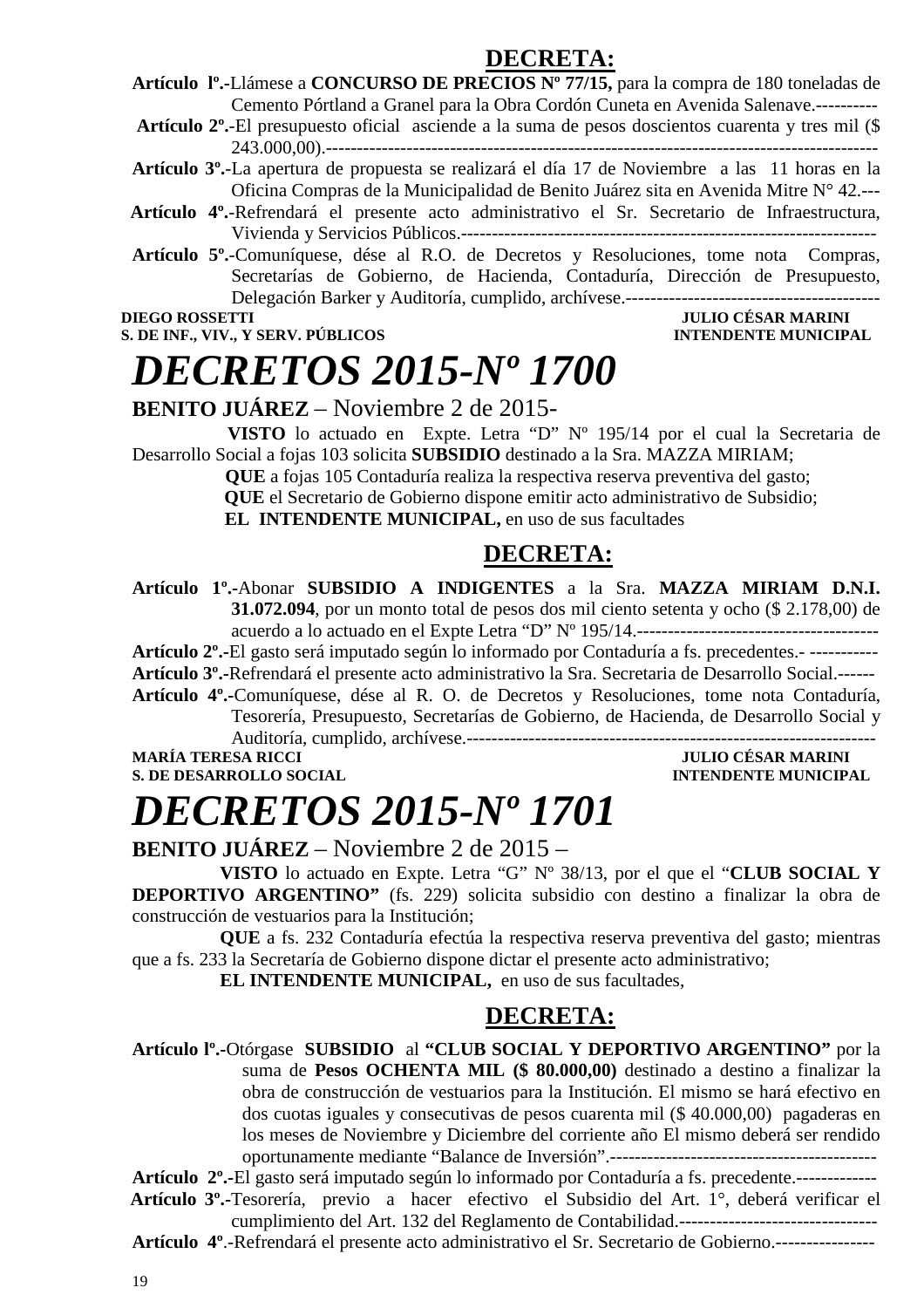### **DECRETA:**

**Artículo lº.-**Llámese a **CONCURSO DE PRECIOS Nº 77/15,** para la compra de 180 toneladas de Cemento Pórtland a Granel para la Obra Cordón Cuneta en Avenida Salenave.----------

**Artículo 2º.**-El presupuesto oficial asciende a la suma de pesos doscientos cuarenta y tres mil (\$ 243.000,00).-----------------------------------------------------------------------------------------

**Artículo 3º.**-La apertura de propuesta se realizará el día 17 de Noviembre a las 11 horas en la Oficina Compras de la Municipalidad de Benito Juárez sita en Avenida Mitre N° 42.---

- **Artículo 4º.**-Refrendará el presente acto administrativo el Sr. Secretario de Infraestructura, Vivienda y Servicios Públicos.-------------------------------------------------------------------
- **Artículo 5º.**-Comuníquese, dése al R.O. de Decretos y Resoluciones, tome nota Compras, Secretarías de Gobierno, de Hacienda, Contaduría, Dirección de Presupuesto, Delegación Barker y Auditoría, cumplido, archívese.-----------------------------------------

**S. DE INF., VIV., Y SERV. PÚBLICOS** 

### **DIEGO ROSSETTI JULIO CÉSAR MARINI**

### *DECRETOS 2015-Nº 1700*

**BENITO JUÁREZ** – Noviembre 2 de 2015-

 **VISTO** lo actuado en Expte. Letra "D" Nº 195/14 por el cual la Secretaria de Desarrollo Social a fojas 103 solicita **SUBSIDIO** destinado a la Sra. MAZZA MIRIAM;

 **QUE** a fojas 105 Contaduría realiza la respectiva reserva preventiva del gasto;

 **QUE** el Secretario de Gobierno dispone emitir acto administrativo de Subsidio;

 **EL INTENDENTE MUNICIPAL,** en uso de sus facultades

### **DECRETA:**

**Artículo 1º.-**Abonar **SUBSIDIO A INDIGENTES** a la Sra. **MAZZA MIRIAM D.N.I. 31.072.094**, por un monto total de pesos dos mil ciento setenta y ocho (\$ 2.178,00) de acuerdo a lo actuado en el Expte Letra "D" Nº 195/14.---------------------------------------

**Artículo 2º.-**El gasto será imputado según lo informado por Contaduría a fs. precedentes.- -----------

**Artículo 3º.-**Refrendará el presente acto administrativo la Sra. Secretaria de Desarrollo Social.------

**Artículo 4º.-**Comuníquese, dése al R. O. de Decretos y Resoluciones, tome nota Contaduría, Tesorería, Presupuesto, Secretarías de Gobierno, de Hacienda, de Desarrollo Social y

Auditoría, cumplido, archívese.------------------------------------------------------------------

**S. DE DESARROLLO SOCIAL** *INTENDENTE MUNICIPAL* 

**JULIO CÉSAR MARINI** 

# *DECRETOS 2015-Nº 1701*

**BENITO JUÁREZ** – Noviembre 2 de 2015 –

**VISTO** lo actuado en Expte. Letra "G" Nº 38/13, por el que el "**CLUB SOCIAL Y DEPORTIVO ARGENTINO"** (fs. 229) solicita subsidio con destino a finalizar la obra de construcción de vestuarios para la Institución;

**QUE** a fs. 232 Contaduría efectúa la respectiva reserva preventiva del gasto; mientras que a fs. 233 la Secretaría de Gobierno dispone dictar el presente acto administrativo;

**EL INTENDENTE MUNICIPAL,** en uso de sus facultades,

### **DECRETA:**

**Artículo lº.-**Otórgase **SUBSIDIO** al **"CLUB SOCIAL Y DEPORTIVO ARGENTINO"** por la suma de **Pesos OCHENTA MIL (\$ 80.000,00)** destinado a destino a finalizar la obra de construcción de vestuarios para la Institución. El mismo se hará efectivo en dos cuotas iguales y consecutivas de pesos cuarenta mil (\$ 40.000,00) pagaderas en los meses de Noviembre y Diciembre del corriente año El mismo deberá ser rendido oportunamente mediante "Balance de Inversión".-------------------------------------------

**Artículo 2º.-**El gasto será imputado según lo informado por Contaduría a fs. precedente.-------------  **Artículo 3º.-**Tesorería, previo a hacer efectivo el Subsidio del Art. 1°, deberá verificar el cumplimiento del Art. 132 del Reglamento de Contabilidad.--------------------------------

**Artículo 4º**.-Refrendará el presente acto administrativo el Sr. Secretario de Gobierno.----------------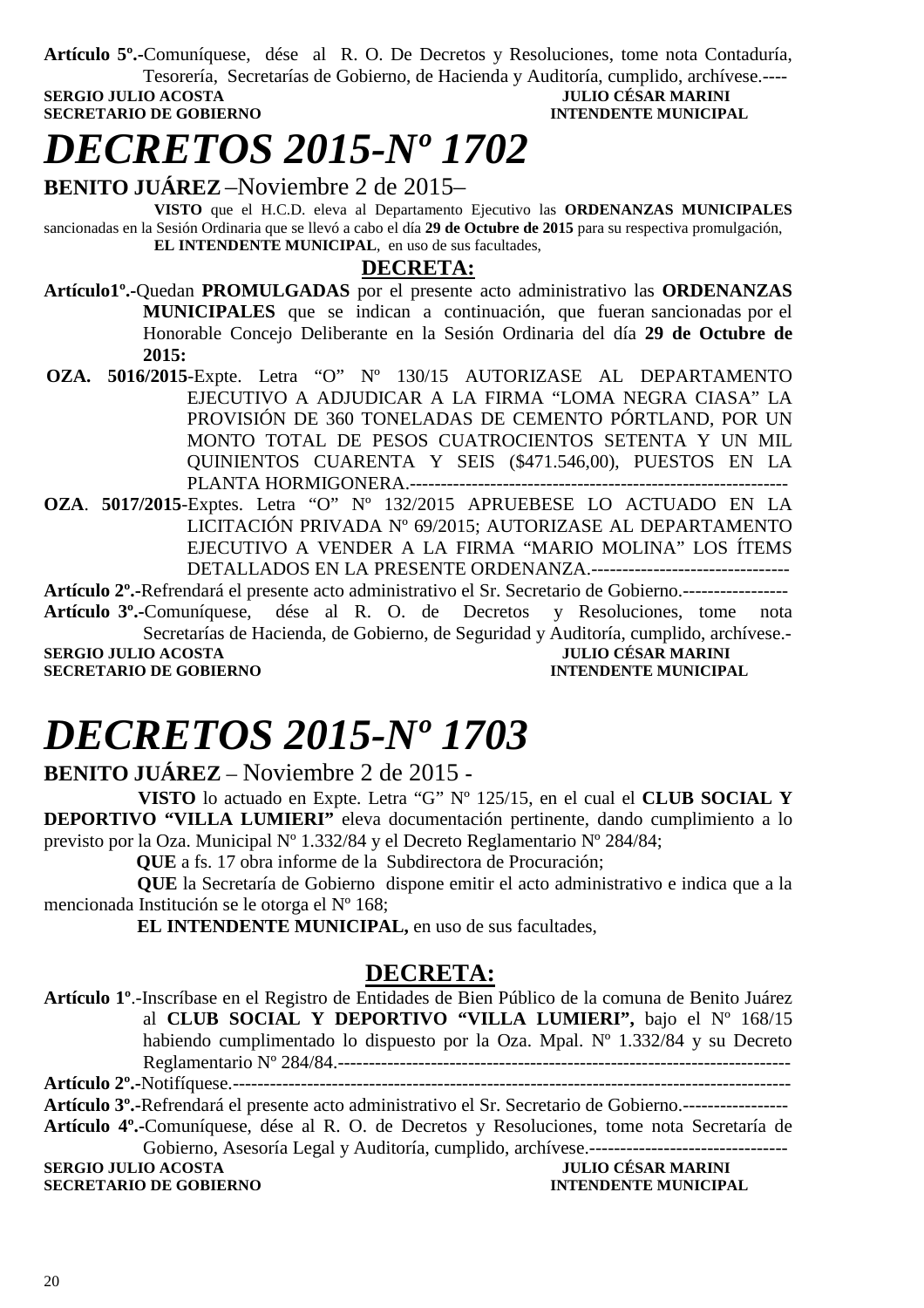**Artículo 5º.-**Comuníquese, dése al R. O. De Decretos y Resoluciones, tome nota Contaduría,

Tesorería, Secretarías de Gobierno, de Hacienda y Auditoría, cumplido, archívese.---- **SERGIO JULIO ACOSTA JULIO CÉSAR MARINI SECRETARIO DE GOBIERNO INTENDENTE MUNICIPAL** 

### *DECRETOS 2015-Nº 1702*

**BENITO JUÁREZ** –Noviembre 2 de 2015–

 **VISTO** que el H.C.D. eleva al Departamento Ejecutivo las **ORDENANZAS MUNICIPALES**  sancionadas en la Sesión Ordinaria que se llevó a cabo el día **29 de Octubre de 2015** para su respectiva promulgación, **EL INTENDENTE MUNICIPAL**, en uso de sus facultades,

#### **DECRETA:**

**Artículo1º.-**Quedan **PROMULGADAS** por el presente acto administrativo las **ORDENANZAS MUNICIPALES** que se indican a continuación, que fueran sancionadas por el Honorable Concejo Deliberante en la Sesión Ordinaria del día **29 de Octubre de 2015:** 

 **OZA. 5016/2015**-Expte. Letra "O" Nº 130/15 AUTORIZASE AL DEPARTAMENTO EJECUTIVO A ADJUDICAR A LA FIRMA "LOMA NEGRA CIASA" LA PROVISIÓN DE 360 TONELADAS DE CEMENTO PÓRTLAND, POR UN MONTO TOTAL DE PESOS CUATROCIENTOS SETENTA Y UN MIL QUINIENTOS CUARENTA Y SEIS (\$471.546,00), PUESTOS EN LA PLANTA HORMIGONERA.-------------------------------------------------------------

**OZA**. **5017/2015**-Exptes. Letra "O" Nº 132/2015 APRUEBESE LO ACTUADO EN LA LICITACIÓN PRIVADA Nº 69/2015; AUTORIZASE AL DEPARTAMENTO EJECUTIVO A VENDER A LA FIRMA "MARIO MOLINA" LOS ÍTEMS DETALLADOS EN LA PRESENTE ORDENANZA.--------------------------------

**Artículo 2º.-**Refrendará el presente acto administrativo el Sr. Secretario de Gobierno.-----------------

**Artículo 3º.-**Comuníquese, dése al R. O. de Decretos y Resoluciones, tome nota Secretarías de Hacienda, de Gobierno, de Seguridad y Auditoría, cumplido, archívese.- **SERGIO JULIO ACOSTA JULIO CÉSAR MARINI** 

**SECRETARIO DE GOBIERNO INTENDENTE MUNICIPAL** 

### *DECRETOS 2015-Nº 1703*

**BENITO JUÁREZ** – Noviembre 2 de 2015 **-** 

 **VISTO** lo actuado en Expte. Letra "G" Nº 125/15, en el cual el **CLUB SOCIAL Y DEPORTIVO "VILLA LUMIERI"** eleva documentación pertinente, dando cumplimiento a lo previsto por la Oza. Municipal Nº 1.332/84 y el Decreto Reglamentario Nº 284/84;

 **QUE** a fs. 17 obra informe de la Subdirectora de Procuración;

 **QUE** la Secretaría de Gobierno dispone emitir el acto administrativo e indica que a la mencionada Institución se le otorga el Nº 168;

 **EL INTENDENTE MUNICIPAL,** en uso de sus facultades,

### **DECRETA:**

**Artículo 1º**.-Inscríbase en el Registro de Entidades de Bien Público de la comuna de Benito Juárez al **CLUB SOCIAL Y DEPORTIVO "VILLA LUMIERI",** bajo el Nº 168/15 habiendo cumplimentado lo dispuesto por la Oza. Mpal. Nº 1.332/84 y su Decreto Reglamentario Nº 284/84.------------------------------------------------------------------------- **Artículo 2º.-**Notifíquese.------------------------------------------------------------------------------------------

**Artículo 3º.-**Refrendará el presente acto administrativo el Sr. Secretario de Gobierno.-----------------

**Artículo 4º.-**Comuníquese, dése al R. O. de Decretos y Resoluciones, tome nota Secretaría de Gobierno, Asesoría Legal y Auditoría, cumplido, archívese.--------------------------------

**SERGIO JULIO ACOSTA SECRETARIO DE GOBIERNO INTENDENTE MUNICIPAL**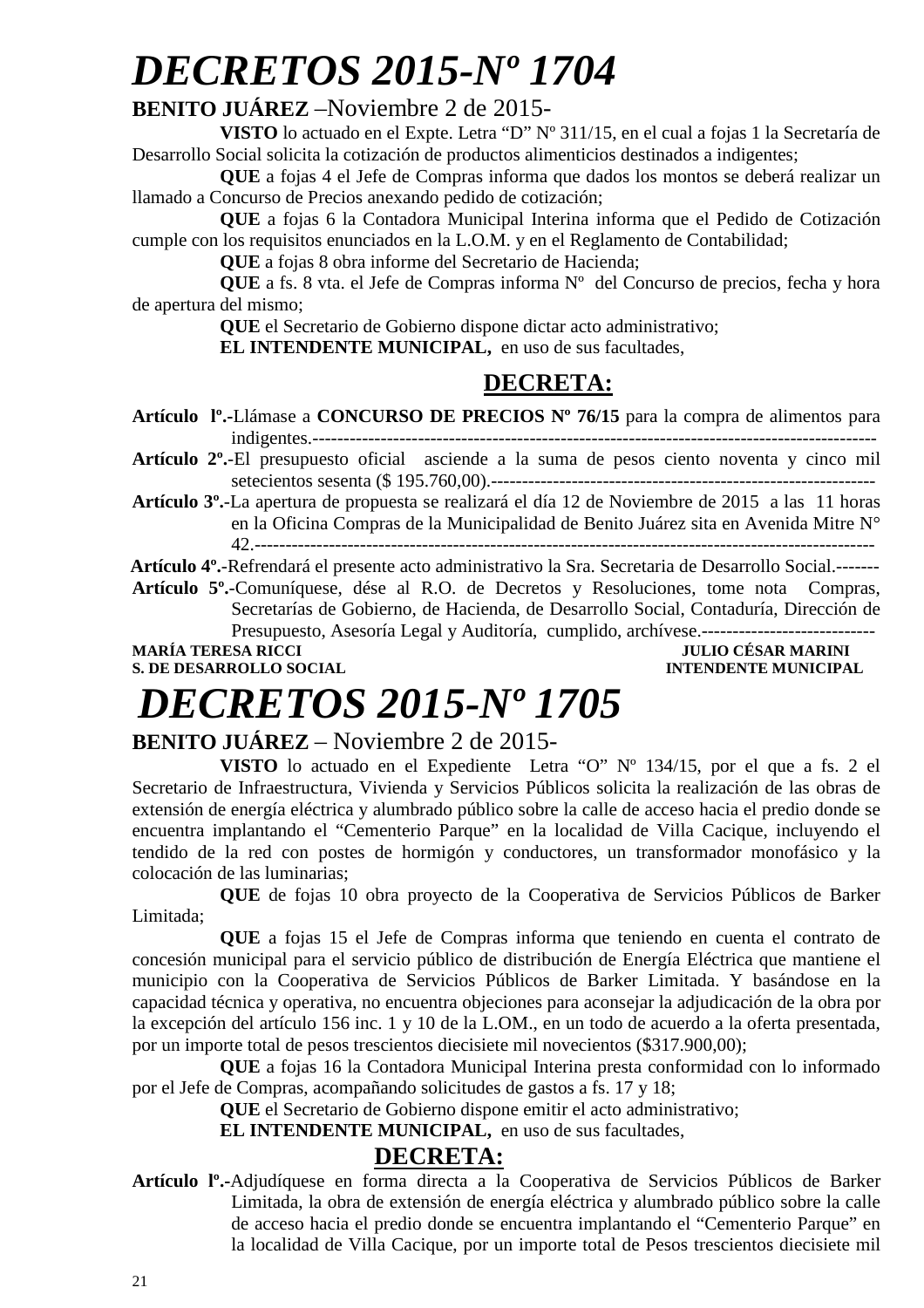# *DECRETOS 2015-Nº 1704*

### **BENITO JUÁREZ** –Noviembre 2 de 2015-

**VISTO** lo actuado en el Expte. Letra "D" Nº 311/15, en el cual a fojas 1 la Secretaría de Desarrollo Social solicita la cotización de productos alimenticios destinados a indigentes;

**QUE** a fojas 4 el Jefe de Compras informa que dados los montos se deberá realizar un llamado a Concurso de Precios anexando pedido de cotización;

**QUE** a fojas 6 la Contadora Municipal Interina informa que el Pedido de Cotización cumple con los requisitos enunciados en la L.O.M. y en el Reglamento de Contabilidad;

**QUE** a fojas 8 obra informe del Secretario de Hacienda;

**QUE** a fs. 8 vta. el Jefe de Compras informa Nº del Concurso de precios, fecha y hora de apertura del mismo;

**QUE** el Secretario de Gobierno dispone dictar acto administrativo;

**EL INTENDENTE MUNICIPAL,** en uso de sus facultades,

### **DECRETA:**

**Artículo lº.-**Llámase a **CONCURSO DE PRECIOS Nº 76/15** para la compra de alimentos para indigentes.-------------------------------------------------------------------------------------------

**Artículo 2º.**-El presupuesto oficial asciende a la suma de pesos ciento noventa y cinco mil setecientos sesenta (\$ 195.760,00).--------------------------------------------------------------

**Artículo 3º.**-La apertura de propuesta se realizará el día 12 de Noviembre de 2015 a las 11 horas en la Oficina Compras de la Municipalidad de Benito Juárez sita en Avenida Mitre N° 42.----------------------------------------------------------------------------------------------------

 **Artículo 4º.**-Refrendará el presente acto administrativo la Sra. Secretaria de Desarrollo Social.-------

**Artículo 5º.**-Comuníquese, dése al R.O. de Decretos y Resoluciones, tome nota Compras, Secretarías de Gobierno, de Hacienda, de Desarrollo Social, Contaduría, Dirección de Presupuesto, Asesoría Legal y Auditoría, cumplido, archívese.---------------------**MARÍA TERESA RICCI JULIO CÉSAR MARINI** 

**S. DE DESARROLLO SOCIAL CONSUMING A LOCAL CONSUMING A LOCAL CONSUMING A LOCAL CONSUMING A LOCAL CONSUMING A LOCAL CONSUMING A LOCAL CONSUMING A LOCAL CONSUMING A LOCAL CONSUMING A LOCAL CONSUMING A LOCAL CONSUMING A LOCAL** 

# *DECRETOS 2015-Nº 1705*

### **BENITO JUÁREZ** – Noviembre 2 de 2015-

**VISTO** lo actuado en el Expediente Letra "O" Nº 134/15, por el que a fs. 2 el Secretario de Infraestructura, Vivienda y Servicios Públicos solicita la realización de las obras de extensión de energía eléctrica y alumbrado público sobre la calle de acceso hacia el predio donde se encuentra implantando el "Cementerio Parque" en la localidad de Villa Cacique, incluyendo el tendido de la red con postes de hormigón y conductores, un transformador monofásico y la colocación de las luminarias;

**QUE** de fojas 10 obra proyecto de la Cooperativa de Servicios Públicos de Barker Limitada;

**QUE** a fojas 15 el Jefe de Compras informa que teniendo en cuenta el contrato de concesión municipal para el servicio público de distribución de Energía Eléctrica que mantiene el municipio con la Cooperativa de Servicios Públicos de Barker Limitada. Y basándose en la capacidad técnica y operativa, no encuentra objeciones para aconsejar la adjudicación de la obra por la excepción del artículo 156 inc. 1 y 10 de la L.OM., en un todo de acuerdo a la oferta presentada, por un importe total de pesos trescientos diecisiete mil novecientos (\$317.900,00);

**QUE** a fojas 16 la Contadora Municipal Interina presta conformidad con lo informado por el Jefe de Compras, acompañando solicitudes de gastos a fs. 17 y 18;

**QUE** el Secretario de Gobierno dispone emitir el acto administrativo;

**EL INTENDENTE MUNICIPAL,** en uso de sus facultades,

### **DECRETA:**

**Artículo lº.-**Adjudíquese en forma directa a la Cooperativa de Servicios Públicos de Barker Limitada, la obra de extensión de energía eléctrica y alumbrado público sobre la calle de acceso hacia el predio donde se encuentra implantando el "Cementerio Parque" en la localidad de Villa Cacique, por un importe total de Pesos trescientos diecisiete mil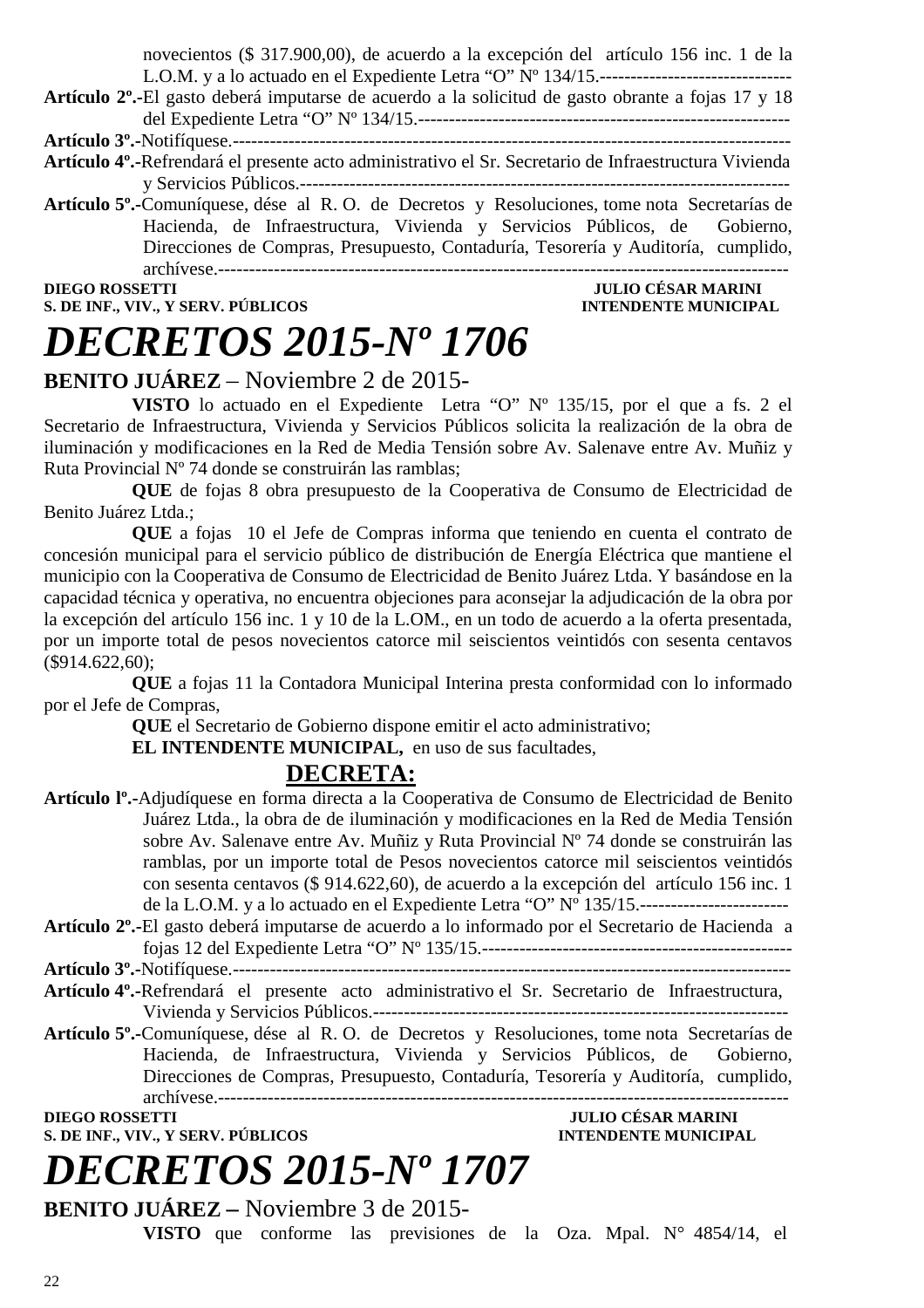novecientos (\$ 317.900,00), de acuerdo a la excepción del artículo 156 inc. 1 de la L.O.M. y a lo actuado en el Expediente Letra "O" Nº 134/15.-------------------------------

**Artículo 2º.-**El gasto deberá imputarse de acuerdo a la solicitud de gasto obrante a fojas 17 y 18 del Expediente Letra "O" Nº 134/15.------------------------------------------------------------

**Artículo 3º.-**Notifíquese.------------------------------------------------------------------------------------------

- **Artículo 4º.-**Refrendará el presente acto administrativo el Sr. Secretario de Infraestructura Vivienda y Servicios Públicos.-------------------------------------------------------------------------------
- **Artículo 5º.-**Comuníquese, dése al R. O. de Decretos y Resoluciones, tome nota Secretarías de Hacienda, de Infraestructura, Vivienda y Servicios Públicos, de Gobierno, Direcciones de Compras, Presupuesto, Contaduría, Tesorería y Auditoría, cumplido, archívese.--------------------------------------------------------------------------------------------

**S. DE INF., VIV., Y SERV. PÚBLICOS INTENDENTE MUNICIPAL** 

### **DIEGO ROSSETTI JULIO CÉSAR MARINI**

# *DECRETOS 2015-Nº 1706*

### **BENITO JUÁREZ** – Noviembre 2 de 2015-

**VISTO** lo actuado en el Expediente Letra "O" Nº 135/15, por el que a fs. 2 el Secretario de Infraestructura, Vivienda y Servicios Públicos solicita la realización de la obra de iluminación y modificaciones en la Red de Media Tensión sobre Av. Salenave entre Av. Muñiz y Ruta Provincial Nº 74 donde se construirán las ramblas;

**QUE** de fojas 8 obra presupuesto de la Cooperativa de Consumo de Electricidad de Benito Juárez Ltda.;

**QUE** a fojas 10 el Jefe de Compras informa que teniendo en cuenta el contrato de concesión municipal para el servicio público de distribución de Energía Eléctrica que mantiene el municipio con la Cooperativa de Consumo de Electricidad de Benito Juárez Ltda. Y basándose en la capacidad técnica y operativa, no encuentra objeciones para aconsejar la adjudicación de la obra por la excepción del artículo 156 inc. 1 y 10 de la L.OM., en un todo de acuerdo a la oferta presentada, por un importe total de pesos novecientos catorce mil seiscientos veintidós con sesenta centavos (\$914.622,60);

**QUE** a fojas 11 la Contadora Municipal Interina presta conformidad con lo informado por el Jefe de Compras,

**QUE** el Secretario de Gobierno dispone emitir el acto administrativo;

**EL INTENDENTE MUNICIPAL,** en uso de sus facultades,

### **DECRETA:**

- **Artículo lº.-**Adjudíquese en forma directa a la Cooperativa de Consumo de Electricidad de Benito Juárez Ltda., la obra de de iluminación y modificaciones en la Red de Media Tensión sobre Av. Salenave entre Av. Muñiz y Ruta Provincial Nº 74 donde se construirán las ramblas, por un importe total de Pesos novecientos catorce mil seiscientos veintidós con sesenta centavos (\$ 914.622,60), de acuerdo a la excepción del artículo 156 inc. 1 de la L.O.M. y a lo actuado en el Expediente Letra "O" Nº 135/15.------------------------ **Artículo 2º.-**El gasto deberá imputarse de acuerdo a lo informado por el Secretario de Hacienda a
- fojas 12 del Expediente Letra "O" Nº 135/15.--------------------------------------------------
- **Artículo 3º.-**Notifíquese.------------------------------------------------------------------------------------------ **Artículo 4º.-**Refrendará el presente acto administrativo el Sr. Secretario de Infraestructura,

Vivienda y Servicios Públicos.-------------------------------------------------------------------

**Artículo 5º.-**Comuníquese, dése al R. O. de Decretos y Resoluciones, tome nota Secretarías de Hacienda, de Infraestructura, Vivienda y Servicios Públicos, de Gobierno, Direcciones de Compras, Presupuesto, Contaduría, Tesorería y Auditoría, cumplido, archívese.--------------------------------------------------------------------------------------------

**S. DE INF., VIV., Y SERV. PÚBLICOS** 

**DIEGO ROSSETTI JULIO CÉSAR MARINI** 

### *DECRETOS 2015-Nº 1707* **BENITO JUÁREZ –** Noviembre 3 de 2015-

**VISTO** que conforme las previsiones de la Oza. Mpal. N° 4854/14, el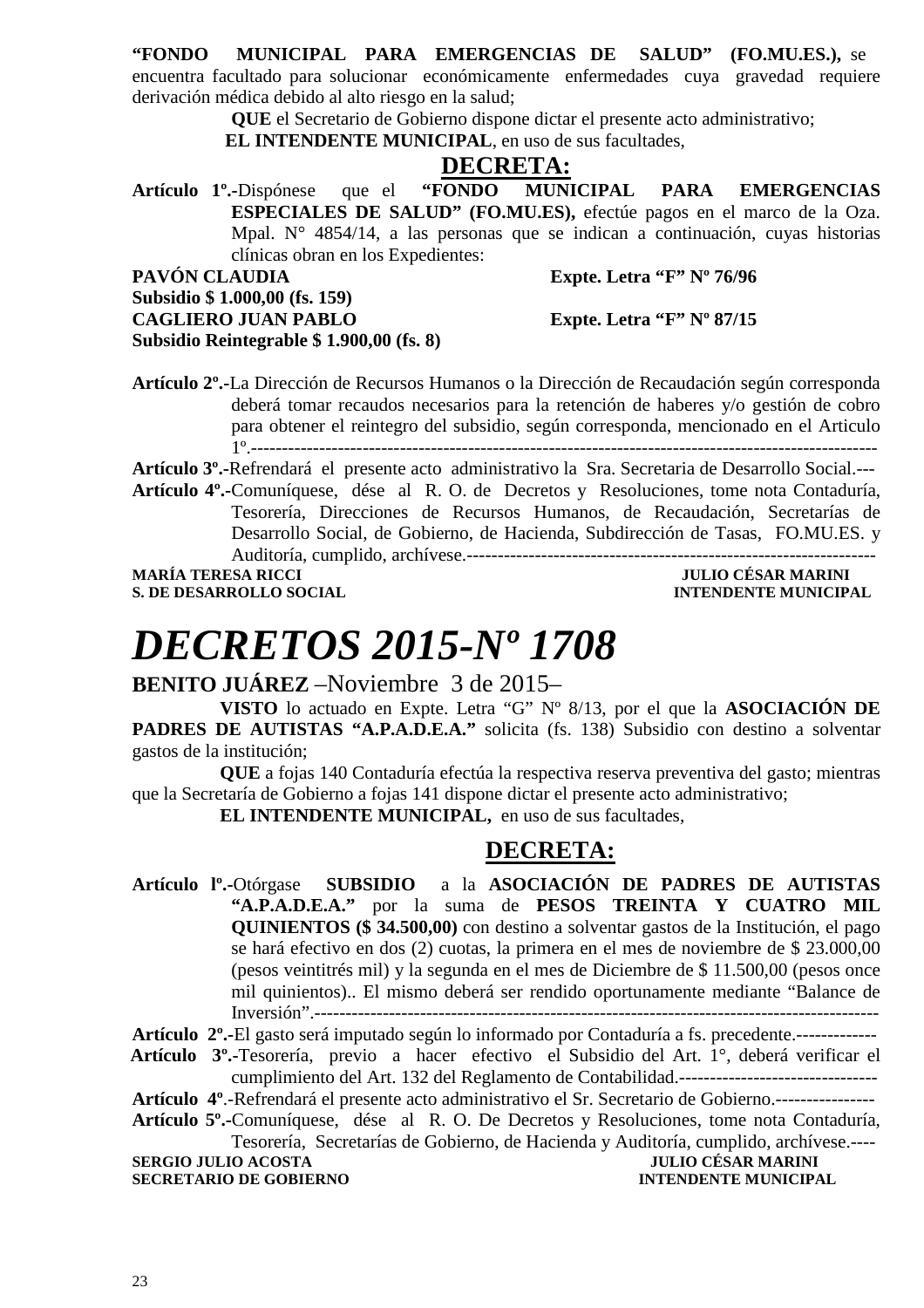### **"FONDO MUNICIPAL PARA EMERGENCIAS DE SALUD" (FO.MU.ES.),** se

encuentra facultado para solucionar económicamente enfermedades cuya gravedad requiere derivación médica debido al alto riesgo en la salud;

**QUE** el Secretario de Gobierno dispone dictar el presente acto administrativo;

 **EL INTENDENTE MUNICIPAL**, en uso de sus facultades,

### **DECRETA:**

**Artículo 1º.-**Dispónese que el **"FONDO MUNICIPAL PARA EMERGENCIAS ESPECIALES DE SALUD" (FO.MU.ES),** efectúe pagos en el marco de la Oza. Mpal. N° 4854/14, a las personas que se indican a continuación, cuyas historias clínicas obran en los Expedientes:

PAVÓN CLAUDIA Expte. Letra "F" Nº 76/96

**Subsidio \$ 1.000,00 (fs. 159)** 

**Subsidio Reintegrable \$ 1.900,00 (fs. 8)** 

**CAGLIERO JUAN PABLO Expte. Letra "F" Nº 87/15** 

**Artículo 2º.-**La Dirección de Recursos Humanos o la Dirección de Recaudación según corresponda deberá tomar recaudos necesarios para la retención de haberes y/o gestión de cobro para obtener el reintegro del subsidio, según corresponda, mencionado en el Articulo 1º.-----------------------------------------------------------------------------------------------------

**Artículo 3º.-**Refrendará el presente acto administrativo la Sra. Secretaria de Desarrollo Social.---

**Artículo 4º.-**Comuníquese, dése al R. O. de Decretos y Resoluciones, tome nota Contaduría, Tesorería, Direcciones de Recursos Humanos, de Recaudación, Secretarías de Desarrollo Social, de Gobierno, de Hacienda, Subdirección de Tasas, FO.MU.ES. y Auditoría, cumplido, archívese.------------------------------------------------------------------

**S. DE DESARROLLO SOCIAL** *INTENDENTE MUNICIPAL* 

**MARÍA TERESA RICCI JULIO CÉSAR MARINI** 

### *DECRETOS 2015-Nº 1708*

**BENITO JUÁREZ** –Noviembre 3 de 2015–

**VISTO** lo actuado en Expte. Letra "G" Nº 8/13, por el que la **ASOCIACIÓN DE PADRES DE AUTISTAS "A.P.A.D.E.A."** solicita (fs. 138) Subsidio con destino a solventar gastos de la institución;

**QUE** a fojas 140 Contaduría efectúa la respectiva reserva preventiva del gasto; mientras que la Secretaría de Gobierno a fojas 141 dispone dictar el presente acto administrativo;

**EL INTENDENTE MUNICIPAL,** en uso de sus facultades,

### **DECRETA:**

**Artículo lº.-**Otórgase **SUBSIDIO** a la **ASOCIACIÓN DE PADRES DE AUTISTAS "A.P.A.D.E.A."** por la suma de **PESOS TREINTA Y CUATRO MIL QUINIENTOS (\$ 34.500,00)** con destino a solventar gastos de la Institución, el pago se hará efectivo en dos (2) cuotas, la primera en el mes de noviembre de \$ 23.000,00 (pesos veintitrés mil) y la segunda en el mes de Diciembre de \$ 11.500,00 (pesos once mil quinientos).. El mismo deberá ser rendido oportunamente mediante "Balance de Inversión".-------------------------------------------------------------------------------------------

**Artículo 2º.-**El gasto será imputado según lo informado por Contaduría a fs. precedente.-------------

 **Artículo 3º.-**Tesorería, previo a hacer efectivo el Subsidio del Art. 1°, deberá verificar el cumplimiento del Art. 132 del Reglamento de Contabilidad.--------------------------------

- **Artículo 4º**.-Refrendará el presente acto administrativo el Sr. Secretario de Gobierno.----------------
- **Artículo 5º.-**Comuníquese, dése al R. O. De Decretos y Resoluciones, tome nota Contaduría,
- Tesorería, Secretarías de Gobierno, de Hacienda y Auditoría, cumplido, archívese.---- **SERGIO JULIO ACOSTA JULIO CÉSAR MARINI**

**SECRETARIO DE GOBIERNO INTENDENTE MUNICIPAL**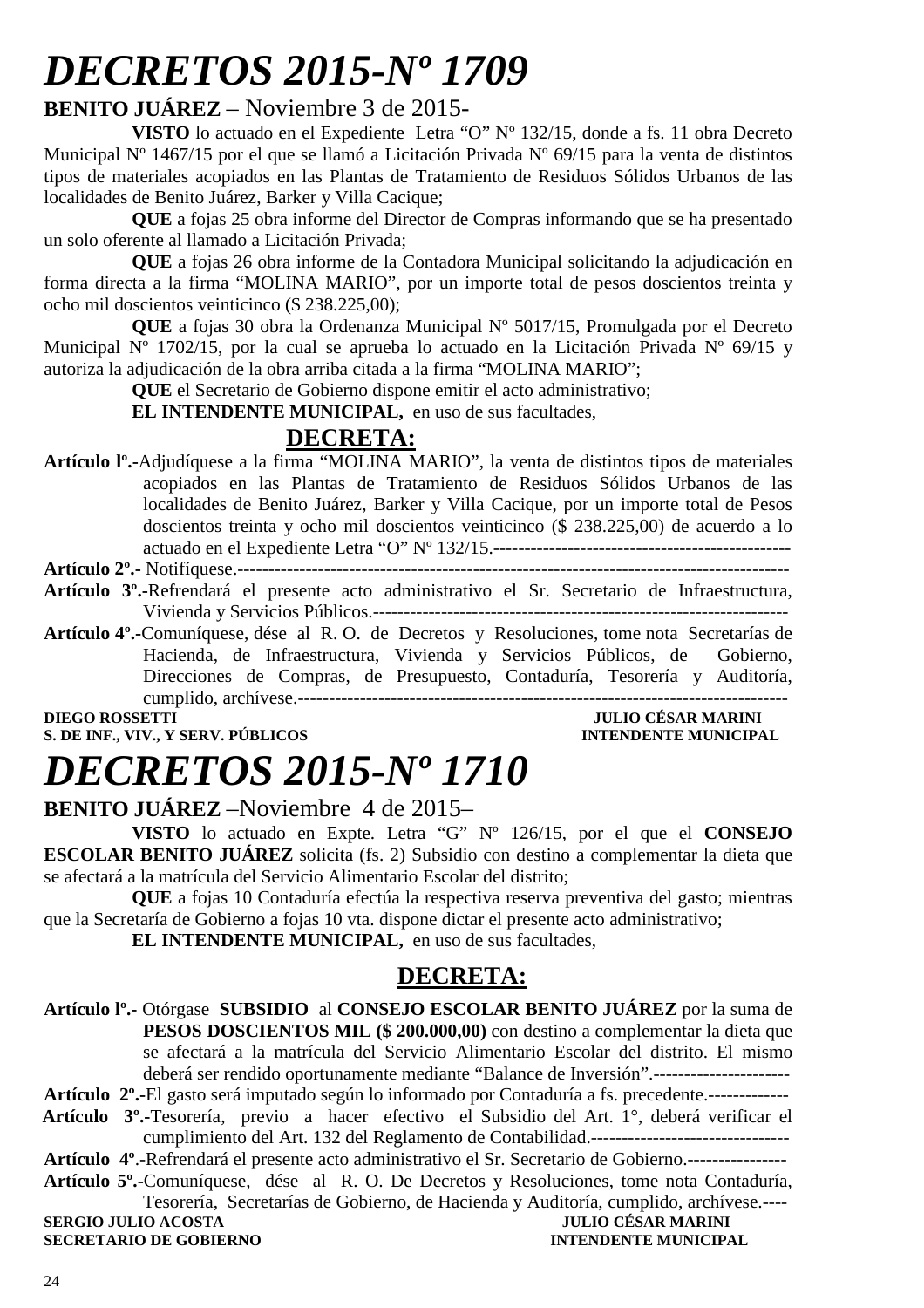# *DECRETOS 2015-Nº 1709*

### **BENITO JUÁREZ** – Noviembre 3 de 2015-

**VISTO** lo actuado en el Expediente Letra "O" Nº 132/15, donde a fs. 11 obra Decreto Municipal Nº 1467/15 por el que se llamó a Licitación Privada Nº 69/15 para la venta de distintos tipos de materiales acopiados en las Plantas de Tratamiento de Residuos Sólidos Urbanos de las localidades de Benito Juárez, Barker y Villa Cacique;

**QUE** a fojas 25 obra informe del Director de Compras informando que se ha presentado un solo oferente al llamado a Licitación Privada;

**QUE** a fojas 26 obra informe de la Contadora Municipal solicitando la adjudicación en forma directa a la firma "MOLINA MARIO", por un importe total de pesos doscientos treinta y ocho mil doscientos veinticinco (\$ 238.225,00);

**QUE** a fojas 30 obra la Ordenanza Municipal Nº 5017/15, Promulgada por el Decreto Municipal  $N^{\circ}$  1702/15, por la cual se aprueba lo actuado en la Licitación Privada  $N^{\circ}$  69/15 y autoriza la adjudicación de la obra arriba citada a la firma "MOLINA MARIO";

**QUE** el Secretario de Gobierno dispone emitir el acto administrativo;

**EL INTENDENTE MUNICIPAL,** en uso de sus facultades,

### **DECRETA:**

**Artículo lº.-**Adjudíquese a la firma "MOLINA MARIO", la venta de distintos tipos de materiales acopiados en las Plantas de Tratamiento de Residuos Sólidos Urbanos de las localidades de Benito Juárez, Barker y Villa Cacique, por un importe total de Pesos doscientos treinta y ocho mil doscientos veinticinco (\$ 238.225,00) de acuerdo a lo actuado en el Expediente Letra "O" Nº 132/15.------------------------------------------------ **Artículo 2º.-** Notifíquese.-----------------------------------------------------------------------------------------

- **Artículo 3º.-**Refrendará el presente acto administrativo el Sr. Secretario de Infraestructura, Vivienda y Servicios Públicos.-------------------------------------------------------------------
- **Artículo 4º.-**Comuníquese, dése al R. O. de Decretos y Resoluciones, tome nota Secretarías de Hacienda, de Infraestructura, Vivienda y Servicios Públicos, de Gobierno, Direcciones de Compras, de Presupuesto, Contaduría, Tesorería y Auditoría, cumplido, archívese.-------------------------------------------------------------------------------

**S. DE INF., VIV., Y SERV. PÚBLICOS INTENDENTE MUNICIPAL** 

### **DIEGO ROSSETTI** JULIO CÉSAR MARINI

# *DECRETOS 2015-Nº 1710*

**BENITO JUÁREZ** –Noviembre 4 de 2015–

**VISTO** lo actuado en Expte. Letra "G" Nº 126/15, por el que el **CONSEJO ESCOLAR BENITO JUÁREZ** solicita (fs. 2) Subsidio con destino a complementar la dieta que se afectará a la matrícula del Servicio Alimentario Escolar del distrito;

**QUE** a fojas 10 Contaduría efectúa la respectiva reserva preventiva del gasto; mientras que la Secretaría de Gobierno a fojas 10 vta. dispone dictar el presente acto administrativo;

**EL INTENDENTE MUNICIPAL,** en uso de sus facultades,

### **DECRETA:**

**Artículo lº.-** Otórgase **SUBSIDIO** al **CONSEJO ESCOLAR BENITO JUÁREZ** por la suma de **PESOS DOSCIENTOS MIL (\$ 200.000,00)** con destino a complementar la dieta que se afectará a la matrícula del Servicio Alimentario Escolar del distrito. El mismo deberá ser rendido oportunamente mediante "Balance de Inversión".----------------------

**Artículo 2º.-**El gasto será imputado según lo informado por Contaduría a fs. precedente.-------------  **Artículo 3º.-**Tesorería, previo a hacer efectivo el Subsidio del Art. 1°, deberá verificar el

- cumplimiento del Art. 132 del Reglamento de Contabilidad.--------------------------------
- **Artículo 4º**.-Refrendará el presente acto administrativo el Sr. Secretario de Gobierno.----------------
- **Artículo 5º.-**Comuníquese, dése al R. O. De Decretos y Resoluciones, tome nota Contaduría, Tesorería, Secretarías de Gobierno, de Hacienda y Auditoría, cumplido, archívese.----

**SERGIO JULIO ACOSTA JULIO CÉSAR MARINI A LOGALIZAT DE LOGALIZAT DE LOGALIZAT DE LOGALIZAT DE LOGALIZAT DE LOG**<br>INTENDENTE MUNICIPAL **SECRETARIO DE GOBIERNO**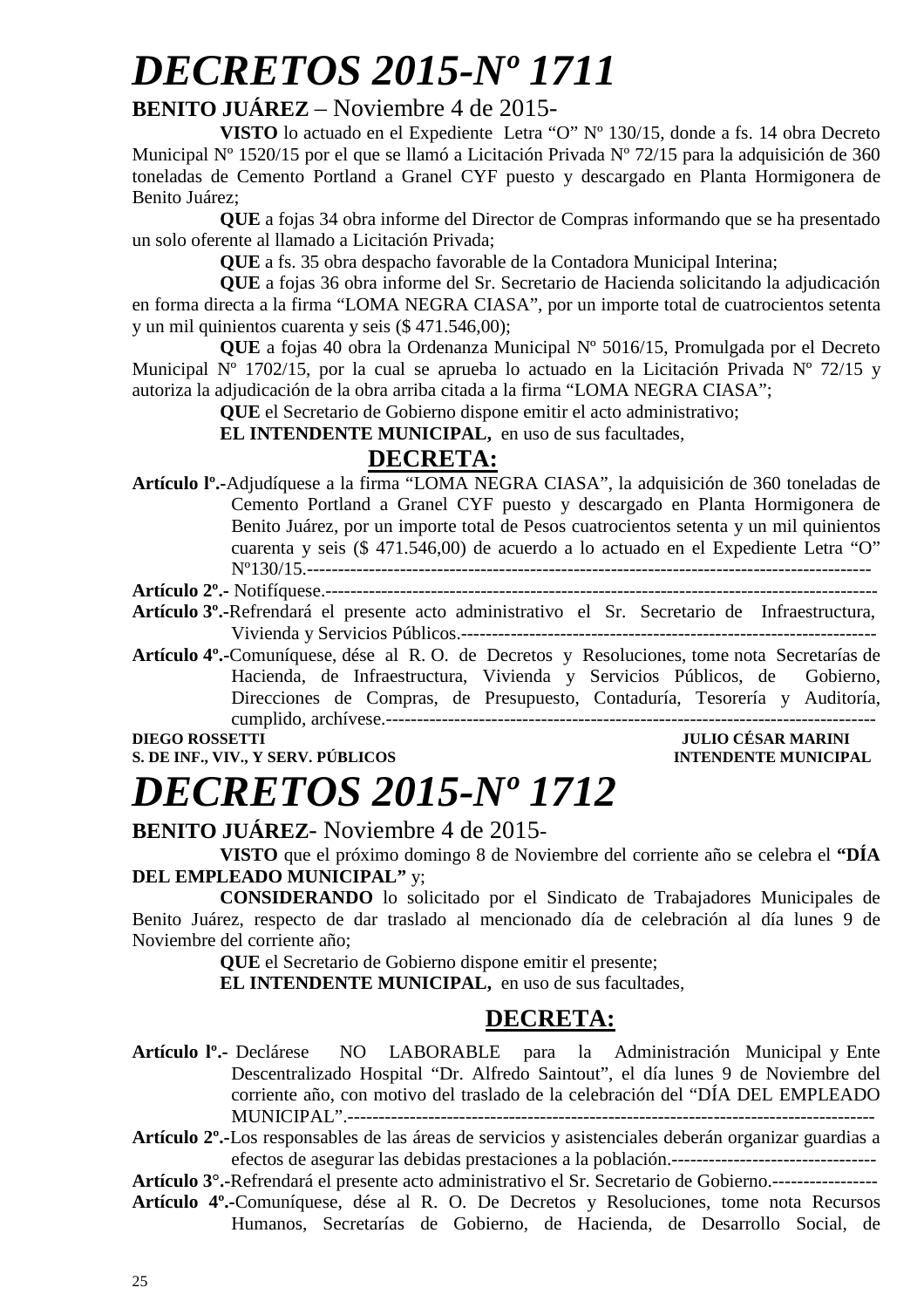# *DECRETOS 2015-Nº 1711*

### **BENITO JUÁREZ** – Noviembre 4 de 2015-

**VISTO** lo actuado en el Expediente Letra "O" Nº 130/15, donde a fs. 14 obra Decreto Municipal Nº 1520/15 por el que se llamó a Licitación Privada Nº 72/15 para la adquisición de 360 toneladas de Cemento Portland a Granel CYF puesto y descargado en Planta Hormigonera de Benito Juárez;

**QUE** a fojas 34 obra informe del Director de Compras informando que se ha presentado un solo oferente al llamado a Licitación Privada;

**QUE** a fs. 35 obra despacho favorable de la Contadora Municipal Interina;

**QUE** a fojas 36 obra informe del Sr. Secretario de Hacienda solicitando la adjudicación en forma directa a la firma "LOMA NEGRA CIASA", por un importe total de cuatrocientos setenta y un mil quinientos cuarenta y seis (\$ 471.546,00);

**QUE** a fojas 40 obra la Ordenanza Municipal Nº 5016/15, Promulgada por el Decreto Municipal  $N^{\circ}$  1702/15, por la cual se aprueba lo actuado en la Licitación Privada  $N^{\circ}$  72/15 y autoriza la adjudicación de la obra arriba citada a la firma "LOMA NEGRA CIASA";

**QUE** el Secretario de Gobierno dispone emitir el acto administrativo;

**EL INTENDENTE MUNICIPAL,** en uso de sus facultades,

### **DECRETA:**

**Artículo 2º.-** Notifíquese.-----------------------------------------------------------------------------------------

**Artículo 3º.-**Refrendará el presente acto administrativo el Sr. Secretario de Infraestructura, Vivienda y Servicios Públicos.-------------------------------------------------------------------

**Artículo 4º.-**Comuníquese, dése al R. O. de Decretos y Resoluciones, tome nota Secretarías de Hacienda, de Infraestructura, Vivienda y Servicios Públicos, de Gobierno, Direcciones de Compras, de Presupuesto, Contaduría, Tesorería y Auditoría, cumplido, archívese.-------------------------------------------------------------------------------

**S. DE INF., VIV., Y SERV. PÚBLICOS** 

### **DIEGO DE SAR MARINI<br>INTENDENTE MUNICIPAL**

### *DECRETOS 2015-Nº 1712*

### **BENITO JUÁREZ**- Noviembre 4 de 2015-

**VISTO** que el próximo domingo 8 de Noviembre del corriente año se celebra el **"DÍA DEL EMPLEADO MUNICIPAL"** y;

**CONSIDERANDO** lo solicitado por el Sindicato de Trabajadores Municipales de Benito Juárez, respecto de dar traslado al mencionado día de celebración al día lunes 9 de Noviembre del corriente año;

**QUE** el Secretario de Gobierno dispone emitir el presente;

**EL INTENDENTE MUNICIPAL,** en uso de sus facultades,

### **DECRETA:**

**Artículo lº.-** Declárese NO LABORABLE para la Administración Municipal y Ente Descentralizado Hospital "Dr. Alfredo Saintout", el día lunes 9 de Noviembre del corriente año, con motivo del traslado de la celebración del "DÍA DEL EMPLEADO MUNICIPAL".-------------------------------------------------------------------------------------

**Artículo 2º.-**Los responsables de las áreas de servicios y asistenciales deberán organizar guardias a efectos de asegurar las debidas prestaciones a la población.---------------------------------

**Artículo 3°.-**Refrendará el presente acto administrativo el Sr. Secretario de Gobierno.-----------------

**Artículo 4º.-**Comuníquese, dése al R. O. De Decretos y Resoluciones, tome nota Recursos Humanos, Secretarías de Gobierno, de Hacienda, de Desarrollo Social, de

**Artículo lº.-**Adjudíquese a la firma "LOMA NEGRA CIASA", la adquisición de 360 toneladas de Cemento Portland a Granel CYF puesto y descargado en Planta Hormigonera de Benito Juárez, por un importe total de Pesos cuatrocientos setenta y un mil quinientos cuarenta y seis (\$ 471.546,00) de acuerdo a lo actuado en el Expediente Letra "O" Nº130/15.-------------------------------------------------------------------------------------------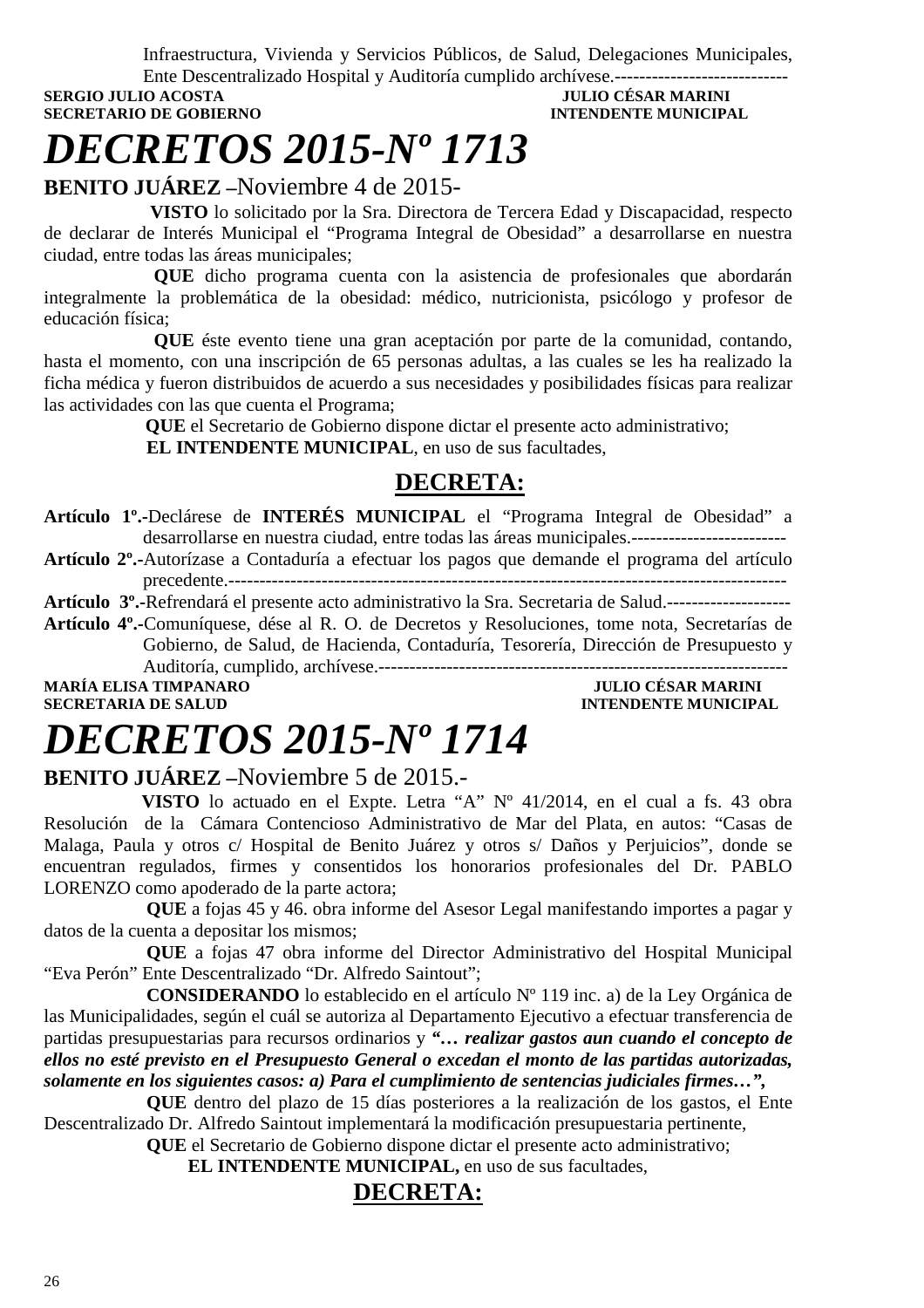Infraestructura, Vivienda y Servicios Públicos, de Salud, Delegaciones Municipales,

**SERGIO JULIO ACOSTA SECRETARIO DE GOBIERNO INTENDENTE MUNICIPAL** 

# Ente Descentralizado Hospital y Auditoría cumplido archívese.----------------------------

# *DECRETOS 2015-Nº 1713*

**BENITO JUÁREZ –**Noviembre 4 de 2015-

 **VISTO** lo solicitado por la Sra. Directora de Tercera Edad y Discapacidad, respecto de declarar de Interés Municipal el "Programa Integral de Obesidad" a desarrollarse en nuestra ciudad, entre todas las áreas municipales;

**QUE** dicho programa cuenta con la asistencia de profesionales que abordarán integralmente la problemática de la obesidad: médico, nutricionista, psicólogo y profesor de educación física;

**QUE** éste evento tiene una gran aceptación por parte de la comunidad, contando, hasta el momento, con una inscripción de 65 personas adultas, a las cuales se les ha realizado la ficha médica y fueron distribuidos de acuerdo a sus necesidades y posibilidades físicas para realizar las actividades con las que cuenta el Programa;

 **QUE** el Secretario de Gobierno dispone dictar el presente acto administrativo;  **EL INTENDENTE MUNICIPAL**, en uso de sus facultades,

### **DECRETA:**

**Artículo 1º.-**Declárese de **INTERÉS MUNICIPAL** el "Programa Integral de Obesidad" a desarrollarse en nuestra ciudad, entre todas las áreas municipales.-------------------------

**Artículo 2º.-**Autorízase a Contaduría a efectuar los pagos que demande el programa del artículo precedente.------------------------------------------------------------------------------------------

**Artículo 3º.-**Refrendará el presente acto administrativo la Sra. Secretaria de Salud.--------------------

**Artículo 4º.-**Comuníquese, dése al R. O. de Decretos y Resoluciones, tome nota, Secretarías de Gobierno, de Salud, de Hacienda, Contaduría, Tesorería, Dirección de Presupuesto y Auditoría, cumplido, archívese.------------------------------------------------------------------

**MARÍA ELISA TIMPANARO JULIO CÉSAR MARINI** 

**INTENDENTE MUNICIPAL** 

# *DECRETOS 2015-Nº 1714*

### **BENITO JUÁREZ –**Noviembre 5 de 2015.-

 **VISTO** lo actuado en el Expte. Letra "A" Nº 41/2014, en el cual a fs. 43 obra Resolución de la Cámara Contencioso Administrativo de Mar del Plata, en autos: "Casas de Malaga, Paula y otros c/ Hospital de Benito Juárez y otros s/ Daños y Perjuicios", donde se encuentran regulados, firmes y consentidos los honorarios profesionales del Dr. PABLO LORENZO como apoderado de la parte actora;

 **QUE** a fojas 45 y 46. obra informe del Asesor Legal manifestando importes a pagar y datos de la cuenta a depositar los mismos;

 **QUE** a fojas 47 obra informe del Director Administrativo del Hospital Municipal "Eva Perón" Ente Descentralizado "Dr. Alfredo Saintout";

 **CONSIDERANDO** lo establecido en el artículo Nº 119 inc. a) de la Ley Orgánica de las Municipalidades, según el cuál se autoriza al Departamento Ejecutivo a efectuar transferencia de partidas presupuestarias para recursos ordinarios y *"… realizar gastos aun cuando el concepto de ellos no esté previsto en el Presupuesto General o excedan el monto de las partidas autorizadas, solamente en los siguientes casos: a) Para el cumplimiento de sentencias judiciales firmes…",* 

 **QUE** dentro del plazo de 15 días posteriores a la realización de los gastos, el Ente Descentralizado Dr. Alfredo Saintout implementará la modificación presupuestaria pertinente,

**QUE** el Secretario de Gobierno dispone dictar el presente acto administrativo;

**EL INTENDENTE MUNICIPAL,** en uso de sus facultades,

### **DECRETA:**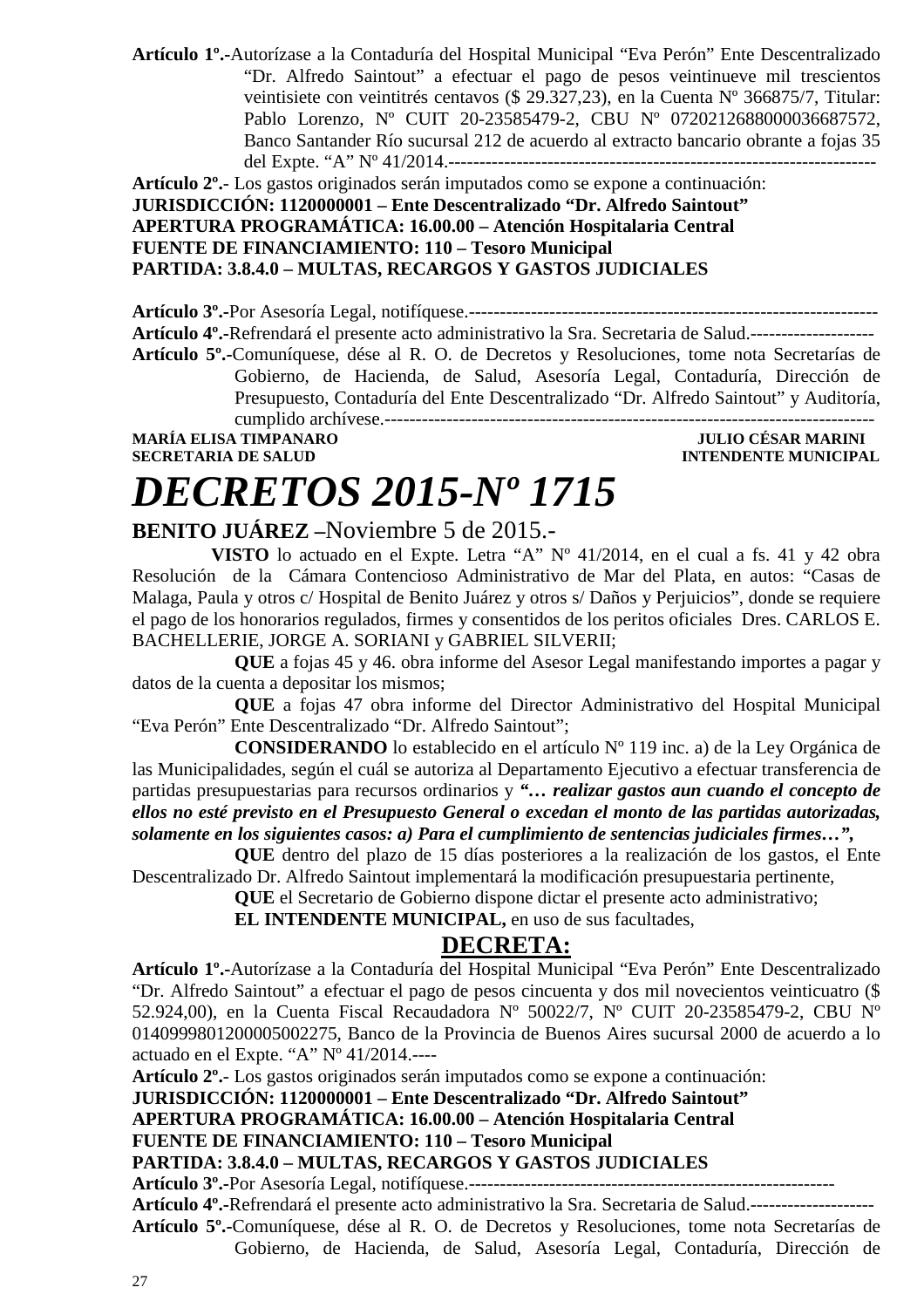**Artículo 1º.-**Autorízase a la Contaduría del Hospital Municipal "Eva Perón" Ente Descentralizado "Dr. Alfredo Saintout" a efectuar el pago de pesos veintinueve mil trescientos veintisiete con veintitrés centavos (\$ 29.327,23), en la Cuenta Nº 366875/7, Titular: Pablo Lorenzo, Nº CUIT 20-23585479-2, CBU Nº 0720212688000036687572, Banco Santander Río sucursal 212 de acuerdo al extracto bancario obrante a fojas 35 del Expte. "A" Nº 41/2014.---------------------------------------------------------------------

**Artículo 2º.**- Los gastos originados serán imputados como se expone a continuación:

### **JURISDICCIÓN: 1120000001 – Ente Descentralizado "Dr. Alfredo Saintout" APERTURA PROGRAMÁTICA: 16.00.00 – Atención Hospitalaria Central FUENTE DE FINANCIAMIENTO: 110 – Tesoro Municipal PARTIDA: 3.8.4.0 – MULTAS, RECARGOS Y GASTOS JUDICIALES**

**Artículo 3º.-**Por Asesoría Legal, notifíquese.------------------------------------------------------------------ **Artículo 4º.-**Refrendará el presente acto administrativo la Sra. Secretaria de Salud.-------------------- **Artículo 5º.-**Comuníquese, dése al R. O. de Decretos y Resoluciones, tome nota Secretarías de Gobierno, de Hacienda, de Salud, Asesoría Legal, Contaduría, Dirección de Presupuesto, Contaduría del Ente Descentralizado "Dr. Alfredo Saintout" y Auditoría, cumplido archívese.------------------------------------------------------------------------------- **MARÍA ELISA TIMPANARO JULIO CÉSAR MARINI** 

**SECRETARIA DE SALUD INTENDENTE MUNICIPAL** 

# *DECRETOS 2015-Nº 1715*

### **BENITO JUÁREZ –**Noviembre 5 de 2015.-

 **VISTO** lo actuado en el Expte. Letra "A" Nº 41/2014, en el cual a fs. 41 y 42 obra Resolución de la Cámara Contencioso Administrativo de Mar del Plata, en autos: "Casas de Malaga, Paula y otros c/ Hospital de Benito Juárez y otros s/ Daños y Perjuicios", donde se requiere el pago de los honorarios regulados, firmes y consentidos de los peritos oficiales Dres. CARLOS E. BACHELLERIE, JORGE A. SORIANI y GABRIEL SILVERII;

 **QUE** a fojas 45 y 46. obra informe del Asesor Legal manifestando importes a pagar y datos de la cuenta a depositar los mismos;

 **QUE** a fojas 47 obra informe del Director Administrativo del Hospital Municipal "Eva Perón" Ente Descentralizado "Dr. Alfredo Saintout";

 **CONSIDERANDO** lo establecido en el artículo Nº 119 inc. a) de la Ley Orgánica de las Municipalidades, según el cuál se autoriza al Departamento Ejecutivo a efectuar transferencia de partidas presupuestarias para recursos ordinarios y *"… realizar gastos aun cuando el concepto de ellos no esté previsto en el Presupuesto General o excedan el monto de las partidas autorizadas, solamente en los siguientes casos: a) Para el cumplimiento de sentencias judiciales firmes…",* 

 **QUE** dentro del plazo de 15 días posteriores a la realización de los gastos, el Ente Descentralizado Dr. Alfredo Saintout implementará la modificación presupuestaria pertinente,

**QUE** el Secretario de Gobierno dispone dictar el presente acto administrativo;

 **EL INTENDENTE MUNICIPAL,** en uso de sus facultades,

### **DECRETA:**

**Artículo 1º.-**Autorízase a la Contaduría del Hospital Municipal "Eva Perón" Ente Descentralizado "Dr. Alfredo Saintout" a efectuar el pago de pesos cincuenta y dos mil novecientos veinticuatro (\$ 52.924,00), en la Cuenta Fiscal Recaudadora Nº 50022/7, Nº CUIT 20-23585479-2, CBU Nº 0140999801200005002275, Banco de la Provincia de Buenos Aires sucursal 2000 de acuerdo a lo actuado en el Expte. "A" Nº 41/2014.----

**Artículo 2º.**- Los gastos originados serán imputados como se expone a continuación:

**JURISDICCIÓN: 1120000001 – Ente Descentralizado "Dr. Alfredo Saintout"** 

**APERTURA PROGRAMÁTICA: 16.00.00 – Atención Hospitalaria Central** 

**FUENTE DE FINANCIAMIENTO: 110 – Tesoro Municipal** 

#### **PARTIDA: 3.8.4.0 – MULTAS, RECARGOS Y GASTOS JUDICIALES**

**Artículo 3º.-**Por Asesoría Legal, notifíquese.-----------------------------------------------------------

**Artículo 4º.-**Refrendará el presente acto administrativo la Sra. Secretaria de Salud.-------------------- **Artículo 5º.-**Comuníquese, dése al R. O. de Decretos y Resoluciones, tome nota Secretarías de Gobierno, de Hacienda, de Salud, Asesoría Legal, Contaduría, Dirección de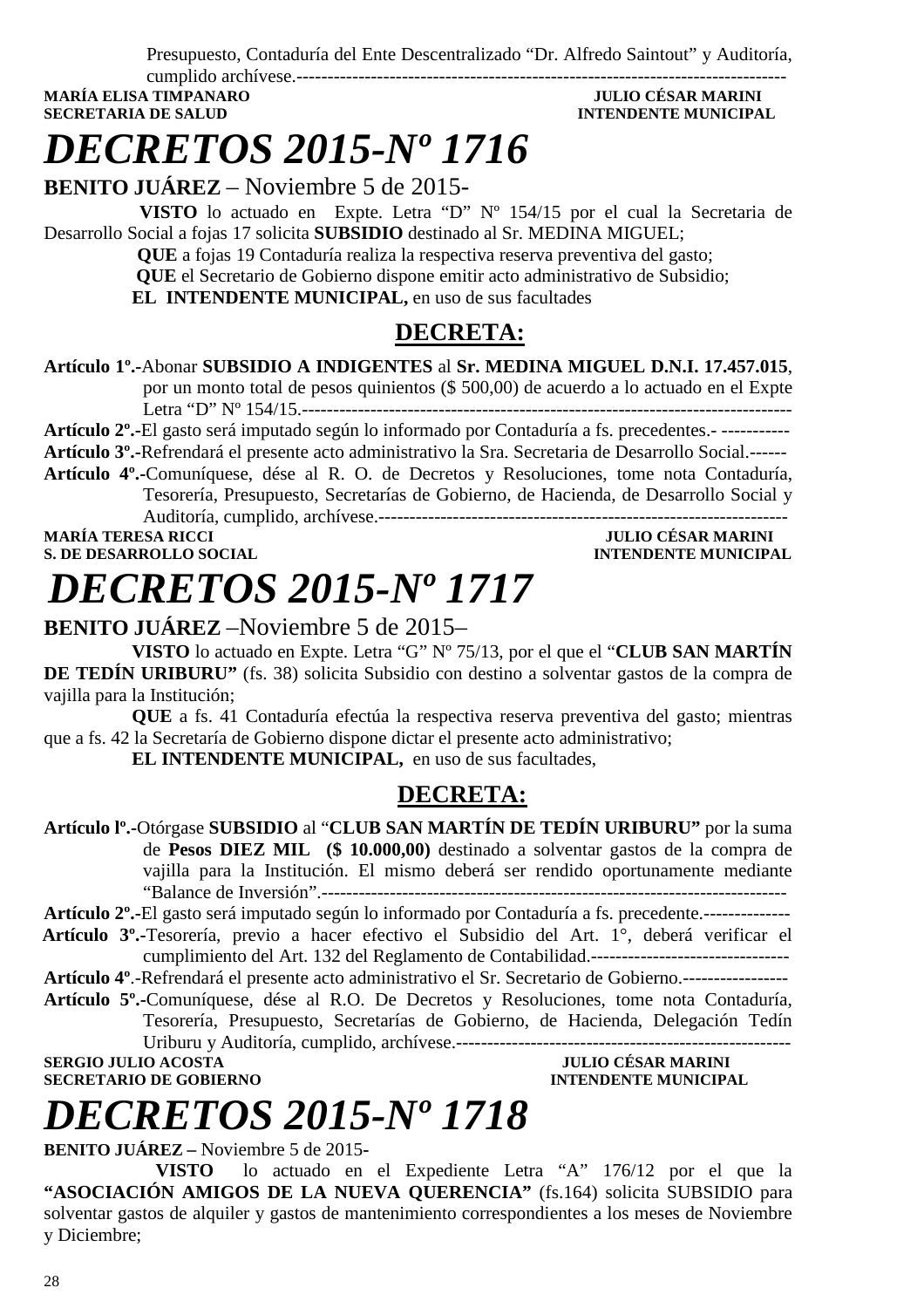Presupuesto, Contaduría del Ente Descentralizado "Dr. Alfredo Saintout" y Auditoría,

cumplido archívese.------------------------------------------------------------------------------- **MARÍA ELISA TIMPANARO SECRETARIA DE SALUD INTENDENTE MUNICIPAL** 

## *DECRETOS 2015-Nº 1716*

**BENITO JUÁREZ** – Noviembre 5 de 2015-

 **VISTO** lo actuado en Expte. Letra "D" Nº 154/15 por el cual la Secretaria de Desarrollo Social a fojas 17 solicita **SUBSIDIO** destinado al Sr. MEDINA MIGUEL;

> **QUE** a fojas 19 Contaduría realiza la respectiva reserva preventiva del gasto;  **QUE** el Secretario de Gobierno dispone emitir acto administrativo de Subsidio; **EL INTENDENTE MUNICIPAL,** en uso de sus facultades

### **DECRETA:**

**Artículo 1º.-**Abonar **SUBSIDIO A INDIGENTES** al **Sr. MEDINA MIGUEL D.N.I. 17.457.015**, por un monto total de pesos quinientos (\$ 500,00) de acuerdo a lo actuado en el Expte Letra "D" Nº 154/15.-------------------------------------------------------------------------------

**Artículo 2º.-**El gasto será imputado según lo informado por Contaduría a fs. precedentes.- -----------

**Artículo 3º.-**Refrendará el presente acto administrativo la Sra. Secretaria de Desarrollo Social.------ **Artículo 4º.-**Comuníquese, dése al R. O. de Decretos y Resoluciones, tome nota Contaduría, Tesorería, Presupuesto, Secretarías de Gobierno, de Hacienda, de Desarrollo Social y

Auditoría, cumplido, archívese.------------------------------------------------------------------ **MARÍA TERESA RICCI DE LOS ENFORMADORES DE LOS ENFORMADORES DE LOS ENFORMADORES DE LOS ENFORMADORES DE LOS ENFORMADORES DE LOS ENFORMADORES DE LOS ENFORMADORES DE LOS ENFORMADORES DE LOS ENFORMADORES DE LOS ENFORMADORES DE** 

**INTENDENTE MUNICIPAL** 

# *DECRETOS 2015-Nº 1717*

### **BENITO JUÁREZ** –Noviembre 5 de 2015–

**VISTO** lo actuado en Expte. Letra "G" Nº 75/13, por el que el "**CLUB SAN MARTÍN DE TEDÍN URIBURU"** (fs. 38) solicita Subsidio con destino a solventar gastos de la compra de vajilla para la Institución;

**QUE** a fs. 41 Contaduría efectúa la respectiva reserva preventiva del gasto; mientras que a fs. 42 la Secretaría de Gobierno dispone dictar el presente acto administrativo;

**EL INTENDENTE MUNICIPAL,** en uso de sus facultades,

### **DECRETA:**

**Artículo lº.-**Otórgase **SUBSIDIO** al "**CLUB SAN MARTÍN DE TEDÍN URIBURU"** por la suma de **Pesos DIEZ MIL (\$ 10.000,00)** destinado a solventar gastos de la compra de vajilla para la Institución. El mismo deberá ser rendido oportunamente mediante "Balance de Inversión".---------------------------------------------------------------------------

**Artículo 2º.-**El gasto será imputado según lo informado por Contaduría a fs. precedente.--------------

 **Artículo 3º.-**Tesorería, previo a hacer efectivo el Subsidio del Art. 1°, deberá verificar el cumplimiento del Art. 132 del Reglamento de Contabilidad.--------------------------------

**Artículo 4º**.-Refrendará el presente acto administrativo el Sr. Secretario de Gobierno.-----------------

**Artículo 5º.-**Comuníquese, dése al R.O. De Decretos y Resoluciones, tome nota Contaduría, Tesorería, Presupuesto, Secretarías de Gobierno, de Hacienda, Delegación Tedín Uriburu y Auditoría, cumplido, archívese.------------------------------------------------------

**SECRETARIO DE GOBIERNO** 

**SULIO CÉSAR MARINI<br>INTENDENTE MUNICIPAL** 

# *DECRETOS 2015-Nº 1718*

**BENITO JUÁREZ –** Noviembre 5 de 2015**-** 

**VISTO** lo actuado en el Expediente Letra "A" 176/12 por el que la **"ASOCIACIÓN AMIGOS DE LA NUEVA QUERENCIA"** (fs.164) solicita SUBSIDIO para solventar gastos de alquiler y gastos de mantenimiento correspondientes a los meses de Noviembre y Diciembre;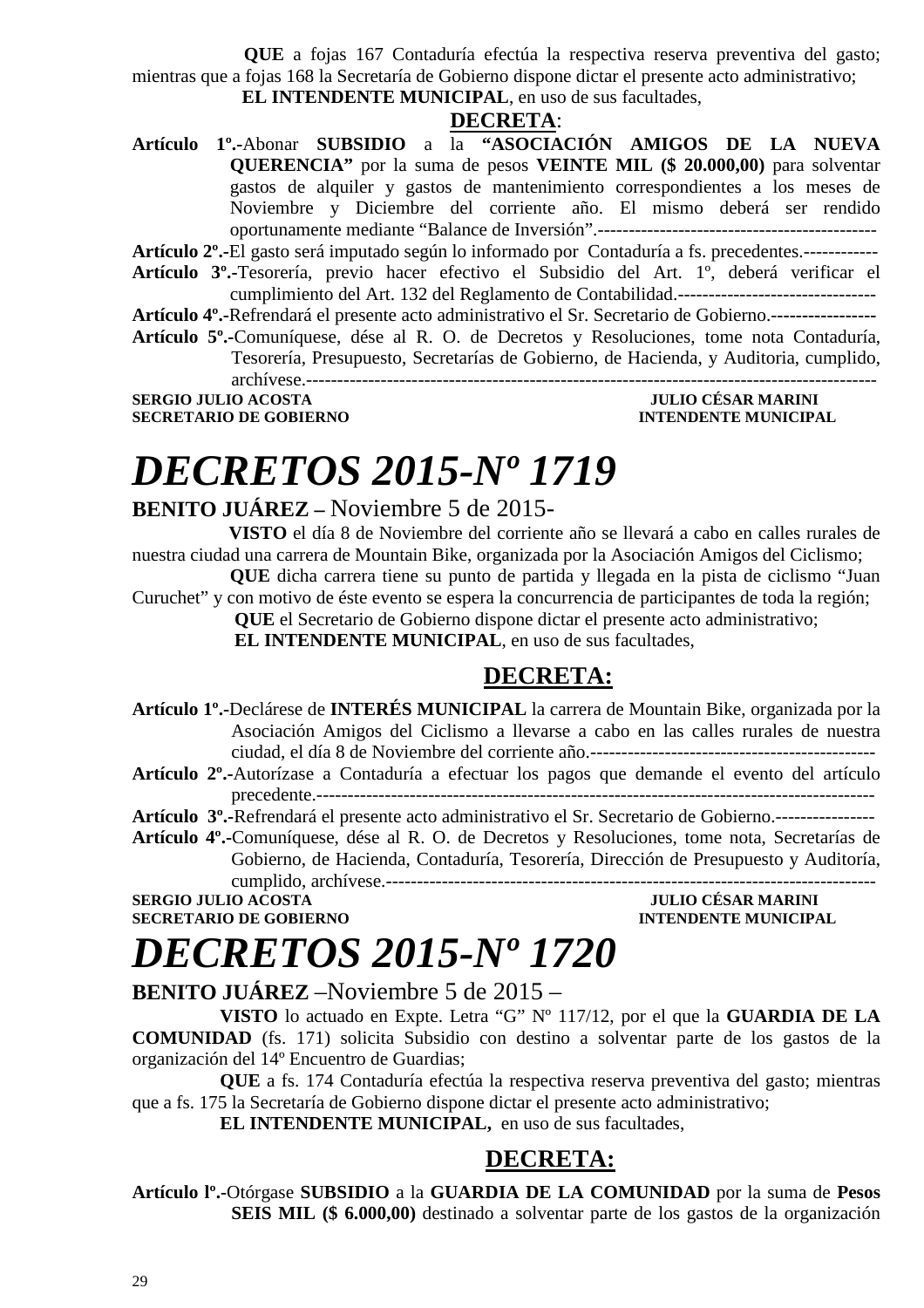**QUE** a fojas 167 Contaduría efectúa la respectiva reserva preventiva del gasto; mientras que a fojas 168 la Secretaría de Gobierno dispone dictar el presente acto administrativo;

**EL INTENDENTE MUNICIPAL**, en uso de sus facultades,

#### **DECRETA**:

**Artículo 1º.-**Abonar **SUBSIDIO** a la **"ASOCIACIÓN AMIGOS DE LA NUEVA QUERENCIA"** por la suma de pesos **VEINTE MIL (\$ 20.000,00)** para solventar gastos de alquiler y gastos de mantenimiento correspondientes a los meses de Noviembre y Diciembre del corriente año. El mismo deberá ser rendido oportunamente mediante "Balance de Inversión".---------------------------------------------

**Artículo 2º.-**El gasto será imputado según lo informado por Contaduría a fs. precedentes.------------

- **Artículo 3º.-**Tesorería, previo hacer efectivo el Subsidio del Art. 1º, deberá verificar el cumplimiento del Art. 132 del Reglamento de Contabilidad.--------------------------------
- **Artículo 4º.-**Refrendará el presente acto administrativo el Sr. Secretario de Gobierno.-**----------------**
- **Artículo 5º.-**Comuníquese, dése al R. O. de Decretos y Resoluciones, tome nota Contaduría, Tesorería, Presupuesto, Secretarías de Gobierno, de Hacienda, y Auditoria, cumplido, archívese.--------------------------------------------------------------------------------------------

**SERGIO JULIO ACOSTA JULIO CÉSAR MARINI** 

### **SECRETARIO DE GOBIERNO INTENDENTE MUNICIPAL**

### *DECRETOS 2015-Nº 1719*

### **BENITO JUÁREZ –** Noviembre 5 de 2015-

 **VISTO** el día 8 de Noviembre del corriente año se llevará a cabo en calles rurales de nuestra ciudad una carrera de Mountain Bike, organizada por la Asociación Amigos del Ciclismo;

 **QUE** dicha carrera tiene su punto de partida y llegada en la pista de ciclismo "Juan Curuchet" y con motivo de éste evento se espera la concurrencia de participantes de toda la región;

 **QUE** el Secretario de Gobierno dispone dictar el presente acto administrativo;

 **EL INTENDENTE MUNICIPAL**, en uso de sus facultades,

### **DECRETA:**

- **Artículo 1º.-**Declárese de **INTERÉS MUNICIPAL** la carrera de Mountain Bike, organizada por la Asociación Amigos del Ciclismo a llevarse a cabo en las calles rurales de nuestra ciudad, el día 8 de Noviembre del corriente año.----------------------------------------------
- **Artículo 2º.-**Autorízase a Contaduría a efectuar los pagos que demande el evento del artículo precedente.------------------------------------------------------------------------------------------

**Artículo 3º.-**Refrendará el presente acto administrativo el Sr. Secretario de Gobierno.----------------

**Artículo 4º.-**Comuníquese, dése al R. O. de Decretos y Resoluciones, tome nota, Secretarías de Gobierno, de Hacienda, Contaduría, Tesorería, Dirección de Presupuesto y Auditoría,

cumplido, archívese.-------------------------------------------------------------------------------

#### **SERGIO JULIO ACOSTA SECRETARIO DE GOBIERNO INTENDENTE MUNICIPAL**

### *DECRETOS 2015-Nº 1720*

### **BENITO JUÁREZ** –Noviembre 5 de 2015 –

**VISTO** lo actuado en Expte. Letra "G" Nº 117/12, por el que la **GUARDIA DE LA COMUNIDAD** (fs. 171) solicita Subsidio con destino a solventar parte de los gastos de la organización del 14º Encuentro de Guardias;

**QUE** a fs. 174 Contaduría efectúa la respectiva reserva preventiva del gasto; mientras que a fs. 175 la Secretaría de Gobierno dispone dictar el presente acto administrativo;

**EL INTENDENTE MUNICIPAL,** en uso de sus facultades,

### **DECRETA:**

**Artículo lº.-**Otórgase **SUBSIDIO** a la **GUARDIA DE LA COMUNIDAD** por la suma de **Pesos SEIS MIL (\$ 6.000,00)** destinado a solventar parte de los gastos de la organización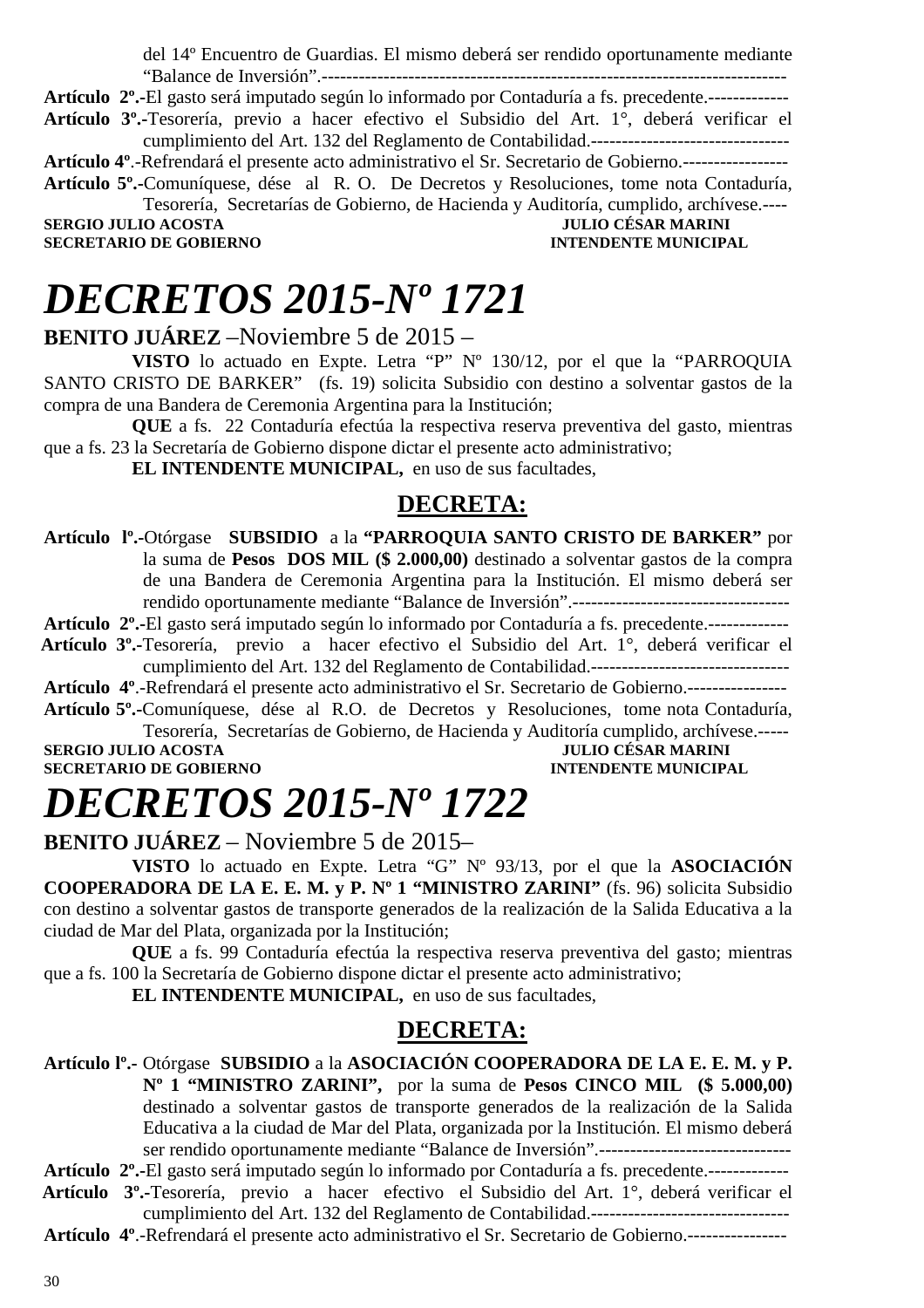del 14º Encuentro de Guardias. El mismo deberá ser rendido oportunamente mediante "Balance de Inversión".---------------------------------------------------------------------------

**Artículo 2º.-**El gasto será imputado según lo informado por Contaduría a fs. precedente.-------------

**Artículo 3º.-**Tesorería, previo a hacer efectivo el Subsidio del Art. 1°, deberá verificar el cumplimiento del Art. 132 del Reglamento de Contabilidad.--------------------------------

**Artículo 4º**.-Refrendará el presente acto administrativo el Sr. Secretario de Gobierno.-----------------

**Artículo 5º.-**Comuníquese, dése al R. O. De Decretos y Resoluciones, tome nota Contaduría, Tesorería, Secretarías de Gobierno, de Hacienda y Auditoría, cumplido, archívese.----

**SECRETARIO DE GOBIERNO INTENDENTE MUNICIPAL** 

**JULIO CÉSAR MARINI** 

### *DECRETOS 2015-Nº 1721*

**BENITO JUÁREZ** –Noviembre 5 de 2015 –

**VISTO** lo actuado en Expte. Letra "P" Nº 130/12, por el que la "PARROQUIA SANTO CRISTO DE BARKER" (fs. 19) solicita Subsidio con destino a solventar gastos de la compra de una Bandera de Ceremonia Argentina para la Institución;

**QUE** a fs. 22 Contaduría efectúa la respectiva reserva preventiva del gasto, mientras que a fs. 23 la Secretaría de Gobierno dispone dictar el presente acto administrativo;

**EL INTENDENTE MUNICIPAL,** en uso de sus facultades,

### **DECRETA:**

**Artículo lº.-**Otórgase **SUBSIDIO** a la **"PARROQUIA SANTO CRISTO DE BARKER"** por la suma de **Pesos DOS MIL (\$ 2.000,00)** destinado a solventar gastos de la compra de una Bandera de Ceremonia Argentina para la Institución. El mismo deberá ser rendido oportunamente mediante "Balance de Inversión".-----------------------------------

**Artículo 2º.-**El gasto será imputado según lo informado por Contaduría a fs. precedente.-------------

- **Artículo 3º.-**Tesorería, previo a hacer efectivo el Subsidio del Art. 1°, deberá verificar el cumplimiento del Art. 132 del Reglamento de Contabilidad.--------------------------------
- **Artículo 4º**.-Refrendará el presente acto administrativo el Sr. Secretario de Gobierno.----------------

**Artículo 5º.-**Comuníquese, dése al R.O. de Decretos y Resoluciones, tome nota Contaduría, Tesorería, Secretarías de Gobierno, de Hacienda y Auditoría cumplido, archívese.----- **SERGIO JULIO ACOSTA** 

**SECRETARIO DE GOBIERNO INTENDENTE MUNICIPAL** 

## *DECRETOS 2015-Nº 1722*

**BENITO JUÁREZ** – Noviembre 5 de 2015–

**VISTO** lo actuado en Expte. Letra "G" Nº 93/13, por el que la **ASOCIACIÓN COOPERADORA DE LA E. E. M. y P. Nº 1 "MINISTRO ZARINI"** (fs. 96) solicita Subsidio con destino a solventar gastos de transporte generados de la realización de la Salida Educativa a la ciudad de Mar del Plata, organizada por la Institución;

**QUE** a fs. 99 Contaduría efectúa la respectiva reserva preventiva del gasto; mientras que a fs. 100 la Secretaría de Gobierno dispone dictar el presente acto administrativo;

**EL INTENDENTE MUNICIPAL,** en uso de sus facultades,

### **DECRETA:**

**Artículo lº.-** Otórgase **SUBSIDIO** a la **ASOCIACIÓN COOPERADORA DE LA E. E. M. y P. Nº 1 "MINISTRO ZARINI",** por la suma de **Pesos CINCO MIL (\$ 5.000,00)** destinado a solventar gastos de transporte generados de la realización de la Salida Educativa a la ciudad de Mar del Plata, organizada por la Institución. El mismo deberá ser rendido oportunamente mediante "Balance de Inversión".------------------------------- **Artículo 2º.-**El gasto será imputado según lo informado por Contaduría a fs. precedente.-------------

 **Artículo 3º.-**Tesorería, previo a hacer efectivo el Subsidio del Art. 1°, deberá verificar el

cumplimiento del Art. 132 del Reglamento de Contabilidad.--------------------------------

**Artículo 4º**.-Refrendará el presente acto administrativo el Sr. Secretario de Gobierno.----------------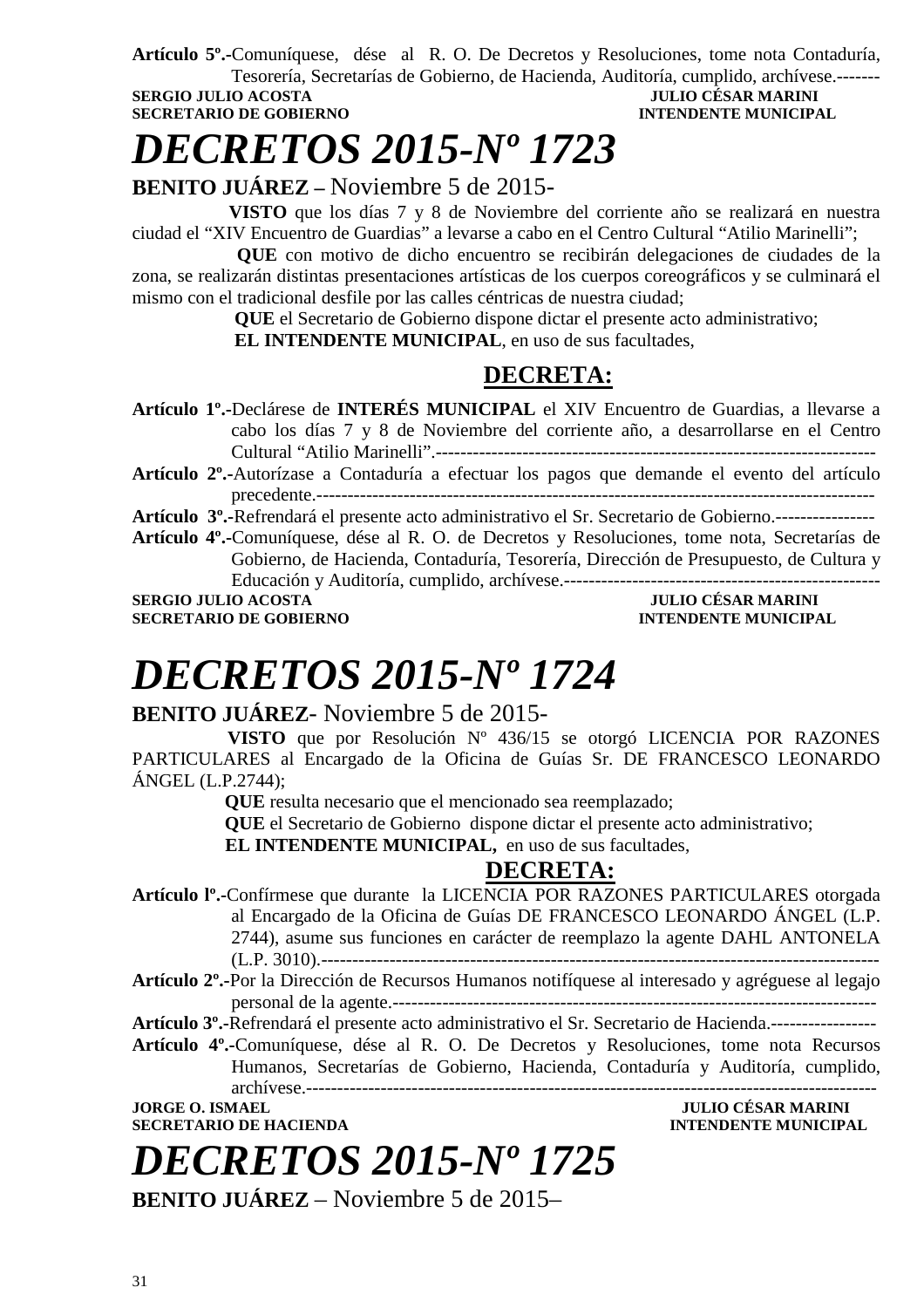**Artículo 5º.-**Comuníquese, dése al R. O. De Decretos y Resoluciones, tome nota Contaduría, Tesorería, Secretarías de Gobierno, de Hacienda, Auditoría, cumplido, archívese.------- **SERGIO JULIO ACOSTA** 

### **SECRETARIO DE GOBIERNO INTENDENTE MUNICIPAL**

### *DECRETOS 2015-Nº 1723*

### **BENITO JUÁREZ –** Noviembre 5 de 2015-

 **VISTO** que los días 7 y 8 de Noviembre del corriente año se realizará en nuestra ciudad el "XIV Encuentro de Guardias" a levarse a cabo en el Centro Cultural "Atilio Marinelli";

**QUE** con motivo de dicho encuentro se recibirán delegaciones de ciudades de la zona, se realizarán distintas presentaciones artísticas de los cuerpos coreográficos y se culminará el mismo con el tradicional desfile por las calles céntricas de nuestra ciudad;

 **QUE** el Secretario de Gobierno dispone dictar el presente acto administrativo;

 **EL INTENDENTE MUNICIPAL**, en uso de sus facultades,

### **DECRETA:**

**Artículo 1º.-**Declárese de **INTERÉS MUNICIPAL** el XIV Encuentro de Guardias, a llevarse a cabo los días 7 y 8 de Noviembre del corriente año, a desarrollarse en el Centro Cultural "Atilio Marinelli".-----------------------------------------------------------------------

**Artículo 2º.-**Autorízase a Contaduría a efectuar los pagos que demande el evento del artículo precedente.------------------------------------------------------------------------------------------

**Artículo 3º.-**Refrendará el presente acto administrativo el Sr. Secretario de Gobierno.----------------

**Artículo 4º.-**Comuníquese, dése al R. O. de Decretos y Resoluciones, tome nota, Secretarías de Gobierno, de Hacienda, Contaduría, Tesorería, Dirección de Presupuesto, de Cultura y Educación y Auditoría, cumplido, archívese.--------------------------------------------------- **SERGIO JULIO ACOSTA JULIO CÉSAR MARINI** 

**SECRETARIO DE GOBIERNO INTENDENTE MUNICIPAL** 

# *DECRETOS 2015-Nº 1724*

### **BENITO JUÁREZ**- Noviembre 5 de 2015-

 **VISTO** que por Resolución Nº 436/15 se otorgó LICENCIA POR RAZONES PARTICULARES al Encargado de la Oficina de Guías Sr. DE FRANCESCO LEONARDO ÁNGEL (L.P.2744);

 **QUE** resulta necesario que el mencionado sea reemplazado;

 **QUE** el Secretario de Gobierno dispone dictar el presente acto administrativo;

**EL INTENDENTE MUNICIPAL,** en uso de sus facultades,

### **DECRETA:**

**Artículo lº.-**Confírmese que durante la LICENCIA POR RAZONES PARTICULARES otorgada al Encargado de la Oficina de Guías DE FRANCESCO LEONARDO ÁNGEL (L.P. 2744), asume sus funciones en carácter de reemplazo la agente DAHL ANTONELA (L.P. 3010).------------------------------------------------------------------------------------------

**Artículo 2º.-**Por la Dirección de Recursos Humanos notifíquese al interesado y agréguese al legajo personal de la agente.------------------------------------------------------------------------------

**Artículo 3º.-**Refrendará el presente acto administrativo el Sr. Secretario de Hacienda.-----------------

**Artículo 4º.-**Comuníquese, dése al R. O. De Decretos y Resoluciones, tome nota Recursos Humanos, Secretarías de Gobierno, Hacienda, Contaduría y Auditoría, cumplido, archívese.--------------------------------------------------------------------------------------------

**JORGE O. ISMAEL JULIO CÉSAR MARINI SECRETARIO DE HACIENDA INTENDENTE MUNICIPAL** 



**BENITO JUÁREZ** – Noviembre 5 de 2015–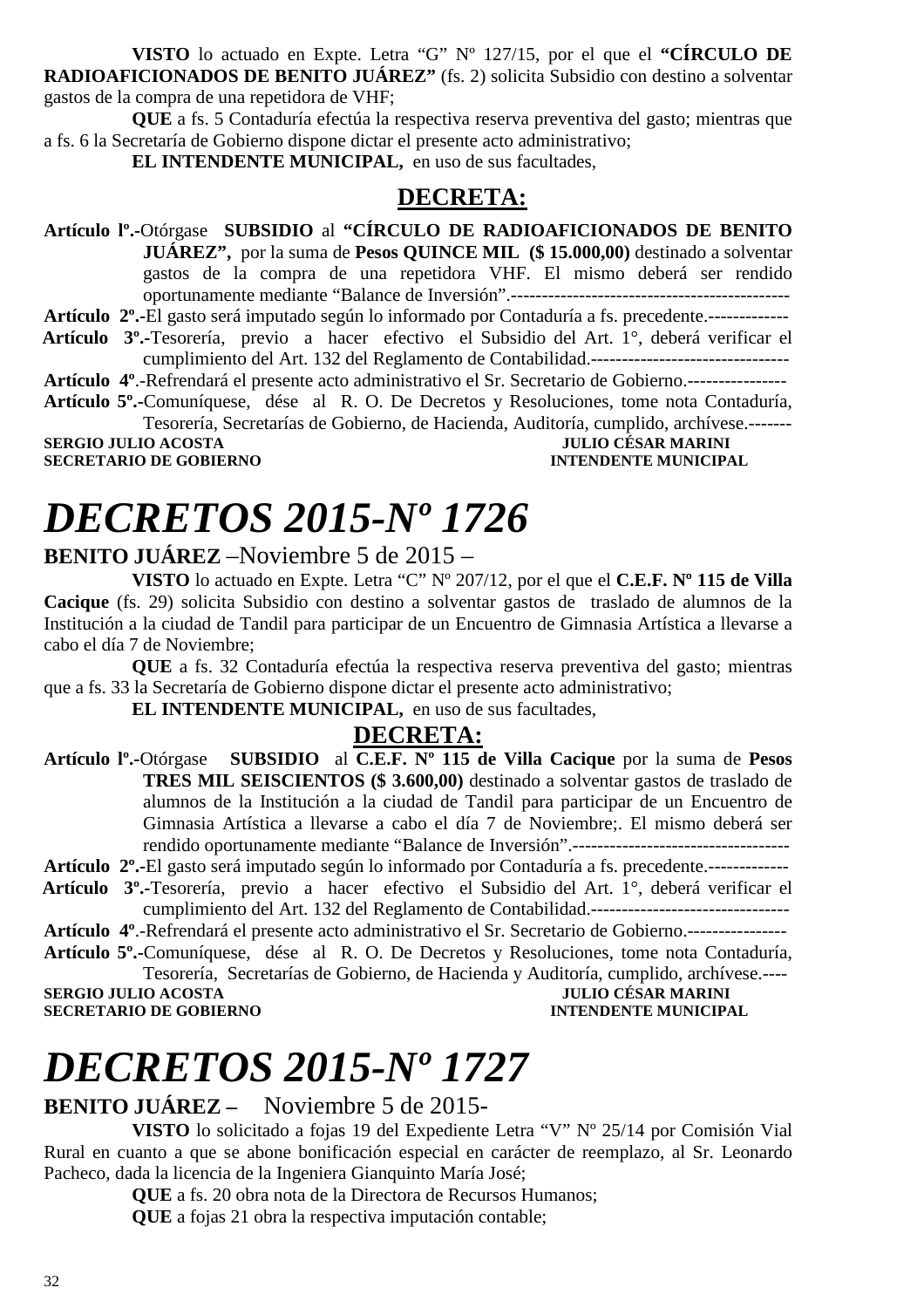**VISTO** lo actuado en Expte. Letra "G" Nº 127/15, por el que el **"CÍRCULO DE RADIOAFICIONADOS DE BENITO JUÁREZ"** (fs. 2) solicita Subsidio con destino a solventar gastos de la compra de una repetidora de VHF;

**QUE** a fs. 5 Contaduría efectúa la respectiva reserva preventiva del gasto; mientras que a fs. 6 la Secretaría de Gobierno dispone dictar el presente acto administrativo;

**EL INTENDENTE MUNICIPAL,** en uso de sus facultades,

### **DECRETA:**

**Artículo lº.-**Otórgase **SUBSIDIO** al **"CÍRCULO DE RADIOAFICIONADOS DE BENITO JUÁREZ",** por la suma de **Pesos QUINCE MIL (\$ 15.000,00)** destinado a solventar gastos de la compra de una repetidora VHF. El mismo deberá ser rendido oportunamente mediante "Balance de Inversión".---------------------------------------------

**Artículo 2º.-**El gasto será imputado según lo informado por Contaduría a fs. precedente.-------------  **Artículo 3º.-**Tesorería, previo a hacer efectivo el Subsidio del Art. 1°, deberá verificar el

cumplimiento del Art. 132 del Reglamento de Contabilidad.--------------------------------

**Artículo 4º**.-Refrendará el presente acto administrativo el Sr. Secretario de Gobierno.----------------

**Artículo 5º.-**Comuníquese, dése al R. O. De Decretos y Resoluciones, tome nota Contaduría, Tesorería, Secretarías de Gobierno, de Hacienda, Auditoría, cumplido, archívese.-------

**SERGIO JULIO ACOSTA SECRETARIO DE GOBIERNO INTENDENTE MUNICIPAL** 

### *DECRETOS 2015-Nº 1726*

### **BENITO JUÁREZ** –Noviembre 5 de 2015 –

**VISTO** lo actuado en Expte. Letra "C" Nº 207/12, por el que el **C.E.F. Nº 115 de Villa Cacique** (fs. 29) solicita Subsidio con destino a solventar gastos de traslado de alumnos de la Institución a la ciudad de Tandil para participar de un Encuentro de Gimnasia Artística a llevarse a cabo el día 7 de Noviembre;

**QUE** a fs. 32 Contaduría efectúa la respectiva reserva preventiva del gasto; mientras que a fs. 33 la Secretaría de Gobierno dispone dictar el presente acto administrativo;

**EL INTENDENTE MUNICIPAL,** en uso de sus facultades,

### **DECRETA:**

**Artículo lº.-**Otórgase **SUBSIDIO** al **C.E.F. Nº 115 de Villa Cacique** por la suma de **Pesos TRES MIL SEISCIENTOS (\$ 3.600,00)** destinado a solventar gastos de traslado de alumnos de la Institución a la ciudad de Tandil para participar de un Encuentro de Gimnasia Artística a llevarse a cabo el día 7 de Noviembre;. El mismo deberá ser rendido oportunamente mediante "Balance de Inversión".-----------------------------------

**Artículo 2º.-**El gasto será imputado según lo informado por Contaduría a fs. precedente.-------------

- **Artículo 3º.-**Tesorería, previo a hacer efectivo el Subsidio del Art. 1°, deberá verificar el cumplimiento del Art. 132 del Reglamento de Contabilidad.--------------------------------
- **Artículo 4º**.-Refrendará el presente acto administrativo el Sr. Secretario de Gobierno.----------------
- **Artículo 5º.-**Comuníquese, dése al R. O. De Decretos y Resoluciones, tome nota Contaduría, Tesorería, Secretarías de Gobierno, de Hacienda y Auditoría, cumplido, archívese.----

**SERGIO JULIO ACOSTA SECRETARIO DE GOBIERNO INTENDENTE MUNICIPAL** 

# *DECRETOS 2015-Nº 1727*

**BENITO JUÁREZ –** Noviembre 5 de 2015-

**VISTO** lo solicitado a fojas 19 del Expediente Letra "V" Nº 25/14 por Comisión Vial Rural en cuanto a que se abone bonificación especial en carácter de reemplazo, al Sr. Leonardo Pacheco, dada la licencia de la Ingeniera Gianquinto María José;

**QUE** a fs. 20 obra nota de la Directora de Recursos Humanos;

**QUE** a fojas 21 obra la respectiva imputación contable;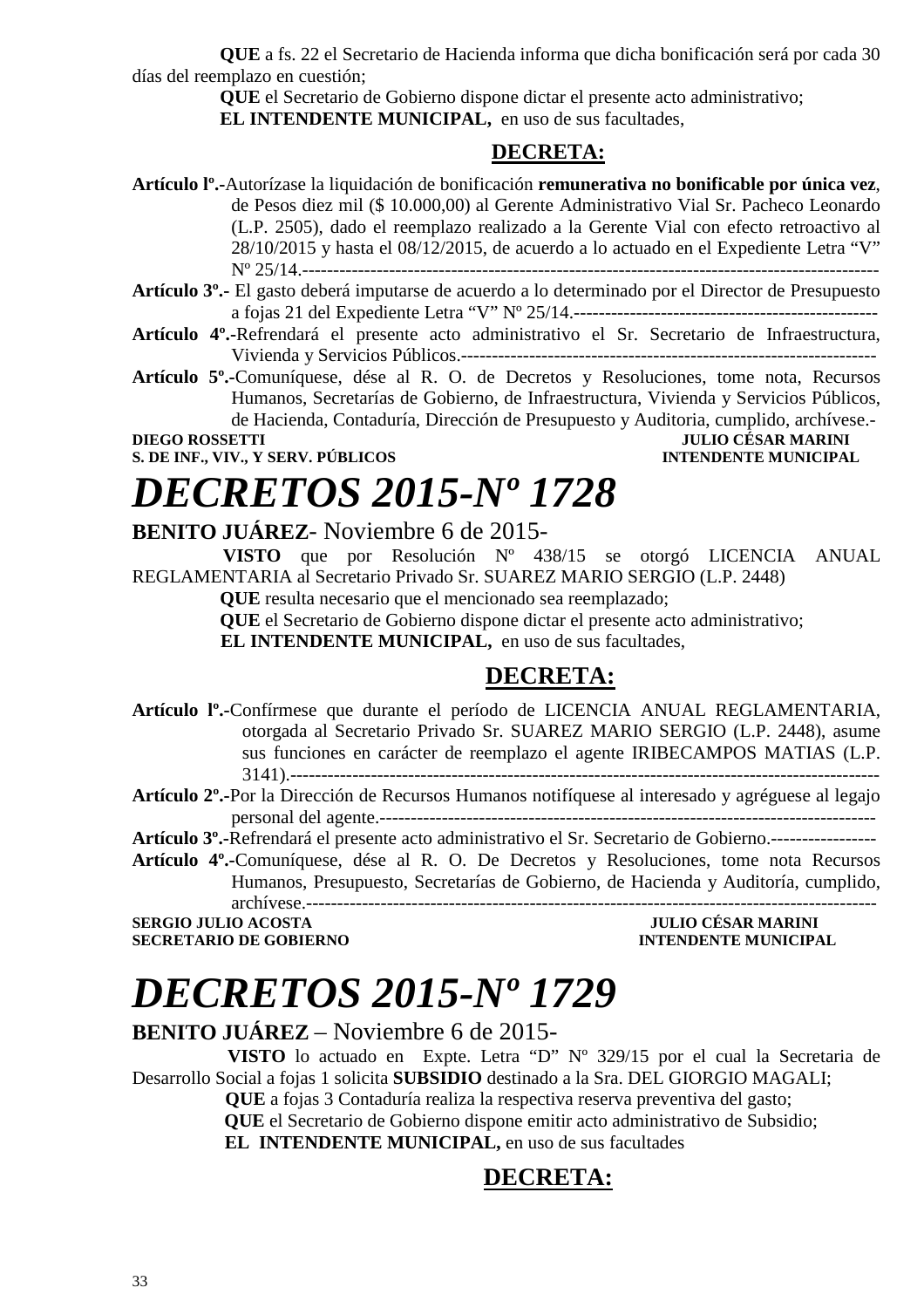**QUE** a fs. 22 el Secretario de Hacienda informa que dicha bonificación será por cada 30 días del reemplazo en cuestión;

> **QUE** el Secretario de Gobierno dispone dictar el presente acto administrativo; **EL INTENDENTE MUNICIPAL,** en uso de sus facultades,

### **DECRETA:**

**Artículo lº.-**Autorízase la liquidación de bonificación **remunerativa no bonificable por única vez**, de Pesos diez mil (\$ 10.000,00) al Gerente Administrativo Vial Sr. Pacheco Leonardo (L.P. 2505), dado el reemplazo realizado a la Gerente Vial con efecto retroactivo al 28/10/2015 y hasta el 08/12/2015, de acuerdo a lo actuado en el Expediente Letra "V" Nº 25/14.---------------------------------------------------------------------------------------------

- **Artículo 4º.-**Refrendará el presente acto administrativo el Sr. Secretario de Infraestructura, Vivienda y Servicios Públicos.-------------------------------------------------------------------
- **Artículo 5º.-**Comuníquese, dése al R. O. de Decretos y Resoluciones, tome nota, Recursos Humanos, Secretarías de Gobierno, de Infraestructura, Vivienda y Servicios Públicos, de Hacienda, Contaduría, Dirección de Presupuesto y Auditoria, cumplido, archívese.-

**S. DE INF., VIV., Y SERV. PÚBLICOS INTENDENTE MUNICIPAL** 

### **DIEGO ROSSETTI JULIO CÉSAR MARINI**

## *DECRETOS 2015-Nº 1728*

### **BENITO JUÁREZ**- Noviembre 6 de 2015-

 **VISTO** que por Resolución Nº 438/15 se otorgó LICENCIA ANUAL REGLAMENTARIA al Secretario Privado Sr. SUAREZ MARIO SERGIO (L.P. 2448)

**QUE** resulta necesario que el mencionado sea reemplazado;

**QUE** el Secretario de Gobierno dispone dictar el presente acto administrativo;

**EL INTENDENTE MUNICIPAL,** en uso de sus facultades,

### **DECRETA:**

**Artículo lº.-**Confírmese que durante el período de LICENCIA ANUAL REGLAMENTARIA, otorgada al Secretario Privado Sr. SUAREZ MARIO SERGIO (L.P. 2448), asume sus funciones en carácter de reemplazo el agente IRIBECAMPOS MATIAS (L.P. 3141).-----------------------------------------------------------------------------------------------

**Artículo 2º.-**Por la Dirección de Recursos Humanos notifíquese al interesado y agréguese al legajo personal del agente.--------------------------------------------------------------------------------

**Artículo 3º.-**Refrendará el presente acto administrativo el Sr. Secretario de Gobierno.-----------------

**Artículo 4º.-**Comuníquese, dése al R. O. De Decretos y Resoluciones, tome nota Recursos Humanos, Presupuesto, Secretarías de Gobierno, de Hacienda y Auditoría, cumplido, archívese.--------------------------------------------------------------------------------------------

**SERGIO JULIO ACOSTA JULIO CÉSAR MARINI SECRETARIO DE GOBIERNO INTENDENTE MUNICIPAL** 

### *DECRETOS 2015-Nº 1729*

### **BENITO JUÁREZ** – Noviembre 6 de 2015-

 **VISTO** lo actuado en Expte. Letra "D" Nº 329/15 por el cual la Secretaria de Desarrollo Social a fojas 1 solicita **SUBSIDIO** destinado a la Sra. DEL GIORGIO MAGALI;

 **QUE** a fojas 3 Contaduría realiza la respectiva reserva preventiva del gasto;

 **QUE** el Secretario de Gobierno dispone emitir acto administrativo de Subsidio;

 **EL INTENDENTE MUNICIPAL,** en uso de sus facultades

### **DECRETA:**

**Artículo 3º.-** El gasto deberá imputarse de acuerdo a lo determinado por el Director de Presupuesto a fojas 21 del Expediente Letra "V" Nº 25/14.-------------------------------------------------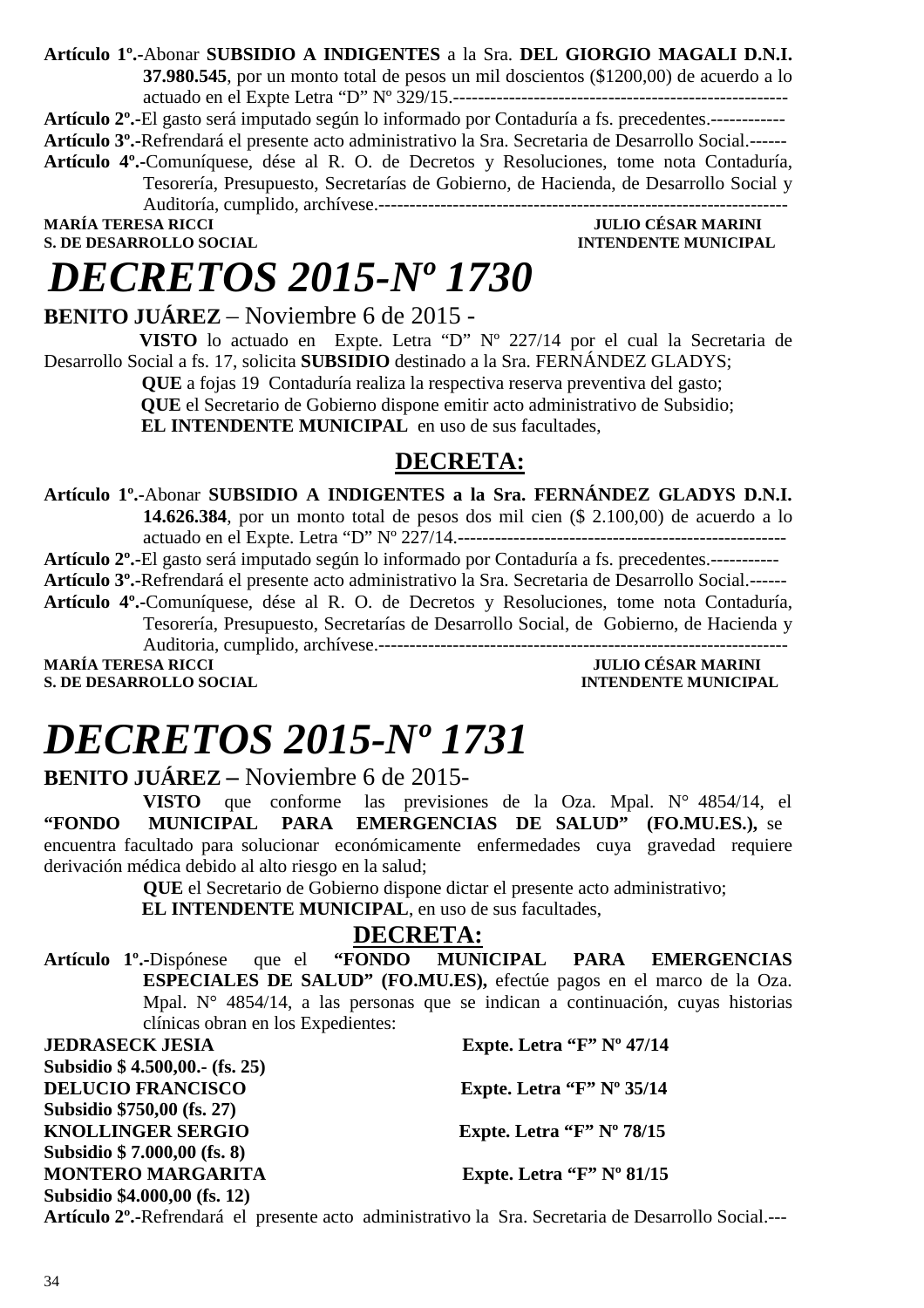**Artículo 1º.-**Abonar **SUBSIDIO A INDIGENTES** a la Sra. **DEL GIORGIO MAGALI D.N.I. 37.980.545**, por un monto total de pesos un mil doscientos (\$1200,00) de acuerdo a lo actuado en el Expte Letra "D" Nº 329/15.------------------------------------------------------

**Artículo 2º.-**El gasto será imputado según lo informado por Contaduría a fs. precedentes.------------ **Artículo 3º.-**Refrendará el presente acto administrativo la Sra. Secretaria de Desarrollo Social.------ **Artículo 4º.-**Comuníquese, dése al R. O. de Decretos y Resoluciones, tome nota Contaduría, Tesorería, Presupuesto, Secretarías de Gobierno, de Hacienda, de Desarrollo Social y

Auditoría, cumplido, archívese.------------------------------------------------------------------

**S. DE DESARROLLO SOCIAL** 

**MULIO CÉSAR MARINI<br>INTENDENTE MUNICIPAL** 

### *DECRETOS 2015-Nº 1730*

**BENITO JUÁREZ** – Noviembre 6 de 2015 -

 **VISTO** lo actuado en Expte. Letra "D" Nº 227/14 por el cual la Secretaria de Desarrollo Social a fs. 17, solicita **SUBSIDIO** destinado a la Sra. FERNÁNDEZ GLADYS;

 **QUE** a fojas 19 Contaduría realiza la respectiva reserva preventiva del gasto;

 **QUE** el Secretario de Gobierno dispone emitir acto administrativo de Subsidio;

**EL INTENDENTE MUNICIPAL** en uso de sus facultades,

### **DECRETA:**

**Artículo 1º.-**Abonar **SUBSIDIO A INDIGENTES a la Sra. FERNÁNDEZ GLADYS D.N.I. 14.626.384**, por un monto total de pesos dos mil cien (\$ 2.100,00) de acuerdo a lo

actuado en el Expte. Letra "D" Nº 227/14.-----------------------------------------------------

**Artículo 2º.-**El gasto será imputado según lo informado por Contaduría a fs. precedentes.----------- **Artículo 3º.-**Refrendará el presente acto administrativo la Sra. Secretaria de Desarrollo Social.------ **Artículo 4º.-**Comuníquese, dése al R. O. de Decretos y Resoluciones, tome nota Contaduría, Tesorería, Presupuesto, Secretarías de Desarrollo Social, de Gobierno, de Hacienda y Auditoria, cumplido, archívese.------------------------------------------------------------------

**MARÍA TERESA RICCI DE LOS DE LOS DE LOS DE LOS DE LOS DE LOS DE DESARROLLO SOCIAL DE LOS DE LOS DE LOS DE LOS DE LOS DE LOS DE LOS DE LOS DE LOS DE LOS DE LOS DE LOS DE LOS DE LOS DE LOS DE LOS DE LOS DE LOS DE LOS DE LOS S. DE DESARROLLO SOCIAL** 

# *DECRETOS 2015-Nº 1731*

### **BENITO JUÁREZ –** Noviembre 6 de 2015-

**VISTO** que conforme las previsiones de la Oza. Mpal. N° 4854/14, el **"FONDO MUNICIPAL PARA EMERGENCIAS DE SALUD" (FO.MU.ES.),** se encuentra facultado para solucionar económicamente enfermedades cuya gravedad requiere derivación médica debido al alto riesgo en la salud;

**QUE** el Secretario de Gobierno dispone dictar el presente acto administrativo;

 **EL INTENDENTE MUNICIPAL**, en uso de sus facultades,

### **DECRETA:**

**Artículo 1º.-**Dispónese que el **"FONDO MUNICIPAL PARA EMERGENCIAS ESPECIALES DE SALUD" (FO.MU.ES),** efectúe pagos en el marco de la Oza. Mpal. N° 4854/14, a las personas que se indican a continuación, cuyas historias clínicas obran en los Expedientes:

**JEDRASECK JESIA** Expte. Letra "F" Nº 47/14 **Subsidio \$ 4.500,00.- (fs. 25) DELUCIO FRANCISCO Expte. Letra "F" Nº 35/14 Subsidio \$750,00 (fs. 27) KNOLLINGER SERGIO Expte. Letra "F" Nº 78/15 Subsidio \$ 7.000,00 (fs. 8) MONTERO MARGARITA Expte. Letra "F" Nº 81/15 Subsidio \$4.000,00 (fs. 12)** 

**Artículo 2º.-**Refrendará el presente acto administrativo la Sra. Secretaria de Desarrollo Social.---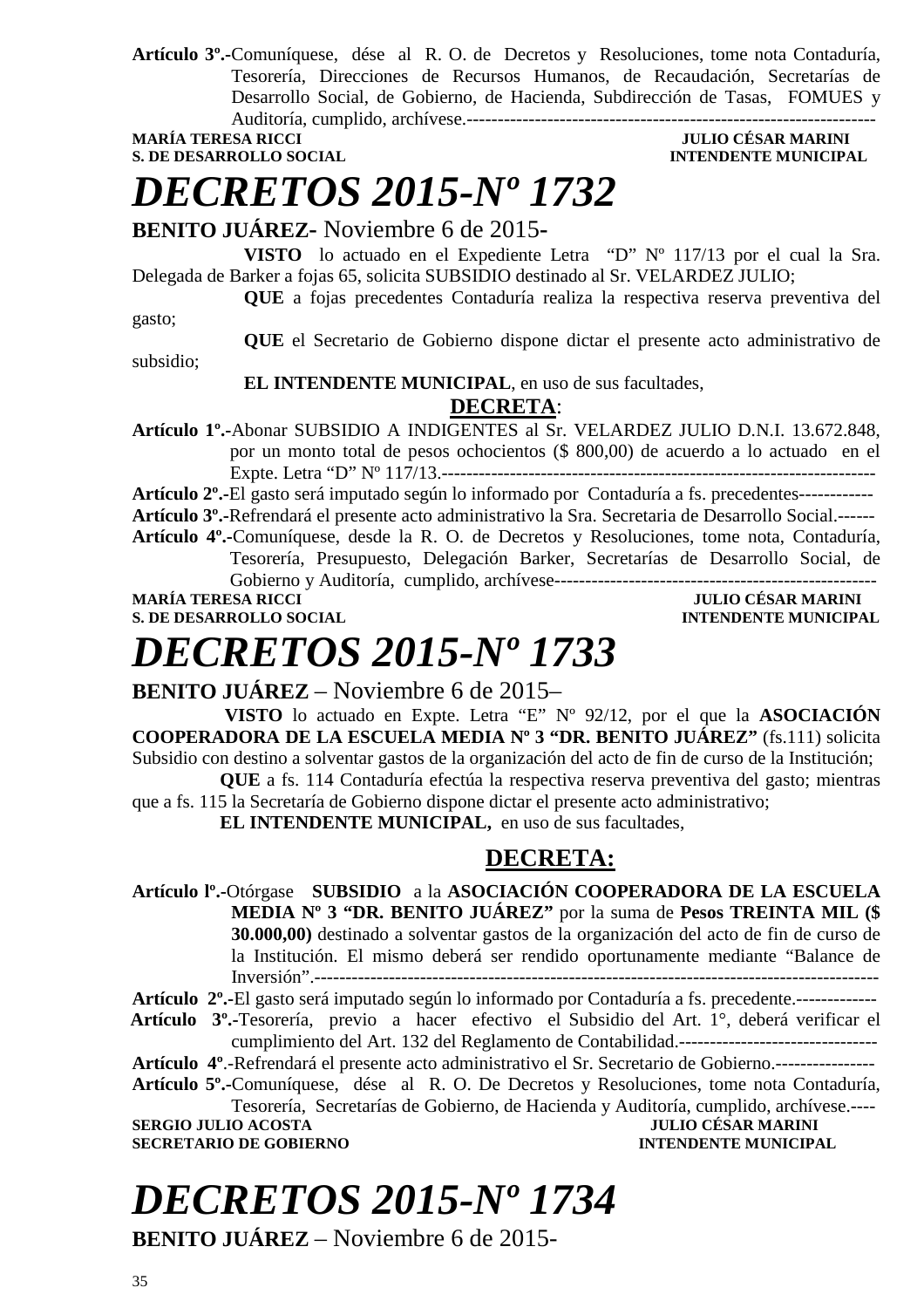**Artículo 3º.-**Comuníquese, dése al R. O. de Decretos y Resoluciones, tome nota Contaduría, Tesorería, Direcciones de Recursos Humanos, de Recaudación, Secretarías de Desarrollo Social, de Gobierno, de Hacienda, Subdirección de Tasas, FOMUES y Auditoría, cumplido, archívese.------------------------------------------------------------------

**MARÍA TERESA RICCI JULIO CÉSAR MARINI** 

### **S. DE DESARROLLO SOCIAL DESPETE MUNICIPAL INTENDENTE MUNICIPAL**

### *DECRETOS 2015-Nº 1732*

### **BENITO JUÁREZ-** Noviembre 6 de 2015**-**

**VISTO** lo actuado en el Expediente Letra "D" Nº 117/13 por el cual la Sra. Delegada de Barker a fojas 65, solicita SUBSIDIO destinado al Sr. VELARDEZ JULIO;

**QUE** a fojas precedentes Contaduría realiza la respectiva reserva preventiva del gasto;

subsidio;

**QUE** el Secretario de Gobierno dispone dictar el presente acto administrativo de

#### **EL INTENDENTE MUNICIPAL**, en uso de sus facultades,

### **DECRETA**:

**Artículo 1º.-**Abonar SUBSIDIO A INDIGENTES al Sr. VELARDEZ JULIO D.N.I. 13.672.848, por un monto total de pesos ochocientos (\$ 800,00) de acuerdo a lo actuado en el Expte. Letra "D" Nº 117/13.----------------------------------------------------------------------

**Artículo 2º.-**El gasto será imputado según lo informado por Contaduría a fs. precedentes------------

**Artículo 3º.-**Refrendará el presente acto administrativo la Sra. Secretaria de Desarrollo Social.------ **Artículo 4º.-**Comuníquese, desde la R. O. de Decretos y Resoluciones, tome nota, Contaduría, Tesorería, Presupuesto, Delegación Barker, Secretarías de Desarrollo Social, de

Gobierno y Auditoría, cumplido, archívese---------------------------------------------------- **MARÍA TERESA RICCI JULIO CÉSAR MARINI** 

**S. DE DESARROLLO SOCIAL INTENDENTE MUNICIPAL** 

## *DECRETOS 2015-Nº 1733*

### **BENITO JUÁREZ** – Noviembre 6 de 2015–

 **VISTO** lo actuado en Expte. Letra "E" Nº 92/12, por el que la **ASOCIACIÓN COOPERADORA DE LA ESCUELA MEDIA Nº 3 "DR. BENITO JUÁREZ"** (fs.111) solicita Subsidio con destino a solventar gastos de la organización del acto de fin de curso de la Institución; **QUE** a fs. 114 Contaduría efectúa la respectiva reserva preventiva del gasto; mientras

que a fs. 115 la Secretaría de Gobierno dispone dictar el presente acto administrativo;

**EL INTENDENTE MUNICIPAL,** en uso de sus facultades,

### **DECRETA:**

**Artículo lº.-**Otórgase **SUBSIDIO** a la **ASOCIACIÓN COOPERADORA DE LA ESCUELA MEDIA Nº 3 "DR. BENITO JUÁREZ"** por la suma de **Pesos TREINTA MIL (\$ 30.000,00)** destinado a solventar gastos de la organización del acto de fin de curso de la Institución. El mismo deberá ser rendido oportunamente mediante "Balance de Inversión".-------------------------------------------------------------------------------------------

**Artículo 2º.-**El gasto será imputado según lo informado por Contaduría a fs. precedente.-------------

 **Artículo 3º.-**Tesorería, previo a hacer efectivo el Subsidio del Art. 1°, deberá verificar el cumplimiento del Art. 132 del Reglamento de Contabilidad.--------------------------------

**Artículo 4º**.-Refrendará el presente acto administrativo el Sr. Secretario de Gobierno.----------------

**Artículo 5º.-**Comuníquese, dése al R. O. De Decretos y Resoluciones, tome nota Contaduría, Tesorería, Secretarías de Gobierno, de Hacienda y Auditoría, cumplido, archívese.----

**SERGIO JULIO ACOSTA JULIO CÉSAR MARINI** 

**SECRETARIO DE GOBIERNO INTENDENTE MUNICIPAL** 

# *DECRETOS 2015-Nº 1734*

**BENITO JUÁREZ** – Noviembre 6 de 2015-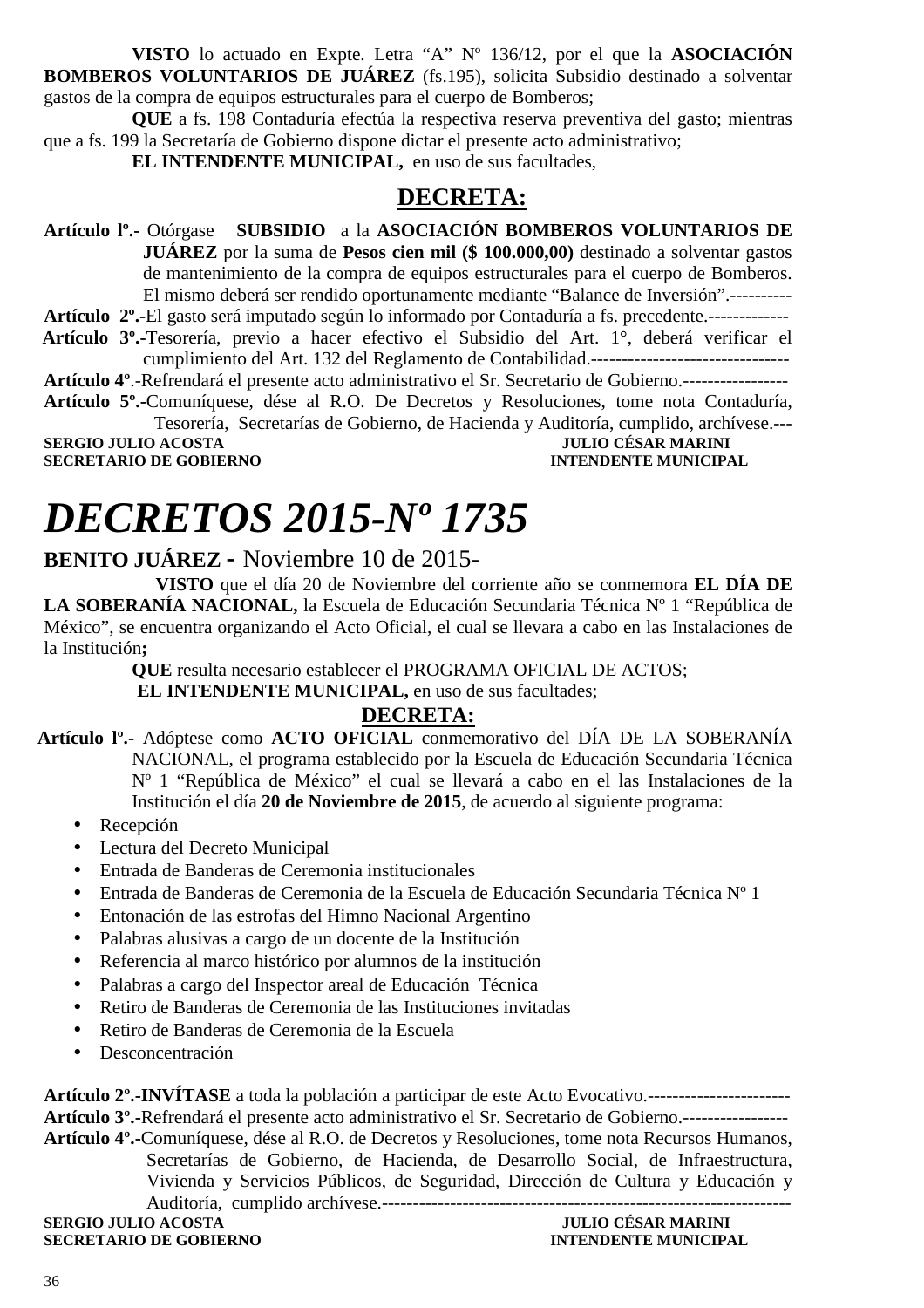**VISTO** lo actuado en Expte. Letra "A" Nº 136/12, por el que la **ASOCIACIÓN BOMBEROS VOLUNTARIOS DE JUÁREZ** (fs.195), solicita Subsidio destinado a solventar gastos de la compra de equipos estructurales para el cuerpo de Bomberos;

**QUE** a fs. 198 Contaduría efectúa la respectiva reserva preventiva del gasto; mientras que a fs. 199 la Secretaría de Gobierno dispone dictar el presente acto administrativo;

**EL INTENDENTE MUNICIPAL,** en uso de sus facultades,

### **DECRETA:**

**Artículo lº.-** Otórgase **SUBSIDIO** a la **ASOCIACIÓN BOMBEROS VOLUNTARIOS DE JUÁREZ** por la suma de **Pesos cien mil (\$ 100.000,00)** destinado a solventar gastos de mantenimiento de la compra de equipos estructurales para el cuerpo de Bomberos. El mismo deberá ser rendido oportunamente mediante "Balance de Inversión".----------

**Artículo 2º.-**El gasto será imputado según lo informado por Contaduría a fs. precedente.-------------  **Artículo 3º.-**Tesorería, previo a hacer efectivo el Subsidio del Art. 1°, deberá verificar el cumplimiento del Art. 132 del Reglamento de Contabilidad.--------------------------------

**Artículo 4º**.-Refrendará el presente acto administrativo el Sr. Secretario de Gobierno.-----------------

**Artículo 5º.-**Comuníquese, dése al R.O. De Decretos y Resoluciones, tome nota Contaduría, Tesorería, Secretarías de Gobierno, de Hacienda y Auditoría, cumplido, archívese.---

**SERGIO JULIO ACOSTA SECRETARIO DE GOBIERNO INTENDENTE MUNICIPAL** 

### *DECRETOS 2015-Nº 1735*

### **BENITO JUÁREZ -** Noviembre 10 de 2015-

 **VISTO** que el día 20 de Noviembre del corriente año se conmemora **EL DÍA DE LA SOBERANÍA NACIONAL,** la Escuela de Educación Secundaria Técnica Nº 1 "República de México", se encuentra organizando el Acto Oficial, el cual se llevara a cabo en las Instalaciones de la Institución**;** 

**QUE** resulta necesario establecer el PROGRAMA OFICIAL DE ACTOS;

**EL INTENDENTE MUNICIPAL, en uso de sus facultades;** 

### **DECRETA:**

 **Artículo lº.-** Adóptese como **ACTO OFICIAL** conmemorativo del DÍA DE LA SOBERANÍA NACIONAL, el programa establecido por la Escuela de Educación Secundaria Técnica Nº 1 "República de México" el cual se llevará a cabo en el las Instalaciones de la Institución el día **20 de Noviembre de 2015**, de acuerdo al siguiente programa:

- Recepción
- Lectura del Decreto Municipal
- Entrada de Banderas de Ceremonia institucionales
- Entrada de Banderas de Ceremonia de la Escuela de Educación Secundaria Técnica Nº 1
- Entonación de las estrofas del Himno Nacional Argentino
- Palabras alusivas a cargo de un docente de la Institución
- Referencia al marco histórico por alumnos de la institución
- Palabras a cargo del Inspector areal de Educación Técnica
- Retiro de Banderas de Ceremonia de las Instituciones invitadas
- Retiro de Banderas de Ceremonia de la Escuela
- Desconcentración

**Artículo 2º.-INVÍTASE** a toda la población a participar de este Acto Evocativo.----------------------- **Artículo 3º.-**Refrendará el presente acto administrativo el Sr. Secretario de Gobierno.-----------------

**Artículo 4º.-**Comuníquese, dése al R.O. de Decretos y Resoluciones, tome nota Recursos Humanos, Secretarías de Gobierno, de Hacienda, de Desarrollo Social, de Infraestructura, Vivienda y Servicios Públicos, de Seguridad, Dirección de Cultura y Educación y Auditoría, cumplido archívese.------------------------------------------------------------------

**SERGIO JULIO ACOSTA JULIO CÉSAR MARINI SECRETARIO DE GOBIERNO**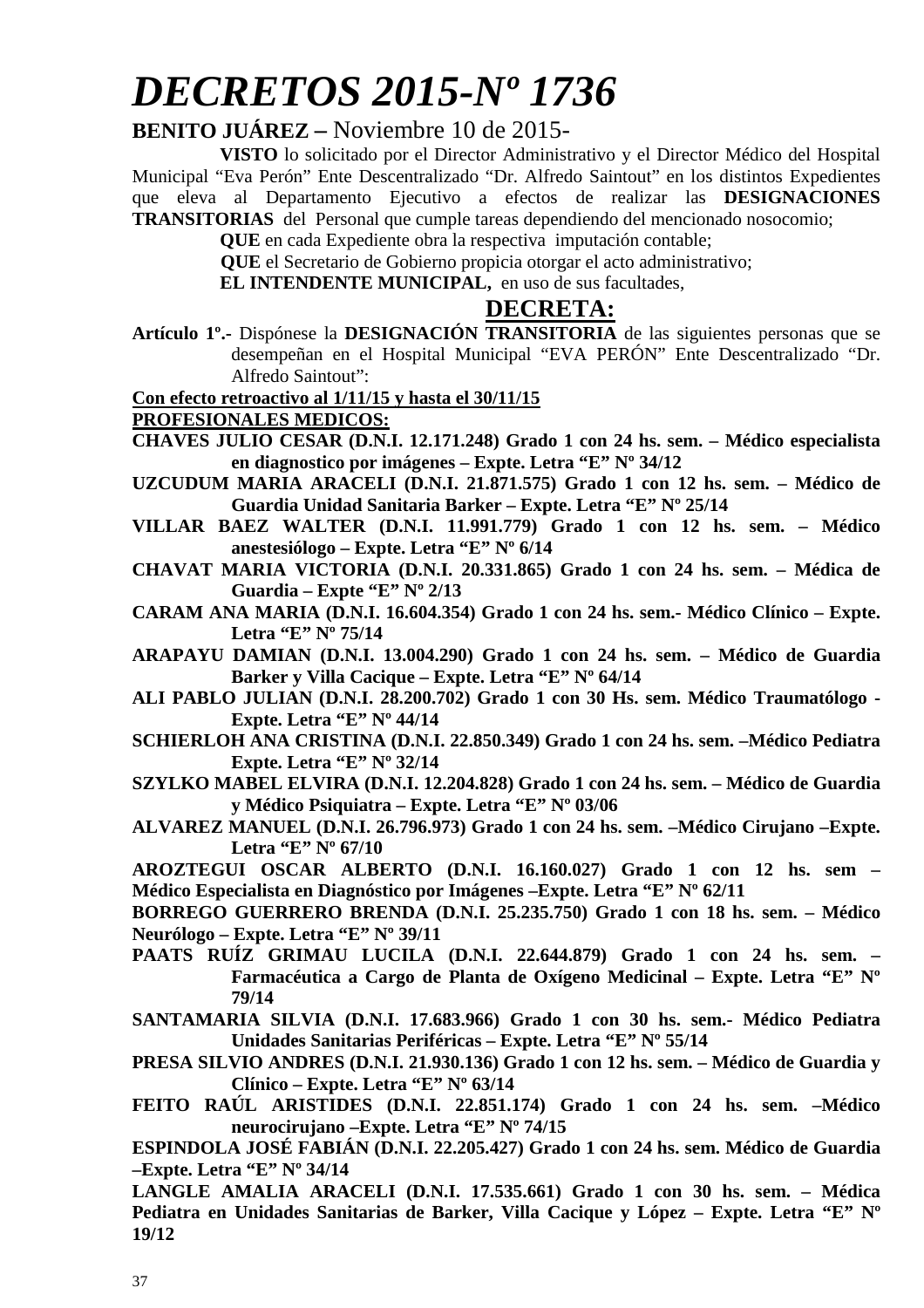# *DECRETOS 2015-Nº 1736*

### **BENITO JUÁREZ –** Noviembre 10 de 2015-

**VISTO** lo solicitado por el Director Administrativo y el Director Médico del Hospital Municipal "Eva Perón" Ente Descentralizado "Dr. Alfredo Saintout" en los distintos Expedientes que eleva al Departamento Ejecutivo a efectos de realizar las **DESIGNACIONES TRANSITORIAS** del Personal que cumple tareas dependiendo del mencionado nosocomio;

**QUE** en cada Expediente obra la respectiva imputación contable;

 **QUE** el Secretario de Gobierno propicia otorgar el acto administrativo;

**EL INTENDENTE MUNICIPAL,** en uso de sus facultades,

### **DECRETA:**

**Artículo 1º.-** Dispónese la **DESIGNACIÓN TRANSITORIA** de las siguientes personas que se desempeñan en el Hospital Municipal "EVA PERÓN" Ente Descentralizado "Dr. Alfredo Saintout":

**Con efecto retroactivo al 1/11/15 y hasta el 30/11/15** 

**PROFESIONALES MEDICOS:** 

- **CHAVES JULIO CESAR (D.N.I. 12.171.248) Grado 1 con 24 hs. sem. Médico especialista en diagnostico por imágenes – Expte. Letra "E" Nº 34/12**
- **UZCUDUM MARIA ARACELI (D.N.I. 21.871.575) Grado 1 con 12 hs. sem. Médico de Guardia Unidad Sanitaria Barker – Expte. Letra "E" Nº 25/14**
- **VILLAR BAEZ WALTER (D.N.I. 11.991.779) Grado 1 con 12 hs. sem. Médico anestesiólogo – Expte. Letra "E" Nº 6/14**
- **CHAVAT MARIA VICTORIA (D.N.I. 20.331.865) Grado 1 con 24 hs. sem. Médica de Guardia – Expte "E" Nº 2/13**
- **CARAM ANA MARIA (D.N.I. 16.604.354) Grado 1 con 24 hs. sem.- Médico Clínico Expte. Letra "E" Nº 75/14**
- **ARAPAYU DAMIAN (D.N.I. 13.004.290) Grado 1 con 24 hs. sem. Médico de Guardia Barker y Villa Cacique – Expte. Letra "E" Nº 64/14**
- **ALI PABLO JULIAN (D.N.I. 28.200.702) Grado 1 con 30 Hs. sem. Médico Traumatólogo Expte. Letra "E" Nº 44/14**
- **SCHIERLOH ANA CRISTINA (D.N.I. 22.850.349) Grado 1 con 24 hs. sem. –Médico Pediatra Expte. Letra "E" Nº 32/14**
- **SZYLKO MABEL ELVIRA (D.N.I. 12.204.828) Grado 1 con 24 hs. sem. Médico de Guardia y Médico Psiquiatra – Expte. Letra "E" Nº 03/06**
- **ALVAREZ MANUEL (D.N.I. 26.796.973) Grado 1 con 24 hs. sem. –Médico Cirujano –Expte. Letra "E" Nº 67/10**
- **AROZTEGUI OSCAR ALBERTO (D.N.I. 16.160.027) Grado 1 con 12 hs. sem Médico Especialista en Diagnóstico por Imágenes –Expte. Letra "E" Nº 62/11**

**BORREGO GUERRERO BRENDA (D.N.I. 25.235.750) Grado 1 con 18 hs. sem. – Médico Neurólogo – Expte. Letra "E" Nº 39/11** 

- **PAATS RUÍZ GRIMAU LUCILA (D.N.I. 22.644.879) Grado 1 con 24 hs. sem. Farmacéutica a Cargo de Planta de Oxígeno Medicinal – Expte. Letra "E" Nº 79/14**
- **SANTAMARIA SILVIA (D.N.I. 17.683.966) Grado 1 con 30 hs. sem.- Médico Pediatra Unidades Sanitarias Periféricas – Expte. Letra "E" Nº 55/14**
- **PRESA SILVIO ANDRES (D.N.I. 21.930.136) Grado 1 con 12 hs. sem. Médico de Guardia y Clínico – Expte. Letra "E" Nº 63/14**
- **FEITO RAÚL ARISTIDES (D.N.I. 22.851.174) Grado 1 con 24 hs. sem. –Médico neurocirujano –Expte. Letra "E" Nº 74/15**

**ESPINDOLA JOSÉ FABIÁN (D.N.I. 22.205.427) Grado 1 con 24 hs. sem. Médico de Guardia –Expte. Letra "E" Nº 34/14** 

**LANGLE AMALIA ARACELI (D.N.I. 17.535.661) Grado 1 con 30 hs. sem. – Médica Pediatra en Unidades Sanitarias de Barker, Villa Cacique y López – Expte. Letra "E" Nº 19/12**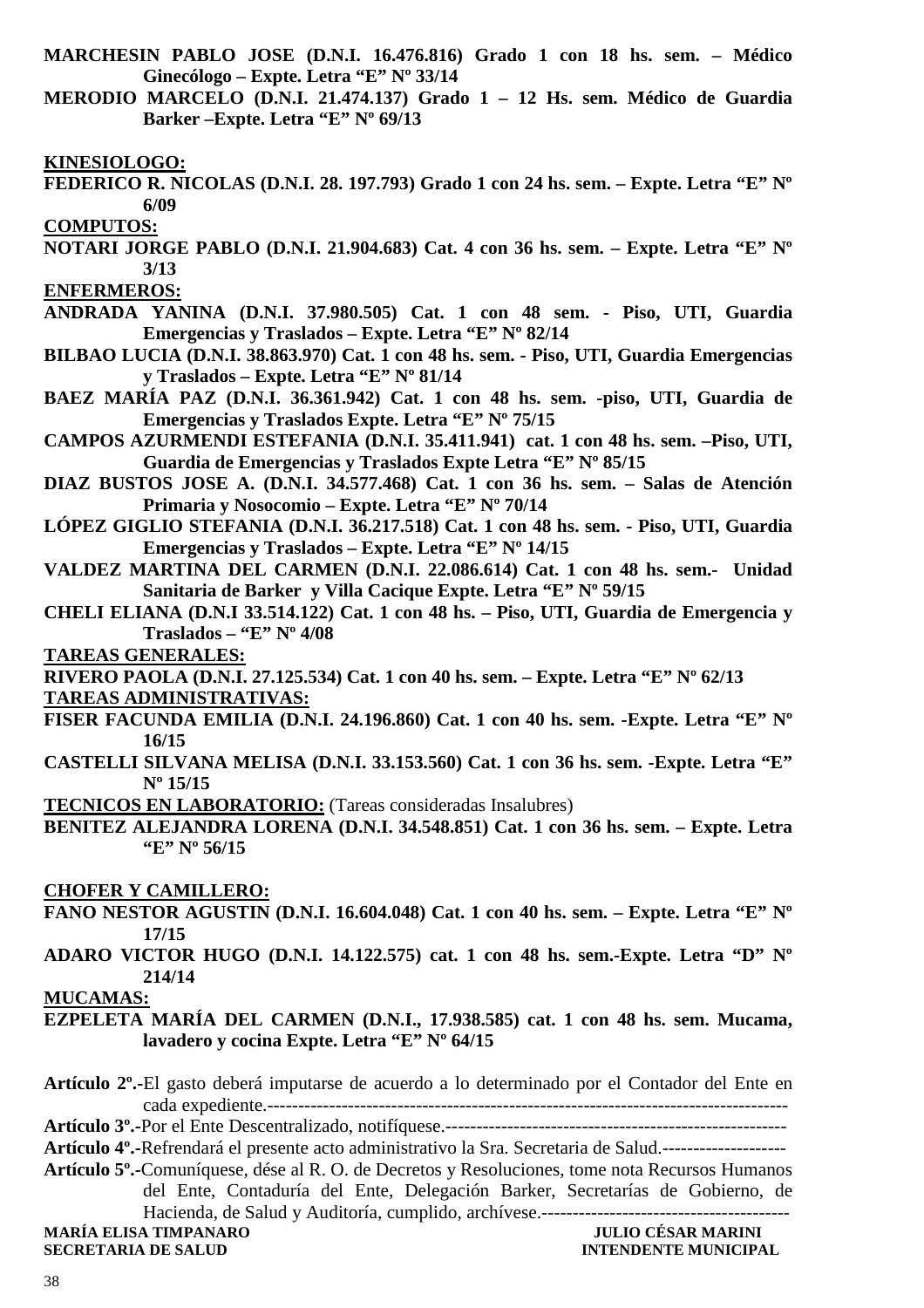- **MARCHESIN PABLO JOSE (D.N.I. 16.476.816) Grado 1 con 18 hs. sem. Médico Ginecólogo – Expte. Letra "E" Nº 33/14**
- **MERODIO MARCELO (D.N.I. 21.474.137) Grado 1 12 Hs. sem. Médico de Guardia Barker –Expte. Letra "E" Nº 69/13**

**KINESIOLOGO:** 

**FEDERICO R. NICOLAS (D.N.I. 28. 197.793) Grado 1 con 24 hs. sem. – Expte. Letra "E" Nº 6/09** 

**COMPUTOS:** 

**NOTARI JORGE PABLO (D.N.I. 21.904.683) Cat. 4 con 36 hs. sem. – Expte. Letra "E" Nº 3/13** 

**ENFERMEROS:** 

- **ANDRADA YANINA (D.N.I. 37.980.505) Cat. 1 con 48 sem. Piso, UTI, Guardia Emergencias y Traslados – Expte. Letra "E" Nº 82/14**
- **BILBAO LUCIA (D.N.I. 38.863.970) Cat. 1 con 48 hs. sem. Piso, UTI, Guardia Emergencias y Traslados – Expte. Letra "E" Nº 81/14**
- **BAEZ MARÍA PAZ (D.N.I. 36.361.942) Cat. 1 con 48 hs. sem. -piso, UTI, Guardia de Emergencias y Traslados Expte. Letra "E" Nº 75/15**
- **CAMPOS AZURMENDI ESTEFANIA (D.N.I. 35.411.941) cat. 1 con 48 hs. sem. –Piso, UTI, Guardia de Emergencias y Traslados Expte Letra "E" Nº 85/15**
- **DIAZ BUSTOS JOSE A. (D.N.I. 34.577.468) Cat. 1 con 36 hs. sem. Salas de Atención Primaria y Nosocomio – Expte. Letra "E" Nº 70/14**
- **LÓPEZ GIGLIO STEFANIA (D.N.I. 36.217.518) Cat. 1 con 48 hs. sem. Piso, UTI, Guardia Emergencias y Traslados – Expte. Letra "E" Nº 14/15**
- **VALDEZ MARTINA DEL CARMEN (D.N.I. 22.086.614) Cat. 1 con 48 hs. sem.- Unidad Sanitaria de Barker y Villa Cacique Expte. Letra "E" Nº 59/15**
- **CHELI ELIANA (D.N.I 33.514.122) Cat. 1 con 48 hs. Piso, UTI, Guardia de Emergencia y Traslados – "E" Nº 4/08**

**TAREAS GENERALES:** 

**RIVERO PAOLA (D.N.I. 27.125.534) Cat. 1 con 40 hs. sem. – Expte. Letra "E" Nº 62/13** 

#### **TAREAS ADMINISTRATIVAS:**

- **FISER FACUNDA EMILIA (D.N.I. 24.196.860) Cat. 1 con 40 hs. sem. -Expte. Letra "E" Nº 16/15**
- **CASTELLI SILVANA MELISA (D.N.I. 33.153.560) Cat. 1 con 36 hs. sem. -Expte. Letra "E" Nº 15/15**

**TECNICOS EN LABORATORIO:** (Tareas consideradas Insalubres)

**BENITEZ ALEJANDRA LORENA (D.N.I. 34.548.851) Cat. 1 con 36 hs. sem. – Expte. Letra "E" Nº 56/15** 

#### **CHOFER Y CAMILLERO:**

- **FANO NESTOR AGUSTIN (D.N.I. 16.604.048) Cat. 1 con 40 hs. sem. Expte. Letra "E" Nº 17/15**
- **ADARO VICTOR HUGO (D.N.I. 14.122.575) cat. 1 con 48 hs. sem.-Expte. Letra "D" Nº 214/14**

#### **MUCAMAS:**

**EZPELETA MARÍA DEL CARMEN (D.N.I., 17.938.585) cat. 1 con 48 hs. sem. Mucama, lavadero y cocina Expte. Letra "E" Nº 64/15** 

**Artículo 2º.-**El gasto deberá imputarse de acuerdo a lo determinado por el Contador del Ente en cada expediente.------------------------------------------------------------------------------------

**Artículo 3º.-**Por el Ente Descentralizado, notifíquese.-------------------------------------------------------

**Artículo 4º.-**Refrendará el presente acto administrativo la Sra. Secretaria de Salud.--------------------

**Artículo 5º.-**Comuníquese, dése al R. O. de Decretos y Resoluciones, tome nota Recursos Humanos del Ente, Contaduría del Ente, Delegación Barker, Secretarías de Gobierno, de Hacienda, de Salud y Auditoría, cumplido, archívese.----------------------------------------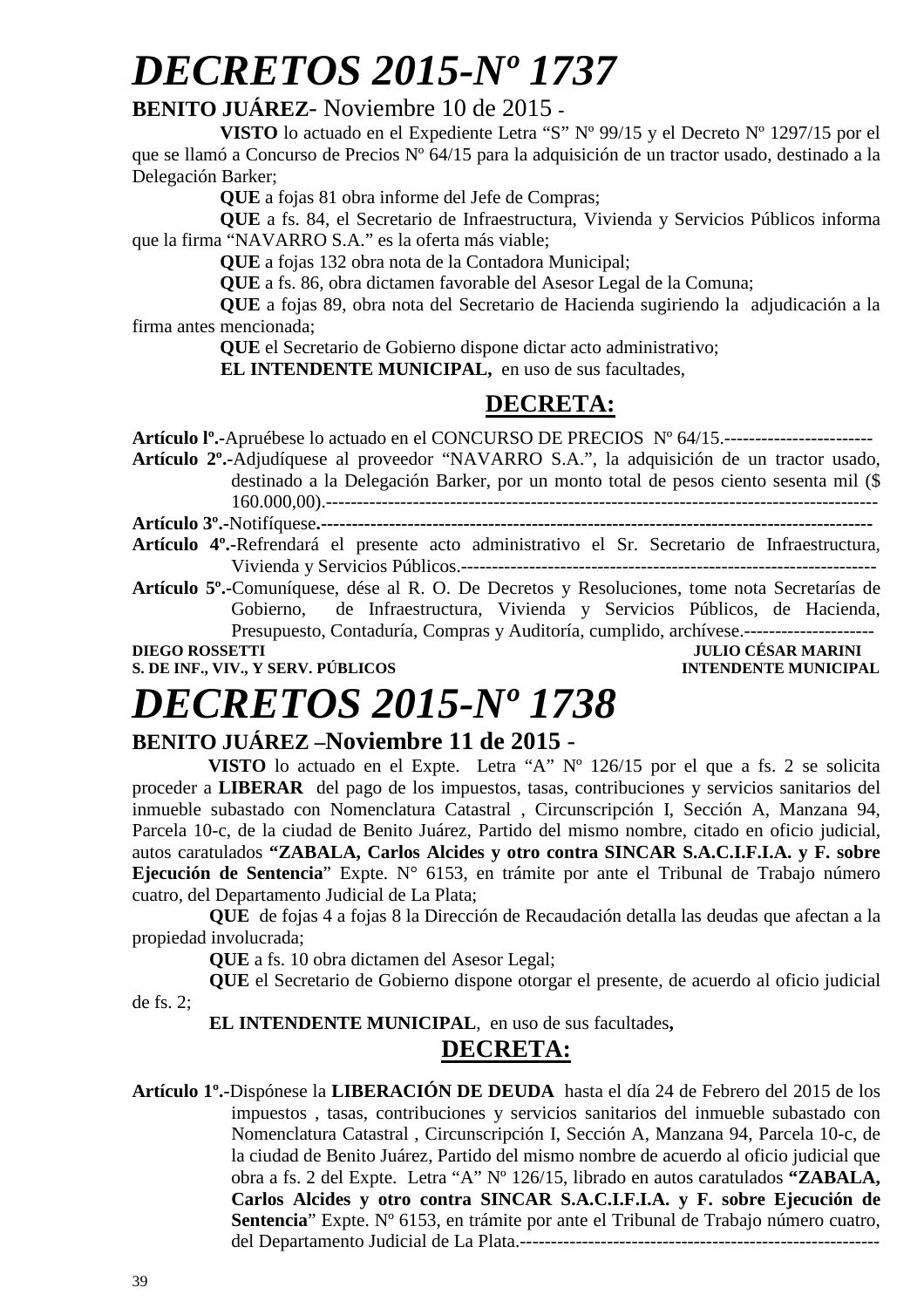# *DECRETOS 2015-Nº 1737*

### **BENITO JUÁREZ**- Noviembre 10 de 2015 **-**

**VISTO** lo actuado en el Expediente Letra "S" Nº 99/15 y el Decreto Nº 1297/15 por el que se llamó a Concurso de Precios Nº 64/15 para la adquisición de un tractor usado, destinado a la Delegación Barker;

**QUE** a fojas 81 obra informe del Jefe de Compras;

**QUE** a fs. 84, el Secretario de Infraestructura, Vivienda y Servicios Públicos informa que la firma "NAVARRO S.A." es la oferta más viable;

**QUE** a fojas 132 obra nota de la Contadora Municipal;

**QUE** a fs. 86, obra dictamen favorable del Asesor Legal de la Comuna;

**QUE** a fojas 89, obra nota del Secretario de Hacienda sugiriendo la adjudicación a la firma antes mencionada;

**QUE** el Secretario de Gobierno dispone dictar acto administrativo;

**EL INTENDENTE MUNICIPAL,** en uso de sus facultades,

### **DECRETA:**

**Artículo lº.-**Apruébese lo actuado en el CONCURSO DE PRECIOS Nº 64/15.------------------------

**Artículo 2º.-**Adjudíquese al proveedor "NAVARRO S.A.", la adquisición de un tractor usado, destinado a la Delegación Barker, por un monto total de pesos ciento sesenta mil (\$ 160.000,00).-----------------------------------------------------------------------------------------

**Artículo 3º.-**Notifíquese**.-----------------------------------------------------------------------------------------** 

**Artículo 4º.-**Refrendará el presente acto administrativo el Sr. Secretario de Infraestructura, Vivienda y Servicios Públicos.-------------------------------------------------------------------

**Artículo 5º.-**Comuníquese, dése al R. O. De Decretos y Resoluciones, tome nota Secretarías de Gobierno, de Infraestructura, Vivienda y Servicios Públicos, de Hacienda, Presupuesto, Contaduría, Compras y Auditoría, cumplido, archívese.---------------------

**S. DE INF., VIV., Y SERV. PÚBLICOS INTENDENTE MUNICIPAL** 

**DIEGO ROSSETTI JULIO CÉSAR MARINI** 

# *DECRETOS 2015-Nº 1738*

### **BENITO JUÁREZ –Noviembre 11 de 2015** -

 **VISTO** lo actuado en el Expte. Letra "A" Nº 126/15 por el que a fs. 2 se solicita proceder a **LIBERAR** del pago de los impuestos, tasas, contribuciones y servicios sanitarios del inmueble subastado con Nomenclatura Catastral , Circunscripción I, Sección A, Manzana 94, Parcela 10-c, de la ciudad de Benito Juárez, Partido del mismo nombre, citado en oficio judicial, autos caratulados **"ZABALA, Carlos Alcides y otro contra SINCAR S.A.C.I.F.I.A. y F. sobre Ejecución de Sentencia**" Expte. N° 6153, en trámite por ante el Tribunal de Trabajo número cuatro, del Departamento Judicial de La Plata;

**QUE** de fojas 4 a fojas 8 la Dirección de Recaudación detalla las deudas que afectan a la propiedad involucrada;

**QUE** a fs. 10 obra dictamen del Asesor Legal;

**QUE** el Secretario de Gobierno dispone otorgar el presente, de acuerdo al oficio judicial de fs. 2;

**EL INTENDENTE MUNICIPAL**, en uso de sus facultades**,** 

### **DECRETA:**

**Artículo 1º.-**Dispónese la **LIBERACIÓN DE DEUDA** hasta el día 24 de Febrero del 2015 de los impuestos , tasas, contribuciones y servicios sanitarios del inmueble subastado con Nomenclatura Catastral , Circunscripción I, Sección A, Manzana 94, Parcela 10-c, de la ciudad de Benito Juárez, Partido del mismo nombre de acuerdo al oficio judicial que obra a fs. 2 del Expte. Letra "A" Nº 126/15, librado en autos caratulados **"ZABALA, Carlos Alcides y otro contra SINCAR S.A.C.I.F.I.A. y F. sobre Ejecución de Sentencia**" Expte. Nº 6153, en trámite por ante el Tribunal de Trabajo número cuatro, del Departamento Judicial de La Plata.----------------------------------------------------------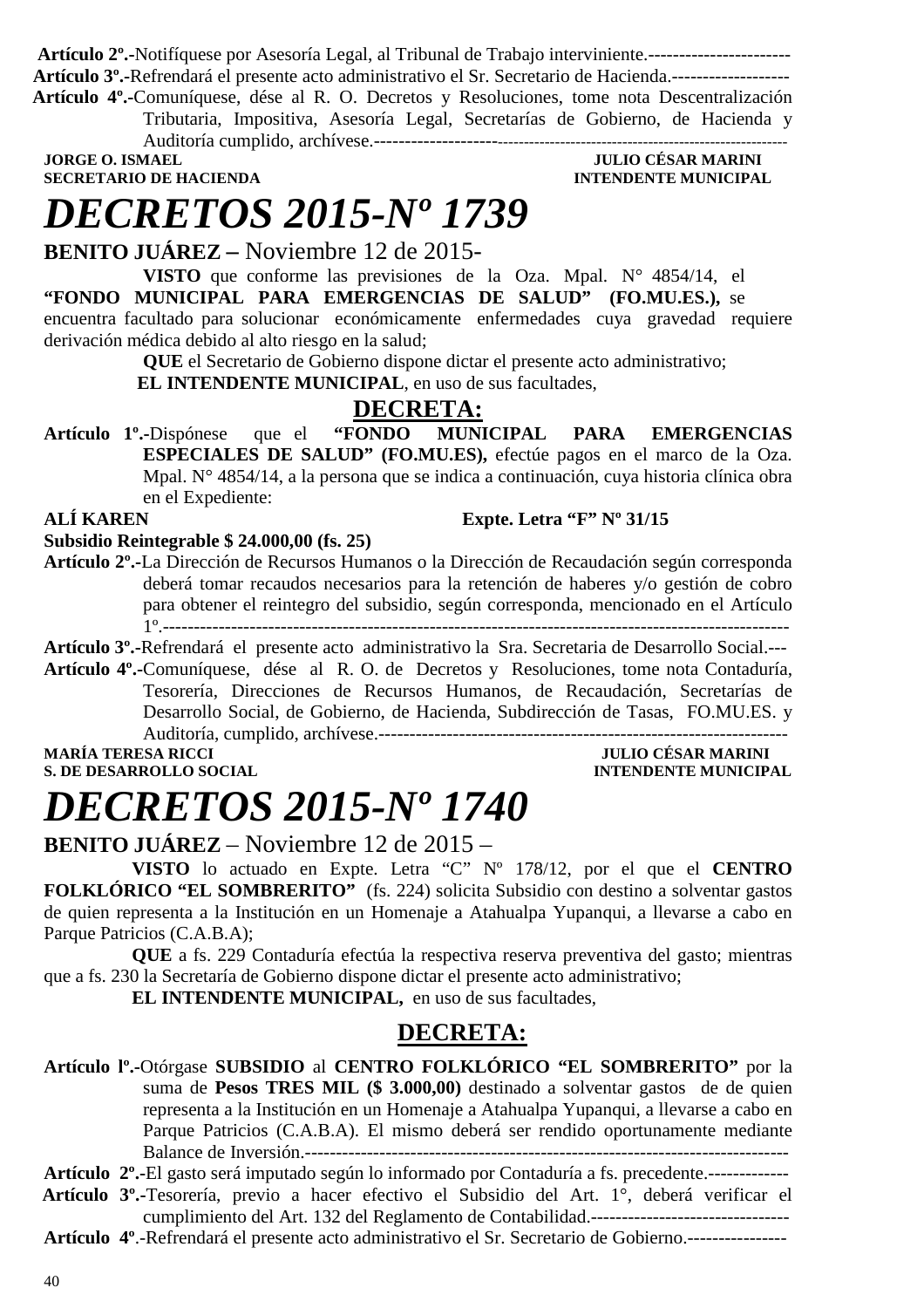**Artículo 2º.-**Notifíquese por Asesoría Legal, al Tribunal de Trabajo interviniente.----------------------- **Artículo 3º.-**Refrendará el presente acto administrativo el Sr. Secretario de Hacienda.-------------------  **Artículo 4º.-**Comuníquese, dése al R. O. Decretos y Resoluciones, tome nota Descentralización

Tributaria, Impositiva, Asesoría Legal, Secretarías de Gobierno, de Hacienda y Auditoría cumplido, archívese.----------------------------------------------------------------------------

**JORGE O. ISMAEL GEORGE OF THE SECRETARIO DE HACIENDA AND SECRETARIO DE HACIENDA AND SECRETARIO DE HACIENDA SECRETARIO DE HACIENDA** 

## *DECRETOS 2015-Nº 1739*

**BENITO JUÁREZ –** Noviembre 12 de 2015-

**VISTO** que conforme las previsiones de la Oza. Mpal. N° 4854/14, el **"FONDO MUNICIPAL PARA EMERGENCIAS DE SALUD" (FO.MU.ES.),** se encuentra facultado para solucionar económicamente enfermedades cuya gravedad requiere derivación médica debido al alto riesgo en la salud;

**QUE** el Secretario de Gobierno dispone dictar el presente acto administrativo;

 **EL INTENDENTE MUNICIPAL**, en uso de sus facultades,

### **DECRETA:**

**Artículo 1º.-**Dispónese que el **"FONDO MUNICIPAL PARA EMERGENCIAS ESPECIALES DE SALUD" (FO.MU.ES),** efectúe pagos en el marco de la Oza. Mpal. N° 4854/14, a la persona que se indica a continuación, cuya historia clínica obra en el Expediente:<br>ALÍ KAREN **Expte. Letra "F" Nº 31/15** 

**Subsidio Reintegrable \$ 24.000,00 (fs. 25)** 

**Artículo 2º.-**La Dirección de Recursos Humanos o la Dirección de Recaudación según corresponda deberá tomar recaudos necesarios para la retención de haberes y/o gestión de cobro para obtener el reintegro del subsidio, según corresponda, mencionado en el Artículo 1º.-----------------------------------------------------------------------------------------------------

**Artículo 3º.-**Refrendará el presente acto administrativo la Sra. Secretaria de Desarrollo Social.---

**Artículo 4º.-**Comuníquese, dése al R. O. de Decretos y Resoluciones, tome nota Contaduría, Tesorería, Direcciones de Recursos Humanos, de Recaudación, Secretarías de Desarrollo Social, de Gobierno, de Hacienda, Subdirección de Tasas, FO.MU.ES. y Auditoría, cumplido, archívese.------------------------------------------------------------------

**S. DE DESARROLLO SOCIAL DESARROLLO SOCIAL DESARROLLO SOCIAL DESARROLLO SOCIAL DESARROLLO SOCIAL DE SOCIAL DE SOCIAL DE SOCIAL DE SOCIAL DE SOCIAL DE SOCIAL DE SOCIAL DE SOCIAL DE SOCIAL DE SOCIAL DE SOCIAL DE SOCIAL DE SO** 

**JULIO CÉSAR MARINI** 

# *DECRETOS 2015-Nº 1740*

**BENITO JUÁREZ** – Noviembre 12 de 2015 –

**VISTO** lo actuado en Expte. Letra "C" Nº 178/12, por el que el **CENTRO FOLKLÓRICO "EL SOMBRERITO"** (fs. 224) solicita Subsidio con destino a solventar gastos de quien representa a la Institución en un Homenaje a Atahualpa Yupanqui, a llevarse a cabo en Parque Patricios (C.A.B.A);

**QUE** a fs. 229 Contaduría efectúa la respectiva reserva preventiva del gasto; mientras que a fs. 230 la Secretaría de Gobierno dispone dictar el presente acto administrativo;

**EL INTENDENTE MUNICIPAL,** en uso de sus facultades,

### **DECRETA:**

**Artículo lº.-**Otórgase **SUBSIDIO** al **CENTRO FOLKLÓRICO "EL SOMBRERITO"** por la suma de **Pesos TRES MIL (\$ 3.000,00)** destinado a solventar gastos de de quien representa a la Institución en un Homenaje a Atahualpa Yupanqui, a llevarse a cabo en Parque Patricios (C.A.B.A). El mismo deberá ser rendido oportunamente mediante Balance de Inversión.------------------------------------------------------------------------------

**Artículo 2º.-**El gasto será imputado según lo informado por Contaduría a fs. precedente.-------------

- **Artículo 3º.-**Tesorería, previo a hacer efectivo el Subsidio del Art. 1°, deberá verificar el cumplimiento del Art. 132 del Reglamento de Contabilidad.--------------------------------
- **Artículo 4º**.-Refrendará el presente acto administrativo el Sr. Secretario de Gobierno.----------------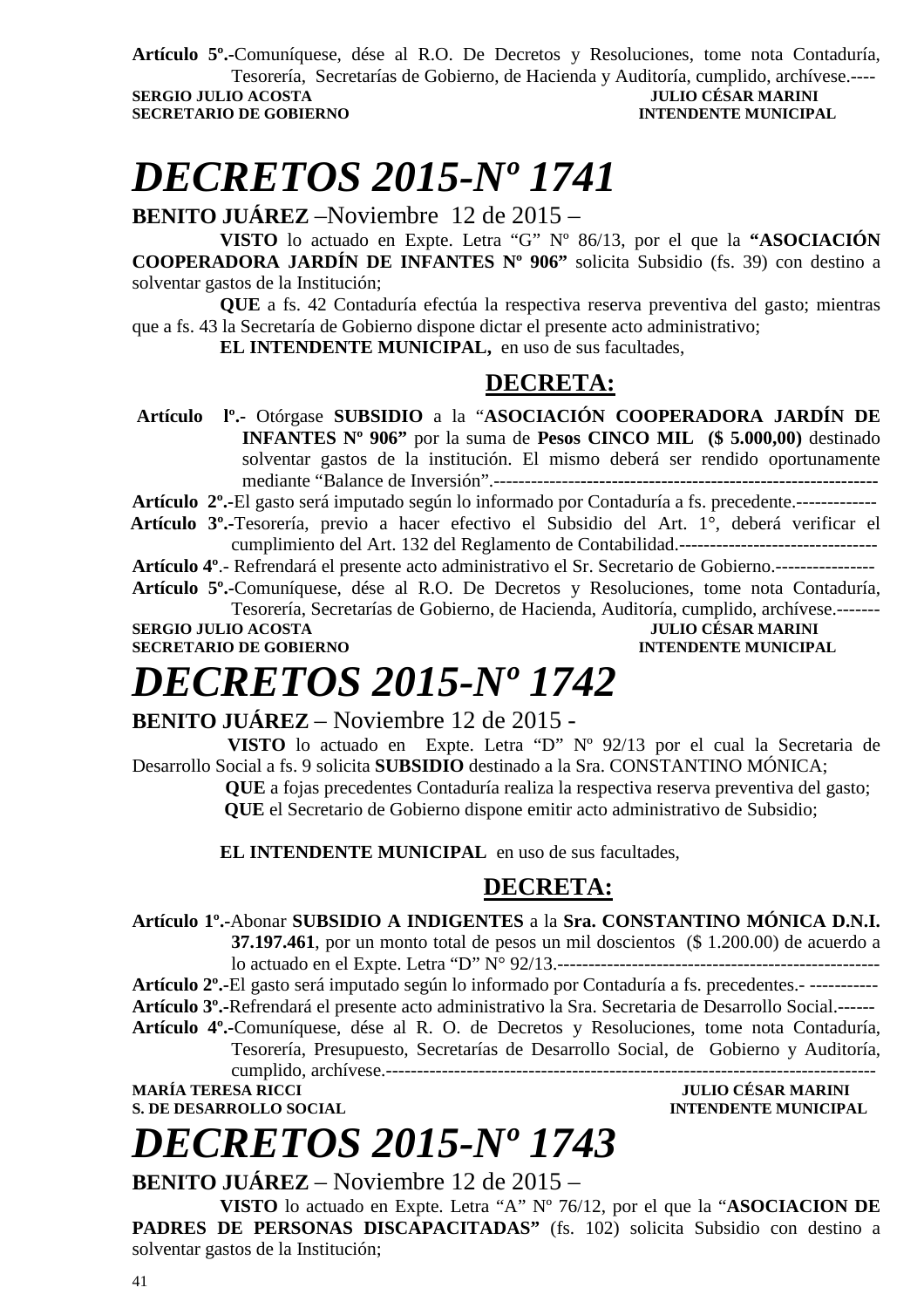**Artículo 5º.-**Comuníquese, dése al R.O. De Decretos y Resoluciones, tome nota Contaduría, Tesorería, Secretarías de Gobierno, de Hacienda y Auditoría, cumplido, archívese.---- **SERGIO JULIO ACOSTA JULIO CÉSAR MARINI SECRETARIO DE GOBIERNO INTENDENTE MUNICIPAL** 

# *DECRETOS 2015-Nº 1741*

**BENITO JUÁREZ** –Noviembre 12 de 2015 –

**VISTO** lo actuado en Expte. Letra "G" Nº 86/13, por el que la **"ASOCIACIÓN COOPERADORA JARDÍN DE INFANTES Nº 906"** solicita Subsidio (fs. 39) con destino a solventar gastos de la Institución;

**QUE** a fs. 42 Contaduría efectúa la respectiva reserva preventiva del gasto; mientras que a fs. 43 la Secretaría de Gobierno dispone dictar el presente acto administrativo;

**EL INTENDENTE MUNICIPAL,** en uso de sus facultades,

### **DECRETA:**

 **Artículo lº.-** Otórgase **SUBSIDIO** a la "**ASOCIACIÓN COOPERADORA JARDÍN DE INFANTES Nº 906"** por la suma de **Pesos CINCO MIL (\$ 5.000,00)** destinado solventar gastos de la institución. El mismo deberá ser rendido oportunamente mediante "Balance de Inversión".--------------**------------------------------------------------** 

**Artículo 2º.-**El gasto será imputado según lo informado por Contaduría a fs. precedente.-------------

 **Artículo 3º.-**Tesorería, previo a hacer efectivo el Subsidio del Art. 1°, deberá verificar el cumplimiento del Art. 132 del Reglamento de Contabilidad.--------------------------------

**Artículo 4º**.- Refrendará el presente acto administrativo el Sr. Secretario de Gobierno.---------------- **Artículo 5º.-**Comuníquese, dése al R.O. De Decretos y Resoluciones, tome nota Contaduría,

Tesorería, Secretarías de Gobierno, de Hacienda, Auditoría, cumplido, archívese.------- **SERGIO JULIO ACOSTA JULIO CÉSAR MARINI** 

**SECRETARIO DE GOBIERNO INTENDENTE MUNICIPAL** 

# *DECRETOS 2015-Nº 1742*

### **BENITO JUÁREZ** – Noviembre 12 de 2015 -

 **VISTO** lo actuado en Expte. Letra "D" Nº 92/13 por el cual la Secretaria de Desarrollo Social a fs. 9 solicita **SUBSIDIO** destinado a la Sra. CONSTANTINO MÓNICA;

 **QUE** a fojas precedentes Contaduría realiza la respectiva reserva preventiva del gasto;  **QUE** el Secretario de Gobierno dispone emitir acto administrativo de Subsidio;

**EL INTENDENTE MUNICIPAL** en uso de sus facultades,

### **DECRETA:**

**Artículo 1º.-**Abonar **SUBSIDIO A INDIGENTES** a la **Sra. CONSTANTINO MÓNICA D.N.I.** 

**37.197.461**, por un monto total de pesos un mil doscientos (\$ 1.200.00) de acuerdo a lo actuado en el Expte. Letra "D" N° 92/13.----------------------------------------------------

**Artículo 2º.-**El gasto será imputado según lo informado por Contaduría a fs. precedentes.- ----------- **Artículo 3º.-**Refrendará el presente acto administrativo la Sra. Secretaria de Desarrollo Social.------

**Artículo 4º.-**Comuníquese, dése al R. O. de Decretos y Resoluciones, tome nota Contaduría, Tesorería, Presupuesto, Secretarías de Desarrollo Social, de Gobierno y Auditoría,

cumplido, archívese.------------------------------------------------------------------------------- **MARÍA TERESA RICCI JULIO CÉSAR MARINI** 

**S. DE DESARROLLO SOCIAL COMPUTE DESARROLLO SOCIAL COMPUTE DE LA CONFIDENTE MUNICIPAL COMPUTE DE LA COMPUTATION DE LA COMPUTATION DE LA COMPUTATION DE LA COMPUTATION DE LA COMPUTATION DE LA COMPUTATION DE LA COMPUTATION DE** 

# *DECRETOS 2015-Nº 1743*

**BENITO JUÁREZ** – Noviembre 12 de 2015 –

**VISTO** lo actuado en Expte. Letra "A" Nº 76/12, por el que la "**ASOCIACION DE**  PADRES DE PERSONAS DISCAPACITADAS" (fs. 102) solicita Subsidio con destino a solventar gastos de la Institución;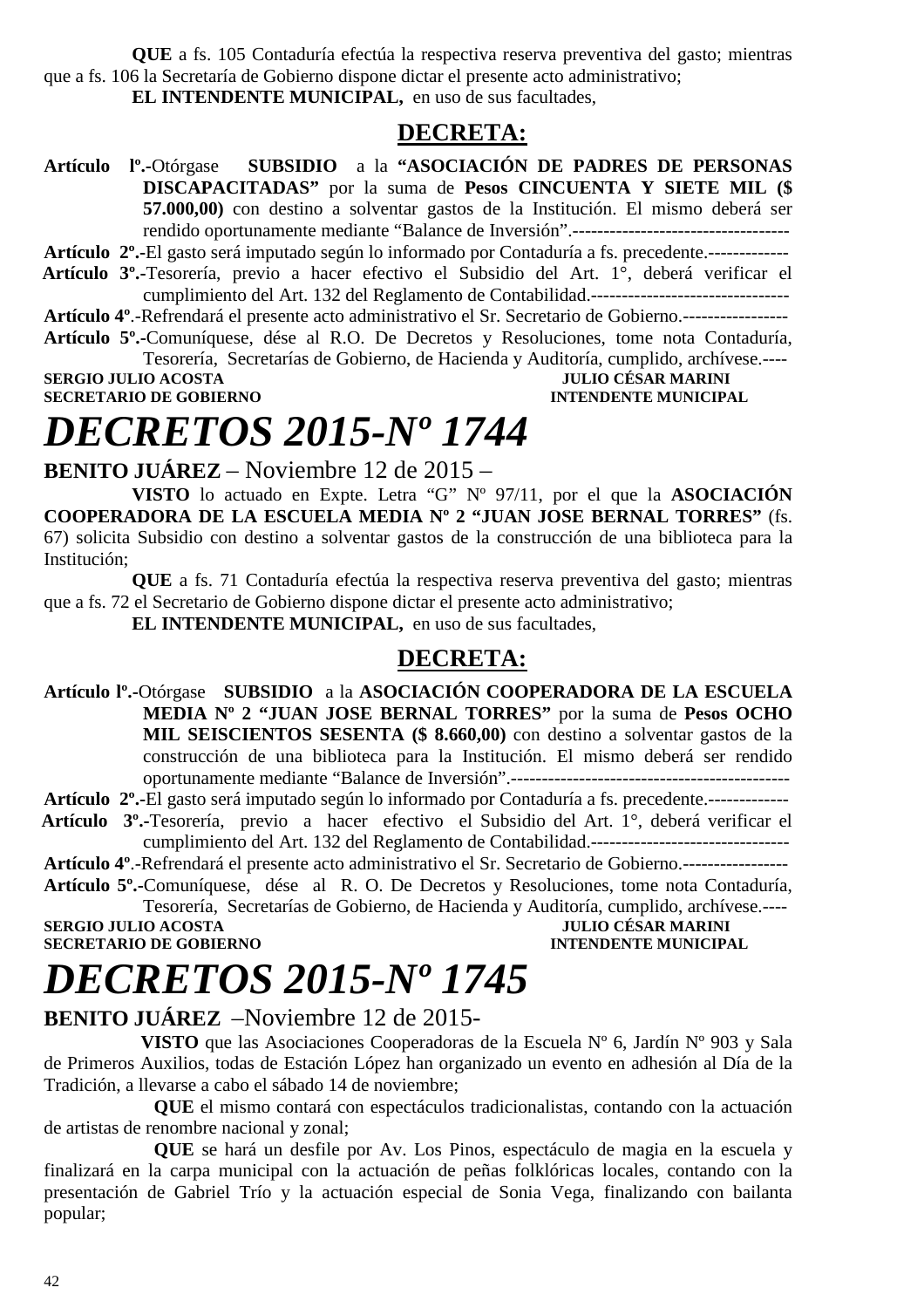**QUE** a fs. 105 Contaduría efectúa la respectiva reserva preventiva del gasto; mientras que a fs. 106 la Secretaría de Gobierno dispone dictar el presente acto administrativo; **EL INTENDENTE MUNICIPAL,** en uso de sus facultades,

### **DECRETA:**

**Artículo lº.-**Otórgase **SUBSIDIO** a la **"ASOCIACIÓN DE PADRES DE PERSONAS DISCAPACITADAS"** por la suma de **Pesos CINCUENTA Y SIETE MIL (\$ 57.000,00)** con destino a solventar gastos de la Institución. El mismo deberá ser rendido oportunamente mediante "Balance de Inversión".-----------------------------------

**Artículo 2º.-**El gasto será imputado según lo informado por Contaduría a fs. precedente.-------------

 **Artículo 3º.-**Tesorería, previo a hacer efectivo el Subsidio del Art. 1°, deberá verificar el cumplimiento del Art. 132 del Reglamento de Contabilidad.--------------------------------

**Artículo 4º**.-Refrendará el presente acto administrativo el Sr. Secretario de Gobierno.-----------------

**Artículo 5º.-**Comuníquese, dése al R.O. De Decretos y Resoluciones, tome nota Contaduría, Tesorería, Secretarías de Gobierno, de Hacienda y Auditoría, cumplido, archívese.----

**SERGIO JULIO ACOSTA JULIO CÉSAR MARINI SECRETARIO DE GOBIERNO INTENDENTE MUNICIPAL** 

## *DECRETOS 2015-Nº 1744*

**BENITO JUÁREZ** – Noviembre 12 de 2015 –

**VISTO** lo actuado en Expte. Letra "G" Nº 97/11, por el que la **ASOCIACIÓN COOPERADORA DE LA ESCUELA MEDIA Nº 2 "JUAN JOSE BERNAL TORRES"** (fs. 67) solicita Subsidio con destino a solventar gastos de la construcción de una biblioteca para la Institución;

**QUE** a fs. 71 Contaduría efectúa la respectiva reserva preventiva del gasto; mientras que a fs. 72 el Secretario de Gobierno dispone dictar el presente acto administrativo;

**EL INTENDENTE MUNICIPAL,** en uso de sus facultades,

### **DECRETA:**

**Artículo lº.-**Otórgase **SUBSIDIO** a la **ASOCIACIÓN COOPERADORA DE LA ESCUELA MEDIA Nº 2 "JUAN JOSE BERNAL TORRES"** por la suma de **Pesos OCHO MIL SEISCIENTOS SESENTA (\$ 8.660,00)** con destino a solventar gastos de la construcción de una biblioteca para la Institución. El mismo deberá ser rendido oportunamente mediante "Balance de Inversión".---------------------------------------------

**Artículo 2º.-**El gasto será imputado según lo informado por Contaduría a fs. precedente.-------------

 **Artículo 3º.-**Tesorería, previo a hacer efectivo el Subsidio del Art. 1°, deberá verificar el cumplimiento del Art. 132 del Reglamento de Contabilidad.--------------------------------

**Artículo 4º**.-Refrendará el presente acto administrativo el Sr. Secretario de Gobierno.-----------------

**Artículo 5º.-**Comuníquese, dése al R. O. De Decretos y Resoluciones, tome nota Contaduría, Tesorería, Secretarías de Gobierno, de Hacienda y Auditoría, cumplido, archívese.----

**SECRETARIO DE GOBIERNO** 

**SERGIO DE SERGIA MARINI<br>
SERGIO DE MUNICIPAL** 

# *DECRETOS 2015-Nº 1745*

### **BENITO JUÁREZ** –Noviembre 12 de 2015-

 **VISTO** que las Asociaciones Cooperadoras de la Escuela Nº 6, Jardín Nº 903 y Sala de Primeros Auxilios, todas de Estación López han organizado un evento en adhesión al Día de la Tradición, a llevarse a cabo el sábado 14 de noviembre;

**QUE** el mismo contará con espectáculos tradicionalistas, contando con la actuación de artistas de renombre nacional y zonal;

**QUE** se hará un desfile por Av. Los Pinos, espectáculo de magia en la escuela y finalizará en la carpa municipal con la actuación de peñas folklóricas locales, contando con la presentación de Gabriel Trío y la actuación especial de Sonia Vega, finalizando con bailanta popular;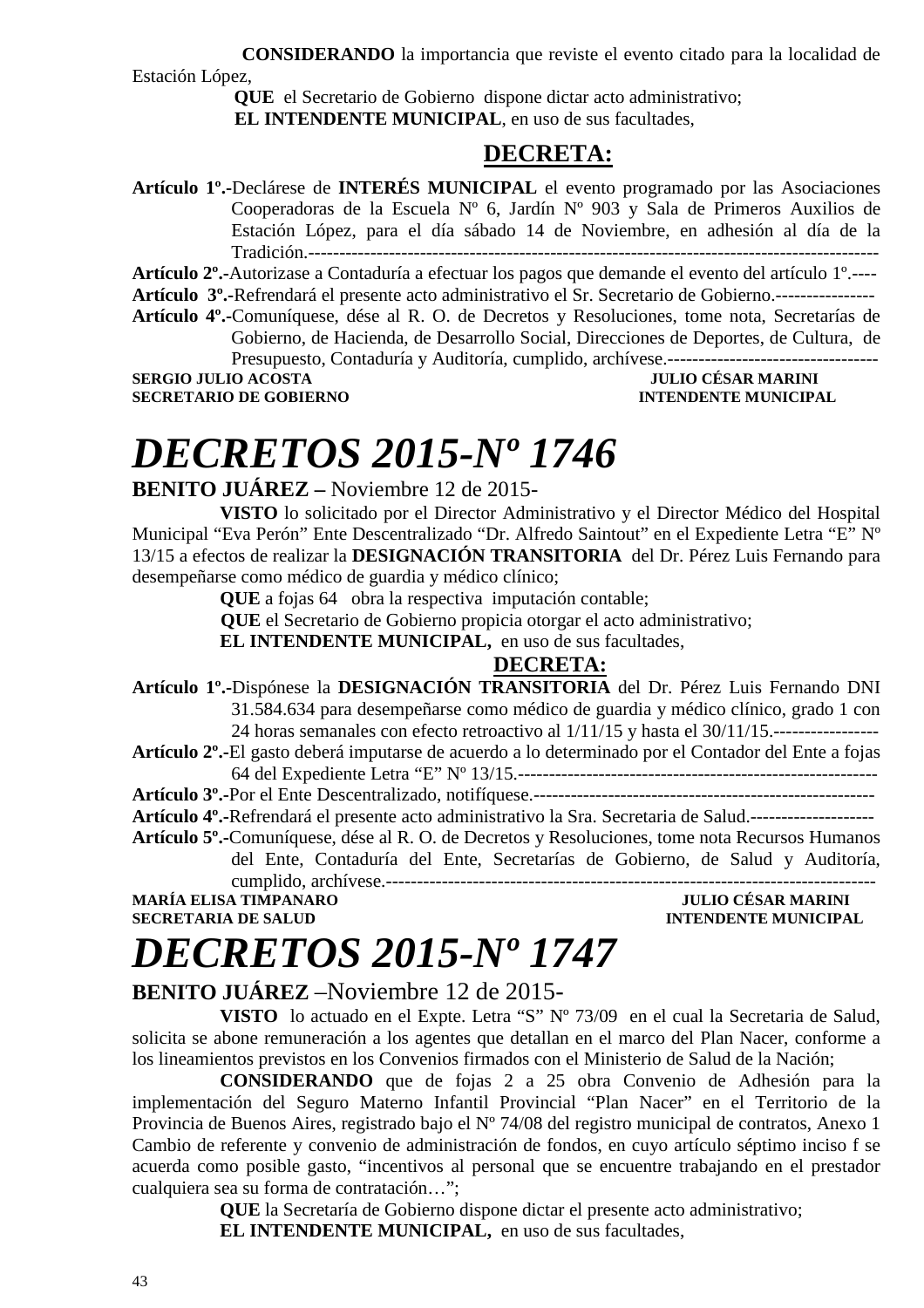**CONSIDERANDO** la importancia que reviste el evento citado para la localidad de Estación López,

> **QUE** el Secretario de Gobierno dispone dictar acto administrativo;  **EL INTENDENTE MUNICIPAL**, en uso de sus facultades,

### **DECRETA:**

**Artículo 1º.-**Declárese de **INTERÉS MUNICIPAL** el evento programado por las Asociaciones Cooperadoras de la Escuela Nº 6, Jardín Nº 903 y Sala de Primeros Auxilios de Estación López, para el día sábado 14 de Noviembre, en adhesión al día de la Tradición.--------------------------------------------------------------------------------------------

**Artículo 2º.-**Autorizase a Contaduría a efectuar los pagos que demande el evento del artículo 1º.----

**Artículo 3º.-**Refrendará el presente acto administrativo el Sr. Secretario de Gobierno.----------------

**Artículo 4º.-**Comuníquese, dése al R. O. de Decretos y Resoluciones, tome nota, Secretarías de Gobierno, de Hacienda, de Desarrollo Social, Direcciones de Deportes, de Cultura, de Presupuesto, Contaduría y Auditoría, cumplido, archívese.----------------------------------

**SERGIO JULIO ACOSTA SECRETARIO DE GOBIERNO INTENDENTE MUNICIPAL** 

# *DECRETOS 2015-Nº 1746*

**BENITO JUÁREZ –** Noviembre 12 de 2015-

**VISTO** lo solicitado por el Director Administrativo y el Director Médico del Hospital Municipal "Eva Perón" Ente Descentralizado "Dr. Alfredo Saintout" en el Expediente Letra "E" Nº 13/15 a efectos de realizar la **DESIGNACIÓN TRANSITORIA** del Dr. Pérez Luis Fernando para desempeñarse como médico de guardia y médico clínico;

**QUE** a fojas 64obra la respectiva imputación contable;

 **QUE** el Secretario de Gobierno propicia otorgar el acto administrativo;

**EL INTENDENTE MUNICIPAL,** en uso de sus facultades,

### **DECRETA:**

**Artículo 1º.-**Dispónese la **DESIGNACIÓN TRANSITORIA** del Dr. Pérez Luis Fernando DNI 31.584.634 para desempeñarse como médico de guardia y médico clínico, grado 1 con 24 horas semanales con efecto retroactivo al 1/11/15 y hasta el 30/11/15.-----------------

**Artículo 2º.-**El gasto deberá imputarse de acuerdo a lo determinado por el Contador del Ente a fojas 64 del Expediente Letra "E" Nº 13/15.----------------------------------------------------------

**Artículo 3º.-**Por el Ente Descentralizado, notifíquese.-------------------------------------------------------

**Artículo 4º.-**Refrendará el presente acto administrativo la Sra. Secretaria de Salud.--------------------

**Artículo 5º.-**Comuníquese, dése al R. O. de Decretos y Resoluciones, tome nota Recursos Humanos del Ente, Contaduría del Ente, Secretarías de Gobierno, de Salud y Auditoría,

cumplido, archívese.------------------------------------------------------------------------------- **MARÍA ELISA TIMPANARO** 

**SECRETARIA DE SALUD INTENDENTE MUNICIPAL** 

# *DECRETOS 2015-Nº 1747*

### **BENITO JUÁREZ** –Noviembre 12 de 2015-

**VISTO** lo actuado en el Expte. Letra "S" Nº 73/09 en el cual la Secretaria de Salud, solicita se abone remuneración a los agentes que detallan en el marco del Plan Nacer, conforme a los lineamientos previstos en los Convenios firmados con el Ministerio de Salud de la Nación;

**CONSIDERANDO** que de fojas 2 a 25 obra Convenio de Adhesión para la implementación del Seguro Materno Infantil Provincial "Plan Nacer" en el Territorio de la Provincia de Buenos Aires, registrado bajo el Nº 74/08 del registro municipal de contratos, Anexo 1 Cambio de referente y convenio de administración de fondos, en cuyo artículo séptimo inciso f se acuerda como posible gasto, "incentivos al personal que se encuentre trabajando en el prestador cualquiera sea su forma de contratación…";

> **QUE** la Secretaría de Gobierno dispone dictar el presente acto administrativo; **EL INTENDENTE MUNICIPAL,** en uso de sus facultades,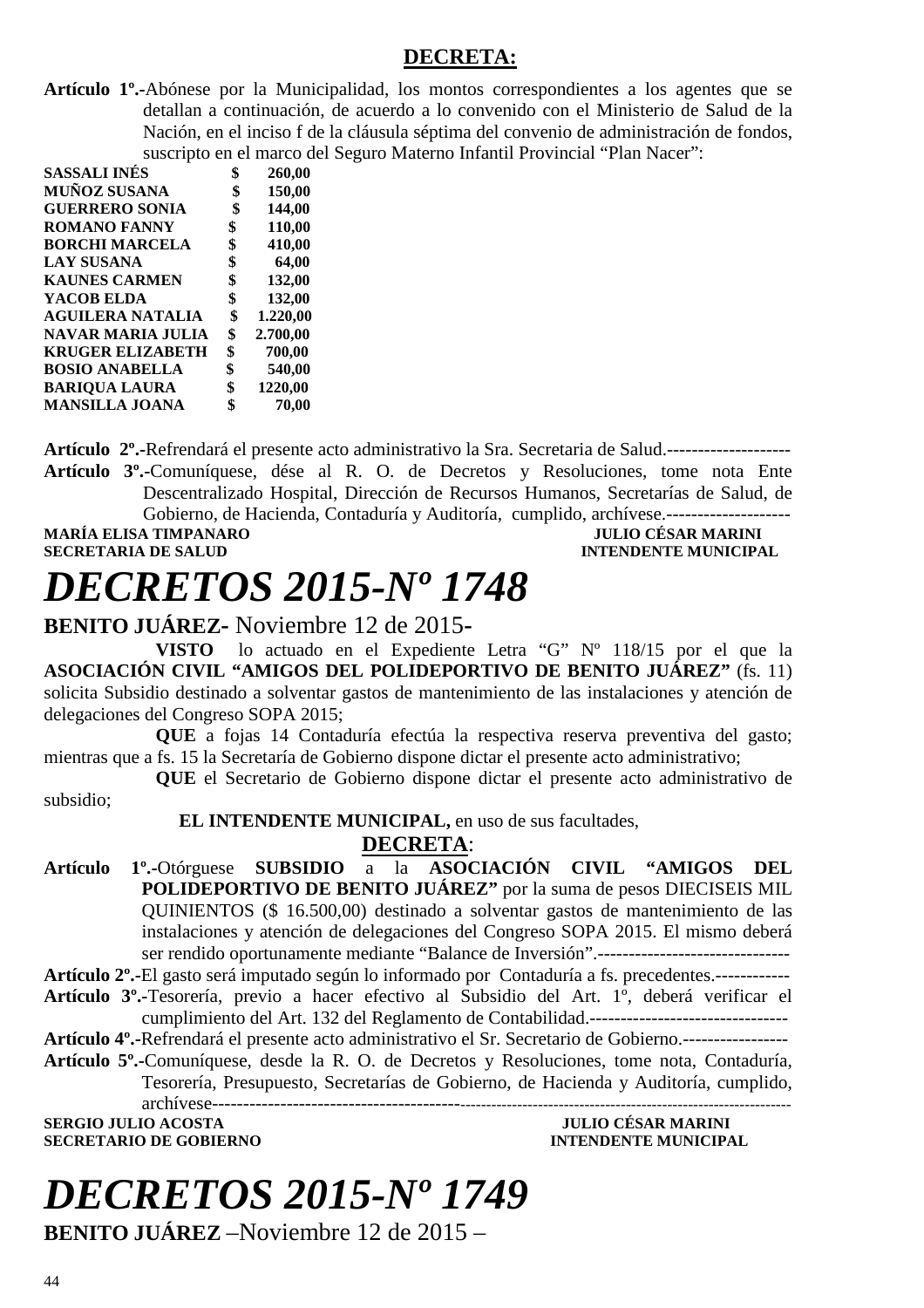### **DECRETA:**

**Artículo 1º.-**Abónese por la Municipalidad, los montos correspondientes a los agentes que se detallan a continuación, de acuerdo a lo convenido con el Ministerio de Salud de la Nación, en el inciso f de la cláusula séptima del convenio de administración de fondos, suscripto en el marco del Seguro Materno Infantil Provincial "Plan Nacer":

| SASSALI INÉS            | \$         | 260,00   |
|-------------------------|------------|----------|
| <b>MUÑOZ SUSANA</b>     | \$         | 150,00   |
| <b>GUERRERO SONIA</b>   | \$         | 144,00   |
| <b>ROMANO FANNY</b>     | $\pmb{\$}$ | 110,00   |
| <b>BORCHI MARCELA</b>   | \$         | 410,00   |
| LAY SUSANA              | \$         | 64,00    |
| <b>KAUNES CARMEN</b>    | \$         | 132,00   |
| YACOB ELDA              | \$         | 132,00   |
| <b>AGUILERA NATALIA</b> | \$         | 1.220,00 |
| NAVAR MARIA JULIA       | \$         | 2.700,00 |
| <b>KRUGER ELIZABETH</b> | \$         | 700,00   |
| <b>BOSIO ANABELLA</b>   | \$         | 540,00   |
| <b>BARIQUA LAURA</b>    | \$         | 1220,00  |
| <b>MANSILLA JOANA</b>   | \$         | 70,00    |
|                         |            |          |

**Artículo 2º.-**Refrendará el presente acto administrativo la Sra. Secretaria de Salud.--------------------

**Artículo 3º.-**Comuníquese, dése al R. O. de Decretos y Resoluciones, tome nota Ente Descentralizado Hospital, Dirección de Recursos Humanos, Secretarías de Salud, de Gobierno, de Hacienda, Contaduría y Auditoría, cumplido, archívese.-------------------- **MARÍA ELISA TIMPANARO JULIO CÉSAR MARINI** 

**INTENDENTE MUNICIPAL** 

# *DECRETOS 2015-Nº 1748*

**BENITO JUÁREZ-** Noviembre 12 de 2015**-** 

**VISTO** lo actuado en el Expediente Letra "G" Nº 118/15 por el que la **ASOCIACIÓN CIVIL "AMIGOS DEL POLIDEPORTIVO DE BENITO JUÁREZ"** (fs. 11) solicita Subsidio destinado a solventar gastos de mantenimiento de las instalaciones y atención de delegaciones del Congreso SOPA 2015;

**QUE** a fojas 14 Contaduría efectúa la respectiva reserva preventiva del gasto; mientras que a fs. 15 la Secretaría de Gobierno dispone dictar el presente acto administrativo;

**QUE** el Secretario de Gobierno dispone dictar el presente acto administrativo de

subsidio;

### **EL INTENDENTE MUNICIPAL,** en uso de sus facultades,

**DECRETA**:

**Artículo 1º.-**Otórguese **SUBSIDIO** a la **ASOCIACIÓN CIVIL "AMIGOS DEL POLIDEPORTIVO DE BENITO JUÁREZ"** por la suma de pesos DIECISEIS MIL QUINIENTOS (\$ 16.500,00) destinado a solventar gastos de mantenimiento de las instalaciones y atención de delegaciones del Congreso SOPA 2015. El mismo deberá ser rendido oportunamente mediante "Balance de Inversión".------------------------------- **Artículo 2º.-**El gasto será imputado según lo informado por Contaduría a fs. precedentes.------------

- **Artículo 3º.-**Tesorería, previo a hacer efectivo al Subsidio del Art. 1º, deberá verificar el cumplimiento del Art. 132 del Reglamento de Contabilidad.--------------------------------
- **Artículo 4º.-**Refrendará el presente acto administrativo el Sr. Secretario de Gobierno.-----------------
- **Artículo 5º.-**Comuníquese, desde la R. O. de Decretos y Resoluciones, tome nota, Contaduría, Tesorería, Presupuesto, Secretarías de Gobierno, de Hacienda y Auditoría, cumplido, archívese-------

**SERGIO JULIO ACOSTA JULIO CÉSAR MARINI SECRETARIO DE GOBIERNO INTENDENTE MUNICIPAL** 

# *DECRETOS 2015-Nº 1749*

**BENITO JUÁREZ** –Noviembre 12 de 2015 –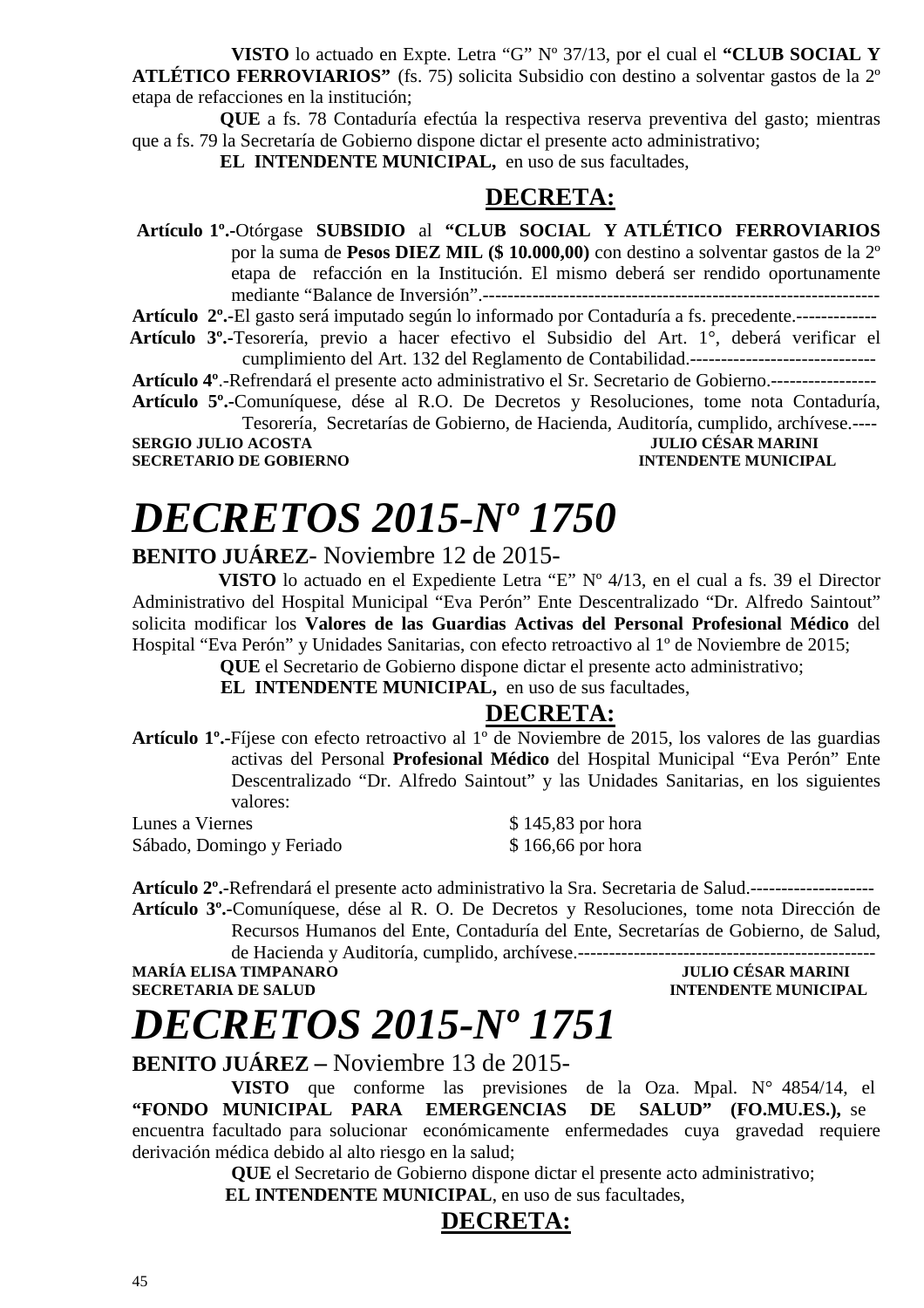**VISTO** lo actuado en Expte. Letra "G" Nº 37/13, por el cual el **"CLUB SOCIAL Y ATLÉTICO FERROVIARIOS"** (fs. 75) solicita Subsidio con destino a solventar gastos de la 2º etapa de refacciones en la institución;

**QUE** a fs. 78 Contaduría efectúa la respectiva reserva preventiva del gasto; mientras que a fs. 79 la Secretaría de Gobierno dispone dictar el presente acto administrativo;

**EL INTENDENTE MUNICIPAL,** en uso de sus facultades,

### **DECRETA:**

 **Artículo 1º.-**Otórgase **SUBSIDIO** al **"CLUB SOCIAL Y ATLÉTICO FERROVIARIOS**  por la suma de **Pesos DIEZ MIL (\$ 10.000,00)** con destino a solventar gastos de la 2º etapa de refacción en la Institución. El mismo deberá ser rendido oportunamente mediante "Balance de Inversión".----------------------------------------------------------------

**Artículo 2º.-**El gasto será imputado según lo informado por Contaduría a fs. precedente.-------------  **Artículo 3º.-**Tesorería, previo a hacer efectivo el Subsidio del Art. 1°, deberá verificar el

cumplimiento del Art. 132 del Reglamento de Contabilidad.------------------------------

**Artículo 4º**.-Refrendará el presente acto administrativo el Sr. Secretario de Gobierno.-----------------

**Artículo 5º.-**Comuníquese, dése al R.O. De Decretos y Resoluciones, tome nota Contaduría, Tesorería, Secretarías de Gobierno, de Hacienda, Auditoría, cumplido, archívese.----

**SERGIO JULIO ACOSTA** 

**SECRETARIO DE GOBIERNO INTENDENTE MUNICIPAL** 

# *DECRETOS 2015-Nº 1750*

**BENITO JUÁREZ**- Noviembre 12 de 2015-

 **VISTO** lo actuado en el Expediente Letra "E" Nº 4**/**13, en el cual a fs. 39 el Director Administrativo del Hospital Municipal "Eva Perón" Ente Descentralizado "Dr. Alfredo Saintout" solicita modificar los **Valores de las Guardias Activas del Personal Profesional Médico** del Hospital "Eva Perón" y Unidades Sanitarias, con efecto retroactivo al 1º de Noviembre de 2015;

**QUE** el Secretario de Gobierno dispone dictar el presente acto administrativo;

**EL INTENDENTE MUNICIPAL,** en uso de sus facultades,

### **DECRETA:**

**Artículo 1º.-**Fíjese con efecto retroactivo al 1º de Noviembre de 2015, los valores de las guardias activas del Personal **Profesional Médico** del Hospital Municipal "Eva Perón" Ente Descentralizado "Dr. Alfredo Saintout" y las Unidades Sanitarias, en los siguientes valores:

Lunes a Viernes  $$ 145,83$  por hora Sábado, Domingo y Feriado  $$166,66$  por hora

**Artículo 2º.-**Refrendará el presente acto administrativo la Sra. Secretaria de Salud.-------------------- **Artículo 3º.-**Comuníquese, dése al R. O. De Decretos y Resoluciones, tome nota Dirección de Recursos Humanos del Ente, Contaduría del Ente, Secretarías de Gobierno, de Salud,

de Hacienda y Auditoría, cumplido, archívese.------------------------------------------------ **MARÍA ELISA TIMPANARO** 

**SECRETARIA DE SALUD INTENDENTE MUNICIPAL** 

*DECRETOS 2015-Nº 1751*

**BENITO JUÁREZ –** Noviembre 13 de 2015-

**VISTO** que conforme las previsiones de la Oza. Mpal. N° 4854/14, el **"FONDO MUNICIPAL PARA EMERGENCIAS DE SALUD" (FO.MU.ES.),** se encuentra facultado para solucionar económicamente enfermedades cuya gravedad requiere derivación médica debido al alto riesgo en la salud;

**QUE** el Secretario de Gobierno dispone dictar el presente acto administrativo;  **EL INTENDENTE MUNICIPAL**, en uso de sus facultades,

### **DECRETA:**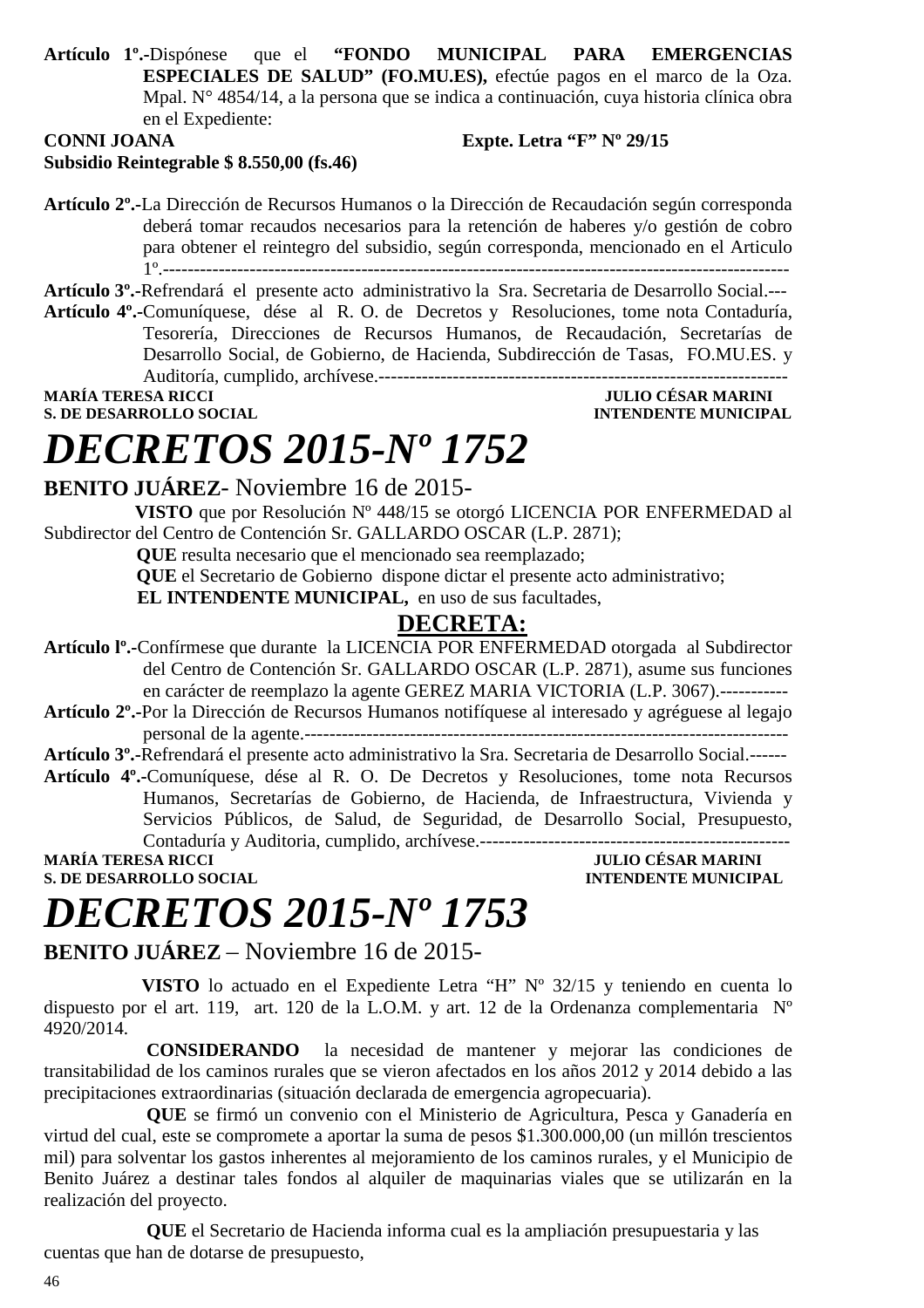**Artículo 1º.-**Dispónese que el **"FONDO MUNICIPAL PARA EMERGENCIAS ESPECIALES DE SALUD" (FO.MU.ES),** efectúe pagos en el marco de la Oza. Mpal. N° 4854/14, a la persona que se indica a continuación, cuya historia clínica obra en el Expediente:

#### **CONNI JOANA Expte. Letra "F" Nº 29/15 Subsidio Reintegrable \$ 8.550,00 (fs.46)**

**Artículo 2º.-**La Dirección de Recursos Humanos o la Dirección de Recaudación según corresponda deberá tomar recaudos necesarios para la retención de haberes y/o gestión de cobro para obtener el reintegro del subsidio, según corresponda, mencionado en el Articulo 1º.-----------------------------------------------------------------------------------------------------

**Artículo 3º.-**Refrendará el presente acto administrativo la Sra. Secretaria de Desarrollo Social.---

**Artículo 4º.-**Comuníquese, dése al R. O. de Decretos y Resoluciones, tome nota Contaduría, Tesorería, Direcciones de Recursos Humanos, de Recaudación, Secretarías de Desarrollo Social, de Gobierno, de Hacienda, Subdirección de Tasas, FO.MU.ES. y Auditoría, cumplido, archívese.------------------------------------------------------------------

**MARÍA TERESA RICCI JULIO CÉSAR MARINI** 

**INTENDENTE MUNICIPAL** 

# *DECRETOS 2015-Nº 1752*

### **BENITO JUÁREZ**- Noviembre 16 de 2015-

 **VISTO** que por Resolución Nº 448/15 se otorgó LICENCIA POR ENFERMEDAD al Subdirector del Centro de Contención Sr. GALLARDO OSCAR (L.P. 2871);

 **QUE** resulta necesario que el mencionado sea reemplazado;

 **QUE** el Secretario de Gobierno dispone dictar el presente acto administrativo;

**EL INTENDENTE MUNICIPAL,** en uso de sus facultades,

### **DECRETA:**

**Artículo lº.-**Confírmese que durante la LICENCIA POR ENFERMEDAD otorgada al Subdirector del Centro de Contención Sr. GALLARDO OSCAR (L.P. 2871), asume sus funciones en carácter de reemplazo la agente GEREZ MARIA VICTORIA (L.P. 3067).-----------

**Artículo 2º.-**Por la Dirección de Recursos Humanos notifíquese al interesado y agréguese al legajo personal de la agente.------------------------------------------------------------------------------

**Artículo 3º.-**Refrendará el presente acto administrativo la Sra. Secretaria de Desarrollo Social.------

**Artículo 4º.-**Comuníquese, dése al R. O. De Decretos y Resoluciones, tome nota Recursos Humanos, Secretarías de Gobierno, de Hacienda, de Infraestructura, Vivienda y Servicios Públicos, de Salud, de Seguridad, de Desarrollo Social, Presupuesto, Contaduría y Auditoria, cumplido, archívese.--------------------------------------------------

**S. DE DESARROLLO SOCIAL** 

**MARIA TERESA RICCIPAL INTENDENTE MUNICIPAL** 

# *DECRETOS 2015-Nº 1753*

### **BENITO JUÁREZ** – Noviembre 16 de 2015-

 **VISTO** lo actuado en el Expediente Letra "H" Nº 32/15 y teniendo en cuenta lo dispuesto por el art. 119, art. 120 de la L.O.M. y art. 12 de la Ordenanza complementaria Nº 4920/2014.

 **CONSIDERANDO** la necesidad de mantener y mejorar las condiciones de transitabilidad de los caminos rurales que se vieron afectados en los años 2012 y 2014 debido a las precipitaciones extraordinarias (situación declarada de emergencia agropecuaria).

 **QUE** se firmó un convenio con el Ministerio de Agricultura, Pesca y Ganadería en virtud del cual, este se compromete a aportar la suma de pesos \$1.300.000,00 (un millón trescientos mil) para solventar los gastos inherentes al mejoramiento de los caminos rurales, y el Municipio de Benito Juárez a destinar tales fondos al alquiler de maquinarias viales que se utilizarán en la realización del proyecto.

 **QUE** el Secretario de Hacienda informa cual es la ampliación presupuestaria y las cuentas que han de dotarse de presupuesto,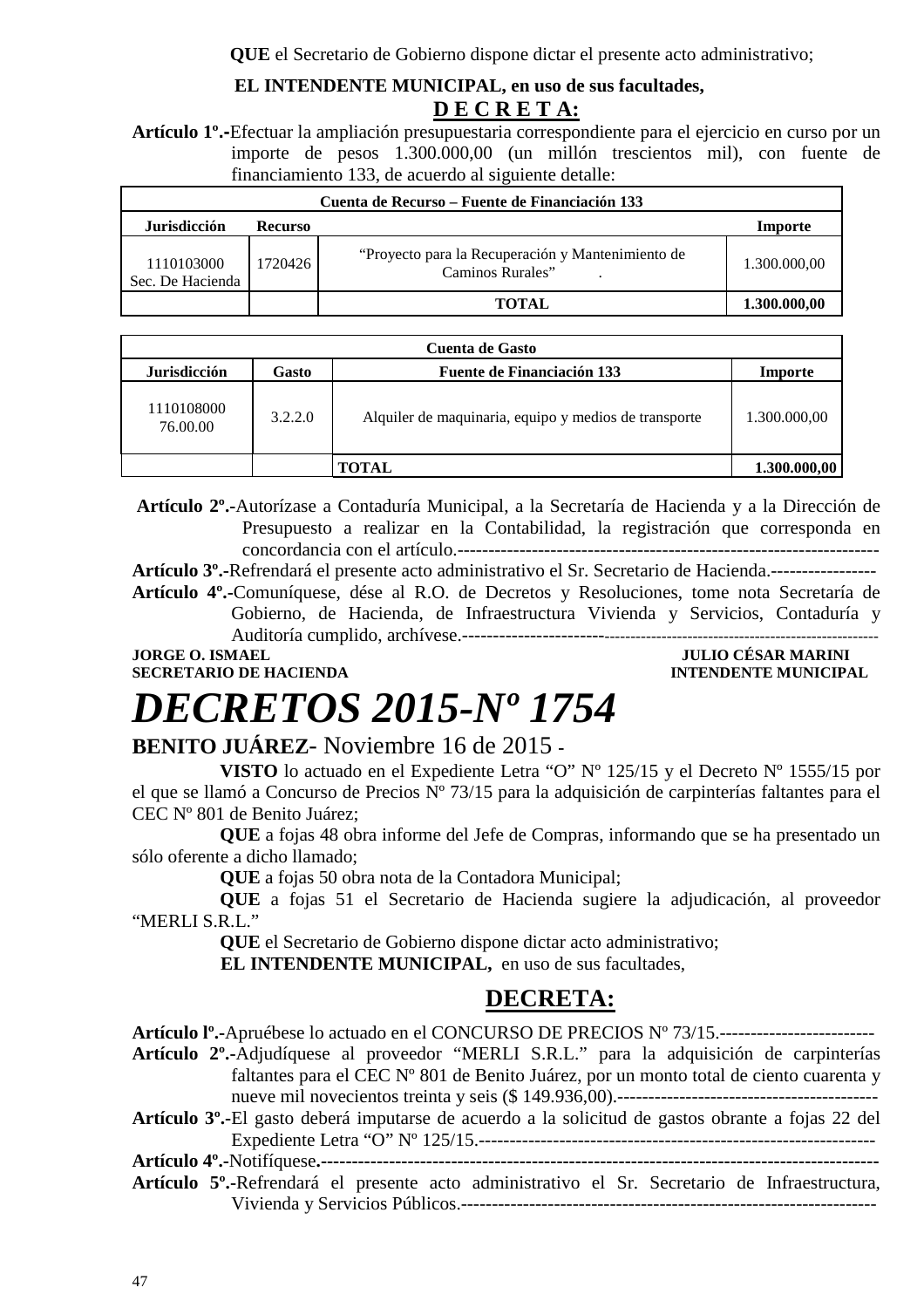### **EL INTENDENTE MUNICIPAL, en uso de sus facultades, D E C R E T A:**

**Artículo 1º.-**Efectuar la ampliación presupuestaria correspondiente para el ejercicio en curso por un importe de pesos 1.300.000,00 (un millón trescientos mil), con fuente de financiamiento 133, de acuerdo al siguiente detalle:

| Cuenta de Recurso – Fuente de Financiación 133 |                |                                                                       |              |  |
|------------------------------------------------|----------------|-----------------------------------------------------------------------|--------------|--|
| <b>Jurisdicción</b>                            | <b>Recurso</b> |                                                                       | Importe      |  |
| 1110103000<br>Sec. De Hacienda                 | 1720426        | "Proyecto para la Recuperación y Mantenimiento de<br>Caminos Rurales" | 1.300.000,00 |  |
|                                                |                | TOTAL                                                                 | 1.300.000,00 |  |

| <b>Cuenta de Gasto</b> |         |                                                       |              |
|------------------------|---------|-------------------------------------------------------|--------------|
| <b>Jurisdicción</b>    | Gasto   | <b>Fuente de Financiación 133</b>                     | Importe      |
| 1110108000<br>76.00.00 | 3.2.2.0 | Alquiler de maquinaria, equipo y medios de transporte | 1.300.000,00 |
|                        |         | TOTAL                                                 | 1.300.000,00 |

 **Artículo 2º.-**Autorízase a Contaduría Municipal, a la Secretaría de Hacienda y a la Dirección de Presupuesto a realizar en la Contabilidad, la registración que corresponda en concordancia con el artículo.--------------------------------------------------------------------

**Artículo 3º.-**Refrendará el presente acto administrativo el Sr. Secretario de Hacienda.----------------- **Artículo 4º.-**Comuníquese, dése al R.O. de Decretos y Resoluciones, tome nota Secretaría de Gobierno, de Hacienda, de Infraestructura Vivienda y Servicios, Contaduría y Auditoría cumplido, archívese.----------------------------------------------------------------------------

**SECRETARIO DE HACIENDA INTENDENTE MUNICIPAL** 

**JORGE O. ISMAEL JULIO CÉSAR MARINI** 

# *DECRETOS 2015-Nº 1754*

### **BENITO JUÁREZ**- Noviembre 16 de 2015 **-**

**VISTO** lo actuado en el Expediente Letra "O" Nº 125/15 y el Decreto Nº 1555/15 por el que se llamó a Concurso de Precios Nº 73/15 para la adquisición de carpinterías faltantes para el CEC Nº 801 de Benito Juárez;

**QUE** a fojas 48 obra informe del Jefe de Compras, informando que se ha presentado un sólo oferente a dicho llamado;

**QUE** a fojas 50 obra nota de la Contadora Municipal;

**QUE** a fojas 51 el Secretario de Hacienda sugiere la adjudicación, al proveedor "MERLI S.R.L."

**QUE** el Secretario de Gobierno dispone dictar acto administrativo;

**EL INTENDENTE MUNICIPAL,** en uso de sus facultades,

### **DECRETA:**

**Artículo lº.-**Apruébese lo actuado en el CONCURSO DE PRECIOS Nº 73/15.-------------------------

**Artículo 2º.-**Adjudíquese al proveedor "MERLI S.R.L." para la adquisición de carpinterías faltantes para el CEC Nº 801 de Benito Juárez, por un monto total de ciento cuarenta y nueve mil novecientos treinta y seis (\$ 149.936,00).------------------------------------------

**Artículo 3º.-**El gasto deberá imputarse de acuerdo a la solicitud de gastos obrante a fojas 22 del Expediente Letra "O" Nº 125/15.----------------------------------------------------------------

**Artículo 4º.-**Notifíquese**.------------------------------------------------------------------------------------------** 

**Artículo 5º.-**Refrendará el presente acto administrativo el Sr. Secretario de Infraestructura, Vivienda y Servicios Públicos.-------------------------------------------------------------------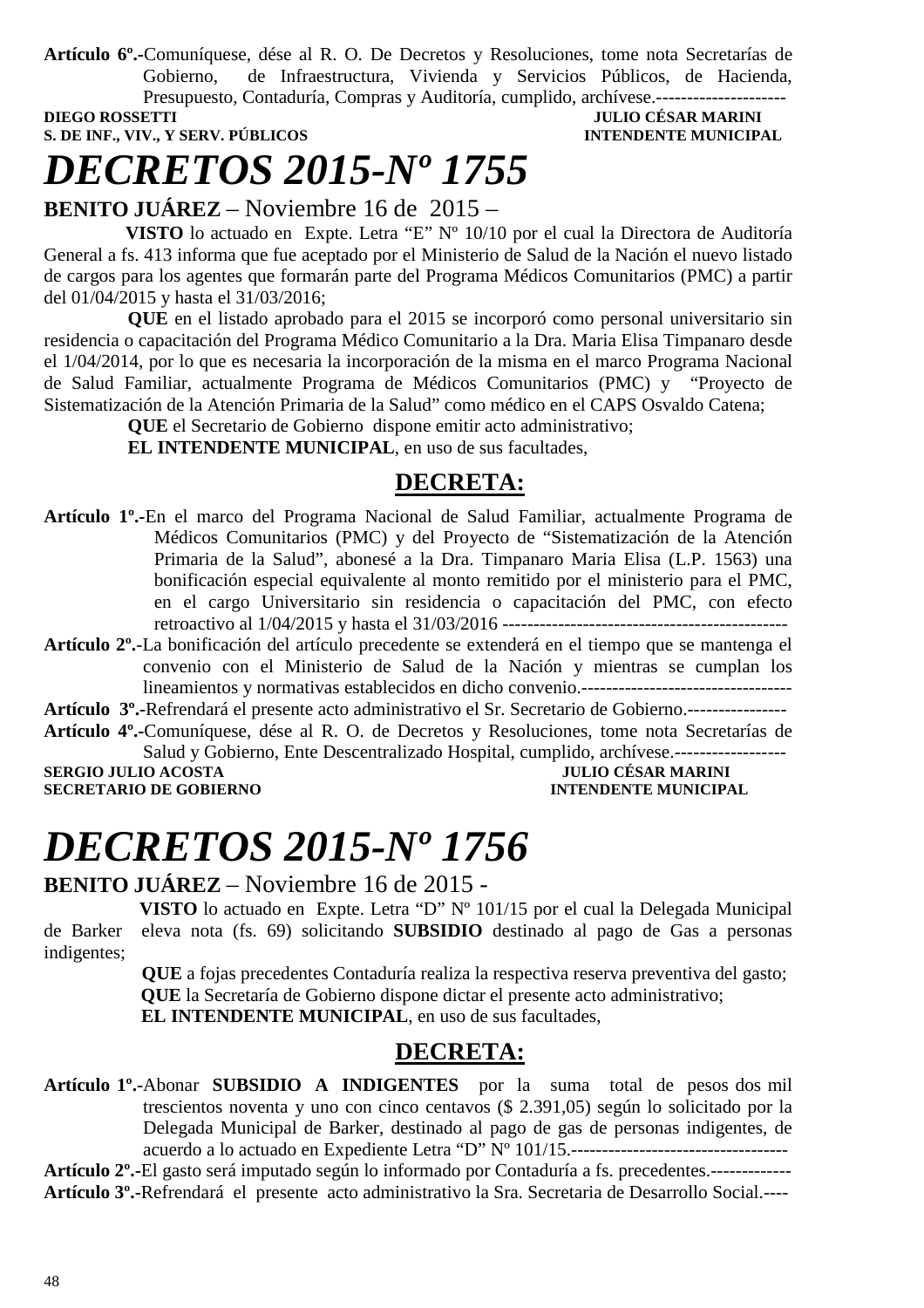**Artículo 6º.-**Comuníquese, dése al R. O. De Decretos y Resoluciones, tome nota Secretarías de Gobierno, de Infraestructura, Vivienda y Servicios Públicos, de Hacienda, Presupuesto, Contaduría, Compras y Auditoría, cumplido, archívese.---------------------

**DIEGO ROSSETTI** JULIO CÉSAR MARINI

## **S. DE INF., VIV., Y SERV. PÚBLICOS INTENDENTE MUNICIPAL**

# *DECRETOS 2015-Nº 1755*

**BENITO JUÁREZ** – Noviembre 16 de 2015 –

 **VISTO** lo actuado en Expte. Letra "E" Nº 10/10 por el cual la Directora de Auditoría General a fs. 413 informa que fue aceptado por el Ministerio de Salud de la Nación el nuevo listado de cargos para los agentes que formarán parte del Programa Médicos Comunitarios (PMC) a partir del 01/04/2015 y hasta el 31/03/2016;

 **QUE** en el listado aprobado para el 2015 se incorporó como personal universitario sin residencia o capacitación del Programa Médico Comunitario a la Dra. Maria Elisa Timpanaro desde el 1/04/2014, por lo que es necesaria la incorporación de la misma en el marco Programa Nacional de Salud Familiar, actualmente Programa de Médicos Comunitarios (PMC) y "Proyecto de Sistematización de la Atención Primaria de la Salud" como médico en el CAPS Osvaldo Catena;

 **QUE** el Secretario de Gobierno dispone emitir acto administrativo;

 **EL INTENDENTE MUNICIPAL**, en uso de sus facultades,

### **DECRETA:**

- **Artículo 1º.-**En el marco del Programa Nacional de Salud Familiar, actualmente Programa de Médicos Comunitarios (PMC) y del Proyecto de "Sistematización de la Atención Primaria de la Salud", abonesé a la Dra. Timpanaro Maria Elisa (L.P. 1563) una bonificación especial equivalente al monto remitido por el ministerio para el PMC, en el cargo Universitario sin residencia o capacitación del PMC, con efecto retroactivo al 1/04/2015 y hasta el 31/03/2016 ----------------------------------------------
- **Artículo 2º.**-La bonificación del artículo precedente se extenderá en el tiempo que se mantenga el convenio con el Ministerio de Salud de la Nación y mientras se cumplan los lineamientos y normativas establecidos en dicho convenio.----------------------------------

**Artículo 3º.-**Refrendará el presente acto administrativo el Sr. Secretario de Gobierno.----------------

**Artículo 4º.-**Comuníquese, dése al R. O. de Decretos y Resoluciones, tome nota Secretarías de Salud y Gobierno, Ente Descentralizado Hospital, cumplido, archívese.------------------

**SECRETARIO DE GOBIERNO** 

**SERGIO JULIO ACOSTA JULIO CÉSAR MARINI** 

# *DECRETOS 2015-Nº 1756*

**BENITO JUÁREZ** – Noviembre 16 de 2015 -

 **VISTO** lo actuado en Expte. Letra "D" Nº 101/15 por el cual la Delegada Municipal de Barker eleva nota (fs. 69) solicitando **SUBSIDIO** destinado al pago de Gas a personas indigentes;

 **QUE** a fojas precedentes Contaduría realiza la respectiva reserva preventiva del gasto;  **QUE** la Secretaría de Gobierno dispone dictar el presente acto administrativo;  **EL INTENDENTE MUNICIPAL**, en uso de sus facultades,

### **DECRETA:**

**Artículo 1º.-**Abonar **SUBSIDIO A INDIGENTES** por la suma total de pesos dos mil trescientos noventa y uno con cinco centavos (\$ 2.391,05) según lo solicitado por la Delegada Municipal de Barker, destinado al pago de gas de personas indigentes, de acuerdo a lo actuado en Expediente Letra "D" Nº 101/15.-----------------------------------

**Artículo 2º.-**El gasto será imputado según lo informado por Contaduría a fs. precedentes.------------- **Artículo 3º.-**Refrendará el presente acto administrativo la Sra. Secretaria de Desarrollo Social.----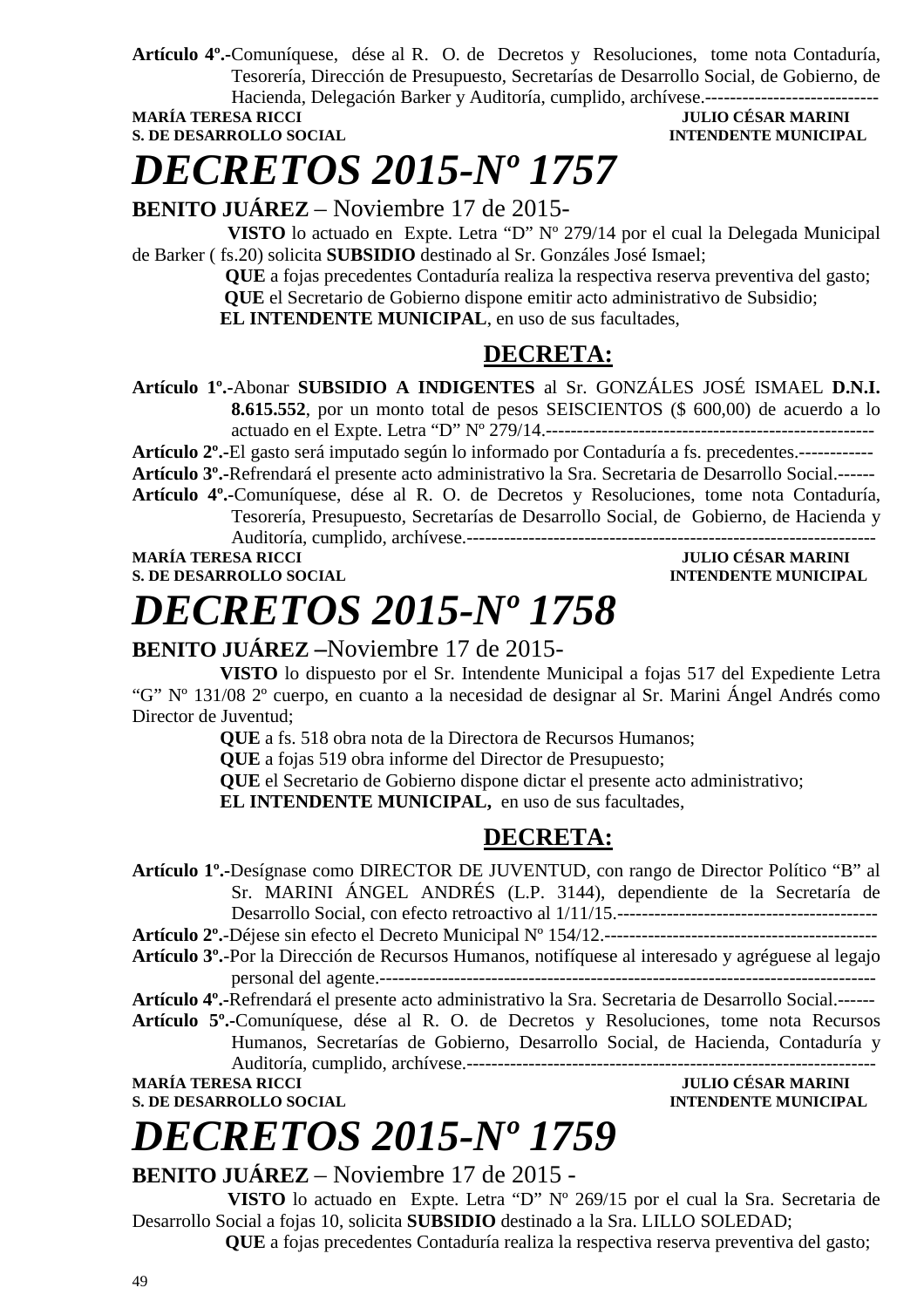**Artículo 4º.-**Comuníquese, dése al R. O. de Decretos y Resoluciones, tome nota Contaduría, Tesorería, Dirección de Presupuesto, Secretarías de Desarrollo Social, de Gobierno, de Hacienda, Delegación Barker y Auditoría, cumplido, archívese.----------------------------

#### **JULIO CÉSAR MARINI S. DE DESARROLLO SOCIAL CONSUMING A LOCAL CONSUMING A LOCAL CONSUMING A LOCAL CONSUMING A LOCAL CONSUMING A LOCAL CONSUMING A LOCAL CONSUMING A LOCAL CONSUMING A LOCAL CONSUMING A LOCAL CONSUMING A LOCAL CONSUMING A LOCAL**

# *DECRETOS 2015-Nº 1757*

**BENITO JUÁREZ** – Noviembre 17 de 2015-

 **VISTO** lo actuado en Expte. Letra "D" Nº 279/14 por el cual la Delegada Municipal de Barker ( fs.20) solicita **SUBSIDIO** destinado al Sr. Gonzáles José Ismael;

 **QUE** a fojas precedentes Contaduría realiza la respectiva reserva preventiva del gasto;  **QUE** el Secretario de Gobierno dispone emitir acto administrativo de Subsidio; **EL INTENDENTE MUNICIPAL**, en uso de sus facultades,

### **DECRETA:**

**Artículo 1º.-**Abonar **SUBSIDIO A INDIGENTES** al Sr. GONZÁLES JOSÉ ISMAEL **D.N.I. 8.615.552**, por un monto total de pesos SEISCIENTOS (\$ 600,00) de acuerdo a lo actuado en el Expte. Letra "D" Nº 279/14.-----------------------------------------------------

**Artículo 2º.-**El gasto será imputado según lo informado por Contaduría a fs. precedentes.------------

**Artículo 3º.-**Refrendará el presente acto administrativo la Sra. Secretaria de Desarrollo Social.------

**Artículo 4º.-**Comuníquese, dése al R. O. de Decretos y Resoluciones, tome nota Contaduría, Tesorería, Presupuesto, Secretarías de Desarrollo Social, de Gobierno, de Hacienda y

Auditoría, cumplido, archívese.------------------------------------------------------------------

**S. DE DESARROLLO SOCIAL DESARROLLO SOCIAL DESARROLLO SOCIAL DESARROLLO SOCIAL DESARROLLO SOCIAL DE SOCIAL DE SOCIAL DE SOCIAL DE SOCIAL DE SOCIAL DE SOCIAL DE SOCIAL DE SOCIAL DE SOCIAL DE SOCIAL DE SOCIAL DE SOCIAL DE SO** 

**MARÍA TERESA RICCI JULIO CÉSAR MARINI** 

**MARINI** INTENDENTE MUNICIPAL

# *DECRETOS 2015-Nº 1758*

### **BENITO JUÁREZ –**Noviembre 17 de 2015-

**VISTO** lo dispuesto por el Sr. Intendente Municipal a fojas 517 del Expediente Letra "G" Nº 131/08 2º cuerpo, en cuanto a la necesidad de designar al Sr. Marini Ángel Andrés como Director de Juventud;

**QUE** a fs. 518 obra nota de la Directora de Recursos Humanos;

**QUE** a fojas 519 obra informe del Director de Presupuesto;

**QUE** el Secretario de Gobierno dispone dictar el presente acto administrativo;

**EL INTENDENTE MUNICIPAL,** en uso de sus facultades,

### **DECRETA:**

**Artículo 1º.-**Desígnase como DIRECTOR DE JUVENTUD, con rango de Director Político "B" al Sr. MARINI ÁNGEL ANDRÉS (L.P. 3144), dependiente de la Secretaría de Desarrollo Social, con efecto retroactivo al  $1/11/15$ .

**Artículo 2º.**-Déjese sin efecto el Decreto Municipal Nº 154/12.--------------------------------------------

**Artículo 3º.**-Por la Dirección de Recursos Humanos, notifíquese al interesado y agréguese al legajo personal del agente.--------------------------------------------------------------------------------

**Artículo 4º.-**Refrendará el presente acto administrativo la Sra. Secretaria de Desarrollo Social.------

**Artículo 5º.-**Comuníquese, dése al R. O. de Decretos y Resoluciones, tome nota Recursos Humanos, Secretarías de Gobierno, Desarrollo Social, de Hacienda, Contaduría y Auditoría, cumplido, archívese.------------------------------------------------------------------

**S. DE DESARROLLO SOCIAL** 

# *DECRETOS 2015-Nº 1759*

**BENITO JUÁREZ** – Noviembre 17 de 2015 -

 **VISTO** lo actuado en Expte. Letra "D" Nº 269/15 por el cual la Sra. Secretaria de Desarrollo Social a fojas 10, solicita **SUBSIDIO** destinado a la Sra. LILLO SOLEDAD;

 **QUE** a fojas precedentes Contaduría realiza la respectiva reserva preventiva del gasto;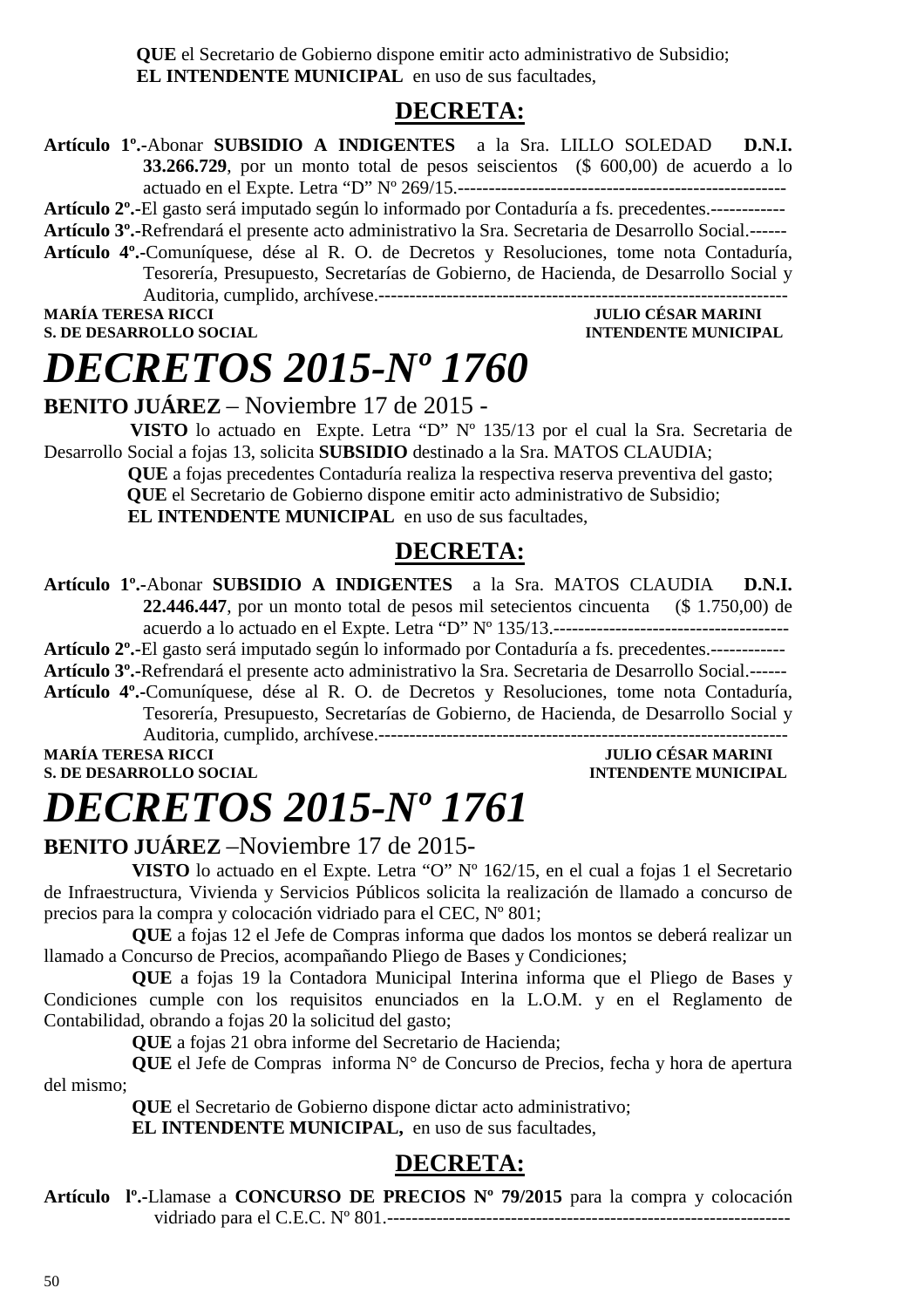**QUE** el Secretario de Gobierno dispone emitir acto administrativo de Subsidio;  **EL INTENDENTE MUNICIPAL** en uso de sus facultades,

### **DECRETA:**

- **Artículo 1º.-**Abonar **SUBSIDIO A INDIGENTES** a la Sra. LILLO SOLEDAD **D.N.I. 33.266.729**, por un monto total de pesos seiscientos (\$ 600,00) de acuerdo a lo actuado en el Expte. Letra "D" Nº 269/15.-----------------------------------------------------
- **Artículo 2º.-**El gasto será imputado según lo informado por Contaduría a fs. precedentes.------------
- **Artículo 3º.-**Refrendará el presente acto administrativo la Sra. Secretaria de Desarrollo Social.------
- **Artículo 4º.-**Comuníquese, dése al R. O. de Decretos y Resoluciones, tome nota Contaduría, Tesorería, Presupuesto, Secretarías de Gobierno, de Hacienda, de Desarrollo Social y Auditoria, cumplido, archívese.------------------------------------------------------------------

**MARÍA TERESA RICCI JULIO CÉSAR MARINI** 

### **INTENDENTE MUNICIPAL**

# *DECRETOS 2015-Nº 1760*

**BENITO JUÁREZ** – Noviembre 17 de 2015 -

 **VISTO** lo actuado en Expte. Letra "D" Nº 135/13 por el cual la Sra. Secretaria de Desarrollo Social a fojas 13, solicita **SUBSIDIO** destinado a la Sra. MATOS CLAUDIA;

> **QUE** a fojas precedentes Contaduría realiza la respectiva reserva preventiva del gasto;  **QUE** el Secretario de Gobierno dispone emitir acto administrativo de Subsidio; **EL INTENDENTE MUNICIPAL** en uso de sus facultades,

### **DECRETA:**

**Artículo 1º.-**Abonar **SUBSIDIO A INDIGENTES** a la Sra. MATOS CLAUDIA **D.N.I. 22.446.447**, por un monto total de pesos mil setecientos cincuenta (\$ 1.750,00) de acuerdo a lo actuado en el Expte. Letra "D" Nº 135/13.--------------------------------------

**Artículo 2º.-**El gasto será imputado según lo informado por Contaduría a fs. precedentes.------------

**Artículo 3º.-**Refrendará el presente acto administrativo la Sra. Secretaria de Desarrollo Social.------ **Artículo 4º.-**Comuníquese, dése al R. O. de Decretos y Resoluciones, tome nota Contaduría,

Tesorería, Presupuesto, Secretarías de Gobierno, de Hacienda, de Desarrollo Social y Auditoria, cumplido, archívese.------------------------------------------------------------------

**S. DE DESARROLLO SOCIAL** *INTENDENTE MUNICIPAL* 

## **MARÍA TERESA RICCI DE LOS DE LOS DE LOS DE LOS DE LOS DE JULIO CÉSAR MARINI**

# *DECRETOS 2015-Nº 1761*

### **BENITO JUÁREZ** –Noviembre 17 de 2015-

**VISTO** lo actuado en el Expte. Letra "O" Nº 162/15, en el cual a fojas 1 el Secretario de Infraestructura, Vivienda y Servicios Públicos solicita la realización de llamado a concurso de precios para la compra y colocación vidriado para el CEC, Nº 801;

**QUE** a fojas 12 el Jefe de Compras informa que dados los montos se deberá realizar un llamado a Concurso de Precios, acompañando Pliego de Bases y Condiciones;

**QUE** a fojas 19 la Contadora Municipal Interina informa que el Pliego de Bases y Condiciones cumple con los requisitos enunciados en la L.O.M. y en el Reglamento de Contabilidad, obrando a fojas 20 la solicitud del gasto;

**QUE** a fojas 21 obra informe del Secretario de Hacienda;

**QUE** el Jefe de Compras informa N° de Concurso de Precios, fecha y hora de apertura del mismo;

**QUE** el Secretario de Gobierno dispone dictar acto administrativo;

**EL INTENDENTE MUNICIPAL,** en uso de sus facultades,

### **DECRETA:**

**Artículo lº.-**Llamase a **CONCURSO DE PRECIOS Nº 79/2015** para la compra y colocación vidriado para el C.E.C. Nº 801.-----------------------------------------------------------------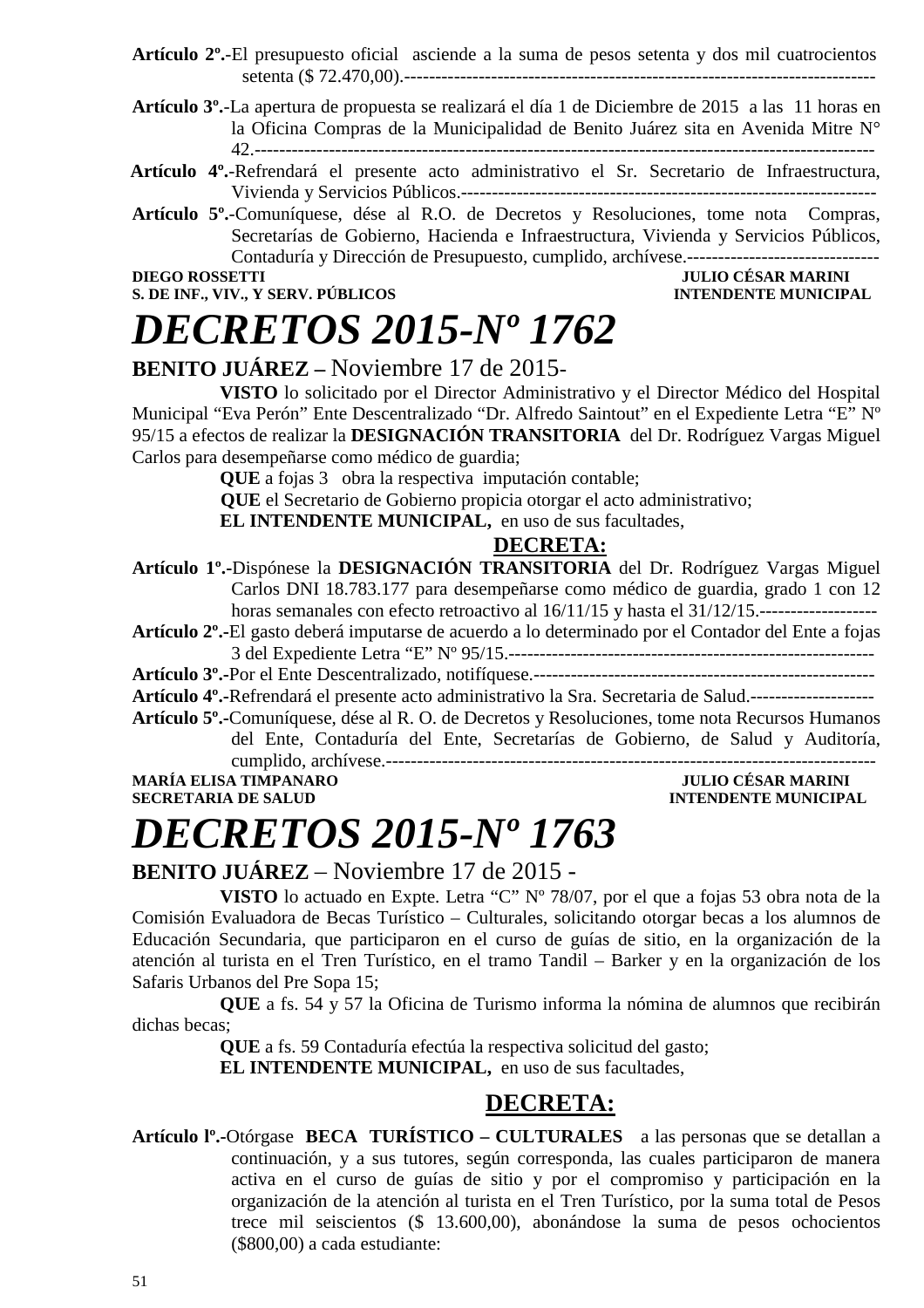- **Artículo 2º.**-El presupuesto oficial asciende a la suma de pesos setenta y dos mil cuatrocientos setenta (\$ 72.470,00).----------------------------------------------------------------------------
- **Artículo 3º.**-La apertura de propuesta se realizará el día 1 de Diciembre de 2015 a las 11 horas en la Oficina Compras de la Municipalidad de Benito Juárez sita en Avenida Mitre N° 42.----------------------------------------------------------------------------------------------------
- **Artículo 4º.**-Refrendará el presente acto administrativo el Sr. Secretario de Infraestructura, Vivienda y Servicios Públicos.-------------------------------------------------------------------
- **Artículo 5º.**-Comuníquese, dése al R.O. de Decretos y Resoluciones, tome nota Compras, Secretarías de Gobierno, Hacienda e Infraestructura, Vivienda y Servicios Públicos, Contaduría y Dirección de Presupuesto, cumplido, archívese.-------------------------------

**S. DE INF., VIV., Y SERV. PÚBLICOS** 

### **DIEGO ROSSETTI JULIO CÉSAR MARINI**

# *DECRETOS 2015-Nº 1762*

**BENITO JUÁREZ –** Noviembre 17 de 2015-

**VISTO** lo solicitado por el Director Administrativo y el Director Médico del Hospital Municipal "Eva Perón" Ente Descentralizado "Dr. Alfredo Saintout" en el Expediente Letra "E" Nº 95/15 a efectos de realizar la **DESIGNACIÓN TRANSITORIA** del Dr. Rodríguez Vargas Miguel Carlos para desempeñarse como médico de guardia;

**QUE** a fojas 3obra la respectiva imputación contable;

 **QUE** el Secretario de Gobierno propicia otorgar el acto administrativo;

**EL INTENDENTE MUNICIPAL,** en uso de sus facultades,

### **DECRETA:**

**Artículo 1º.-**Dispónese la **DESIGNACIÓN TRANSITORIA** del Dr. Rodríguez Vargas Miguel Carlos DNI 18.783.177 para desempeñarse como médico de guardia, grado 1 con 12 horas semanales con efecto retroactivo al 16/11/15 y hasta el 31/12/15.-----------------------------

**Artículo 2º.-**El gasto deberá imputarse de acuerdo a lo determinado por el Contador del Ente a fojas 3 del Expediente Letra "E" Nº 95/15.-----------------------------------------------------------

**Artículo 3º.-**Por el Ente Descentralizado, notifíquese.-------------------------------------------------------

**Artículo 4º.-**Refrendará el presente acto administrativo la Sra. Secretaria de Salud.--------------------

**Artículo 5º.-**Comuníquese, dése al R. O. de Decretos y Resoluciones, tome nota Recursos Humanos del Ente, Contaduría del Ente, Secretarías de Gobierno, de Salud y Auditoría, cumplido, archívese.-------------------------------------------------------------------------------

**MARÍA ELISA TIMPANARO JULIO CÉSAR MARINI SECRETARIA DE SALUD INTENDENTE MUNICIPAL** 

# *DECRETOS 2015-Nº 1763*

### **BENITO JUÁREZ** – Noviembre 17 de 2015 -

**VISTO** lo actuado en Expte. Letra "C" Nº 78/07, por el que a fojas 53 obra nota de la Comisión Evaluadora de Becas Turístico – Culturales, solicitando otorgar becas a los alumnos de Educación Secundaria, que participaron en el curso de guías de sitio, en la organización de la atención al turista en el Tren Turístico, en el tramo Tandil – Barker y en la organización de los Safaris Urbanos del Pre Sopa 15;

**QUE** a fs. 54 y 57 la Oficina de Turismo informa la nómina de alumnos que recibirán dichas becas;

**QUE** a fs. 59 Contaduría efectúa la respectiva solicitud del gasto;

**EL INTENDENTE MUNICIPAL,** en uso de sus facultades,

### **DECRETA:**

**Artículo lº.-**Otórgase **BECA TURÍSTICO – CULTURALES** a las personas que se detallan a continuación, y a sus tutores, según corresponda, las cuales participaron de manera activa en el curso de guías de sitio y por el compromiso y participación en la organización de la atención al turista en el Tren Turístico, por la suma total de Pesos trece mil seiscientos (\$ 13.600,00), abonándose la suma de pesos ochocientos (\$800,00) a cada estudiante: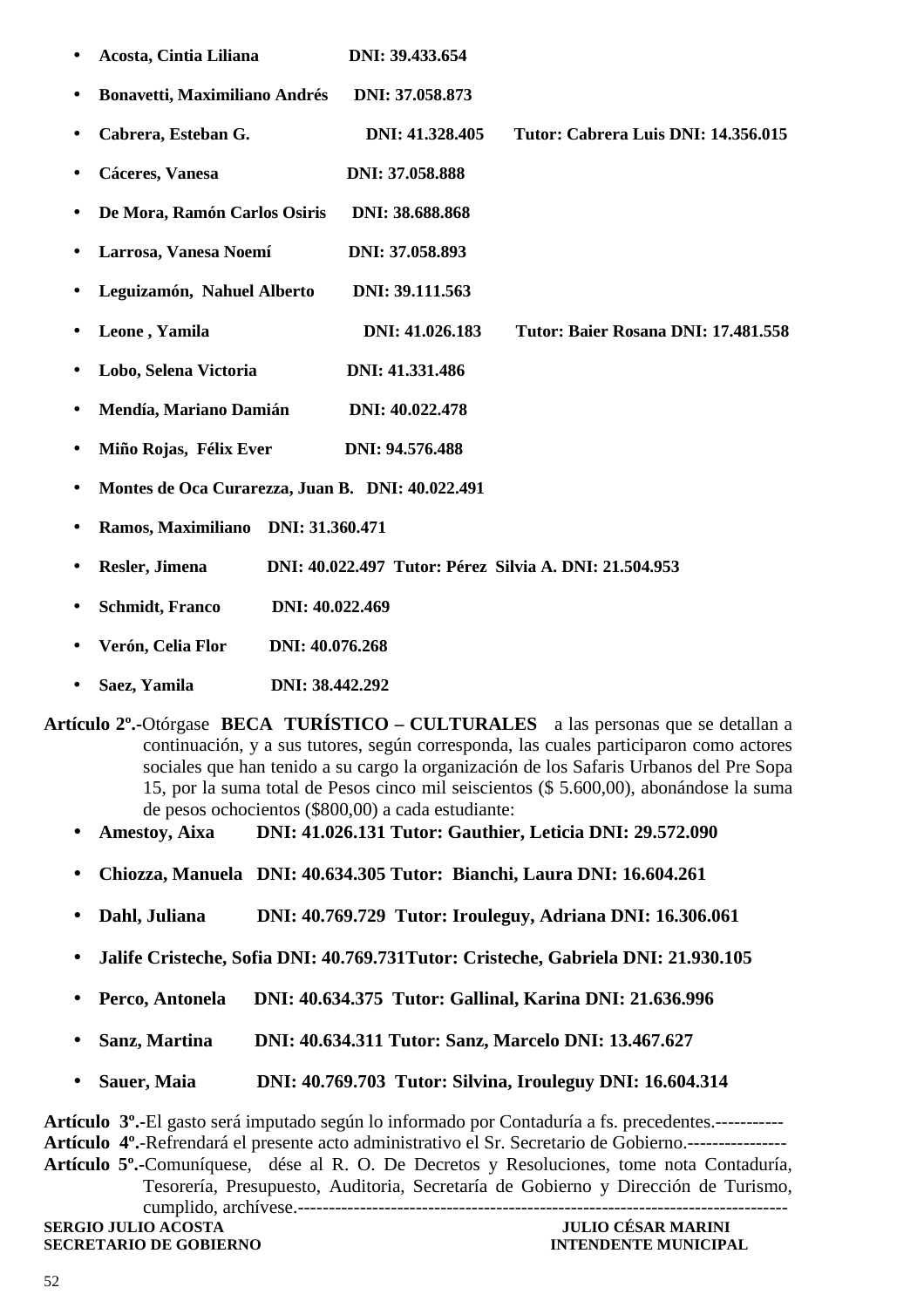|           | Acosta, Cintia Liliana                           | DNI: 39.433.654                                        |                                     |
|-----------|--------------------------------------------------|--------------------------------------------------------|-------------------------------------|
|           | <b>Bonavetti, Maximiliano Andrés</b>             | DNI: 37.058.873                                        |                                     |
| ٠         | Cabrera, Esteban G.                              | DNI: 41.328.405                                        | Tutor: Cabrera Luis DNI: 14.356.015 |
| $\bullet$ | Cáceres, Vanesa                                  | DNI: 37.058.888                                        |                                     |
|           | De Mora, Ramón Carlos Osiris                     | DNI: 38.688.868                                        |                                     |
| ٠         | Larrosa, Vanesa Noemí                            | DNI: 37.058.893                                        |                                     |
| ٠         | Leguizamón, Nahuel Alberto                       | DNI: 39.111.563                                        |                                     |
| ٠         | Leone, Yamila                                    | DNI: 41.026.183                                        | Tutor: Baier Rosana DNI: 17.481.558 |
|           | Lobo, Selena Victoria                            | DNI: 41.331.486                                        |                                     |
| ٠         | Mendía, Mariano Damián                           | DNI: 40.022.478                                        |                                     |
| ٠         | Miño Rojas, Félix Ever                           | DNI: 94.576.488                                        |                                     |
| $\bullet$ | Montes de Oca Curarezza, Juan B. DNI: 40.022.491 |                                                        |                                     |
|           | Ramos, Maximiliano                               | DNI: 31.360.471                                        |                                     |
| ٠         | Resler, Jimena                                   | DNI: 40.022.497 Tutor: Pérez Silvia A. DNI: 21.504.953 |                                     |
|           | <b>Schmidt</b> , Franco                          | DNI: 40.022.469                                        |                                     |
|           | Verón, Celia Flor                                | DNI: 40.076.268                                        |                                     |

- **Saez, Yamila DNI: 38.442.292**
- **Artículo 2º.-**Otórgase **BECA TURÍSTICO CULTURALES** a las personas que se detallan a continuación, y a sus tutores, según corresponda, las cuales participaron como actores sociales que han tenido a su cargo la organización de los Safaris Urbanos del Pre Sopa 15, por la suma total de Pesos cinco mil seiscientos (\$ 5.600,00), abonándose la suma de pesos ochocientos (\$800,00) a cada estudiante:
	- **Amestoy, Aixa DNI: 41.026.131 Tutor: Gauthier, Leticia DNI: 29.572.090**
	- **Chiozza, Manuela DNI: 40.634.305 Tutor: Bianchi, Laura DNI: 16.604.261**
	- **Dahl, Juliana DNI: 40.769.729 Tutor: Irouleguy, Adriana DNI: 16.306.061**
	- **Jalife Cristeche, Sofia DNI: 40.769.731Tutor: Cristeche, Gabriela DNI: 21.930.105**
	- **Perco, Antonela DNI: 40.634.375 Tutor: Gallinal, Karina DNI: 21.636.996**
	- **Sanz, Martina DNI: 40.634.311 Tutor: Sanz, Marcelo DNI: 13.467.627**
	- **Sauer, Maia DNI: 40.769.703 Tutor: Silvina, Irouleguy DNI: 16.604.314**

**Artículo 3º.-**El gasto será imputado según lo informado por Contaduría a fs. precedentes.----------- **Artículo 4º.**-Refrendará el presente acto administrativo el Sr. Secretario de Gobierno.---------------- **Artículo 5º.-**Comuníquese, dése al R. O. De Decretos y Resoluciones, tome nota Contaduría, Tesorería, Presupuesto, Auditoria, Secretaría de Gobierno y Dirección de Turismo, cumplido, archívese.-------------------------------------------------------------------------------

**SERGIO JULIO ACOSTA JULIO CÉSAR MARINI SECRETARIO DE GOBIERNO**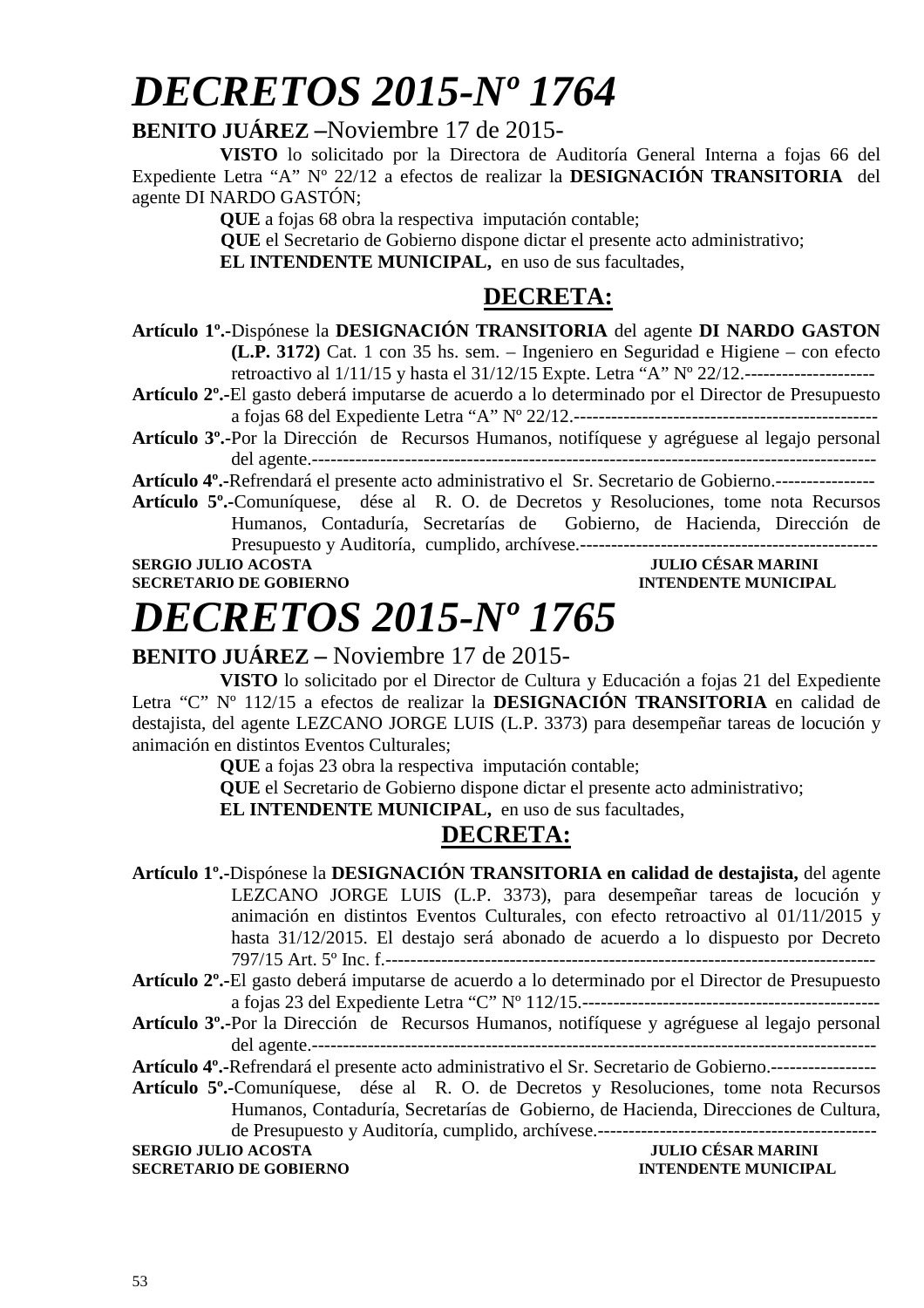# *DECRETOS 2015-Nº 1764*

### **BENITO JUÁREZ –**Noviembre 17 de 2015-

**VISTO** lo solicitado por la Directora de Auditoría General Interna a fojas 66 del Expediente Letra "A" Nº 22/12 a efectos de realizar la **DESIGNACIÓN TRANSITORIA** del agente DI NARDO GASTÓN;

**QUE** a fojas 68 obra la respectiva imputación contable;

 **QUE** el Secretario de Gobierno dispone dictar el presente acto administrativo;

**EL INTENDENTE MUNICIPAL,** en uso de sus facultades,

### **DECRETA:**

**Artículo 1º.-**Dispónese la **DESIGNACIÓN TRANSITORIA** del agente **DI NARDO GASTON (L.P. 3172)** Cat. 1 con 35 hs. sem. – Ingeniero en Seguridad e Higiene – con efecto retroactivo al 1/11/15 y hasta el 31/12/15 Expte. Letra "A" Nº 22/12.---------------------

**Artículo 2º.-**El gasto deberá imputarse de acuerdo a lo determinado por el Director de Presupuesto a fojas 68 del Expediente Letra "A" Nº 22/12.-------------------------------------------------

**Artículo 3º.-**Por la Dirección de Recursos Humanos, notifíquese y agréguese al legajo personal del agente.-------------------------------------------------------------------------------------------

**Artículo 4º.-**Refrendará el presente acto administrativo el Sr. Secretario de Gobierno.----------------

**Artículo 5º.-**Comuníquese, dése al R. O. de Decretos y Resoluciones, tome nota Recursos Humanos, Contaduría, Secretarías de Gobierno, de Hacienda, Dirección de Presupuesto y Auditoría, cumplido, archívese.------------------------------------------------

**SERGIO JULIO ACOSTA JULIO CÉSAR MARINI** 

### **SECRETARIO DE GOBIERNO INTENDENTE MUNICIPAL**

# *DECRETOS 2015-Nº 1765*

### **BENITO JUÁREZ –** Noviembre 17 de 2015-

**VISTO** lo solicitado por el Director de Cultura y Educación a fojas 21 del Expediente Letra "C" Nº 112/15 a efectos de realizar la **DESIGNACIÓN TRANSITORIA** en calidad de destajista, del agente LEZCANO JORGE LUIS (L.P. 3373) para desempeñar tareas de locución y animación en distintos Eventos Culturales;

**QUE** a fojas 23 obra la respectiva imputación contable;

**QUE** el Secretario de Gobierno dispone dictar el presente acto administrativo;

**EL INTENDENTE MUNICIPAL,** en uso de sus facultades,

### **DECRETA:**

**Artículo 1º.-**Dispónese la **DESIGNACIÓN TRANSITORIA en calidad de destajista,** del agente LEZCANO JORGE LUIS (L.P. 3373), para desempeñar tareas de locución y animación en distintos Eventos Culturales, con efecto retroactivo al 01/11/2015 y hasta 31/12/2015. El destajo será abonado de acuerdo a lo dispuesto por Decreto 797/15 Art. 5º Inc. f.-------------------------------------------------------------------------------

**Artículo 2º.-**El gasto deberá imputarse de acuerdo a lo determinado por el Director de Presupuesto a fojas 23 del Expediente Letra "C" Nº 112/15.------------------------------------------------

**Artículo 3º.-**Por la Dirección de Recursos Humanos, notifíquese y agréguese al legajo personal del agente.-------------------------------------------------------------------------------------------

**Artículo 4º.-**Refrendará el presente acto administrativo el Sr. Secretario de Gobierno.-----------------

**Artículo 5º.-**Comuníquese, dése al R. O. de Decretos y Resoluciones, tome nota Recursos Humanos, Contaduría, Secretarías de Gobierno, de Hacienda, Direcciones de Cultura, de Presupuesto y Auditoría, cumplido, archívese.---------------------------------------------

**SERGIO JULIO ACOSTA** 

**SECRETARIO DE GOBIERNO INTENDENTE MUNICIPAL**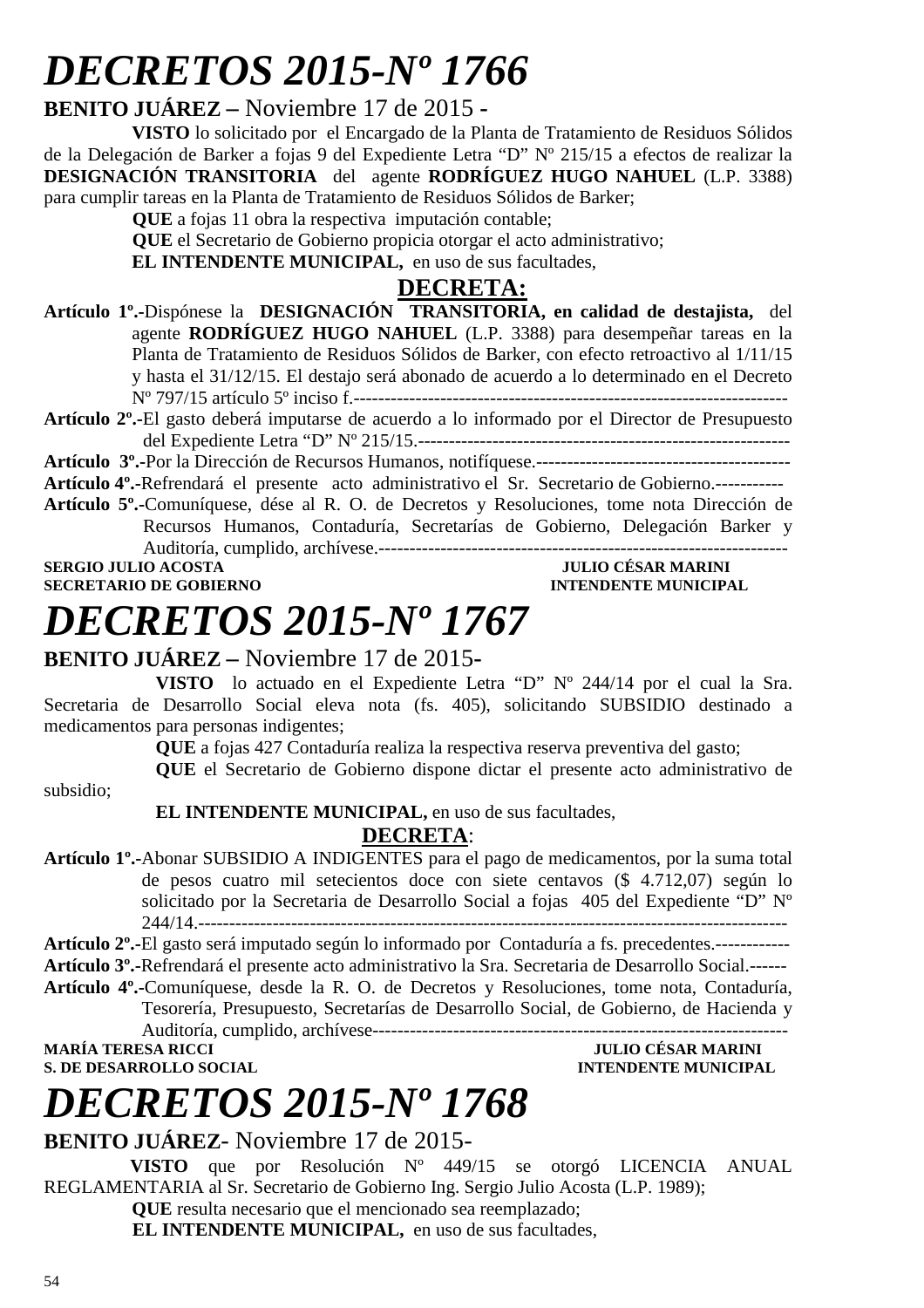# *DECRETOS 2015-Nº 1766*

### **BENITO JUÁREZ –** Noviembre 17 de 2015 **-**

**VISTO** lo solicitado por el Encargado de la Planta de Tratamiento de Residuos Sólidos de la Delegación de Barker a fojas 9 del Expediente Letra "D" Nº 215/15 a efectos de realizar la **DESIGNACIÓN TRANSITORIA** del agente **RODRÍGUEZ HUGO NAHUEL** (L.P. 3388) para cumplir tareas en la Planta de Tratamiento de Residuos Sólidos de Barker;

 **QUE** a fojas 11 obra la respectiva imputación contable;

 **QUE** el Secretario de Gobierno propicia otorgar el acto administrativo;

**EL INTENDENTE MUNICIPAL,** en uso de sus facultades,

### **DECRETA:**

- **Artículo 1º.-**Dispónese la **DESIGNACIÓN TRANSITORIA, en calidad de destajista,** del agente **RODRÍGUEZ HUGO NAHUEL** (L.P. 3388) para desempeñar tareas en la Planta de Tratamiento de Residuos Sólidos de Barker, con efecto retroactivo al 1/11/15 y hasta el 31/12/15. El destajo será abonado de acuerdo a lo determinado en el Decreto Nº 797/15 artículo 5º inciso f.----------------------------------------------------------------------
- **Artículo 2º.-**El gasto deberá imputarse de acuerdo a lo informado por el Director de Presupuesto del Expediente Letra "D" Nº 215/15.------------------------------------------------------------

**Artículo 3º.-**Por la Dirección de Recursos Humanos, notifíquese.-----------------------------------------

**Artículo 4º.-**Refrendará el presente acto administrativo el Sr. Secretario de Gobierno.-----------

**Artículo 5º.-**Comuníquese, dése al R. O. de Decretos y Resoluciones, tome nota Dirección de Recursos Humanos, Contaduría, Secretarías de Gobierno, Delegación Barker y Auditoría, cumplido, archívese.------------------------------------------------------------------

**SERGIO JULIO ACOSTA JULIO CÉSAR MARINI A LOS DE GOBIERNO DE CONFERENCIA DE LOS DE LOS DE LOS DE LOS DE LOS DE LOS DE LOS DE LOS DE LOS DE LOS DE LOS DE LOS DE LOS DE LOS DE LOS DE LOS DE LOS DE LOS DE LOS DE LOS DE LOS DE SECRETARIO DE GOBIERNO** 

# *DECRETOS 2015-Nº 1767*

### **BENITO JUÁREZ –** Noviembre 17 de 2015**-**

**VISTO** lo actuado en el Expediente Letra "D" Nº 244/14 por el cual la Sra. Secretaria de Desarrollo Social eleva nota (fs. 405), solicitando SUBSIDIO destinado a medicamentos para personas indigentes;

**QUE** a fojas 427 Contaduría realiza la respectiva reserva preventiva del gasto;

**QUE** el Secretario de Gobierno dispone dictar el presente acto administrativo de

subsidio;

 **EL INTENDENTE MUNICIPAL,** en uso de sus facultades,

### **DECRETA**:

**Artículo 1º.-**Abonar SUBSIDIO A INDIGENTES para el pago de medicamentos, por la suma total de pesos cuatro mil setecientos doce con siete centavos (\$ 4.712,07) según lo solicitado por la Secretaria de Desarrollo Social a fojas 405 del Expediente "D" Nº 244/14.-----------------------------------------------------------------------------------------------

**Artículo 2º.-**El gasto será imputado según lo informado por Contaduría a fs. precedentes.------------ **Artículo 3º.-**Refrendará el presente acto administrativo la Sra. Secretaria de Desarrollo Social.------

**Artículo 4º.-**Comuníquese, desde la R. O. de Decretos y Resoluciones, tome nota, Contaduría, Tesorería, Presupuesto, Secretarías de Desarrollo Social, de Gobierno, de Hacienda y Auditoría, cumplido, archívese-------------------------------------------------------------------

**S. DE DESARROLLO SOCIAL** 

**MULIO CÉSAR MARINI<br>INTENDENTE MUNICIPAL** 

# *DECRETOS 2015-Nº 1768*

### **BENITO JUÁREZ**- Noviembre 17 de 2015-

 **VISTO** que por Resolución Nº 449/15 se otorgó LICENCIA ANUAL REGLAMENTARIA al Sr. Secretario de Gobierno Ing. Sergio Julio Acosta (L.P. 1989);

**QUE** resulta necesario que el mencionado sea reemplazado;

**EL INTENDENTE MUNICIPAL,** en uso de sus facultades,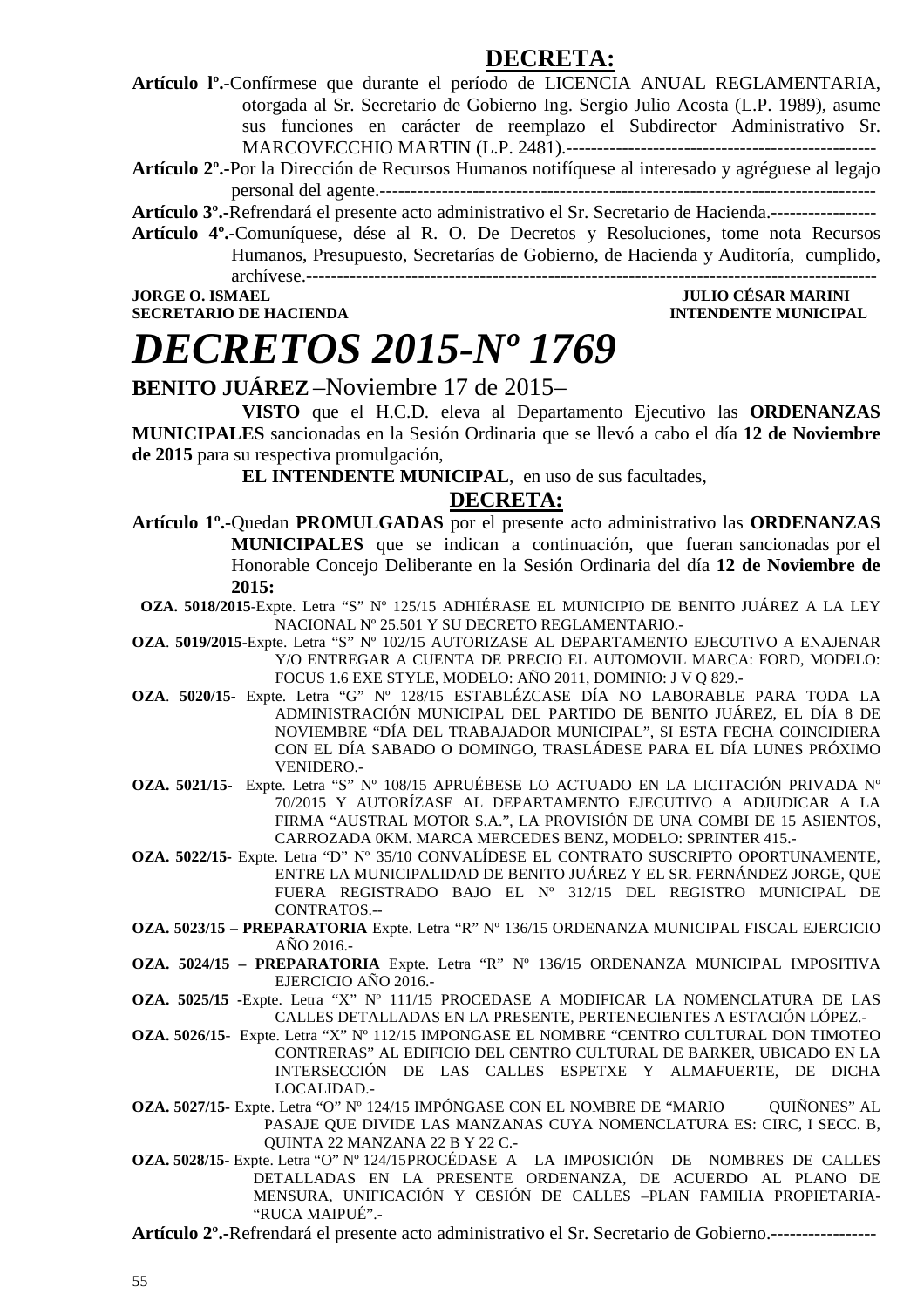### **DECRETA:**

**Artículo lº.-**Confírmese que durante el período de LICENCIA ANUAL REGLAMENTARIA, otorgada al Sr. Secretario de Gobierno Ing. Sergio Julio Acosta (L.P. 1989), asume sus funciones en carácter de reemplazo el Subdirector Administrativo Sr. MARCOVECCHIO MARTIN (L.P. 2481).--------------------------------------------------

**Artículo 2º.-**Por la Dirección de Recursos Humanos notifíquese al interesado y agréguese al legajo personal del agente.--------------------------------------------------------------------------------

**Artículo 3º.-**Refrendará el presente acto administrativo el Sr. Secretario de Hacienda.-----------------

**Artículo 4º.-**Comuníquese, dése al R. O. De Decretos y Resoluciones, tome nota Recursos Humanos, Presupuesto, Secretarías de Gobierno, de Hacienda y Auditoría, cumplido, archívese.--------------------------------------------------------------------------------------------

**JORGE O. ISMAEL JULIO CÉSAR MARINI** 

**SECRETARIO DE HACIENDA INTENDENTE MUNICIPAL** 

# *DECRETOS 2015-Nº 1769*

### **BENITO JUÁREZ** –Noviembre 17 de 2015–

 **VISTO** que el H.C.D. eleva al Departamento Ejecutivo las **ORDENANZAS MUNICIPALES** sancionadas en la Sesión Ordinaria que se llevó a cabo el día **12 de Noviembre de 2015** para su respectiva promulgación,

**EL INTENDENTE MUNICIPAL**, en uso de sus facultades,

### **DECRETA:**

- **Artículo 1º.-**Quedan **PROMULGADAS** por el presente acto administrativo las **ORDENANZAS MUNICIPALES** que se indican a continuación, que fueran sancionadas por el Honorable Concejo Deliberante en la Sesión Ordinaria del día **12 de Noviembre de 2015:**
- **OZA. 5018/2015**-Expte. Letra "S" Nº 125/15 ADHIÉRASE EL MUNICIPIO DE BENITO JUÁREZ A LA LEY NACIONAL Nº 25.501 Y SU DECRETO REGLAMENTARIO.-
- **OZA**. **5019/2015**-Expte. Letra "S" Nº 102/15 AUTORIZASE AL DEPARTAMENTO EJECUTIVO A ENAJENAR Y/O ENTREGAR A CUENTA DE PRECIO EL AUTOMOVIL MARCA: FORD, MODELO: FOCUS 1.6 EXE STYLE, MODELO: AÑO 2011, DOMINIO: J V Q 829.-
- **OZA**. **5020/15-** Expte. Letra "G" Nº 128/15 ESTABLÉZCASE DÍA NO LABORABLE PARA TODA LA ADMINISTRACIÓN MUNICIPAL DEL PARTIDO DE BENITO JUÁREZ, EL DÍA 8 DE NOVIEMBRE "DÍA DEL TRABAJADOR MUNICIPAL", SI ESTA FECHA COINCIDIERA CON EL DÍA SABADO O DOMINGO, TRASLÁDESE PARA EL DÍA LUNES PRÓXIMO VENIDERO.-
- **OZA. 5021/15-** Expte. Letra "S" Nº 108/15 APRUÉBESE LO ACTUADO EN LA LICITACIÓN PRIVADA Nº 70/2015 Y AUTORÍZASE AL DEPARTAMENTO EJECUTIVO A ADJUDICAR A LA FIRMA "AUSTRAL MOTOR S.A.", LA PROVISIÓN DE UNA COMBI DE 15 ASIENTOS, CARROZADA 0KM. MARCA MERCEDES BENZ, MODELO: SPRINTER 415.-
- **OZA. 5022/15-** Expte. Letra "D" Nº 35/10 CONVALÍDESE EL CONTRATO SUSCRIPTO OPORTUNAMENTE, ENTRE LA MUNICIPALIDAD DE BENITO JUÁREZ Y EL SR. FERNÁNDEZ JORGE, QUE FUERA REGISTRADO BAJO EL Nº 312/15 DEL REGISTRO MUNICIPAL DE CONTRATOS.--
- **OZA. 5023/15 PREPARATORIA** Expte. Letra "R" Nº 136/15 ORDENANZA MUNICIPAL FISCAL EJERCICIO AÑO 2016.-
- **OZA. 5024/15 PREPARATORIA** Expte. Letra "R" Nº 136/15 ORDENANZA MUNICIPAL IMPOSITIVA EJERCICIO AÑO 2016.-
- **OZA. 5025/15 -**Expte. Letra "X" Nº 111/15 PROCEDASE A MODIFICAR LA NOMENCLATURA DE LAS CALLES DETALLADAS EN LA PRESENTE, PERTENECIENTES A ESTACIÓN LÓPEZ.-
- **OZA. 5026/15** Expte. Letra "X" Nº 112/15 IMPONGASE EL NOMBRE "CENTRO CULTURAL DON TIMOTEO CONTRERAS" AL EDIFICIO DEL CENTRO CULTURAL DE BARKER, UBICADO EN LA INTERSECCIÓN DE LAS CALLES ESPETXE Y ALMAFUERTE, DE DICHA LOCALIDAD.-
- **OZA. 5027/15-** Expte. Letra "O" Nº 124/15 IMPÓNGASE CON EL NOMBRE DE "MARIO QUIÑONES" AL PASAJE QUE DIVIDE LAS MANZANAS CUYA NOMENCLATURA ES: CIRC, I SECC. B, QUINTA 22 MANZANA 22 B Y 22 C.-
- **OZA. 5028/15-** Expte. Letra "O" Nº 124/15 PROCÉDASE A LA IMPOSICIÓN DE NOMBRES DE CALLES DETALLADAS EN LA PRESENTE ORDENANZA, DE ACUERDO AL PLANO DE MENSURA, UNIFICACIÓN Y CESIÓN DE CALLES –PLAN FAMILIA PROPIETARIA- "RUCA MAIPUÉ".-

**Artículo 2º.-**Refrendará el presente acto administrativo el Sr. Secretario de Gobierno.-----------------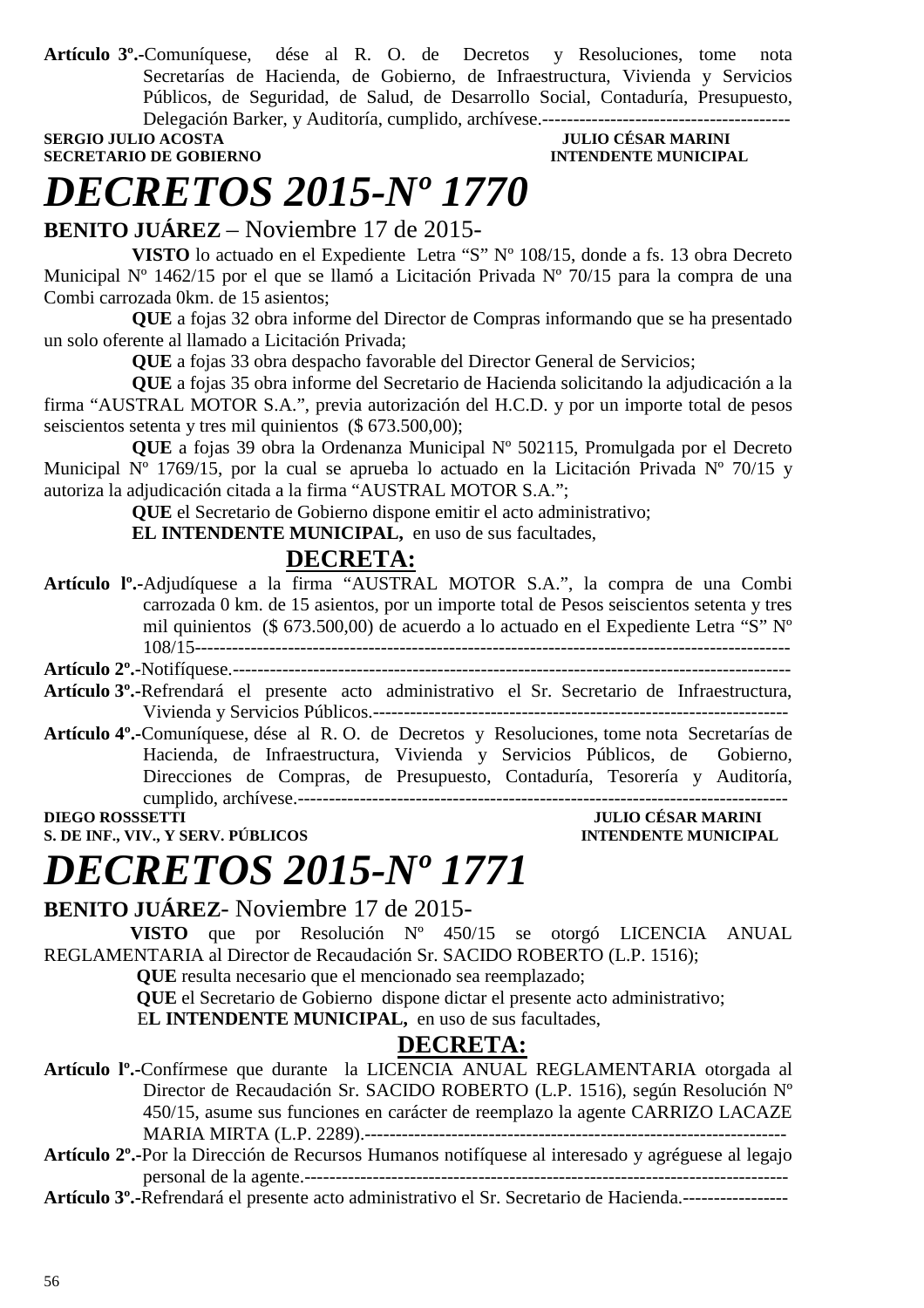**Artículo 3º.-**Comuníquese, dése al R. O. de Decretos y Resoluciones, tome nota Secretarías de Hacienda, de Gobierno, de Infraestructura, Vivienda y Servicios Públicos, de Seguridad, de Salud, de Desarrollo Social, Contaduría, Presupuesto, Delegación Barker, y Auditoría, cumplido, archívese.----------------------------------------

#### **SERGIO JULIO ACOSTA JULIO CÉSAR MARINI SECRETARIO DE GOBIERNO INTENDENTE MUNICIPAL**

# *DECRETOS 2015-Nº 1770*

**BENITO JUÁREZ** – Noviembre 17 de 2015-

**VISTO** lo actuado en el Expediente Letra "S" Nº 108/15, donde a fs. 13 obra Decreto Municipal Nº 1462/15 por el que se llamó a Licitación Privada Nº 70/15 para la compra de una Combi carrozada 0km. de 15 asientos;

**QUE** a fojas 32 obra informe del Director de Compras informando que se ha presentado un solo oferente al llamado a Licitación Privada;

**QUE** a fojas 33 obra despacho favorable del Director General de Servicios;

**QUE** a fojas 35 obra informe del Secretario de Hacienda solicitando la adjudicación a la firma "AUSTRAL MOTOR S.A.", previa autorización del H.C.D. y por un importe total de pesos seiscientos setenta y tres mil quinientos (\$ 673.500,00);

**QUE** a fojas 39 obra la Ordenanza Municipal Nº 502115, Promulgada por el Decreto Municipal Nº 1769/15, por la cual se aprueba lo actuado en la Licitación Privada Nº 70/15 y autoriza la adjudicación citada a la firma "AUSTRAL MOTOR S.A.";

**QUE** el Secretario de Gobierno dispone emitir el acto administrativo;

**EL INTENDENTE MUNICIPAL,** en uso de sus facultades,

### **DECRETA:**

**Artículo lº.-**Adjudíquese a la firma "AUSTRAL MOTOR S.A.", la compra de una Combi carrozada 0 km. de 15 asientos, por un importe total de Pesos seiscientos setenta y tres mil quinientos (\$ 673.500,00) de acuerdo a lo actuado en el Expediente Letra "S" Nº 108/15------------------------------------------------------------------------------------------------

**Artículo 2º.-**Notifíquese.------------------------------------------------------------------------------------------

- **Artículo 3º.-**Refrendará el presente acto administrativo el Sr. Secretario de Infraestructura, Vivienda y Servicios Públicos.-------------------------------------------------------------------
- **Artículo 4º.-**Comuníquese, dése al R. O. de Decretos y Resoluciones, tome nota Secretarías de Hacienda, de Infraestructura, Vivienda y Servicios Públicos, de Gobierno, Direcciones de Compras, de Presupuesto, Contaduría, Tesorería y Auditoría, cumplido, archívese.-------------------------------------------------------------------------------

**DIEGO ROSSSETTI JULIO CÉSAR MARINI S. DE INF., VIV., Y SERV. PÚBLICOS INTENDENTE MUNICIPAL** 

# *DECRETOS 2015-Nº 1771*

**BENITO JUÁREZ**- Noviembre 17 de 2015-

 **VISTO** que por Resolución Nº 450/15 se otorgó LICENCIA ANUAL REGLAMENTARIA al Director de Recaudación Sr. SACIDO ROBERTO (L.P. 1516);

 **QUE** resulta necesario que el mencionado sea reemplazado;

 **QUE** el Secretario de Gobierno dispone dictar el presente acto administrativo;

E**L INTENDENTE MUNICIPAL,** en uso de sus facultades,

### **DECRETA:**

**Artículo lº.-**Confírmese que durante la LICENCIA ANUAL REGLAMENTARIA otorgada al Director de Recaudación Sr. SACIDO ROBERTO (L.P. 1516), según Resolución Nº 450/15, asume sus funciones en carácter de reemplazo la agente CARRIZO LACAZE MARIA MIRTA (L.P. 2289).--------------------------------------------------------------------

**Artículo 2º.-**Por la Dirección de Recursos Humanos notifíquese al interesado y agréguese al legajo personal de la agente.------------------------------------------------------------------------------

**Artículo 3º.-**Refrendará el presente acto administrativo el Sr. Secretario de Hacienda.-----------------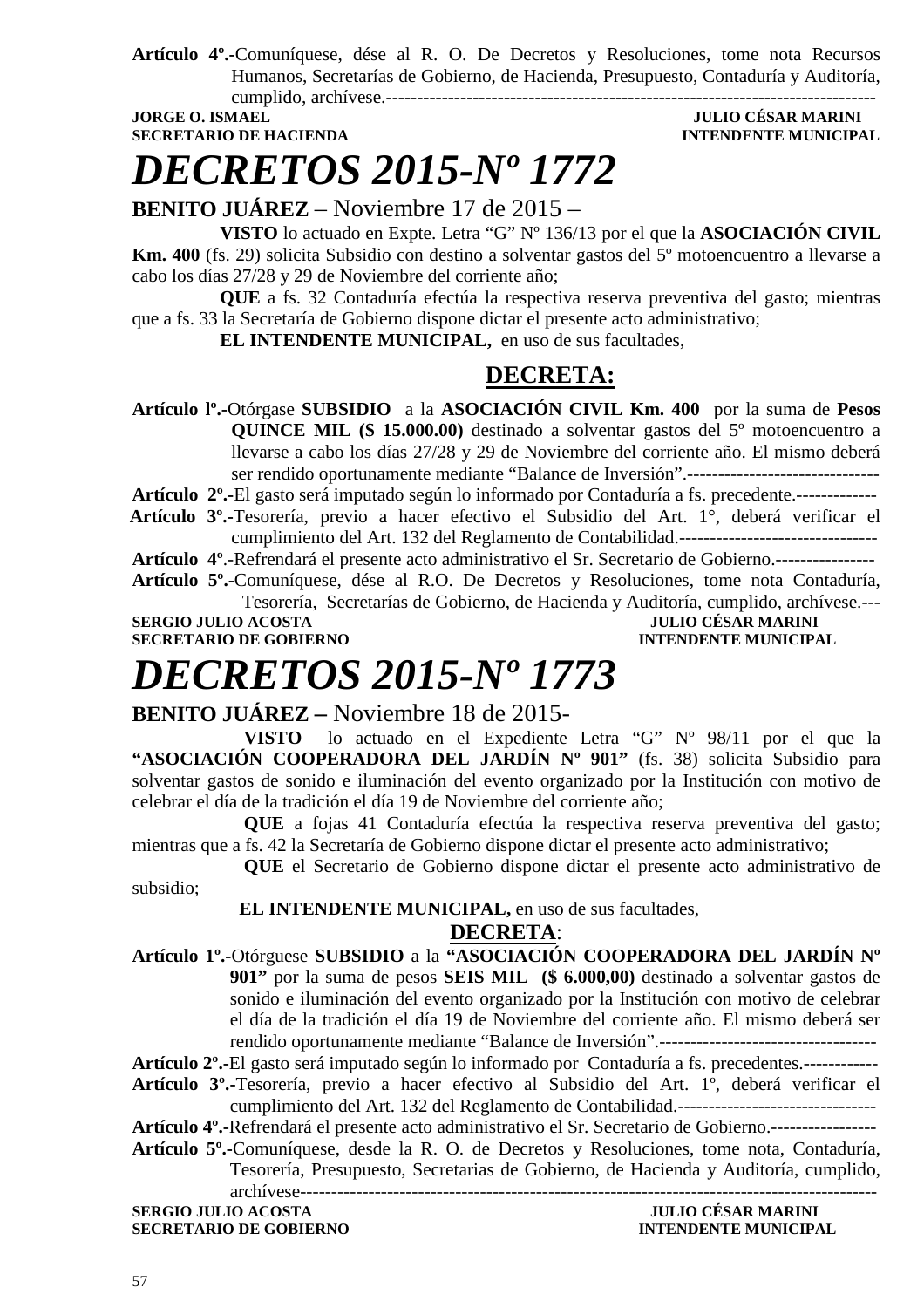**Artículo 4º.-**Comuníquese, dése al R. O. De Decretos y Resoluciones, tome nota Recursos Humanos, Secretarías de Gobierno, de Hacienda, Presupuesto, Contaduría y Auditoría, cumplido, archívese.-------------------------------------------------------------------------------

**SECRETARIO DE HACIENDA INTENDENTE MUNICIPAL** 

## **JULIO CÉSAR MARINI**

*DECRETOS 2015-Nº 1772*

**BENITO JUÁREZ** – Noviembre 17 de 2015 –

**VISTO** lo actuado en Expte. Letra "G" Nº 136/13 por el que la **ASOCIACIÓN CIVIL Km. 400** (fs. 29) solicita Subsidio con destino a solventar gastos del 5º motoencuentro a llevarse a cabo los días 27/28 y 29 de Noviembre del corriente año;

**QUE** a fs. 32 Contaduría efectúa la respectiva reserva preventiva del gasto; mientras que a fs. 33 la Secretaría de Gobierno dispone dictar el presente acto administrativo;

**EL INTENDENTE MUNICIPAL,** en uso de sus facultades,

### **DECRETA:**

**Artículo lº.-**Otórgase **SUBSIDIO** a la **ASOCIACIÓN CIVIL Km. 400** por la suma de **Pesos QUINCE MIL (\$ 15.000.00)** destinado a solventar gastos del 5º motoencuentro a llevarse a cabo los días 27/28 y 29 de Noviembre del corriente año. El mismo deberá ser rendido oportunamente mediante "Balance de Inversión".-------------------------------

**Artículo 2º.-**El gasto será imputado según lo informado por Contaduría a fs. precedente.-------------

 **Artículo 3º.-**Tesorería, previo a hacer efectivo el Subsidio del Art. 1°, deberá verificar el cumplimiento del Art. 132 del Reglamento de Contabilidad.--------------------------------

**Artículo 4º**.-Refrendará el presente acto administrativo el Sr. Secretario de Gobierno.----------------

**Artículo 5º.-**Comuníquese, dése al R.O. De Decretos y Resoluciones, tome nota Contaduría, Tesorería, Secretarías de Gobierno, de Hacienda y Auditoría, cumplido, archívese.---

**SERGIO JULIO ACOSTA JULIO CÉSAR MARINI** 

**SECRETARIO DE GOBIERNO INTENDENTE MUNICIPAL** 

# *DECRETOS 2015-Nº 1773*

**BENITO JUÁREZ –** Noviembre 18 de 2015-

**VISTO** lo actuado en el Expediente Letra "G" Nº 98/11 por el que la "ASOCIACIÓN COOPERADORA DEL JARDÍN Nº 901" (fs. 38) solicita Subsidio para solventar gastos de sonido e iluminación del evento organizado por la Institución con motivo de celebrar el día de la tradición el día 19 de Noviembre del corriente año;

**QUE** a fojas 41 Contaduría efectúa la respectiva reserva preventiva del gasto; mientras que a fs. 42 la Secretaría de Gobierno dispone dictar el presente acto administrativo;

**QUE** el Secretario de Gobierno dispone dictar el presente acto administrativo de subsidio;

### **EL INTENDENTE MUNICIPAL,** en uso de sus facultades,

### **DECRETA**:

**Artículo 1º.-**Otórguese **SUBSIDIO** a la **"ASOCIACIÓN COOPERADORA DEL JARDÍN Nº 901"** por la suma de pesos **SEIS MIL (\$ 6.000,00)** destinado a solventar gastos de sonido e iluminación del evento organizado por la Institución con motivo de celebrar el día de la tradición el día 19 de Noviembre del corriente año. El mismo deberá ser rendido oportunamente mediante "Balance de Inversión".-----------------------------------

**Artículo 2º.-**El gasto será imputado según lo informado por Contaduría a fs. precedentes.------------

**Artículo 3º.-**Tesorería, previo a hacer efectivo al Subsidio del Art. 1º, deberá verificar el cumplimiento del Art. 132 del Reglamento de Contabilidad.--------------------------------

**Artículo 4º.-**Refrendará el presente acto administrativo el Sr. Secretario de Gobierno.-----------------

**Artículo 5º.-**Comuníquese, desde la R. O. de Decretos y Resoluciones, tome nota, Contaduría, Tesorería, Presupuesto, Secretarias de Gobierno, de Hacienda y Auditoría, cumplido, archívese---------------------------------------------------------------------------------------------

**SERGIO JULIO ACOSTA JULIO CÉSAR MARINI SECRETARIO DE GOBIERNO INTENDENTE MUNICIPAL**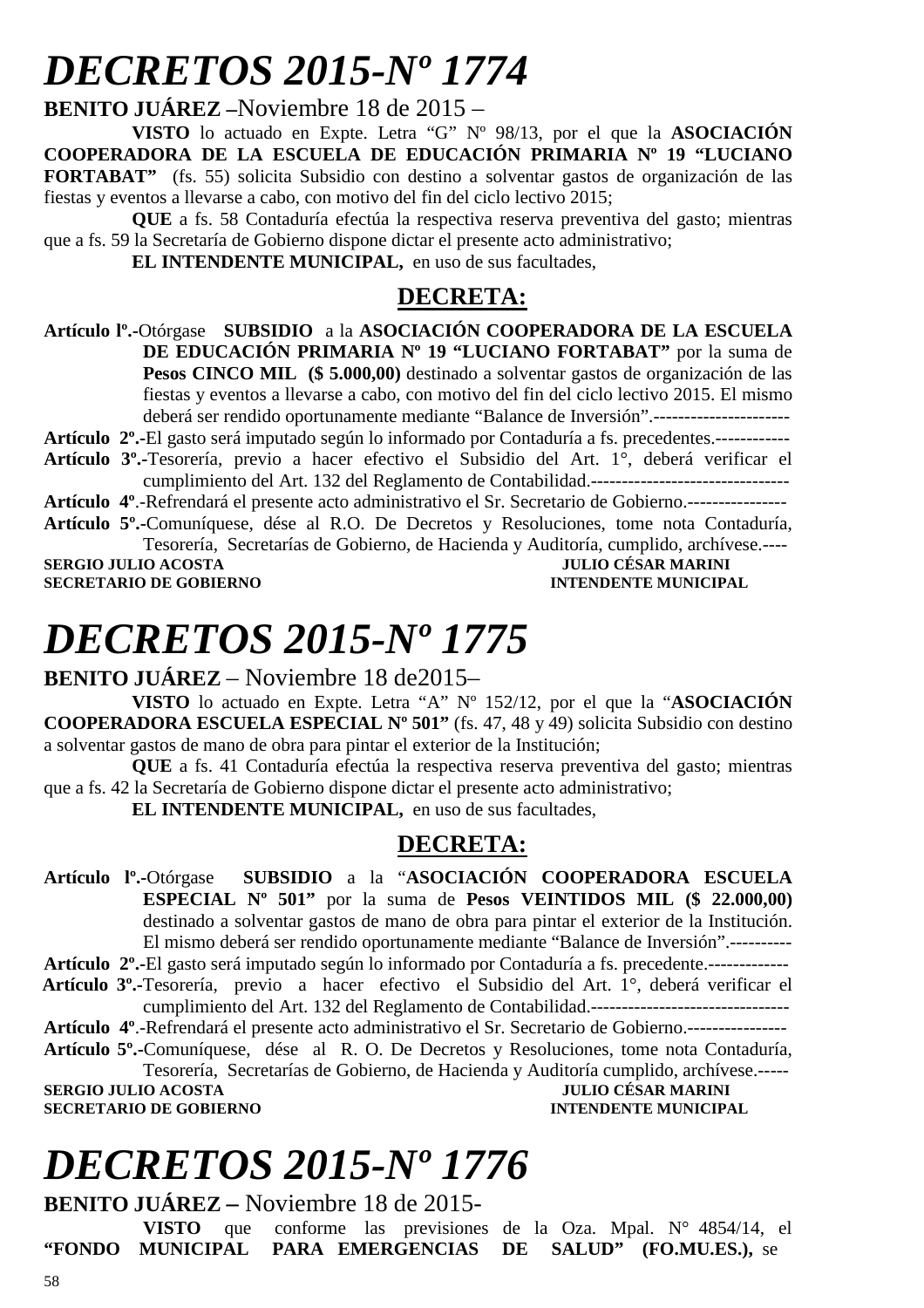# *DECRETOS 2015-Nº 1774*

**BENITO JUÁREZ –**Noviembre 18 de 2015 –

**VISTO** lo actuado en Expte. Letra "G" Nº 98/13, por el que la **ASOCIACIÓN COOPERADORA DE LA ESCUELA DE EDUCACIÓN PRIMARIA Nº 19 "LUCIANO FORTABAT"** (fs. 55) solicita Subsidio con destino a solventar gastos de organización de las fiestas y eventos a llevarse a cabo, con motivo del fin del ciclo lectivo 2015;

**QUE** a fs. 58 Contaduría efectúa la respectiva reserva preventiva del gasto; mientras que a fs. 59 la Secretaría de Gobierno dispone dictar el presente acto administrativo;

**EL INTENDENTE MUNICIPAL,** en uso de sus facultades,

### **DECRETA:**

**Artículo lº.-**Otórgase **SUBSIDIO** a la **ASOCIACIÓN COOPERADORA DE LA ESCUELA DE EDUCACIÓN PRIMARIA Nº 19 "LUCIANO FORTABAT"** por la suma de **Pesos CINCO MIL (\$ 5.000,00)** destinado a solventar gastos de organización de las fiestas y eventos a llevarse a cabo, con motivo del fin del ciclo lectivo 2015. El mismo deberá ser rendido oportunamente mediante "Balance de Inversión".----------------------

**Artículo 2º.-**El gasto será imputado según lo informado por Contaduría a fs. precedentes.------------

**Artículo 3º.-**Tesorería, previo a hacer efectivo el Subsidio del Art. 1°, deberá verificar el cumplimiento del Art. 132 del Reglamento de Contabilidad.--------------------------------

**Artículo 4º**.-Refrendará el presente acto administrativo el Sr. Secretario de Gobierno.----------------

**Artículo 5º.-**Comuníquese, dése al R.O. De Decretos y Resoluciones, tome nota Contaduría, Tesorería, Secretarías de Gobierno, de Hacienda y Auditoría, cumplido, archívese.----

**SERGIO JULIO ACOSTA JULIO CÉSAR MARINI SECRETARIO DE GOBIERNO INTENDENTE MUNICIPAL** 

# *DECRETOS 2015-Nº 1775*

**BENITO JUÁREZ** – Noviembre 18 de2015–

**VISTO** lo actuado en Expte. Letra "A" Nº 152/12, por el que la "**ASOCIACIÓN COOPERADORA ESCUELA ESPECIAL Nº 501"** (fs. 47, 48 y 49) solicita Subsidio con destino a solventar gastos de mano de obra para pintar el exterior de la Institución;

**QUE** a fs. 41 Contaduría efectúa la respectiva reserva preventiva del gasto; mientras que a fs. 42 la Secretaría de Gobierno dispone dictar el presente acto administrativo;

**EL INTENDENTE MUNICIPAL,** en uso de sus facultades,

### **DECRETA:**

**Artículo lº.-**Otórgase **SUBSIDIO** a la "**ASOCIACIÓN COOPERADORA ESCUELA ESPECIAL Nº 501"** por la suma de **Pesos VEINTIDOS MIL (\$ 22.000,00)**  destinado a solventar gastos de mano de obra para pintar el exterior de la Institución. El mismo deberá ser rendido oportunamente mediante "Balance de Inversión".---------- **Artículo 2º.-**El gasto será imputado según lo informado por Contaduría a fs. precedente.-------------

 **Artículo 3º.-**Tesorería, previo a hacer efectivo el Subsidio del Art. 1°, deberá verificar el cumplimiento del Art. 132 del Reglamento de Contabilidad.--------------------------------

**Artículo 4º**.-Refrendará el presente acto administrativo el Sr. Secretario de Gobierno.----------------

**Artículo 5º.-**Comuníquese, dése al R. O. De Decretos y Resoluciones, tome nota Contaduría, Tesorería, Secretarías de Gobierno, de Hacienda y Auditoría cumplido, archívese.-----

**SERGIO JULIO ACOSTA SECRETARIO DE GOBIERNO INTENDENTE MUNICIPAL** 

# *DECRETOS 2015-Nº 1776*

**BENITO JUÁREZ –** Noviembre 18 de 2015-

**VISTO** que conforme las previsiones de la Oza. Mpal. N° 4854/14, el MUNICIPAL PARA EMERGENCIAS DE SALUD" (FO.MU.ES.), se "FONDO MUNICIPAL PARA EMERGENCIAS DE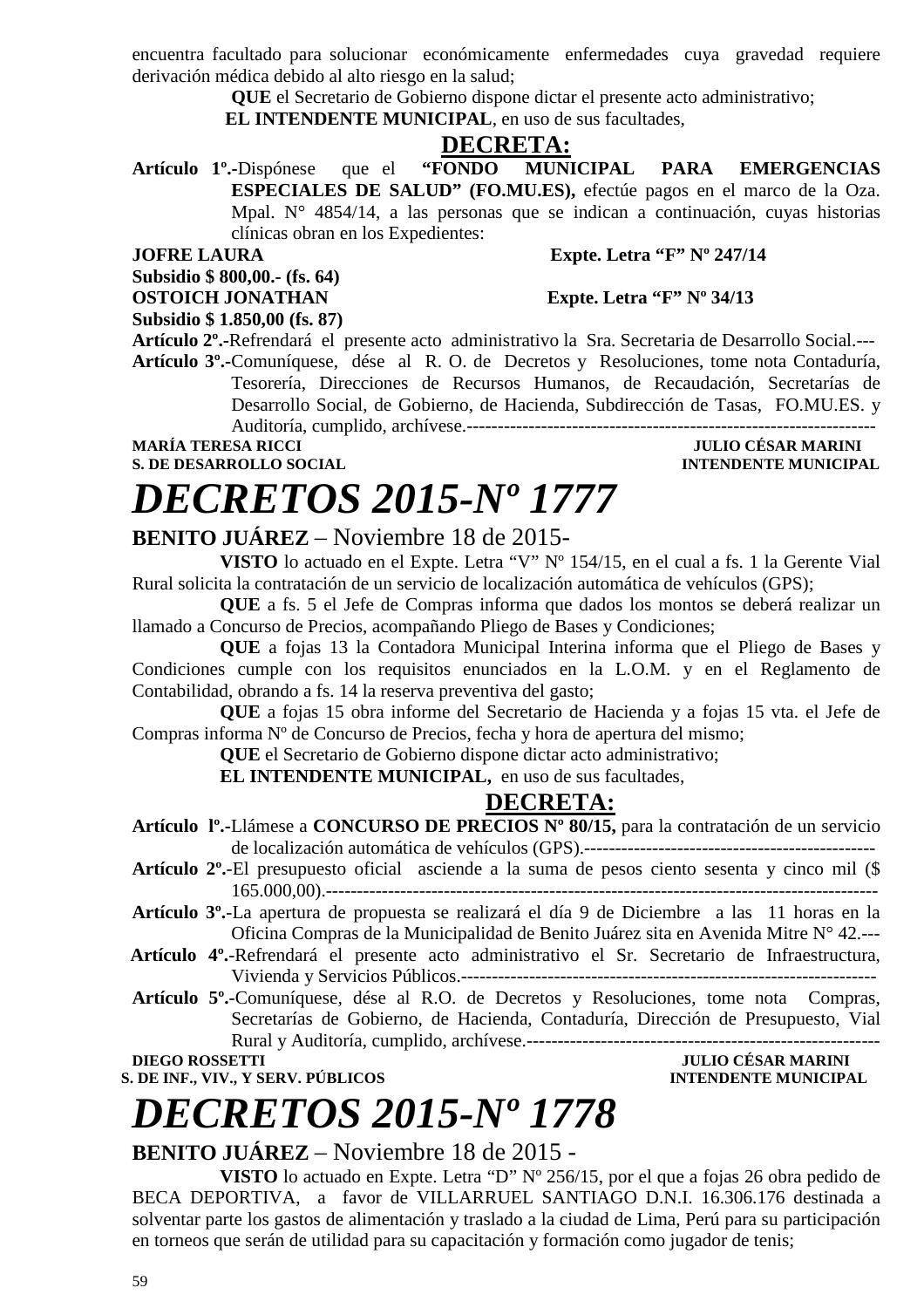encuentra facultado para solucionar económicamente enfermedades cuya gravedad requiere derivación médica debido al alto riesgo en la salud;

**QUE** el Secretario de Gobierno dispone dictar el presente acto administrativo;

 **EL INTENDENTE MUNICIPAL**, en uso de sus facultades,

**DECRETA:**<br>"FONDO MUNICIPAL **Artículo 1º.-**Dispónese que el **"FONDO MUNICIPAL PARA EMERGENCIAS ESPECIALES DE SALUD" (FO.MU.ES),** efectúe pagos en el marco de la Oza. Mpal. N° 4854/14, a las personas que se indican a continuación, cuyas historias clínicas obran en los Expedientes:

**Subsidio \$ 800,00.- (fs. 64)** 

**JOFRE LAURA** Expte. Letra "F" Nº 247/14

**OSTOICH JONATHAN** Expte. Letra "F" Nº 34/13

**Subsidio \$ 1.850,00 (fs. 87)** 

**Artículo 2º.-**Refrendará el presente acto administrativo la Sra. Secretaria de Desarrollo Social.--- **Artículo 3º.-**Comuníquese, dése al R. O. de Decretos y Resoluciones, tome nota Contaduría, Tesorería, Direcciones de Recursos Humanos, de Recaudación, Secretarías de Desarrollo Social, de Gobierno, de Hacienda, Subdirección de Tasas, FO.MU.ES. y Auditoría, cumplido, archívese.------------------------------------------------------------------

**MARÍA TERESA RICCI JULIO CÉSAR MARINI S. DE DESARROLLO SOCIAL DESARROLLO SOCIAL DESARROLLO SOCIAL DESARROLLO SOCIAL DESARROLLO SOCIAL DE LA PERSONAL DE LA PERSONAL DE LA PERSONAL DE LA PERSONAL DE LA PERSONAL DE LA PERSONAL DE LA PERSONAL DE LA PERSONAL DE LA** 

# *DECRETOS 2015-Nº 1777*

### **BENITO JUÁREZ** – Noviembre 18 de 2015-

**VISTO** lo actuado en el Expte. Letra "V" Nº 154/15, en el cual a fs. 1 la Gerente Vial Rural solicita la contratación de un servicio de localización automática de vehículos (GPS);

**QUE** a fs. 5 el Jefe de Compras informa que dados los montos se deberá realizar un llamado a Concurso de Precios, acompañando Pliego de Bases y Condiciones;

**QUE** a fojas 13 la Contadora Municipal Interina informa que el Pliego de Bases y Condiciones cumple con los requisitos enunciados en la L.O.M. y en el Reglamento de Contabilidad, obrando a fs. 14 la reserva preventiva del gasto;

**QUE** a fojas 15 obra informe del Secretario de Hacienda y a fojas 15 vta. el Jefe de Compras informa Nº de Concurso de Precios, fecha y hora de apertura del mismo;

**QUE** el Secretario de Gobierno dispone dictar acto administrativo;

**EL INTENDENTE MUNICIPAL,** en uso de sus facultades,

### **DECRETA:**

**Artículo 2º.**-El presupuesto oficial asciende a la suma de pesos ciento sesenta y cinco mil (\$ 165.000,00).-----------------------------------------------------------------------------------------

- **Artículo 3º.**-La apertura de propuesta se realizará el día 9 de Diciembre a las 11 horas en la Oficina Compras de la Municipalidad de Benito Juárez sita en Avenida Mitre N° 42.---
- **Artículo 4º.**-Refrendará el presente acto administrativo el Sr. Secretario de Infraestructura, Vivienda y Servicios Públicos.-------------------------------------------------------------------
- **Artículo 5º.**-Comuníquese, dése al R.O. de Decretos y Resoluciones, tome nota Compras, Secretarías de Gobierno, de Hacienda, Contaduría, Dirección de Presupuesto, Vial Rural y Auditoría, cumplido, archívese.---------------------------------------------------------

**DIEGO ROSSETTI JULIO CÉSAR MARINI S. DE INF., VIV., Y SERV. PÚBLICOS** 

# *DECRETOS 2015-Nº 1778*

### **BENITO JUÁREZ** – Noviembre 18 de 2015 -

**VISTO** lo actuado en Expte. Letra "D" Nº 256/15, por el que a fojas 26 obra pedido de BECA DEPORTIVA, a favor de VILLARRUEL SANTIAGO D.N.I. 16.306.176 destinada a solventar parte los gastos de alimentación y traslado a la ciudad de Lima, Perú para su participación en torneos que serán de utilidad para su capacitación y formación como jugador de tenis;

**Artículo lº.-**Llámese a **CONCURSO DE PRECIOS Nº 80/15,** para la contratación de un servicio de localización automática de vehículos (GPS).-----------------------------------------------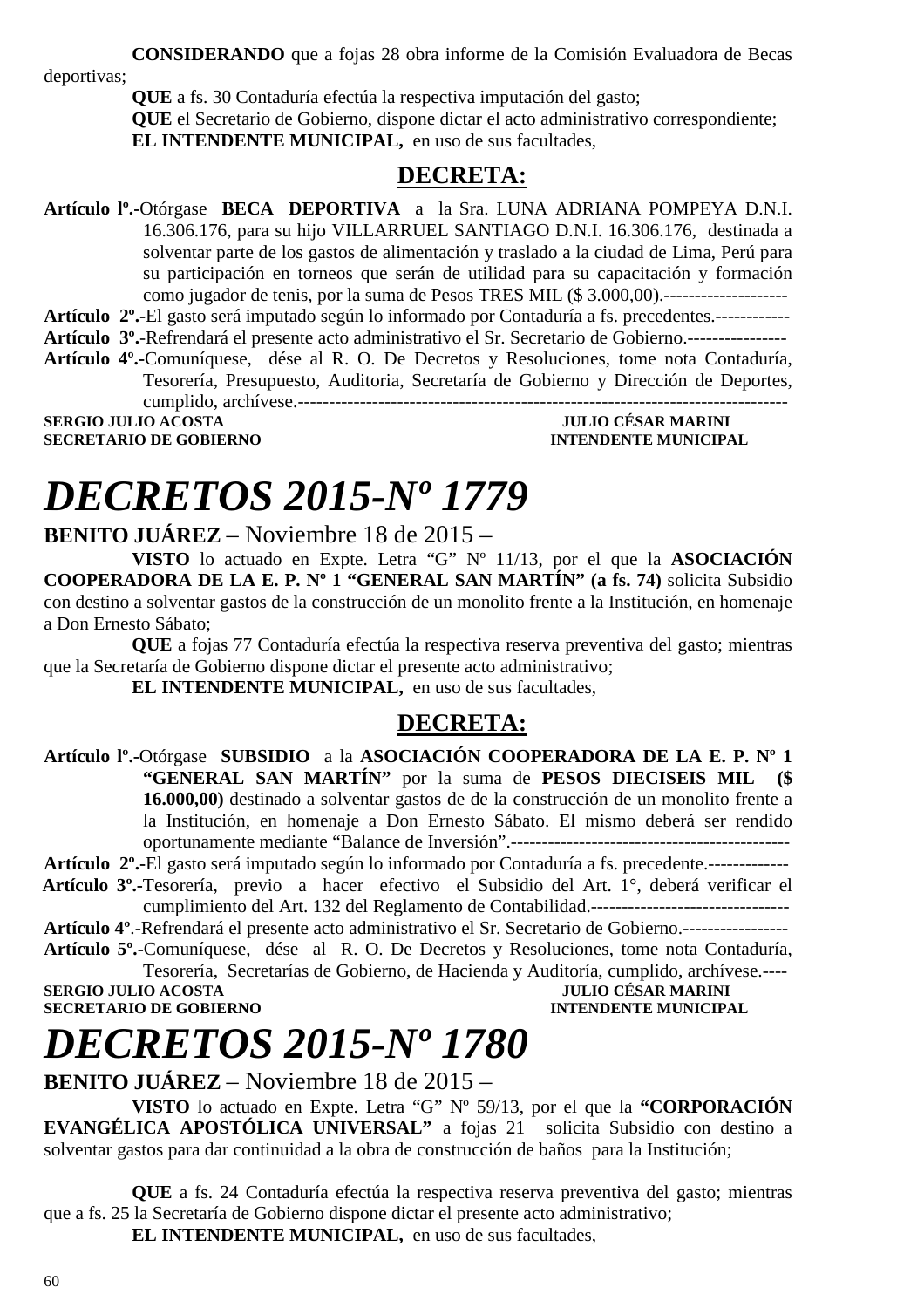**CONSIDERANDO** que a fojas 28 obra informe de la Comisión Evaluadora de Becas

deportivas;

**QUE** a fs. 30 Contaduría efectúa la respectiva imputación del gasto;

**QUE** el Secretario de Gobierno, dispone dictar el acto administrativo correspondiente; **EL INTENDENTE MUNICIPAL,** en uso de sus facultades,

### **DECRETA:**

**Artículo lº.-**Otórgase **BECA DEPORTIVA** a la Sra. LUNA ADRIANA POMPEYA D.N.I. 16.306.176, para su hijo VILLARRUEL SANTIAGO D.N.I. 16.306.176, destinada a solventar parte de los gastos de alimentación y traslado a la ciudad de Lima, Perú para su participación en torneos que serán de utilidad para su capacitación y formación como jugador de tenis, por la suma de Pesos TRES MIL (\$ 3.000,00).--------------------

**Artículo 2º.-**El gasto será imputado según lo informado por Contaduría a fs. precedentes.------------ **Artículo 3º.**-Refrendará el presente acto administrativo el Sr. Secretario de Gobierno.----------------

**Artículo 4º.-**Comuníquese, dése al R. O. De Decretos y Resoluciones, tome nota Contaduría, Tesorería, Presupuesto, Auditoria, Secretaría de Gobierno y Dirección de Deportes, cumplido, archívese.-------------------------------------------------------------------------------

**SERGIO JULIO ACOSTA JULIO CÉSAR MARINI SECRETARIO DE GOBIERNO INTENDENTE MUNICIPAL** 

# *DECRETOS 2015-Nº 1779*

**BENITO JUÁREZ** – Noviembre 18 de 2015 –

**VISTO** lo actuado en Expte. Letra "G" Nº 11/13, por el que la **ASOCIACIÓN COOPERADORA DE LA E. P. Nº 1 "GENERAL SAN MARTÍN" (a fs. 74)** solicita Subsidio con destino a solventar gastos de la construcción de un monolito frente a la Institución, en homenaje a Don Ernesto Sábato;

**QUE** a fojas 77 Contaduría efectúa la respectiva reserva preventiva del gasto; mientras que la Secretaría de Gobierno dispone dictar el presente acto administrativo;

**EL INTENDENTE MUNICIPAL,** en uso de sus facultades,

### **DECRETA:**

**Artículo lº.-**Otórgase **SUBSIDIO** a la **ASOCIACIÓN COOPERADORA DE LA E. P. Nº 1 "GENERAL SAN MARTÍN"** por la suma de **PESOS DIECISEIS MIL (\$ 16.000,00)** destinado a solventar gastos de de la construcción de un monolito frente a la Institución, en homenaje a Don Ernesto Sábato. El mismo deberá ser rendido oportunamente mediante "Balance de Inversión".---------------------------------------------

**Artículo 2º.-**El gasto será imputado según lo informado por Contaduría a fs. precedente.-------------  **Artículo 3º.-**Tesorería, previo a hacer efectivo el Subsidio del Art. 1°, deberá verificar el

cumplimiento del Art. 132 del Reglamento de Contabilidad.--------------------------------

**Artículo 4º**.-Refrendará el presente acto administrativo el Sr. Secretario de Gobierno.-----------------

**Artículo 5º.-**Comuníquese, dése al R. O. De Decretos y Resoluciones, tome nota Contaduría, Tesorería, Secretarías de Gobierno, de Hacienda y Auditoría, cumplido, archívese.----

**SECRETARIO DE GOBIERNO** 

**SERGIO JULIO ACOSTA JULIO CÉSAR MARINI A LOS DE CORTENTES DE LOS DE LOS DE LOS DE LOS DE LOS DE LOS DE LOS DE<br>ACOSTA DE CORTERNO DE LOS DE LOS DE LOS DE LOS DE LOS DE LOS DE LOS DE LOS DE LOS DE LOS DE LOS DE LOS DE LOS** 

# *DECRETOS 2015-Nº 1780*

**BENITO JUÁREZ** – Noviembre 18 de 2015 –

**VISTO** lo actuado en Expte. Letra "G" Nº 59/13, por el que la **"CORPORACIÓN EVANGÉLICA APOSTÓLICA UNIVERSAL"** a fojas 21 solicita Subsidio con destino a solventar gastos para dar continuidad a la obra de construcción de baños para la Institución;

**QUE** a fs. 24 Contaduría efectúa la respectiva reserva preventiva del gasto; mientras que a fs. 25 la Secretaría de Gobierno dispone dictar el presente acto administrativo;

**EL INTENDENTE MUNICIPAL,** en uso de sus facultades,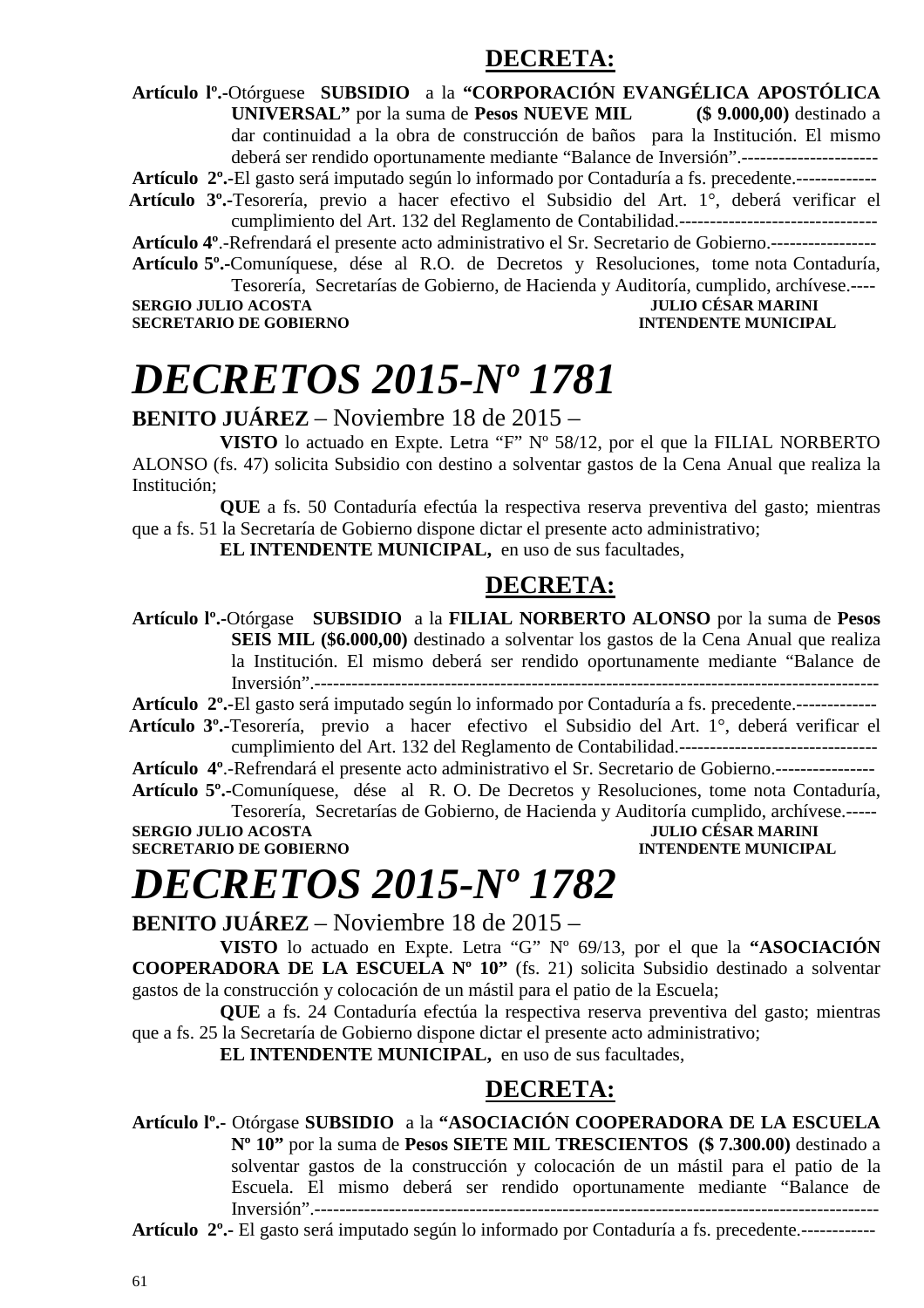### **DECRETA:**

**Artículo lº.-**Otórguese **SUBSIDIO** a la **"CORPORACIÓN EVANGÉLICA APOSTÓLICA UNIVERSAL"** por la suma de **Pesos NUEVE MIL (\$ 9.000,00)** destinado a dar continuidad a la obra de construcción de baños para la Institución. El mismo deberá ser rendido oportunamente mediante "Balance de Inversión".----------------------

**Artículo 2º.-**El gasto será imputado según lo informado por Contaduría a fs. precedente.-------------

 **Artículo 3º.-**Tesorería, previo a hacer efectivo el Subsidio del Art. 1°, deberá verificar el cumplimiento del Art. 132 del Reglamento de Contabilidad.--------------------------------

**Artículo 4º**.-Refrendará el presente acto administrativo el Sr. Secretario de Gobierno.----------------- **Artículo 5º.-**Comuníquese, dése al R.O. de Decretos y Resoluciones, tome nota Contaduría, Tesorería, Secretarías de Gobierno, de Hacienda y Auditoría, cumplido, archívese.----

**SERGIO JULIO ACOSTA JULIO CÉSAR MARINI SECRETARIO DE GOBIERNO INTENDENTE MUNICIPAL** 

# *DECRETOS 2015-Nº 1781*

**BENITO JUÁREZ** – Noviembre 18 de 2015 –

**VISTO** lo actuado en Expte. Letra "F" Nº 58/12, por el que la FILIAL NORBERTO ALONSO (fs. 47) solicita Subsidio con destino a solventar gastos de la Cena Anual que realiza la Institución;

**QUE** a fs. 50 Contaduría efectúa la respectiva reserva preventiva del gasto; mientras que a fs. 51 la Secretaría de Gobierno dispone dictar el presente acto administrativo;

**EL INTENDENTE MUNICIPAL,** en uso de sus facultades,

### **DECRETA:**

**Artículo lº.-**Otórgase **SUBSIDIO** a la **FILIAL NORBERTO ALONSO** por la suma de **Pesos SEIS MIL (\$6.000,00)** destinado a solventar los gastos de la Cena Anual que realiza la Institución. El mismo deberá ser rendido oportunamente mediante "Balance de Inversión".-------------------------------------------------------------------------------------------

**Artículo 2º.-**El gasto será imputado según lo informado por Contaduría a fs. precedente.-------------

 **Artículo 3º.-**Tesorería, previo a hacer efectivo el Subsidio del Art. 1°, deberá verificar el cumplimiento del Art. 132 del Reglamento de Contabilidad.--------------------------------

**Artículo 4º**.-Refrendará el presente acto administrativo el Sr. Secretario de Gobierno.----------------

**Artículo 5º.-**Comuníquese, dése al R. O. De Decretos y Resoluciones, tome nota Contaduría, Tesorería, Secretarías de Gobierno, de Hacienda y Auditoría cumplido, archívese.-----

**SERGIO JULIO ACOSTA SECRETARIO DE GOBIERNO INTENDENTE MUNICIPAL** 

# *DECRETOS 2015-Nº 1782*

**BENITO JUÁREZ** – Noviembre 18 de 2015 –

**VISTO** lo actuado en Expte. Letra "G" Nº 69/13, por el que la **"ASOCIACIÓN COOPERADORA DE LA ESCUELA Nº 10"** (fs. 21) solicita Subsidio destinado a solventar gastos de la construcción y colocación de un mástil para el patio de la Escuela;

**QUE** a fs. 24 Contaduría efectúa la respectiva reserva preventiva del gasto; mientras que a fs. 25 la Secretaría de Gobierno dispone dictar el presente acto administrativo;

**EL INTENDENTE MUNICIPAL,** en uso de sus facultades,

### **DECRETA:**

**Artículo lº.-** Otórgase **SUBSIDIO** a la **"ASOCIACIÓN COOPERADORA DE LA ESCUELA Nº 10"** por la suma de **Pesos SIETE MIL TRESCIENTOS (\$ 7.300.00)** destinado a solventar gastos de la construcción y colocación de un mástil para el patio de la Escuela. El mismo deberá ser rendido oportunamente mediante "Balance de Inversión".------------------

**Artículo 2º.-** El gasto será imputado según lo informado por Contaduría a fs. precedente.------------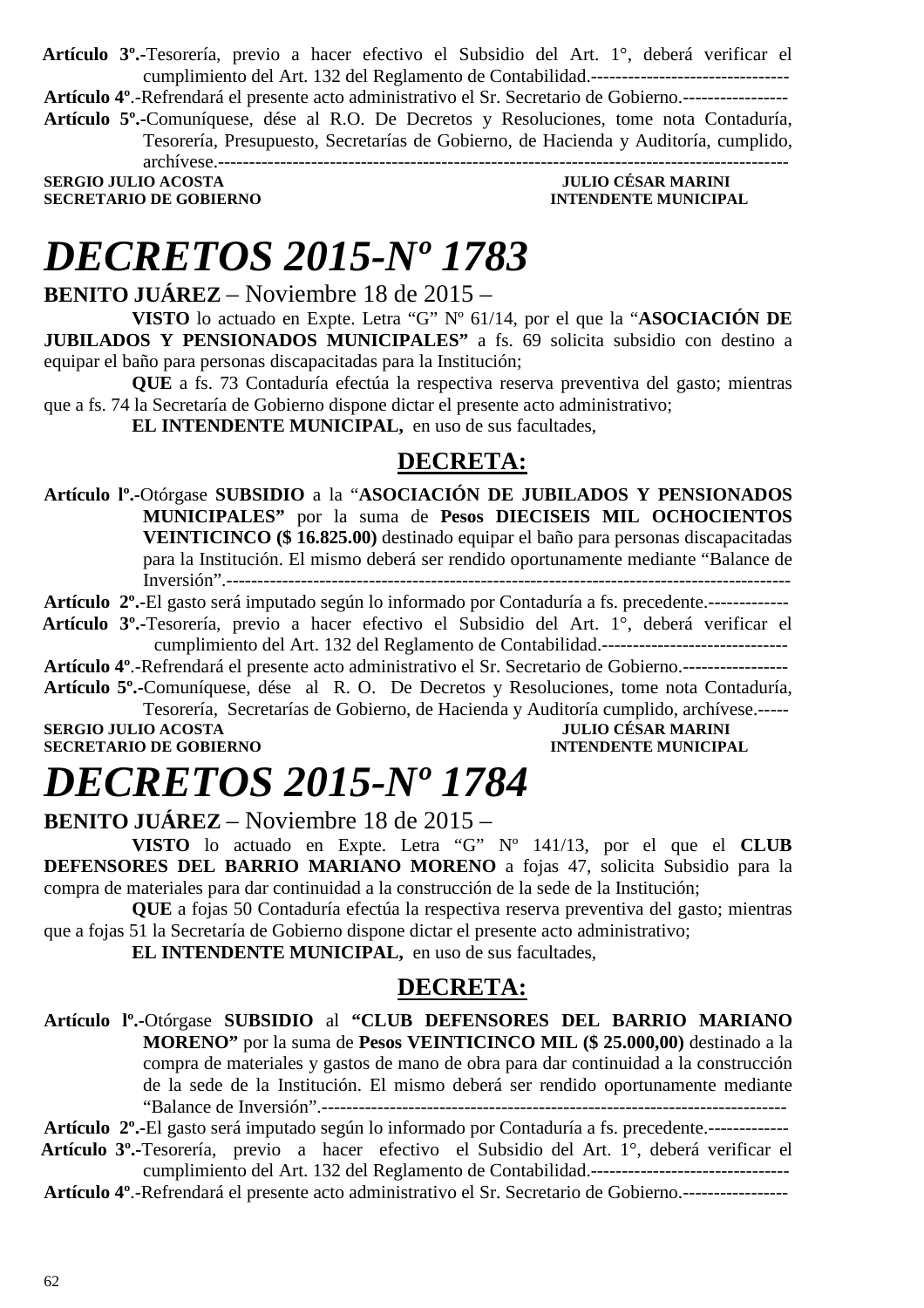**Artículo 3º.-**Tesorería, previo a hacer efectivo el Subsidio del Art. 1°, deberá verificar el cumplimiento del Art. 132 del Reglamento de Contabilidad.--------------------------------

**Artículo 4º**.-Refrendará el presente acto administrativo el Sr. Secretario de Gobierno.-----------------

**Artículo 5º.-**Comuníquese, dése al R.O. De Decretos y Resoluciones, tome nota Contaduría, Tesorería, Presupuesto, Secretarías de Gobierno, de Hacienda y Auditoría, cumplido, archívese.--------------------------------------------------------------------------------------------

**SERGIO JULIO ACOSTA JULIO CÉSAR MARINI SECRETARIO DE GOBIERNO INTENDENTE MUNICIPAL** 

## *DECRETOS 2015-Nº 1783*

**BENITO JUÁREZ** – Noviembre 18 de 2015 –

**VISTO** lo actuado en Expte. Letra "G" Nº 61/14, por el que la "**ASOCIACIÓN DE JUBILADOS Y PENSIONADOS MUNICIPALES"** a fs. 69 solicita subsidio con destino a equipar el baño para personas discapacitadas para la Institución;

**QUE** a fs. 73 Contaduría efectúa la respectiva reserva preventiva del gasto; mientras que a fs. 74 la Secretaría de Gobierno dispone dictar el presente acto administrativo;

**EL INTENDENTE MUNICIPAL,** en uso de sus facultades,

### **DECRETA:**

**Artículo lº.-**Otórgase **SUBSIDIO** a la "**ASOCIACIÓN DE JUBILADOS Y PENSIONADOS MUNICIPALES"** por la suma de **Pesos DIECISEIS MIL OCHOCIENTOS VEINTICINCO (\$ 16.825.00)** destinado equipar el baño para personas discapacitadas para la Institución. El mismo deberá ser rendido oportunamente mediante "Balance de Inversión".-------------------------------------------------------------------------------------------

**Artículo 2º.-**El gasto será imputado según lo informado por Contaduría a fs. precedente.-------------

 **Artículo 3º.-**Tesorería, previo a hacer efectivo el Subsidio del Art. 1°, deberá verificar el cumplimiento del Art. 132 del Reglamento de Contabilidad.------------------------------

**Artículo 4º**.-Refrendará el presente acto administrativo el Sr. Secretario de Gobierno.-----------------

**Artículo 5º.-**Comuníquese, dése al R. O. De Decretos y Resoluciones, tome nota Contaduría, Tesorería, Secretarías de Gobierno, de Hacienda y Auditoría cumplido, archívese.-----

**SERGIO JULIO ACOSTA JULIO CÉSAR MARINI SECRETARIO DE GOBIERNO** 

# *DECRETOS 2015-Nº 1784*

**BENITO JUÁREZ** – Noviembre 18 de 2015 –

**VISTO** lo actuado en Expte. Letra "G" Nº 141/13, por el que el **CLUB DEFENSORES DEL BARRIO MARIANO MORENO** a fojas 47, solicita Subsidio para la compra de materiales para dar continuidad a la construcción de la sede de la Institución;

**QUE** a fojas 50 Contaduría efectúa la respectiva reserva preventiva del gasto; mientras que a fojas 51 la Secretaría de Gobierno dispone dictar el presente acto administrativo;

**EL INTENDENTE MUNICIPAL,** en uso de sus facultades,

### **DECRETA:**

**Artículo lº.-**Otórgase **SUBSIDIO** al **"CLUB DEFENSORES DEL BARRIO MARIANO MORENO"** por la suma de **Pesos VEINTICINCO MIL (\$ 25.000,00)** destinado a la compra de materiales y gastos de mano de obra para dar continuidad a la construcción de la sede de la Institución. El mismo deberá ser rendido oportunamente mediante "Balance de Inversión".---------------------------------------------------------------------------

**Artículo 2º.-**El gasto será imputado según lo informado por Contaduría a fs. precedente.-------------  **Artículo 3º.-**Tesorería, previo a hacer efectivo el Subsidio del Art. 1°, deberá verificar el cumplimiento del Art. 132 del Reglamento de Contabilidad.--------------------------------

**Artículo 4º**.-Refrendará el presente acto administrativo el Sr. Secretario de Gobierno.-----------------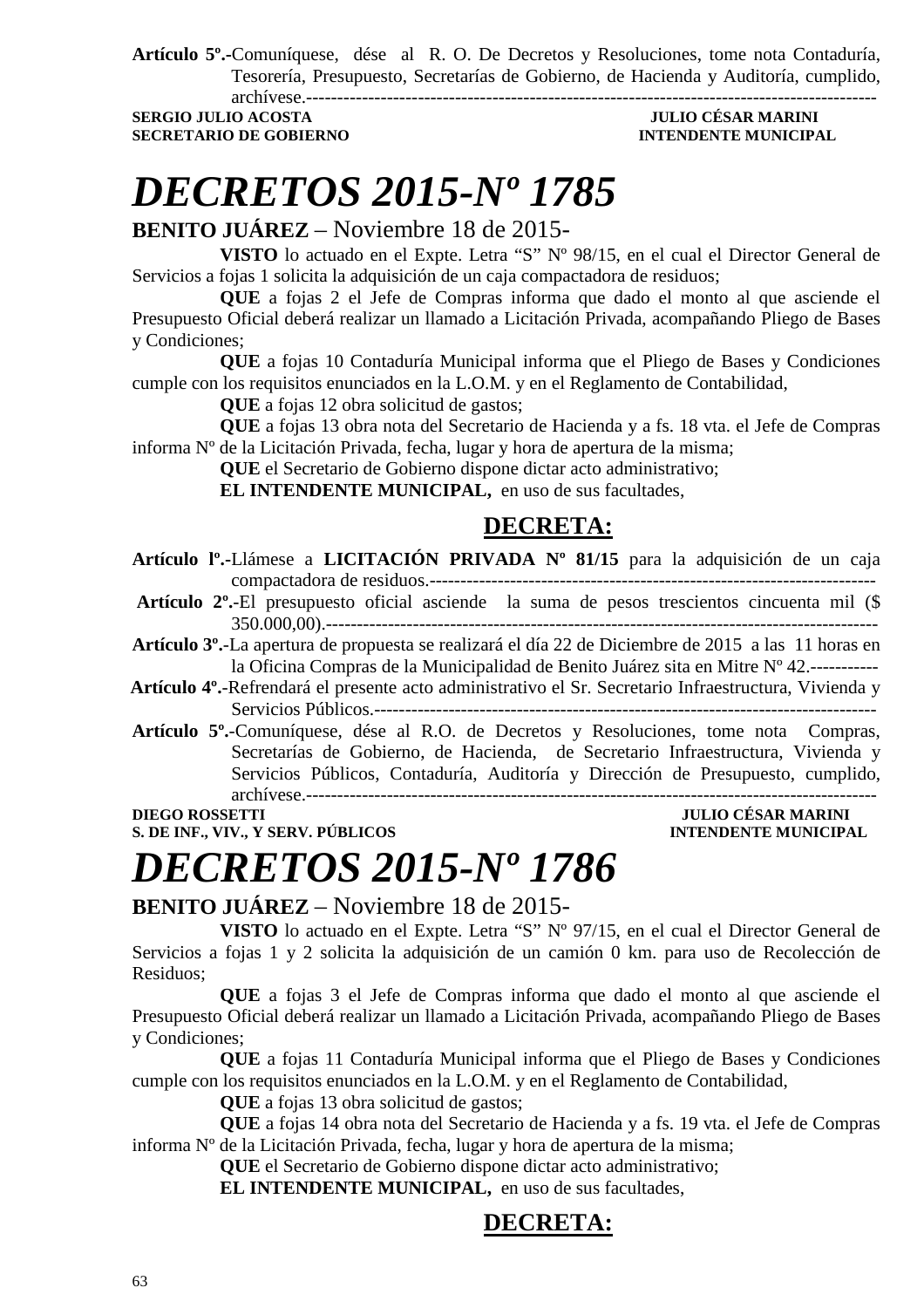**Artículo 5º.-**Comuníquese, dése al R. O. De Decretos y Resoluciones, tome nota Contaduría, Tesorería, Presupuesto, Secretarías de Gobierno, de Hacienda y Auditoría, cumplido, archívese.--------------------------------------------------------------------------------------------

**SECRETARIO DE GOBIERNO INTENDENTE MUNICIPAL** 

### **SERGIO JULIO ACOSTA JULIO CÉSAR MARINI**

# *DECRETOS 2015-Nº 1785*

**BENITO JUÁREZ** – Noviembre 18 de 2015-

**VISTO** lo actuado en el Expte. Letra "S" Nº 98/15, en el cual el Director General de Servicios a fojas 1 solicita la adquisición de un caja compactadora de residuos;

**QUE** a fojas 2 el Jefe de Compras informa que dado el monto al que asciende el Presupuesto Oficial deberá realizar un llamado a Licitación Privada, acompañando Pliego de Bases y Condiciones;

**QUE** a fojas 10 Contaduría Municipal informa que el Pliego de Bases y Condiciones cumple con los requisitos enunciados en la L.O.M. y en el Reglamento de Contabilidad,

**QUE** a fojas 12 obra solicitud de gastos;

**QUE** a fojas 13 obra nota del Secretario de Hacienda y a fs. 18 vta. el Jefe de Compras informa Nº de la Licitación Privada, fecha, lugar y hora de apertura de la misma;

**QUE** el Secretario de Gobierno dispone dictar acto administrativo;

**EL INTENDENTE MUNICIPAL,** en uso de sus facultades,

### **DECRETA:**

- **Artículo lº.-**Llámese a **LICITACIÓN PRIVADA Nº 81/15** para la adquisición de un caja compactadora de residuos.------------------------------------------------------------------------
- **Artículo 2º.**-El presupuesto oficial asciende la suma de pesos trescientos cincuenta mil (\$ 350.000,00).-----------------------------------------------------------------------------------------
- **Artículo 3º.**-La apertura de propuesta se realizará el día 22 de Diciembre de 2015 a las 11 horas en la Oficina Compras de la Municipalidad de Benito Juárez sita en Mitre Nº 42.-----------
- **Artículo 4º.**-Refrendará el presente acto administrativo el Sr. Secretario Infraestructura, Vivienda y Servicios Públicos.---------------------------------------------------------------------------------
- **Artículo 5º.**-Comuníquese, dése al R.O. de Decretos y Resoluciones, tome nota Compras, Secretarías de Gobierno, de Hacienda, de Secretario Infraestructura, Vivienda y Servicios Públicos, Contaduría, Auditoría y Dirección de Presupuesto, cumplido, archívese.--------------------------------------------------------------------------------------------

**S. DE INF., VIV., Y SERV. PÚBLICOS** 

## **DIEGO ROSSETTI JULIO CÉSAR MARINI**

# *DECRETOS 2015-Nº 1786*

**BENITO JUÁREZ** – Noviembre 18 de 2015-

**VISTO** lo actuado en el Expte. Letra "S" Nº 97/15, en el cual el Director General de Servicios a fojas 1 y 2 solicita la adquisición de un camión 0 km. para uso de Recolección de Residuos;

**QUE** a fojas 3 el Jefe de Compras informa que dado el monto al que asciende el Presupuesto Oficial deberá realizar un llamado a Licitación Privada, acompañando Pliego de Bases y Condiciones;

**QUE** a fojas 11 Contaduría Municipal informa que el Pliego de Bases y Condiciones cumple con los requisitos enunciados en la L.O.M. y en el Reglamento de Contabilidad,

**QUE** a fojas 13 obra solicitud de gastos;

**QUE** a fojas 14 obra nota del Secretario de Hacienda y a fs. 19 vta. el Jefe de Compras informa Nº de la Licitación Privada, fecha, lugar y hora de apertura de la misma;

**QUE** el Secretario de Gobierno dispone dictar acto administrativo;

**EL INTENDENTE MUNICIPAL,** en uso de sus facultades,

### **DECRETA:**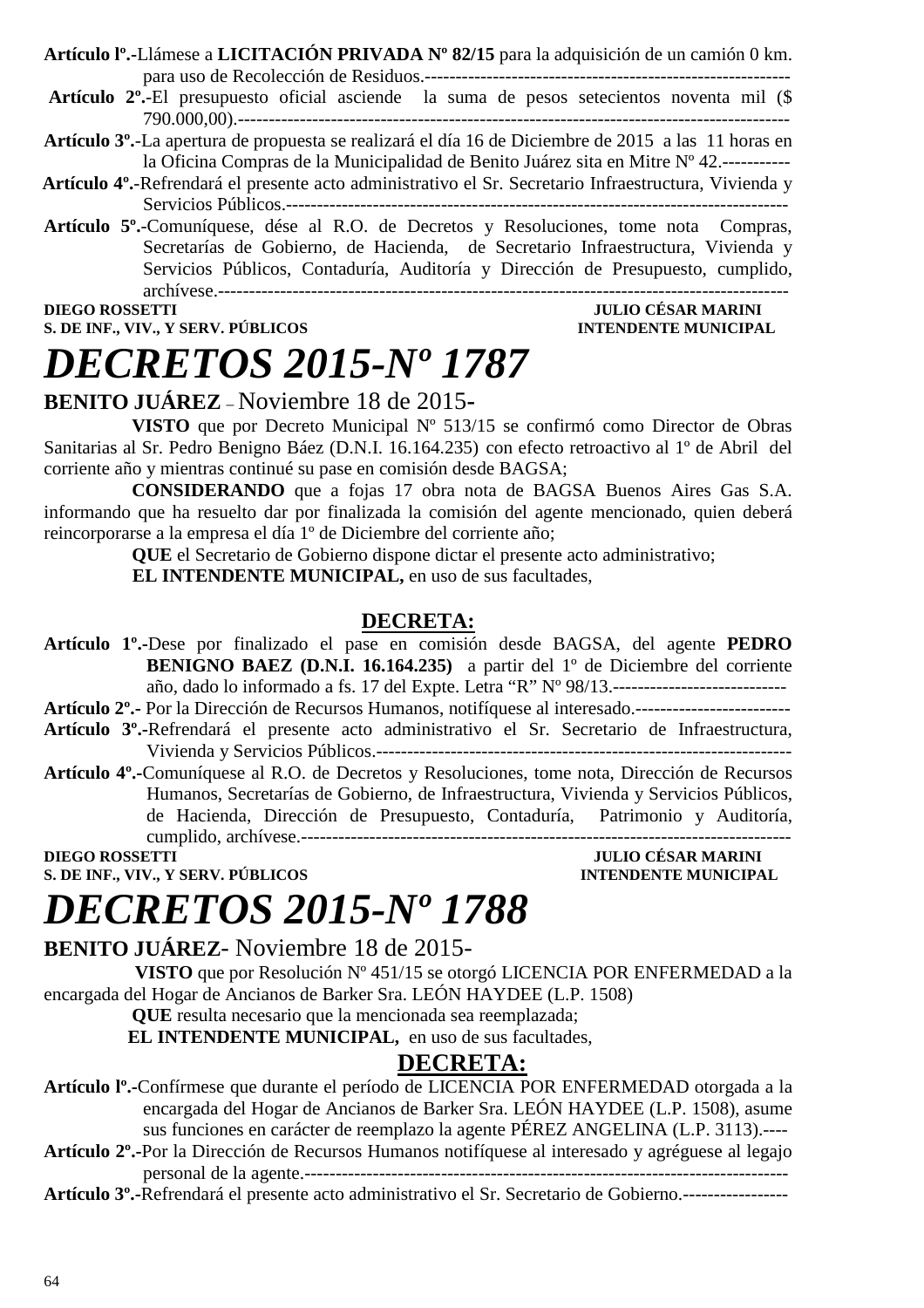| Artículo l <sup>o</sup> .-Llámese a LICITACIÓN PRIVADA Nº 82/15 para la adquisición de un camión 0 km.                                                                   |  |
|--------------------------------------------------------------------------------------------------------------------------------------------------------------------------|--|
|                                                                                                                                                                          |  |
| $\Lambda$ . A set of $\mathbb{R}^1$ constructed a $\mathbb{C}$ is $1$ and $\Lambda$ and $\Lambda$ are the set of $\Lambda$ and $\Lambda$ and $\Lambda$ $\mathbb{R}^1$ /0 |  |

- **Artículo 2º.**-El presupuesto oficial asciende la suma de pesos setecientos noventa mil (\$ 790.000,00).-----------------------------------------------------------------------------------------
- **Artículo 3º.**-La apertura de propuesta se realizará el día 16 de Diciembre de 2015 a las 11 horas en la Oficina Compras de la Municipalidad de Benito Juárez sita en Mitre Nº 42.-----------
- **Artículo 4º.**-Refrendará el presente acto administrativo el Sr. Secretario Infraestructura, Vivienda y Servicios Públicos.---------------------------------------------------------------------------------
- **Artículo 5º.**-Comuníquese, dése al R.O. de Decretos y Resoluciones, tome nota Compras, Secretarías de Gobierno, de Hacienda, de Secretario Infraestructura, Vivienda y Servicios Públicos, Contaduría, Auditoría y Dirección de Presupuesto, cumplido, archívese.--------------------------------------------------------------------------------------------

#### **DIEGO ROSSETTI JULIO CÉSAR MARINI S. DE INF., VIV., Y SERV. PÚBLICOS INTENDENTE MUNICIPAL**

# *DECRETOS 2015-Nº 1787*

### **BENITO JUÁREZ** – Noviembre 18 de 2015**-**

**VISTO** que por Decreto Municipal Nº 513/15 se confirmó como Director de Obras Sanitarias al Sr. Pedro Benigno Báez (D.N.I. 16.164.235) con efecto retroactivo al 1º de Abril del corriente año y mientras continué su pase en comisión desde BAGSA;

**CONSIDERANDO** que a fojas 17 obra nota de BAGSA Buenos Aires Gas S.A. informando que ha resuelto dar por finalizada la comisión del agente mencionado, quien deberá reincorporarse a la empresa el día 1º de Diciembre del corriente año;

**QUE** el Secretario de Gobierno dispone dictar el presente acto administrativo; **EL INTENDENTE MUNICIPAL,** en uso de sus facultades,

### **DECRETA:**

**Artículo 1º.-**Dese por finalizado el pase en comisión desde BAGSA, del agente **PEDRO BENIGNO BAEZ (D.N.I. 16.164.235)** a partir del 1º de Diciembre del corriente año, dado lo informado a fs. 17 del Expte. Letra "R" Nº 98/13.---------------------------- **Artículo 2º.-** Por la Dirección de Recursos Humanos, notifíquese al interesado.-------------------------

- **Artículo 3º.-**Refrendará el presente acto administrativo el Sr. Secretario de Infraestructura, Vivienda y Servicios Públicos.-------------------------------------------------------------------
- **Artículo 4º.-**Comuníquese al R.O. de Decretos y Resoluciones, tome nota, Dirección de Recursos Humanos, Secretarías de Gobierno, de Infraestructura, Vivienda y Servicios Públicos, de Hacienda, Dirección de Presupuesto, Contaduría, Patrimonio y Auditoría, cumplido, archívese.-------------------------------------------------------------------------------

**DIEGO ROSSETTI JULIO CÉSAR MARINI** 

**S. DE INF., VIV., Y SERV. PÚBLICOS INTENDENTE MUNICIPAL** 

# *DECRETOS 2015-Nº 1788*

**BENITO JUÁREZ**- Noviembre 18 de 2015-

 **VISTO** que por Resolución Nº 451/15 se otorgó LICENCIA POR ENFERMEDAD a la encargada del Hogar de Ancianos de Barker Sra. LEÓN HAYDEE (L.P. 1508)

**QUE** resulta necesario que la mencionada sea reemplazada;

**EL INTENDENTE MUNICIPAL,** en uso de sus facultades,

### **DECRETA:**

**Artículo lº.-**Confírmese que durante el período de LICENCIA POR ENFERMEDAD otorgada a la encargada del Hogar de Ancianos de Barker Sra. LEÓN HAYDEE (L.P. 1508), asume sus funciones en carácter de reemplazo la agente PÉREZ ANGELINA (L.P. 3113).----

**Artículo 2º.-**Por la Dirección de Recursos Humanos notifíquese al interesado y agréguese al legajo personal de la agente.------------------------------------------------------------------------------

**Artículo 3º.-**Refrendará el presente acto administrativo el Sr. Secretario de Gobierno.-----------------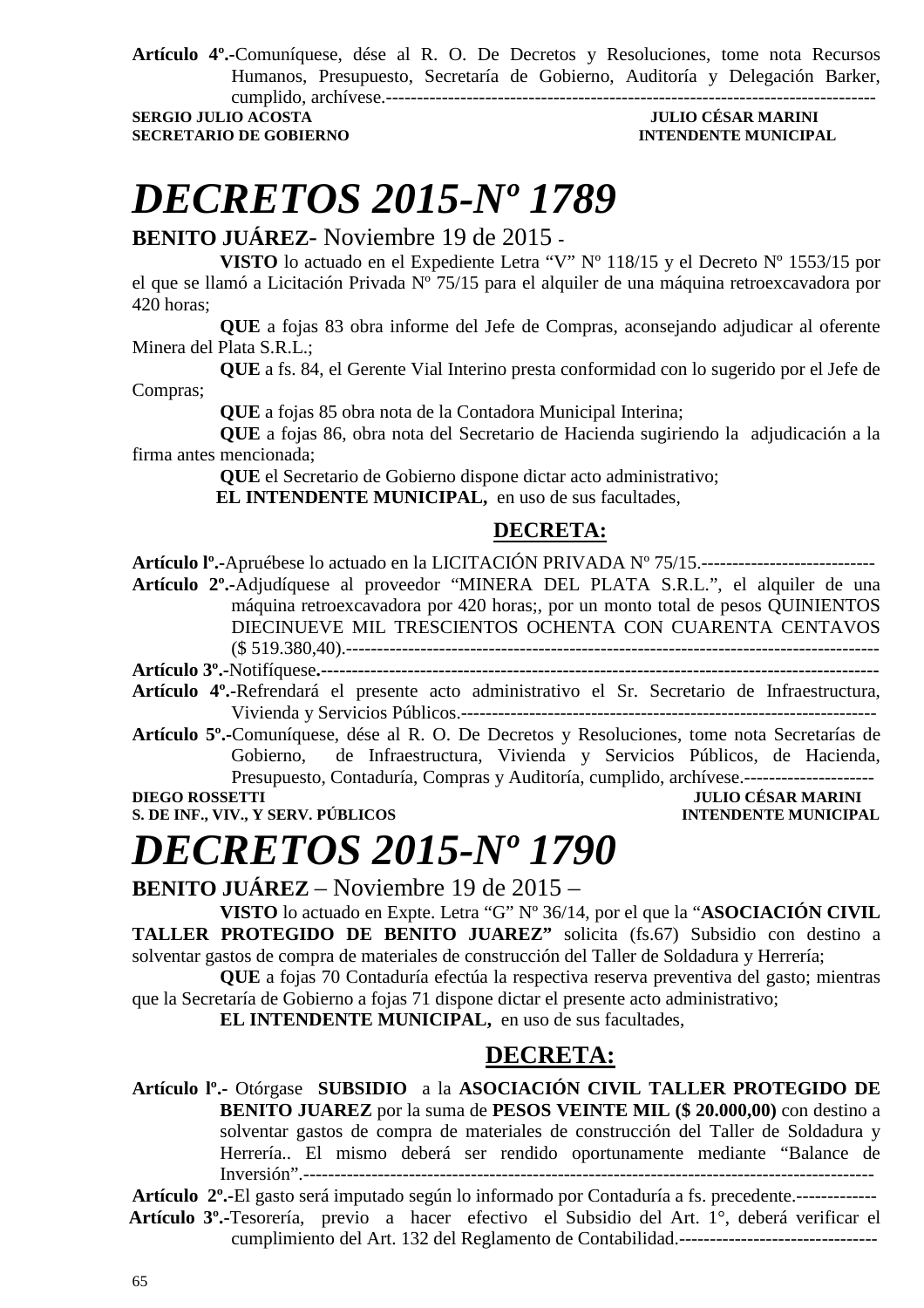**Artículo 4º.-**Comuníquese, dése al R. O. De Decretos y Resoluciones, tome nota Recursos Humanos, Presupuesto, Secretaría de Gobierno, Auditoría y Delegación Barker, cumplido, archívese.-------------------------------------------------------------------------------

**SERGIO JULIO ACOSTA JULIO CÉSAR MARINI SECRETARIO DE GOBIERNO INTENDENTE MUNICIPAL** 

## *DECRETOS 2015-Nº 1789*

**BENITO JUÁREZ**- Noviembre 19 de 2015 **-** 

**VISTO** lo actuado en el Expediente Letra "V" Nº 118/15 y el Decreto Nº 1553/15 por el que se llamó a Licitación Privada Nº 75/15 para el alquiler de una máquina retroexcavadora por 420 horas;

**QUE** a fojas 83 obra informe del Jefe de Compras, aconsejando adjudicar al oferente Minera del Plata S.R.L.;

**QUE** a fs. 84, el Gerente Vial Interino presta conformidad con lo sugerido por el Jefe de Compras;

**QUE** a fojas 85 obra nota de la Contadora Municipal Interina;

**QUE** a fojas 86, obra nota del Secretario de Hacienda sugiriendo la adjudicación a la firma antes mencionada;

**QUE** el Secretario de Gobierno dispone dictar acto administrativo;

**EL INTENDENTE MUNICIPAL,** en uso de sus facultades,

### **DECRETA:**

**Artículo lº.-**Apruébese lo actuado en la LICITACIÓN PRIVADA Nº 75/15.----------------------------

**Artículo 2º.-**Adjudíquese al proveedor "MINERA DEL PLATA S.R.L.", el alquiler de una máquina retroexcavadora por 420 horas;, por un monto total de pesos QUINIENTOS DIECINUEVE MIL TRESCIENTOS OCHENTA CON CUARENTA CENTAVOS (\$ 519.380,40).--------------------------------------------------------------------------------------

**Artículo 3º.-**Notifíquese**.------------------------------------------------------------------------------------------** 

**Artículo 4º.-**Refrendará el presente acto administrativo el Sr. Secretario de Infraestructura, Vivienda y Servicios Públicos.-------------------------------------------------------------------

**Artículo 5º.-**Comuníquese, dése al R. O. De Decretos y Resoluciones, tome nota Secretarías de Gobierno, de Infraestructura, Vivienda y Servicios Públicos, de Hacienda, Presupuesto, Contaduría, Compras y Auditoría, cumplido, archívese.---------------------**DIEGO ROSSETTI JULIO CÉSAR MARINI** 

**S. DE INF., VIV., Y SERV. PÚBLICOS INTENDENTE MUNICIPAL** 

## *DECRETOS 2015-Nº 1790*

**BENITO JUÁREZ** – Noviembre 19 de 2015 –

**VISTO** lo actuado en Expte. Letra "G" Nº 36/14, por el que la "**ASOCIACIÓN CIVIL TALLER PROTEGIDO DE BENITO JUAREZ"** solicita (fs.67) Subsidio con destino a solventar gastos de compra de materiales de construcción del Taller de Soldadura y Herrería;

**QUE** a fojas 70 Contaduría efectúa la respectiva reserva preventiva del gasto; mientras que la Secretaría de Gobierno a fojas 71 dispone dictar el presente acto administrativo;

**EL INTENDENTE MUNICIPAL,** en uso de sus facultades,

### **DECRETA:**

**Artículo lº.-** Otórgase **SUBSIDIO** a la **ASOCIACIÓN CIVIL TALLER PROTEGIDO DE BENITO JUAREZ** por la suma de **PESOS VEINTE MIL (\$ 20.000,00)** con destino a solventar gastos de compra de materiales de construcción del Taller de Soldadura y Herrería.. El mismo deberá ser rendido oportunamente mediante "Balance de Inversión".--------------------

**Artículo 2º.-**El gasto será imputado según lo informado por Contaduría a fs. precedente.-------------  **Artículo 3º.-**Tesorería, previo a hacer efectivo el Subsidio del Art. 1°, deberá verificar el cumplimiento del Art. 132 del Reglamento de Contabilidad.--------------------------------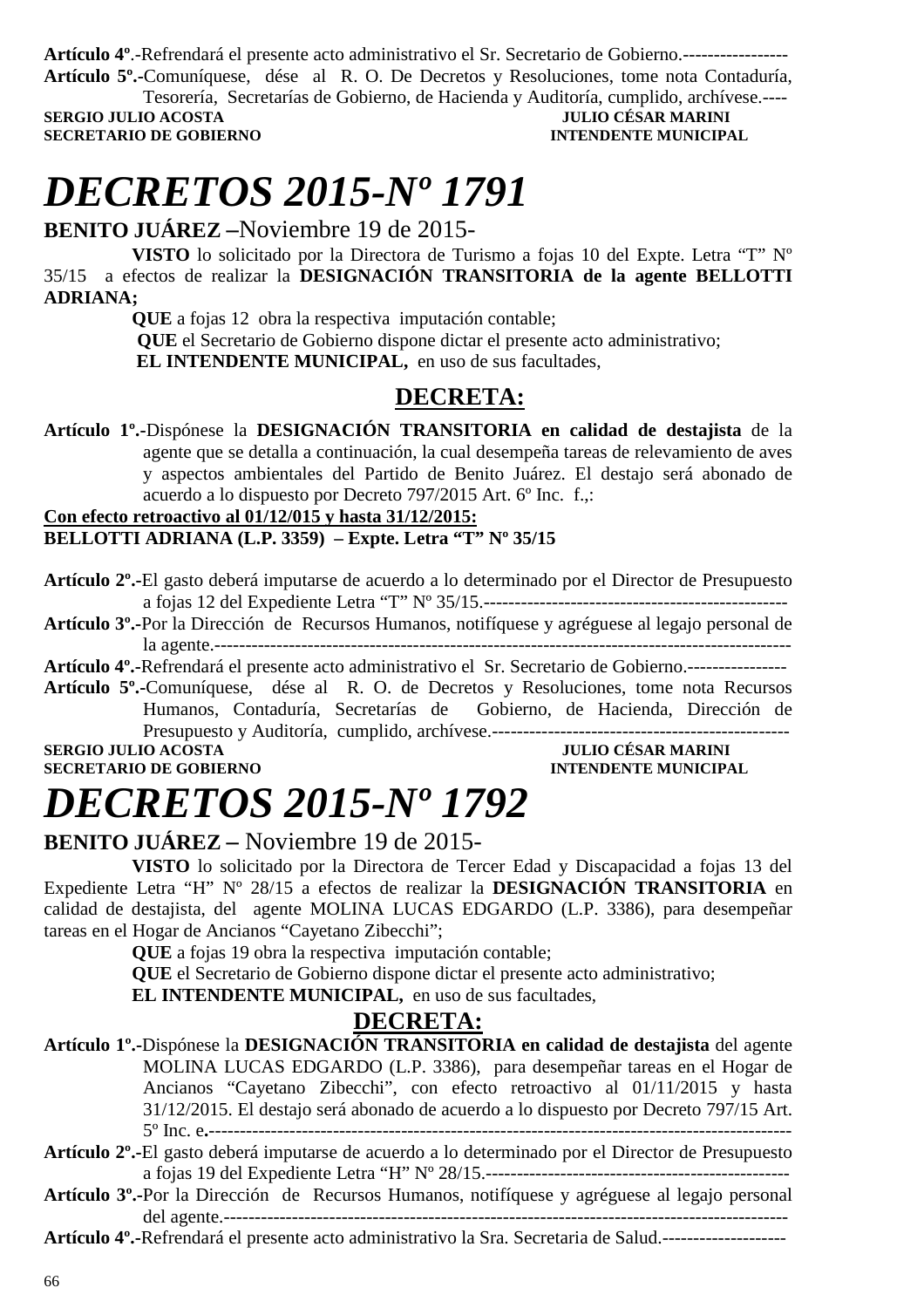**Artículo 4º**.-Refrendará el presente acto administrativo el Sr. Secretario de Gobierno.----------------- **Artículo 5º.-**Comuníquese, dése al R. O. De Decretos y Resoluciones, tome nota Contaduría,

Tesorería, Secretarías de Gobierno, de Hacienda y Auditoría, cumplido, archívese.---- **SERGIO JULIO ACOSTA** 

**SECRETARIO DE GOBIERNO INTENDENTE MUNICIPAL** 

# *DECRETOS 2015-Nº 1791*

**BENITO JUÁREZ –**Noviembre 19 de 2015-

**VISTO** lo solicitado por la Directora de Turismo a fojas 10 del Expte. Letra "T" Nº 35/15 a efectos de realizar la **DESIGNACIÓN TRANSITORIA de la agente BELLOTTI ADRIANA;** 

**QUE** a fojas 12 obra la respectiva imputación contable;

 **QUE** el Secretario de Gobierno dispone dictar el presente acto administrativo;

 **EL INTENDENTE MUNICIPAL,** en uso de sus facultades,

### **DECRETA:**

**Artículo 1º.-**Dispónese la **DESIGNACIÓN TRANSITORIA en calidad de destajista** de la agente que se detalla a continuación, la cual desempeña tareas de relevamiento de aves y aspectos ambientales del Partido de Benito Juárez. El destajo será abonado de acuerdo a lo dispuesto por Decreto 797/2015 Art. 6º Inc. f.,:

### **Con efecto retroactivo al 01/12/015 y hasta 31/12/2015: BELLOTTI ADRIANA (L.P. 3359) – Expte. Letra "T" Nº 35/15**

- **Artículo 2º.-**El gasto deberá imputarse de acuerdo a lo determinado por el Director de Presupuesto a fojas 12 del Expediente Letra "T" Nº 35/15.-------------------------------------------------
- **Artículo 3º.-**Por la Dirección de Recursos Humanos, notifíquese y agréguese al legajo personal de la agente.---------------------------------------------------------------------------------------------

**Artículo 4º.-**Refrendará el presente acto administrativo el Sr. Secretario de Gobierno.----------------

**Artículo 5º.-**Comuníquese, dése al R. O. de Decretos y Resoluciones, tome nota Recursos Humanos, Contaduría, Secretarías de Gobierno, de Hacienda, Dirección de Presupuesto y Auditoría, cumplido, archívese.------------------------------------------------

**SECRETARIO DE GOBIERNO INTENDENTE MUNICIPAL** 

### **SERGIO JULIO ACOSTA JULIO CÉSAR MARINI**

# *DECRETOS 2015-Nº 1792*

### **BENITO JUÁREZ –** Noviembre 19 de 2015-

**VISTO** lo solicitado por la Directora de Tercer Edad y Discapacidad a fojas 13 del Expediente Letra "H" Nº 28/15 a efectos de realizar la **DESIGNACIÓN TRANSITORIA** en calidad de destajista, del agente MOLINA LUCAS EDGARDO (L.P. 3386), para desempeñar tareas en el Hogar de Ancianos "Cayetano Zibecchi";

**QUE** a fojas 19 obra la respectiva imputación contable;

**QUE** el Secretario de Gobierno dispone dictar el presente acto administrativo;

**EL INTENDENTE MUNICIPAL,** en uso de sus facultades,

### **DECRETA:**

- **Artículo 1º.-**Dispónese la **DESIGNACIÓN TRANSITORIA en calidad de destajista** del agente MOLINA LUCAS EDGARDO (L.P. 3386), para desempeñar tareas en el Hogar de Ancianos "Cayetano Zibecchi", con efecto retroactivo al 01/11/2015 y hasta 31/12/2015. El destajo será abonado de acuerdo a lo dispuesto por Decreto 797/15 Art. 5º Inc. e**.**---------------------------------------------------------------------------------------------- **Artículo 2º.-**El gasto deberá imputarse de acuerdo a lo determinado por el Director de Presupuesto
- a fojas 19 del Expediente Letra "H" Nº 28/15.-------------------------------------------------
- **Artículo 3º.-**Por la Dirección de Recursos Humanos, notifíquese y agréguese al legajo personal del agente.-------------------------------------------------------------------------------------------

**Artículo 4º.-**Refrendará el presente acto administrativo la Sra. Secretaria de Salud.--------------------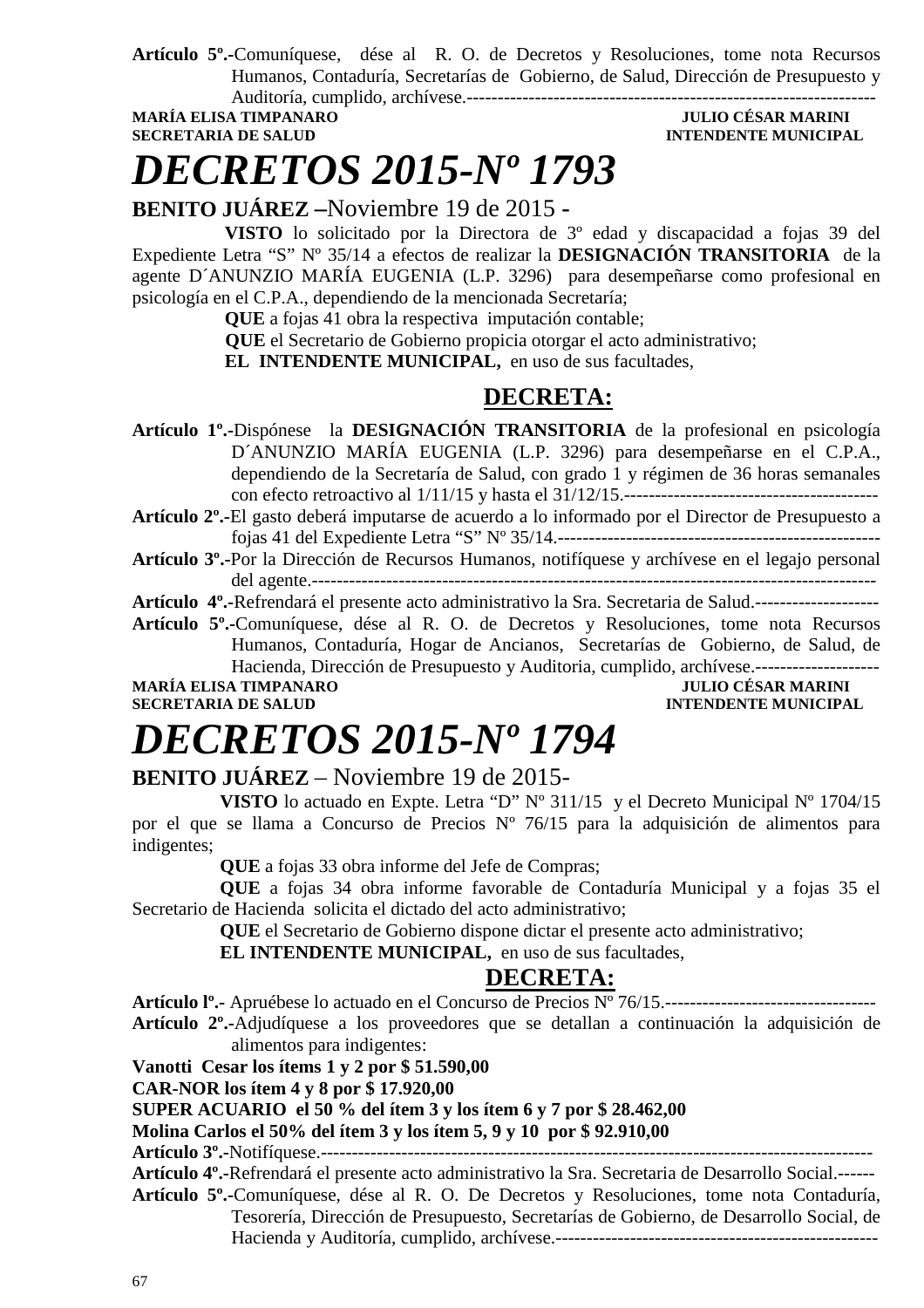**Artículo 5º.-**Comuníquese, dése al R. O. de Decretos y Resoluciones, tome nota Recursos Humanos, Contaduría, Secretarías de Gobierno, de Salud, Dirección de Presupuesto y Auditoría, cumplido, archívese.------------------------------------------------------------------

MARÍA ELISA TIMPANARO **de la contrata de la contrata de la contrata de la contrata de la contrata de la contra<br>INTENDENTE MUNICIPA** 

### **INTENDENTE MUNICIPAL**

# *DECRETOS 2015-Nº 1793*

**BENITO JUÁREZ –**Noviembre 19 de 2015 **-** 

 **VISTO** lo solicitado por la Directora de 3º edad y discapacidad a fojas 39 del Expediente Letra "S" Nº 35/14 a efectos de realizar la **DESIGNACIÓN TRANSITORIA** de la agente D´ANUNZIO MARÍA EUGENIA (L.P. 3296) para desempeñarse como profesional en psicología en el C.P.A., dependiendo de la mencionada Secretaría;

 **QUE** a fojas 41 obra la respectiva imputación contable;

 **QUE** el Secretario de Gobierno propicia otorgar el acto administrativo;

 **EL INTENDENTE MUNICIPAL,** en uso de sus facultades,

### **DECRETA:**

**Artículo 1º.-**Dispónese la **DESIGNACIÓN TRANSITORIA** de la profesional en psicología D´ANUNZIO MARÍA EUGENIA (L.P. 3296) para desempeñarse en el C.P.A., dependiendo de la Secretaría de Salud, con grado 1 y régimen de 36 horas semanales con efecto retroactivo al 1/11/15 y hasta el 31/12/15.-----------------------------------------

**Artículo 2º.-**El gasto deberá imputarse de acuerdo a lo informado por el Director de Presupuesto a fojas 41 del Expediente Letra "S" Nº 35/14.----------------------------------------------------

**Artículo 3º.-**Por la Dirección de Recursos Humanos, notifíquese y archívese en el legajo personal del agente.-------------------------------------------------------------------------------------------

**Artículo 4º.-**Refrendará el presente acto administrativo la Sra. Secretaria de Salud.--------------------

**Artículo 5º.-**Comuníquese, dése al R. O. de Decretos y Resoluciones, tome nota Recursos Humanos, Contaduría, Hogar de Ancianos, Secretarías de Gobierno, de Salud, de Hacienda, Dirección de Presupuesto y Auditoria, cumplido, archívese.--------------------

**MARÍA ELISA TIMPANARO JULIO CÉSAR MARINI** 

### **INTENDENTE MUNICIPAL**

## *DECRETOS 2015-Nº 1794*

### **BENITO JUÁREZ** – Noviembre 19 de 2015-

**VISTO** lo actuado en Expte. Letra "D" Nº 311/15 y el Decreto Municipal Nº 1704/15 por el que se llama a Concurso de Precios Nº 76/15 para la adquisición de alimentos para indigentes;

**QUE** a fojas 33 obra informe del Jefe de Compras;

**QUE** a fojas 34 obra informe favorable de Contaduría Municipal y a fojas 35 el Secretario de Hacienda solicita el dictado del acto administrativo;

**QUE** el Secretario de Gobierno dispone dictar el presente acto administrativo;

**EL INTENDENTE MUNICIPAL,** en uso de sus facultades,

### **DECRETA:**

**Artículo lº.-** Apruébese lo actuado en el Concurso de Precios Nº 76/15.----------------------------------

**Artículo 2º.-**Adjudíquese a los proveedores que se detallan a continuación la adquisición de alimentos para indigentes:

**Vanotti Cesar los ítems 1 y 2 por \$ 51.590,00** 

**CAR-NOR los ítem 4 y 8 por \$ 17.920,00** 

**SUPER ACUARIO el 50 % del ítem 3 y los ítem 6 y 7 por \$ 28.462,00** 

**Molina Carlos el 50% del ítem 3 y los ítem 5, 9 y 10 por \$ 92.910,00** 

**Artículo 3º.-**Notifíquese.-----------------------------------------------------------------------------------------

**Artículo 4º.-**Refrendará el presente acto administrativo la Sra. Secretaria de Desarrollo Social.------ **Artículo 5º.-**Comuníquese, dése al R. O. De Decretos y Resoluciones, tome nota Contaduría, Tesorería, Dirección de Presupuesto, Secretarías de Gobierno, de Desarrollo Social, de

Hacienda y Auditoría, cumplido, archívese.----------------------------------------------------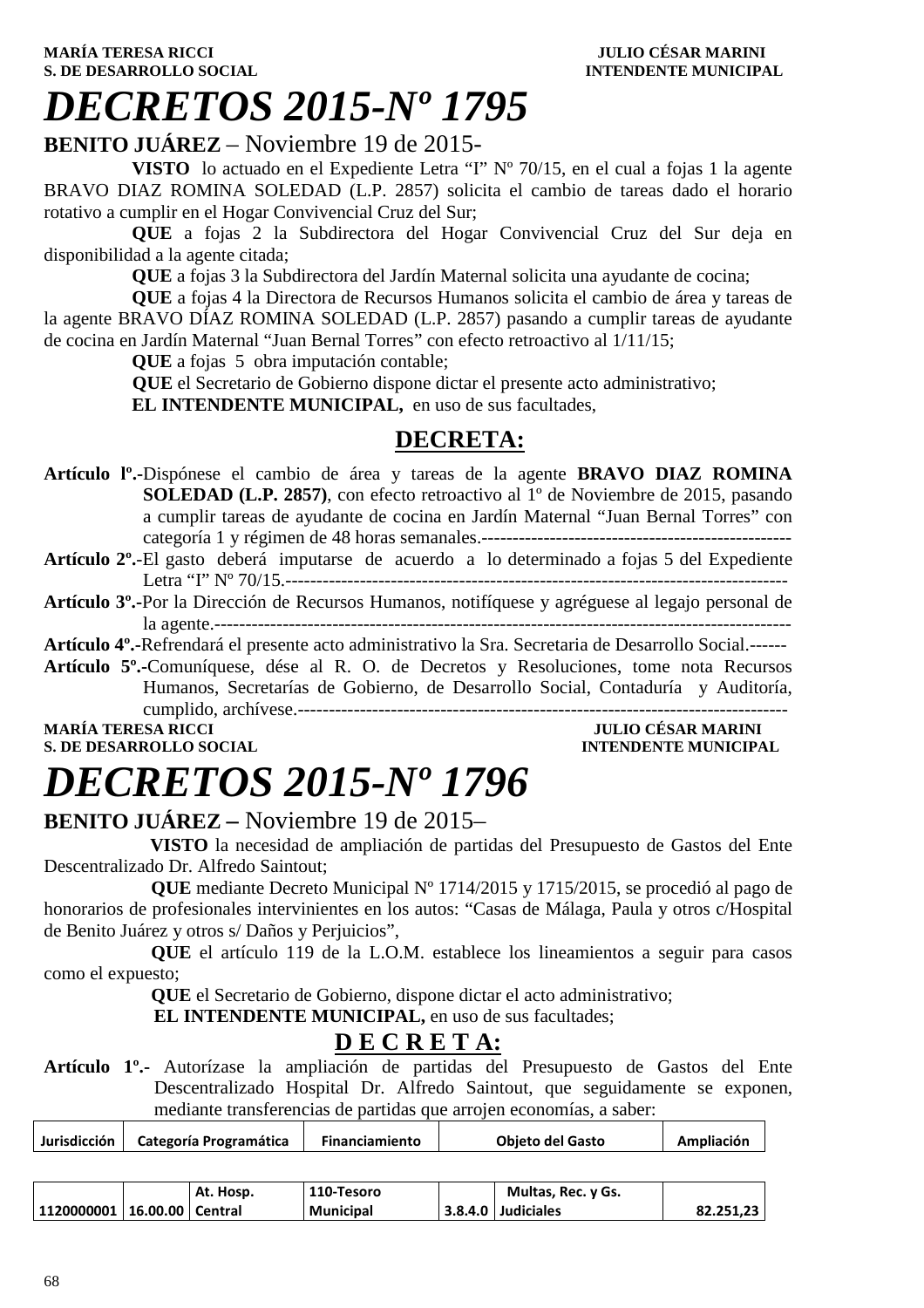# *DECRETOS 2015-Nº 1795*

### **BENITO JUÁREZ** – Noviembre 19 de 2015-

**VISTO** lo actuado en el Expediente Letra "I" Nº 70/15, en el cual a fojas 1 la agente BRAVO DIAZ ROMINA SOLEDAD (L.P. 2857) solicita el cambio de tareas dado el horario rotativo a cumplir en el Hogar Convivencial Cruz del Sur;

**QUE** a fojas 2 la Subdirectora del Hogar Convivencial Cruz del Sur deja en disponibilidad a la agente citada;

**QUE** a fojas 3 la Subdirectora del Jardín Maternal solicita una ayudante de cocina;

**QUE** a fojas 4 la Directora de Recursos Humanos solicita el cambio de área y tareas de la agente BRAVO DÍAZ ROMINA SOLEDAD (L.P. 2857) pasando a cumplir tareas de ayudante de cocina en Jardín Maternal "Juan Bernal Torres" con efecto retroactivo al 1/11/15;

**QUE** a fojas 5 obra imputación contable;

 **QUE** el Secretario de Gobierno dispone dictar el presente acto administrativo;

**EL INTENDENTE MUNICIPAL,** en uso de sus facultades,

### **DECRETA:**

**Artículo lº.-**Dispónese el cambio de área y tareas de la agente **BRAVO DIAZ ROMINA SOLEDAD (L.P. 2857)**, con efecto retroactivo al 1<sup>°</sup> de Noviembre de 2015, pasando a cumplir tareas de ayudante de cocina en Jardín Maternal "Juan Bernal Torres" con categoría 1 y régimen de 48 horas semanales.--------------------------------------------------

- **Artículo 2º.**-El gasto deberá imputarse de acuerdo a lo determinado a fojas 5 del Expediente Letra "I" Nº 70/15.---------------------------------------------------------------------------------
- **Artículo 3º.-**Por la Dirección de Recursos Humanos, notifíquese y agréguese al legajo personal de la agente.---------------------------------------------------------------------------------------------

**Artículo 4º.-**Refrendará el presente acto administrativo la Sra. Secretaria de Desarrollo Social.------ **Artículo 5º.-**Comuníquese, dése al R. O. de Decretos y Resoluciones, tome nota Recursos Humanos, Secretarías de Gobierno, de Desarrollo Social, Contaduría y Auditoría,

cumplido, archívese.------------------------------------------------------------------------------- **MARÍA TERESA RICCI JULIO CÉSAR MARINI** 

## **S. DE DESARROLLO SOCIAL CONSUMING A LOCAL CONSUMING A LOCAL CONSUMING A LOCAL CONSUMING A LOCAL CONSUMING A LOCAL CONSUMING A LOCAL CONSUMING A LOCAL CONSUMING A LOCAL CONSUMING A LOCAL CONSUMING A LOCAL CONSUMING A LOCAL**

# *DECRETOS 2015-Nº 1796*

### **BENITO JUÁREZ –** Noviembre 19 de 2015–

 **VISTO** la necesidad de ampliación de partidas del Presupuesto de Gastos del Ente Descentralizado Dr. Alfredo Saintout;

 **QUE** mediante Decreto Municipal Nº 1714/2015 y 1715/2015, se procedió al pago de honorarios de profesionales intervinientes en los autos: "Casas de Málaga, Paula y otros c/Hospital de Benito Juárez y otros s/ Daños y Perjuicios",

 **QUE** el artículo 119 de la L.O.M. establece los lineamientos a seguir para casos como el expuesto;

 **QUE** el Secretario de Gobierno, dispone dictar el acto administrativo;

**EL INTENDENTE MUNICIPAL, en uso de sus facultades;** 

### **D E C R E T A:**

**Artículo 1º.-** Autorízase la ampliación de partidas del Presupuesto de Gastos del Ente Descentralizado Hospital Dr. Alfredo Saintout, que seguidamente se exponen, mediante transferencias de partidas que arrojen economías, a saber:

| Jurisdicción          | Categoría Programática |           | <b>Financiamiento</b> | <b>Objeto del Gasto</b> | Ampliación |
|-----------------------|------------------------|-----------|-----------------------|-------------------------|------------|
|                       |                        |           |                       |                         |            |
|                       |                        | At. Hosp. | 110-Tesoro            | Multas, Rec. y Gs.      |            |
| 1120000001   16.00.00 |                        | l Central | <b>Municipal</b>      | 3.8.4.0 Judiciales      | 82.251,23  |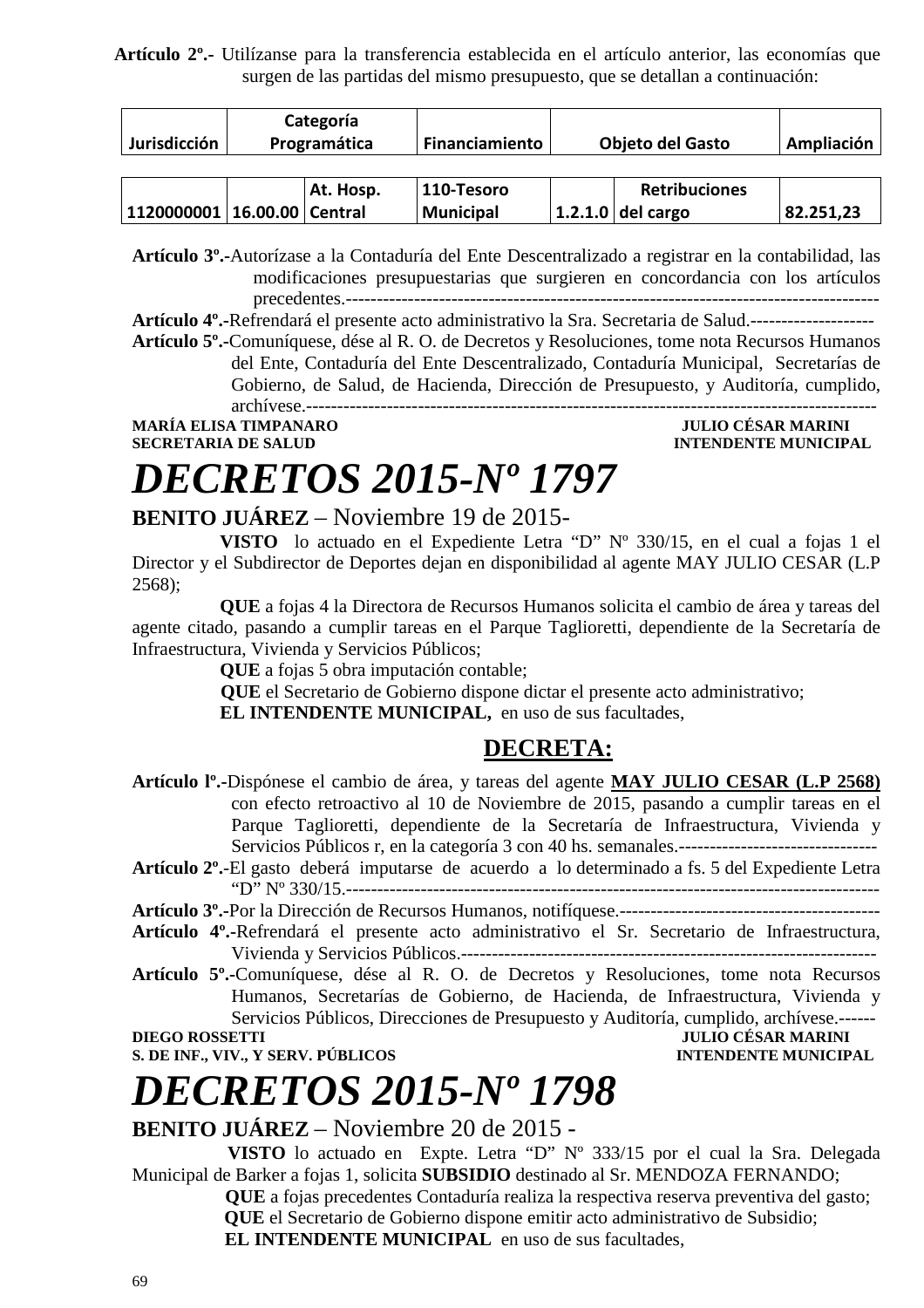**Artículo 2º.-** Utilízanse para la transferencia establecida en el artículo anterior, las economías que surgen de las partidas del mismo presupuesto, que se detallan a continuación:

| Jurisdicción                    | Categoría<br>Programática |           | Financiamiento   | <b>Objeto del Gasto</b> |                      | Ampliación |
|---------------------------------|---------------------------|-----------|------------------|-------------------------|----------------------|------------|
|                                 |                           |           |                  |                         |                      |            |
|                                 |                           | At. Hosp. | 110-Tesoro       |                         | <b>Retribuciones</b> |            |
| 1120000001   16.00.00   Central |                           |           | <b>Municipal</b> |                         | 1.2.1.0 del cargo    | 82.251,23  |

**Artículo 3º.-**Autorízase a la Contaduría del Ente Descentralizado a registrar en la contabilidad, las modificaciones presupuestarias que surgieren en concordancia con los artículos precedentes.--------------------------------------------------------------------------------------

**Artículo 4º.-**Refrendará el presente acto administrativo la Sra. Secretaria de Salud.--------------------

**Artículo 5º.-**Comuníquese, dése al R. O. de Decretos y Resoluciones, tome nota Recursos Humanos del Ente, Contaduría del Ente Descentralizado, Contaduría Municipal, Secretarías de Gobierno, de Salud, de Hacienda, Dirección de Presupuesto, y Auditoría, cumplido, archívese.--------------------------------------------------------------------------------------------

**MARÍA ELISA TIMPANARO SECRETARIA DE SALUD INTENDENTE MUNICIPAL** 

# *DECRETOS 2015-Nº 1797*

### **BENITO JUÁREZ** – Noviembre 19 de 2015-

**VISTO** lo actuado en el Expediente Letra "D" Nº 330/15, en el cual a fojas 1 el Director y el Subdirector de Deportes dejan en disponibilidad al agente MAY JULIO CESAR (L.P 2568);

**QUE** a fojas 4 la Directora de Recursos Humanos solicita el cambio de área y tareas del agente citado, pasando a cumplir tareas en el Parque Taglioretti, dependiente de la Secretaría de Infraestructura, Vivienda y Servicios Públicos;

**QUE** a fojas 5 obra imputación contable;

 **QUE** el Secretario de Gobierno dispone dictar el presente acto administrativo;

**EL INTENDENTE MUNICIPAL,** en uso de sus facultades,

### **DECRETA:**

- **Artículo lº.-**Dispónese el cambio de área, y tareas del agente **MAY JULIO CESAR (L.P 2568)**  con efecto retroactivo al 10 de Noviembre de 2015, pasando a cumplir tareas en el Parque Taglioretti, dependiente de la Secretaría de Infraestructura, Vivienda y Servicios Públicos r, en la categoría 3 con 40 hs. semanales.--------------------------------
- **Artículo 2º.**-El gasto deberá imputarse de acuerdo a lo determinado a fs. 5 del Expediente Letra "D" Nº 330/15.--------------------------------------------------------------------------------------

**Artículo 3º.-**Por la Dirección de Recursos Humanos, notifíquese.------------------------------------------

- **Artículo 4º.-**Refrendará el presente acto administrativo el Sr. Secretario de Infraestructura, Vivienda y Servicios Públicos.-------------------------------------------------------------------
- **Artículo 5º.-**Comuníquese, dése al R. O. de Decretos y Resoluciones, tome nota Recursos Humanos, Secretarías de Gobierno, de Hacienda, de Infraestructura, Vivienda y Servicios Públicos, Direcciones de Presupuesto y Auditoría, cumplido, archívese.------ **DIEGO ROSSETTI JULIO CÉSAR MARINI**

**S. DE INF., VIV., Y SERV. PÚBLICOS INTENDENTE MUNICIPAL** 

## *DECRETOS 2015-Nº 1798*

### **BENITO JUÁREZ** – Noviembre 20 de 2015 -

 **VISTO** lo actuado en Expte. Letra "D" Nº 333/15 por el cual la Sra. Delegada Municipal de Barker a fojas 1, solicita **SUBSIDIO** destinado al Sr. MENDOZA FERNANDO;

> **QUE** a fojas precedentes Contaduría realiza la respectiva reserva preventiva del gasto;  **QUE** el Secretario de Gobierno dispone emitir acto administrativo de Subsidio;

**EL INTENDENTE MUNICIPAL** en uso de sus facultades,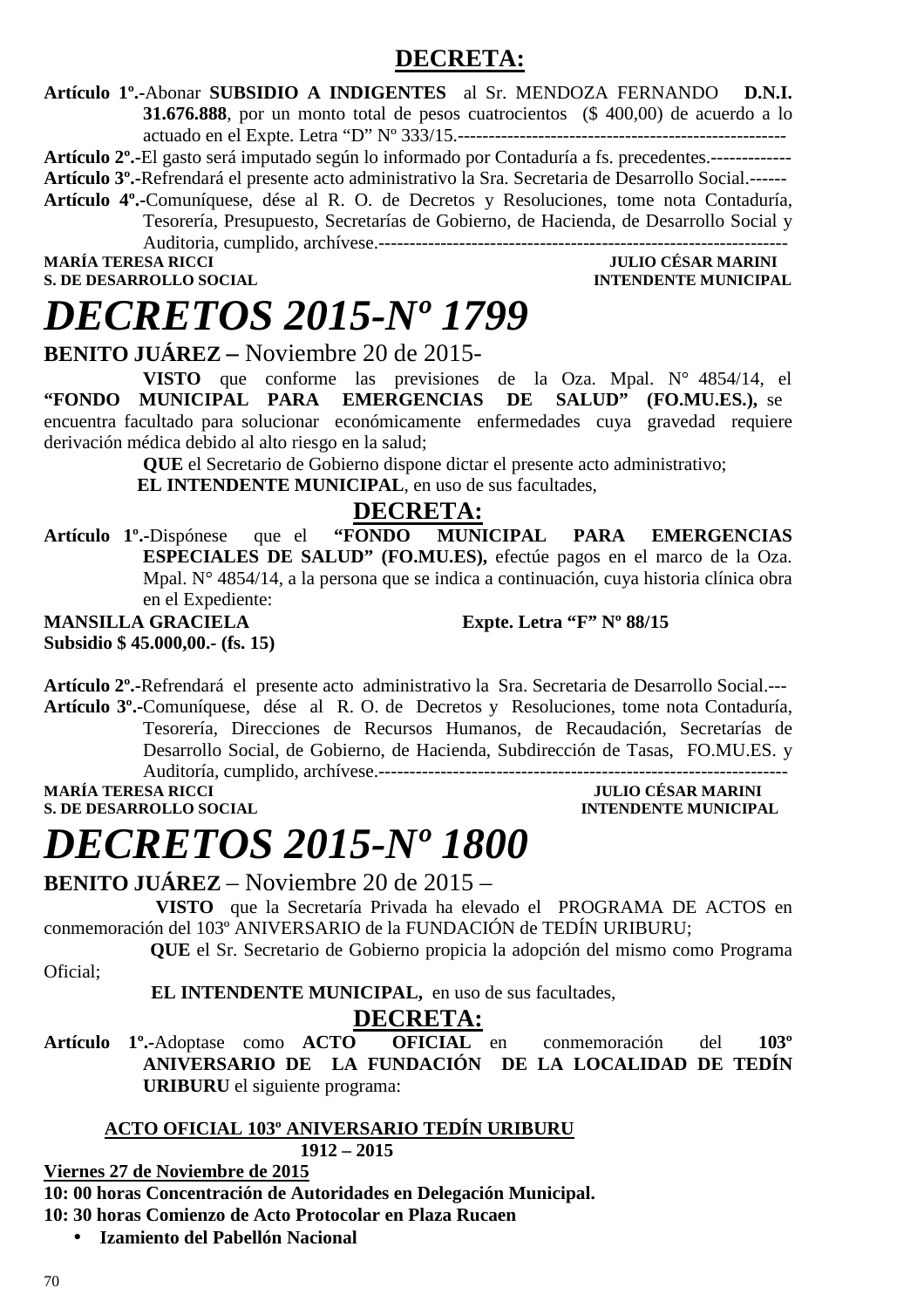### **DECRETA:**

**Artículo 1º.-**Abonar **SUBSIDIO A INDIGENTES** al Sr. MENDOZA FERNANDO **D.N.I. 31.676.888**, por un monto total de pesos cuatrocientos (\$ 400,00) de acuerdo a lo actuado en el Expte. Letra "D" Nº 333/15.-----------------------------------------------------

**Artículo 2º.-**El gasto será imputado según lo informado por Contaduría a fs. precedentes.-------------

**Artículo 3º.-**Refrendará el presente acto administrativo la Sra. Secretaria de Desarrollo Social.------

**Artículo 4º.-**Comuníquese, dése al R. O. de Decretos y Resoluciones, tome nota Contaduría, Tesorería, Presupuesto, Secretarías de Gobierno, de Hacienda, de Desarrollo Social y Auditoria, cumplido, archívese.------------------------------------------------------------------

**S. DE DESARROLLO SOCIAL** 

**MARINI<br>INTENDENTE MUNICIPAL** 

# *DECRETOS 2015-Nº 1799*

**BENITO JUÁREZ –** Noviembre 20 de 2015-

**VISTO** que conforme las previsiones de la Oza. Mpal. N° 4854/14, el **"FONDO MUNICIPAL PARA EMERGENCIAS DE SALUD" (FO.MU.ES.),** se encuentra facultado para solucionar económicamente enfermedades cuya gravedad requiere derivación médica debido al alto riesgo en la salud;

**QUE** el Secretario de Gobierno dispone dictar el presente acto administrativo;

 **EL INTENDENTE MUNICIPAL**, en uso de sus facultades,

### **DECRETA:**

**Artículo 1º.-**Dispónese que el **"FONDO MUNICIPAL PARA EMERGENCIAS ESPECIALES DE SALUD" (FO.MU.ES),** efectúe pagos en el marco de la Oza. Mpal. N° 4854/14, a la persona que se indica a continuación, cuya historia clínica obra en el Expediente:

**MANSILLA GRACIELA Expte. Letra "F" Nº 88/15 Subsidio \$ 45.000,00.- (fs. 15)** 

**Artículo 2º.-**Refrendará el presente acto administrativo la Sra. Secretaria de Desarrollo Social.--- **Artículo 3º.-**Comuníquese, dése al R. O. de Decretos y Resoluciones, tome nota Contaduría, Tesorería, Direcciones de Recursos Humanos, de Recaudación, Secretarías de Desarrollo Social, de Gobierno, de Hacienda, Subdirección de Tasas, FO.MU.ES. y

Auditoría, cumplido, archívese.------------------------------------------------------------------

**S. DE DESARROLLO SOCIAL** 

## **MULIO CÉSAR MARINI<br>INTENDENTE MUNICIPAL**

# *DECRETOS 2015-Nº 1800*

**BENITO JUÁREZ** – Noviembre 20 de 2015 –

 **VISTO** que la Secretaría Privada ha elevado el PROGRAMA DE ACTOS en conmemoración del 103º ANIVERSARIO de la FUNDACIÓN de TEDÍN URIBURU;

 **QUE** el Sr. Secretario de Gobierno propicia la adopción del mismo como Programa

Oficial;

 **EL INTENDENTE MUNICIPAL,** en uso de sus facultades,

### **DECRETA:**

**Artículo 1º.-**Adoptase como **ACTO OFICIAL** en conmemoración del **103º ANIVERSARIO DE LA FUNDACIÓN DE LA LOCALIDAD DE TEDÍN URIBURU** el siguiente programa:

### **ACTO OFICIAL 103º ANIVERSARIO TEDÍN URIBURU**

 **1912 – 2015** 

**Viernes 27 de Noviembre de 2015** 

**10: 00 horas Concentración de Autoridades en Delegación Municipal. 10: 30 horas Comienzo de Acto Protocolar en Plaza Rucaen** 

• **Izamiento del Pabellón Nacional**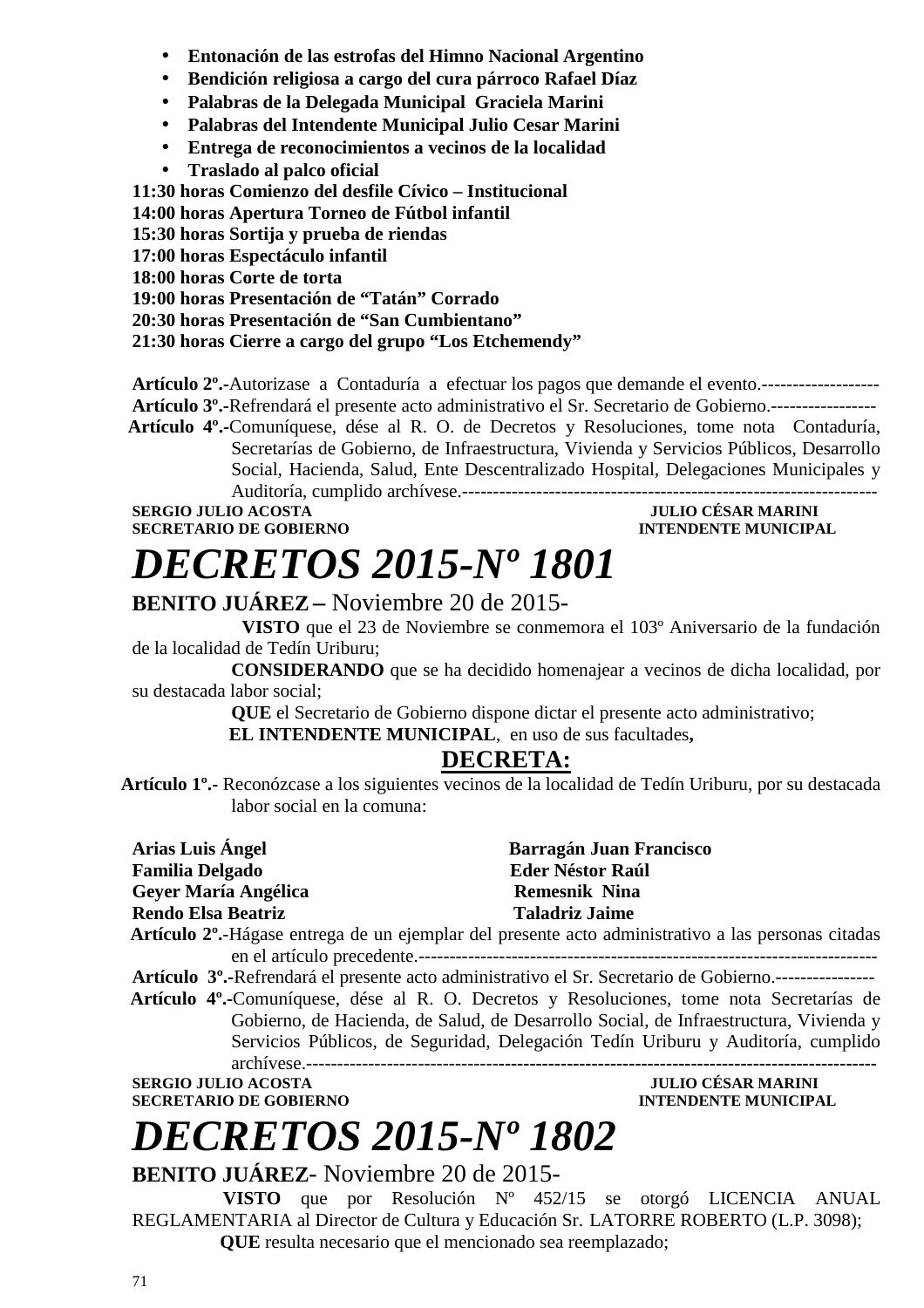- **Entonación de las estrofas del Himno Nacional Argentino**
- **Bendición religiosa a cargo del cura párroco Rafael Díaz**
- **Palabras de la Delegada Municipal Graciela Marini**
- **Palabras del Intendente Municipal Julio Cesar Marini**
- **Entrega de reconocimientos a vecinos de la localidad**
- **Traslado al palco oficial**

**11:30 horas Comienzo del desfile Cívico – Institucional** 

**14:00 horas Apertura Torneo de Fútbol infantil** 

**15:30 horas Sortija y prueba de riendas** 

**17:00 horas Espectáculo infantil** 

**18:00 horas Corte de torta** 

**19:00 horas Presentación de "Tatán" Corrado** 

**20:30 horas Presentación de "San Cumbientano"** 

**21:30 horas Cierre a cargo del grupo "Los Etchemendy"** 

**Artículo 2º.-**Autorizase a Contaduría a efectuar los pagos que demande el evento.------------------- **Artículo 3º.-**Refrendará el presente acto administrativo el Sr. Secretario de Gobierno.-----------------

**Artículo 4º.-**Comuníquese, dése al R. O. de Decretos y Resoluciones, tome nota Contaduría, Secretarías de Gobierno, de Infraestructura, Vivienda y Servicios Públicos, Desarrollo Social, Hacienda, Salud, Ente Descentralizado Hospital, Delegaciones Municipales y Auditoría, cumplido archívese.-------------------------------------------------------------------

**SERGIO JULIO ACOSTA JULIO CÉSAR MARINI SECRETARIO DE GOBIERNO INTENDENTE MUNICIPAL** 

### *DECRETOS 2015-Nº 1801* **BENITO JUÁREZ –** Noviembre 20 de 2015-

 **VISTO** que el 23 de Noviembre se conmemora el 103º Aniversario de la fundación de la localidad de Tedín Uriburu;

 **CONSIDERANDO** que se ha decidido homenajear a vecinos de dicha localidad, por su destacada labor social;

**QUE** el Secretario de Gobierno dispone dictar el presente acto administrativo;

 **EL INTENDENTE MUNICIPAL**, en uso de sus facultades**,** 

### **DECRETA:**

**Artículo 1º.-** Reconózcase a los siguientes vecinos de la localidad de Tedín Uriburu, por su destacada labor social en la comuna:

| Arias Luis Ángel                            | <b>Barragán Juan Francisco</b>                                                                          |  |  |
|---------------------------------------------|---------------------------------------------------------------------------------------------------------|--|--|
| <b>Familia Delgado</b>                      | <b>Eder Néstor Raúl</b>                                                                                 |  |  |
| Geyer María Angélica                        | <b>Remesnik Nina</b>                                                                                    |  |  |
| <b>Rendo Elsa Beatriz</b>                   | <b>Taladriz Jaime</b>                                                                                   |  |  |
|                                             | Artículo 2º.-Hágase entrega de un ejemplar del presente acto administrativo a las personas citadas      |  |  |
|                                             |                                                                                                         |  |  |
|                                             | Artículo 3º.-Refrendará el presente acto administrativo el Sr. Secretario de Gobierno.----------------- |  |  |
|                                             | Artículo 4º.-Comuníquese, dése al R. O. Decretos y Resoluciones, tome nota Secretarías de               |  |  |
|                                             | Gobierno, de Hacienda, de Salud, de Desarrollo Social, de Infraestructura, Vivienda y                   |  |  |
|                                             | Servicios Públicos, de Seguridad, Delegación Tedín Uriburu y Auditoría, cumplido                        |  |  |
|                                             |                                                                                                         |  |  |
| <b>SERGIO JULIO ACOSTA</b>                  | <b>JULIO CÉSAR MARINI</b>                                                                               |  |  |
| <b>SECRETARIO DE GOBIERNO</b>               | <b>INTENDENTE MUNICIPAL</b>                                                                             |  |  |
| <b>DECRETOS 2015-Nº 1802</b>                |                                                                                                         |  |  |
| <b>BENITO JUÁREZ-</b> Noviembre 20 de 2015- |                                                                                                         |  |  |
|                                             | <b>VISTO</b> que por Resolución $N^{\circ}$ 452/15 se otorgó LICENCIA ANUAL                             |  |  |

REGLAMENTARIA al Director de Cultura y Educación Sr. LATORRE ROBERTO (L.P. 3098);

**QUE** resulta necesario que el mencionado sea reemplazado;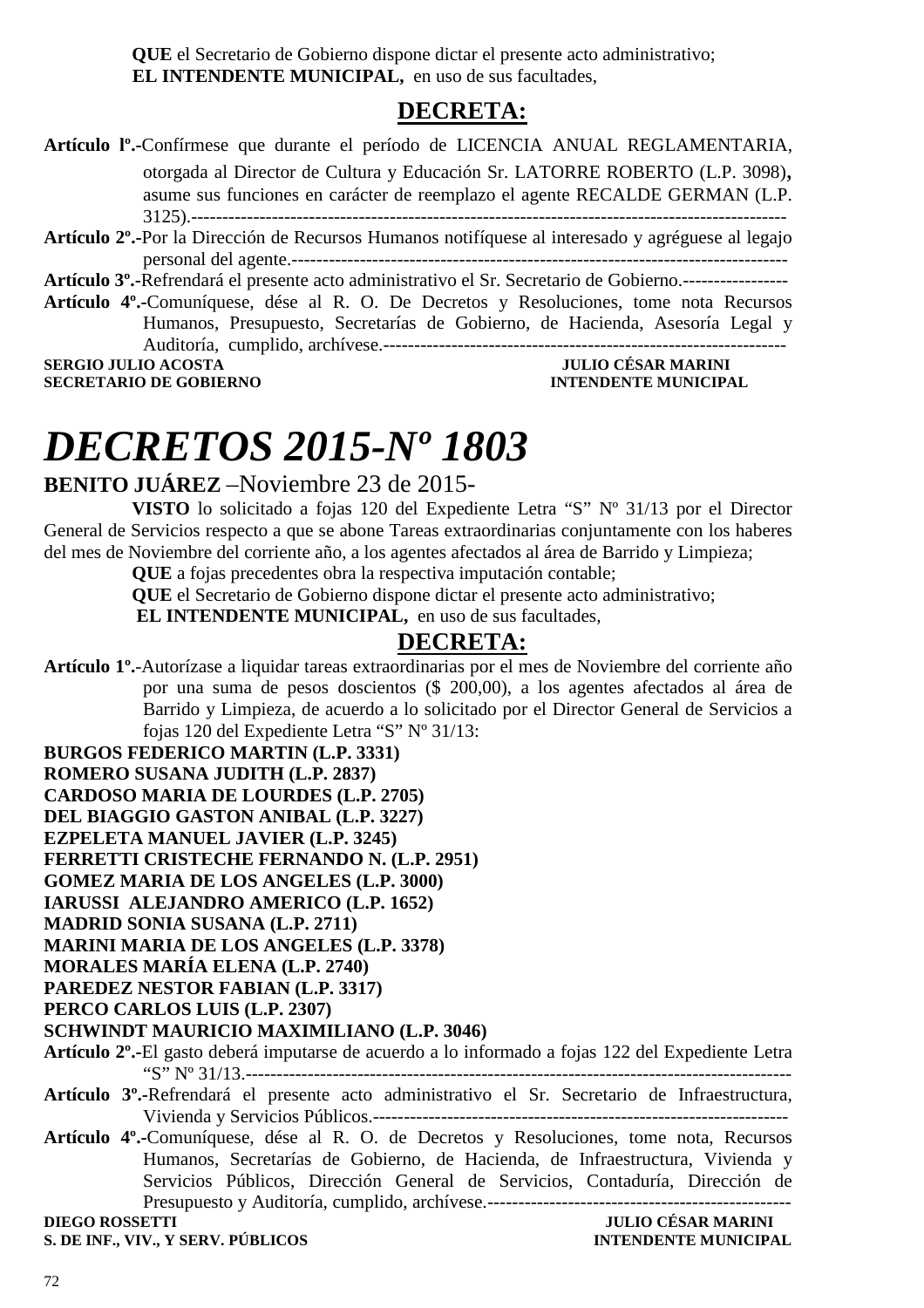**QUE** el Secretario de Gobierno dispone dictar el presente acto administrativo; **EL INTENDENTE MUNICIPAL,** en uso de sus facultades,

### **DECRETA:**

- **Artículo lº.-**Confírmese que durante el período de LICENCIA ANUAL REGLAMENTARIA, otorgada al Director de Cultura y Educación Sr. LATORRE ROBERTO (L.P. 3098), asume sus funciones en carácter de reemplazo el agente RECALDE GERMAN (L.P. 3125).------------------------------------------------------------------------------------------------
- **Artículo 2º.-**Por la Dirección de Recursos Humanos notifíquese al interesado y agréguese al legajo personal del agente.--------------------------------------------------------------------------------

**Artículo 3º.-**Refrendará el presente acto administrativo el Sr. Secretario de Gobierno.-----------------

**Artículo 4º.-**Comuníquese, dése al R. O. De Decretos y Resoluciones, tome nota Recursos Humanos, Presupuesto, Secretarías de Gobierno, de Hacienda, Asesoría Legal y Auditoría, cumplido, archívese.-----------------------------------------------------------------

**SERGIO JULIO ACOSTA JULIO CÉSAR MARINI SECRETARIO DE GOBIERNO INTENDENTE MUNICIPAL** 

# *DECRETOS 2015-Nº 1803*

### **BENITO JUÁREZ** –Noviembre 23 de 2015-

**VISTO** lo solicitado a fojas 120 del Expediente Letra "S" Nº 31/13 por el Director General de Servicios respecto a que se abone Tareas extraordinarias conjuntamente con los haberes del mes de Noviembre del corriente año, a los agentes afectados al área de Barrido y Limpieza;

**QUE** a fojas precedentes obra la respectiva imputación contable;

**QUE** el Secretario de Gobierno dispone dictar el presente acto administrativo;

 **EL INTENDENTE MUNICIPAL,** en uso de sus facultades,

### **DECRETA:**

**Artículo 1º.**-Autorízase a liquidar tareas extraordinarias por el mes de Noviembre del corriente año por una suma de pesos doscientos (\$ 200,00), a los agentes afectados al área de Barrido y Limpieza, de acuerdo a lo solicitado por el Director General de Servicios a fojas 120 del Expediente Letra "S" Nº 31/13:

**BURGOS FEDERICO MARTIN (L.P. 3331)** 

- **ROMERO SUSANA JUDITH (L.P. 2837)**
- **CARDOSO MARIA DE LOURDES (L.P. 2705)**
- **DEL BIAGGIO GASTON ANIBAL (L.P. 3227)**
- **EZPELETA MANUEL JAVIER (L.P. 3245)**
- **FERRETTI CRISTECHE FERNANDO N. (L.P. 2951)**
- **GOMEZ MARIA DE LOS ANGELES (L.P. 3000)**

**IARUSSI ALEJANDRO AMERICO (L.P. 1652)** 

**MADRID SONIA SUSANA (L.P. 2711)** 

**MARINI MARIA DE LOS ANGELES (L.P. 3378)** 

**MORALES MARÍA ELENA (L.P. 2740)** 

**PAREDEZ NESTOR FABIAN (L.P. 3317)** 

**PERCO CARLOS LUIS (L.P. 2307)** 

#### **SCHWINDT MAURICIO MAXIMILIANO (L.P. 3046)**

- **Artículo 2º.-**El gasto deberá imputarse de acuerdo a lo informado a fojas 122 del Expediente Letra "S" Nº 31/13.----------------------------------------------------------------------------------------
- **Artículo 3º.-**Refrendará el presente acto administrativo el Sr. Secretario de Infraestructura, Vivienda y Servicios Públicos.-------------------------------------------------------------------
- **Artículo 4º.-**Comuníquese, dése al R. O. de Decretos y Resoluciones, tome nota, Recursos Humanos, Secretarías de Gobierno, de Hacienda, de Infraestructura, Vivienda y Servicios Públicos, Dirección General de Servicios, Contaduría, Dirección de Presupuesto y Auditoría, cumplido, archívese.-------------------------------------------------

**DIEGO ROSSETTI JULIO CÉSAR MARINI**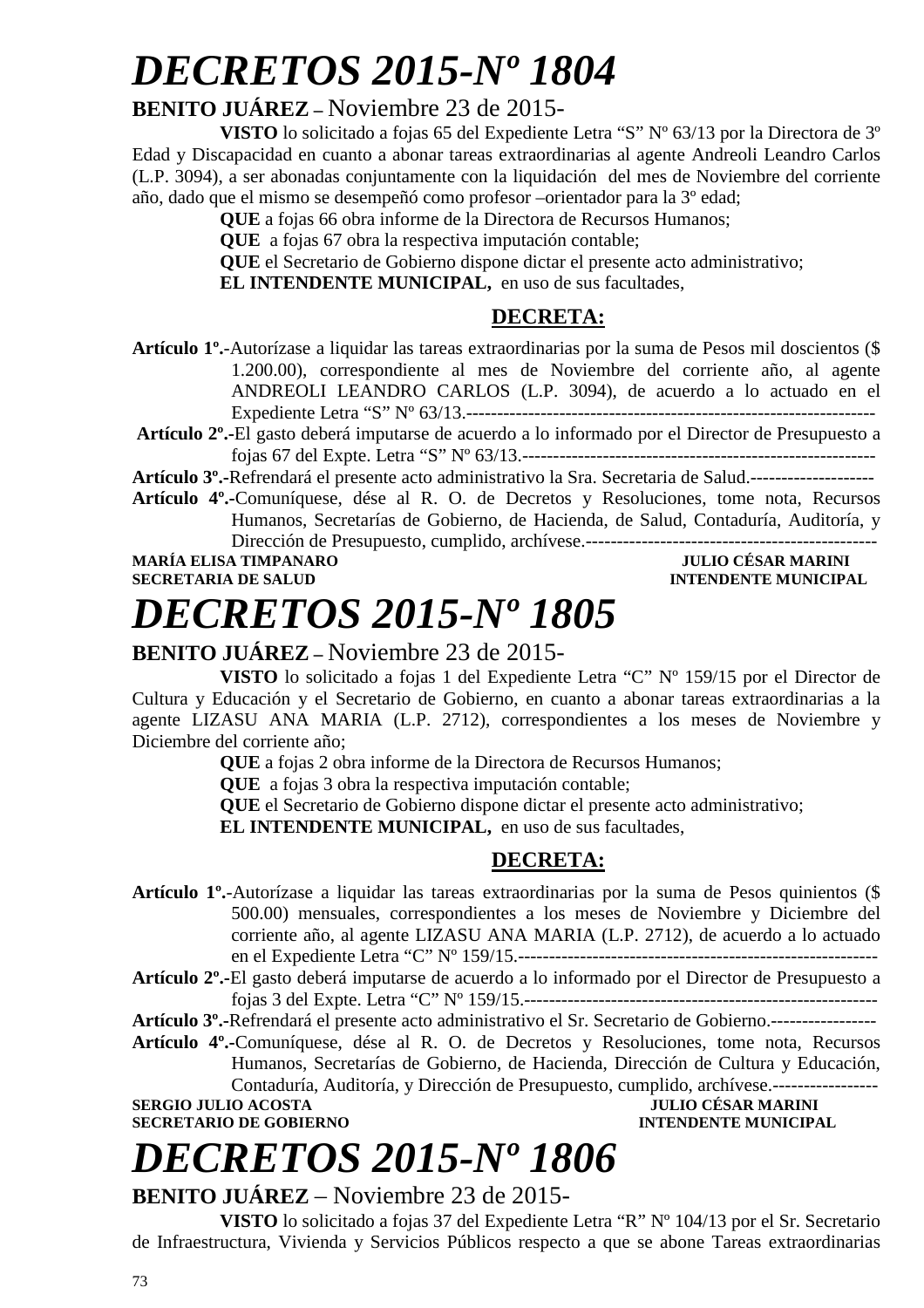# *DECRETOS 2015-Nº 1804*

## **BENITO JUÁREZ –** Noviembre 23 de 2015-

**VISTO** lo solicitado a fojas 65 del Expediente Letra "S" Nº 63/13 por la Directora de 3º Edad y Discapacidad en cuanto a abonar tareas extraordinarias al agente Andreoli Leandro Carlos (L.P. 3094), a ser abonadas conjuntamente con la liquidación del mes de Noviembre del corriente año, dado que el mismo se desempeñó como profesor –orientador para la 3º edad;

**QUE** a fojas 66 obra informe de la Directora de Recursos Humanos;

**QUE** a fojas 67 obra la respectiva imputación contable;

**QUE** el Secretario de Gobierno dispone dictar el presente acto administrativo;

**EL INTENDENTE MUNICIPAL,** en uso de sus facultades,

## **DECRETA:**

- **Artículo 1º.**-Autorízase a liquidar las tareas extraordinarias por la suma de Pesos mil doscientos (\$ 1.200.00), correspondiente al mes de Noviembre del corriente año, al agente ANDREOLI LEANDRO CARLOS (L.P. 3094), de acuerdo a lo actuado en el Expediente Letra "S" Nº 63/13.------------------------------------------------------------------
- **Artículo 2º.-**El gasto deberá imputarse de acuerdo a lo informado por el Director de Presupuesto a fojas 67 del Expte. Letra "S" Nº 63/13.---------------------------------------------------------

**Artículo 3º.-**Refrendará el presente acto administrativo la Sra. Secretaria de Salud.--------------------

**Artículo 4º.-**Comuníquese, dése al R. O. de Decretos y Resoluciones, tome nota, Recursos Humanos, Secretarías de Gobierno, de Hacienda, de Salud, Contaduría, Auditoría, y Dirección de Presupuesto, cumplido, archívese.-----------------------------------------------

**MARÍA ELISA TIMPANARO SECRETARIA DE SALUD INTENDENTE MUNICIPAL** 

# *DECRETOS 2015-Nº 1805*

## **BENITO JUÁREZ –** Noviembre 23 de 2015-

**VISTO** lo solicitado a fojas 1 del Expediente Letra "C" Nº 159/15 por el Director de Cultura y Educación y el Secretario de Gobierno, en cuanto a abonar tareas extraordinarias a la agente LIZASU ANA MARIA (L.P. 2712), correspondientes a los meses de Noviembre y Diciembre del corriente año;

**QUE** a fojas 2 obra informe de la Directora de Recursos Humanos;

**QUE** a fojas 3 obra la respectiva imputación contable;

**QUE** el Secretario de Gobierno dispone dictar el presente acto administrativo;

**EL INTENDENTE MUNICIPAL,** en uso de sus facultades,

## **DECRETA:**

- **Artículo 1º.**-Autorízase a liquidar las tareas extraordinarias por la suma de Pesos quinientos (\$ 500.00) mensuales, correspondientes a los meses de Noviembre y Diciembre del corriente año, al agente LIZASU ANA MARIA (L.P. 2712), de acuerdo a lo actuado en el Expediente Letra "C" Nº 159/15.----------------------------------------------------------
- **Artículo 2º.-**El gasto deberá imputarse de acuerdo a lo informado por el Director de Presupuesto a fojas 3 del Expte. Letra "C" Nº 159/15.---------------------------------------------------------

**Artículo 3º.-**Refrendará el presente acto administrativo el Sr. Secretario de Gobierno.-----------------

**Artículo 4º.-**Comuníquese, dése al R. O. de Decretos y Resoluciones, tome nota, Recursos Humanos, Secretarías de Gobierno, de Hacienda, Dirección de Cultura y Educación, Contaduría, Auditoría, y Dirección de Presupuesto, cumplido, archívese.-----------------

## **SERGIO JULIO ACOSTA JULIO CÉSAR MARINI**

## **SECRETARIO DE GOBIERNO INTENDENTE MUNICIPAL**

# *DECRETOS 2015-Nº 1806*

## **BENITO JUÁREZ** – Noviembre 23 de 2015-

**VISTO** lo solicitado a fojas 37 del Expediente Letra "R" Nº 104/13 por el Sr. Secretario de Infraestructura, Vivienda y Servicios Públicos respecto a que se abone Tareas extraordinarias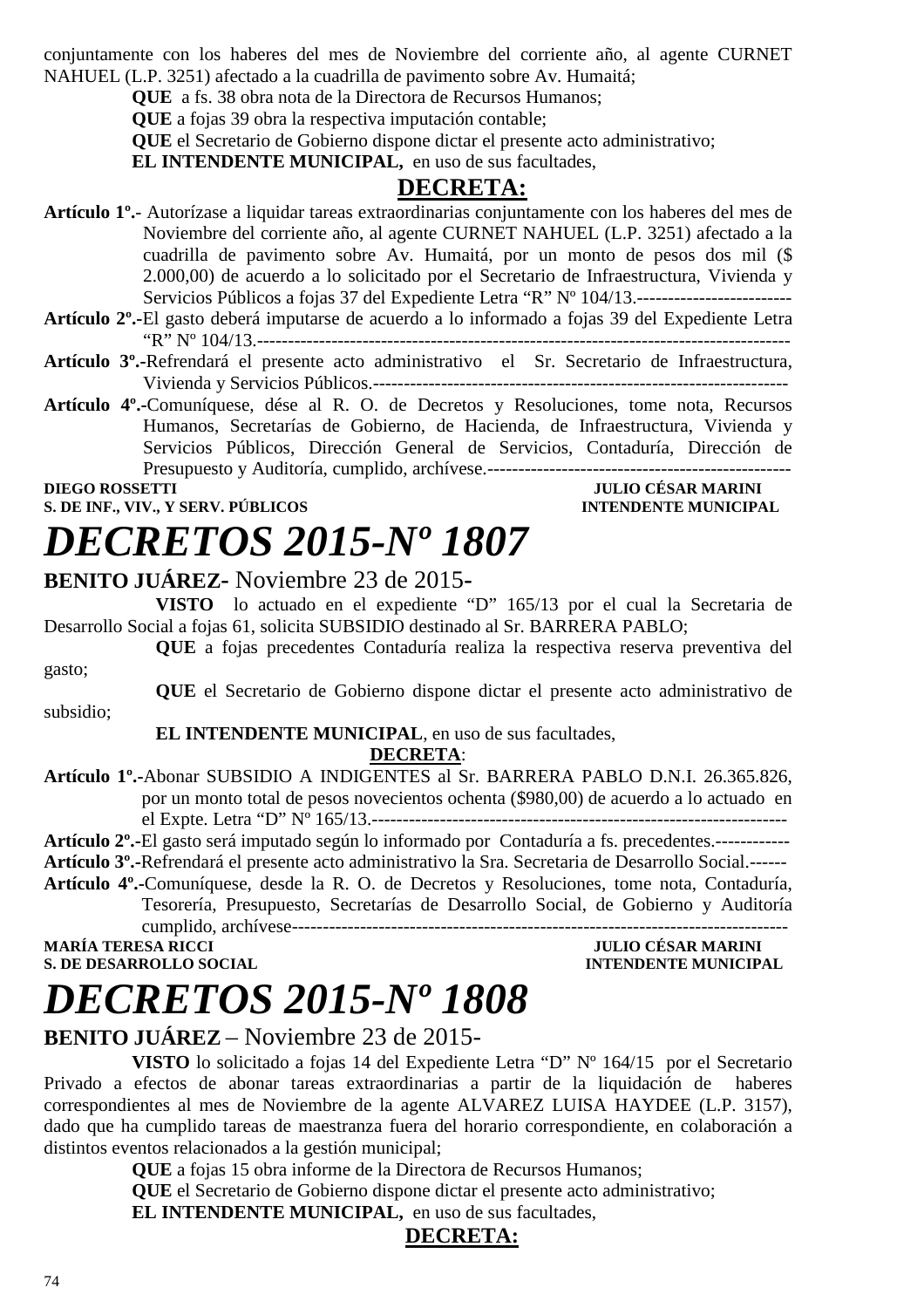conjuntamente con los haberes del mes de Noviembre del corriente año, al agente CURNET NAHUEL (L.P. 3251) afectado a la cuadrilla de pavimento sobre Av. Humaitá;

**QUE** a fs. 38 obra nota de la Directora de Recursos Humanos;

**QUE** a fojas 39 obra la respectiva imputación contable;

**QUE** el Secretario de Gobierno dispone dictar el presente acto administrativo;

**EL INTENDENTE MUNICIPAL,** en uso de sus facultades,

## **DECRETA:**

**Artículo 1º.**- Autorízase a liquidar tareas extraordinarias conjuntamente con los haberes del mes de Noviembre del corriente año, al agente CURNET NAHUEL (L.P. 3251) afectado a la cuadrilla de pavimento sobre Av. Humaitá, por un monto de pesos dos mil (\$ 2.000,00) de acuerdo a lo solicitado por el Secretario de Infraestructura, Vivienda y Servicios Públicos a fojas 37 del Expediente Letra "R" Nº 104/13.-----------------------------------

- **Artículo 2º.-**El gasto deberá imputarse de acuerdo a lo informado a fojas 39 del Expediente Letra "R" Nº 104/13.--------------------------------------------------------------------------------------
- **Artículo 3º.-**Refrendará el presente acto administrativo el Sr. Secretario de Infraestructura, Vivienda y Servicios Públicos.-------------------------------------------------------------------

**Artículo 4º.-**Comuníquese, dése al R. O. de Decretos y Resoluciones, tome nota, Recursos Humanos, Secretarías de Gobierno, de Hacienda, de Infraestructura, Vivienda y Servicios Públicos, Dirección General de Servicios, Contaduría, Dirección de Presupuesto y Auditoría, cumplido, archívese.-------------------------------------------------

**S. DE INF., VIV., Y SERV. PÚBLICOS** 

## **DIEGO ROSSETTI**<br> **S. DE INF., VIV., Y SERV. PÚBLICOS**<br> **EXECUTE:** INTENDENTE MUNICIPAL

# *DECRETOS 2015-Nº 1807*

## **BENITO JUÁREZ-** Noviembre 23 de 2015**-**

**VISTO** lo actuado en el expediente "D" 165/13 por el cual la Secretaria de Desarrollo Social a fojas 61, solicita SUBSIDIO destinado al Sr. BARRERA PABLO;

**QUE** a fojas precedentes Contaduría realiza la respectiva reserva preventiva del gasto;

**QUE** el Secretario de Gobierno dispone dictar el presente acto administrativo de subsidio;

### **EL INTENDENTE MUNICIPAL**, en uso de sus facultades, **DECRETA**:

**Artículo 1º.-**Abonar SUBSIDIO A INDIGENTES al Sr. BARRERA PABLO D.N.I. 26.365.826, por un monto total de pesos novecientos ochenta (\$980,00) de acuerdo a lo actuado en el Expte. Letra "D" Nº 165/13.-------------------------------------------------------------------

**Artículo 2º.-**El gasto será imputado según lo informado por Contaduría a fs. precedentes.------------

**Artículo 3º.-**Refrendará el presente acto administrativo la Sra. Secretaria de Desarrollo Social.------

**Artículo 4º.-**Comuníquese, desde la R. O. de Decretos y Resoluciones, tome nota, Contaduría, Tesorería, Presupuesto, Secretarías de Desarrollo Social, de Gobierno y Auditoría cumplido, archívese--------------------------------------------------------------------------------

**MARÍA TERESA RICCI JULIO CÉSAR MARINI S. DE DESARROLLO SOCIAL CONSUMING A LOCAL CONSUMING A LOCAL CONSUMING A LOCAL CONSUMING A LOCAL CONSUMING A LOCAL CONSUMING A LOCAL CONSUMING A LOCAL CONSUMING A LOCAL CONSUMING A LOCAL CONSUMING A LOCAL CONSUMING A LOCAL** 

# *DECRETOS 2015-Nº 1808*

## **BENITO JUÁREZ** – Noviembre 23 de 2015-

**VISTO** lo solicitado a fojas 14 del Expediente Letra "D" Nº 164/15 por el Secretario Privado a efectos de abonar tareas extraordinarias a partir de la liquidación de haberes correspondientes al mes de Noviembre de la agente ALVAREZ LUISA HAYDEE (L.P. 3157), dado que ha cumplido tareas de maestranza fuera del horario correspondiente, en colaboración a distintos eventos relacionados a la gestión municipal;

**QUE** a fojas 15 obra informe de la Directora de Recursos Humanos;

**QUE** el Secretario de Gobierno dispone dictar el presente acto administrativo;

**EL INTENDENTE MUNICIPAL,** en uso de sus facultades,

### **DECRETA:**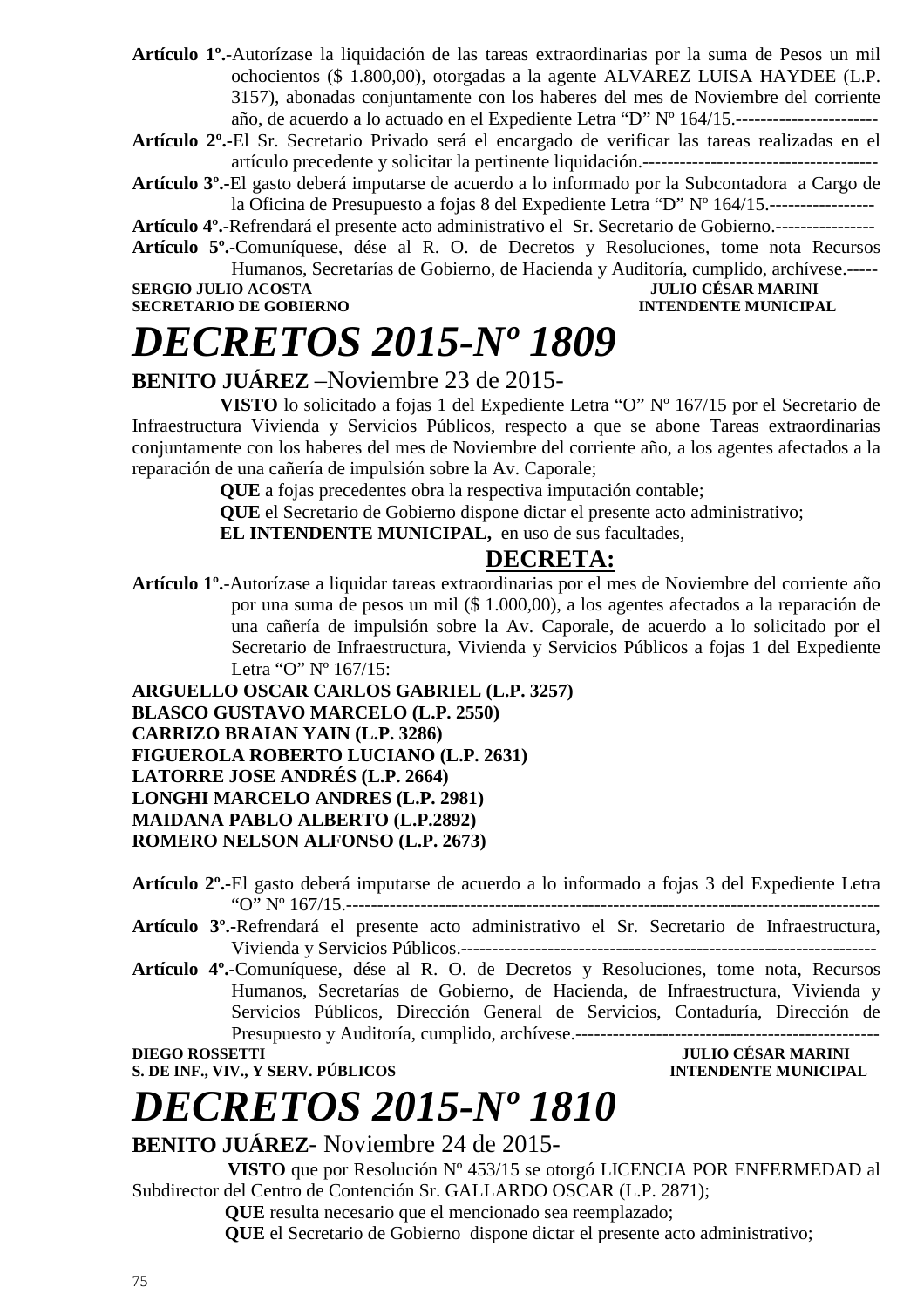- **Artículo 1º.**-Autorízase la liquidación de las tareas extraordinarias por la suma de Pesos un mil ochocientos (\$ 1.800,00), otorgadas a la agente ALVAREZ LUISA HAYDEE (L.P. 3157), abonadas conjuntamente con los haberes del mes de Noviembre del corriente año, de acuerdo a lo actuado en el Expediente Letra "D" Nº 164/15.-----------------------
- **Artículo 2º.-**El Sr. Secretario Privado será el encargado de verificar las tareas realizadas en el artículo precedente y solicitar la pertinente liquidación.--------------------------------------
- **Artículo 3º.-**El gasto deberá imputarse de acuerdo a lo informado por la Subcontadora a Cargo de la Oficina de Presupuesto a fojas 8 del Expediente Letra "D" Nº 164/15.-----------------

**Artículo 4º.-**Refrendará el presente acto administrativo el Sr. Secretario de Gobierno.----------------

**Artículo 5º.-**Comuníquese, dése al R. O. de Decretos y Resoluciones, tome nota Recursos Humanos, Secretarías de Gobierno, de Hacienda y Auditoría, cumplido, archívese.-----

**SECRETARIO DE GOBIERNO INTENDENTE MUNICIPAL** 

**SERGIO JULIO ACOSTA JULIO CÉSAR MARINI** 

# *DECRETOS 2015-Nº 1809*

## **BENITO JUÁREZ** –Noviembre 23 de 2015-

**VISTO** lo solicitado a fojas 1 del Expediente Letra "O" Nº 167/15 por el Secretario de Infraestructura Vivienda y Servicios Públicos, respecto a que se abone Tareas extraordinarias conjuntamente con los haberes del mes de Noviembre del corriente año, a los agentes afectados a la reparación de una cañería de impulsión sobre la Av. Caporale;

**QUE** a fojas precedentes obra la respectiva imputación contable;

**QUE** el Secretario de Gobierno dispone dictar el presente acto administrativo;

**EL INTENDENTE MUNICIPAL,** en uso de sus facultades,

## **DECRETA:**

**Artículo 1º.**-Autorízase a liquidar tareas extraordinarias por el mes de Noviembre del corriente año por una suma de pesos un mil (\$ 1.000,00), a los agentes afectados a la reparación de una cañería de impulsión sobre la Av. Caporale, de acuerdo a lo solicitado por el Secretario de Infraestructura, Vivienda y Servicios Públicos a fojas 1 del Expediente Letra "O" Nº 167/15:

**ARGUELLO OSCAR CARLOS GABRIEL (L.P. 3257) BLASCO GUSTAVO MARCELO (L.P. 2550) CARRIZO BRAIAN YAIN (L.P. 3286) FIGUEROLA ROBERTO LUCIANO (L.P. 2631) LATORRE JOSE ANDRÉS (L.P. 2664) LONGHI MARCELO ANDRES (L.P. 2981) MAIDANA PABLO ALBERTO (L.P.2892) ROMERO NELSON ALFONSO (L.P. 2673)** 

**Artículo 2º.-**El gasto deberá imputarse de acuerdo a lo informado a fojas 3 del Expediente Letra "O" Nº 167/15.--------------------------------------------------------------------------------------

- **Artículo 3º.-**Refrendará el presente acto administrativo el Sr. Secretario de Infraestructura, Vivienda y Servicios Públicos.-------------------------------------------------------------------
- **Artículo 4º.-**Comuníquese, dése al R. O. de Decretos y Resoluciones, tome nota, Recursos Humanos, Secretarías de Gobierno, de Hacienda, de Infraestructura, Vivienda y Servicios Públicos, Dirección General de Servicios, Contaduría, Dirección de Presupuesto y Auditoría, cumplido, archívese.-------------------------------------------------

**S. DE INF., VIV., Y SERV. PÚBLICOS** 

**DIEGO ROSSETTI JULIO CÉSAR MARINI** 

# *DECRETOS 2015-Nº 1810*

## **BENITO JUÁREZ**- Noviembre 24 de 2015-

 **VISTO** que por Resolución Nº 453/15 se otorgó LICENCIA POR ENFERMEDAD al Subdirector del Centro de Contención Sr. GALLARDO OSCAR (L.P. 2871);

 **QUE** resulta necesario que el mencionado sea reemplazado;

 **QUE** el Secretario de Gobierno dispone dictar el presente acto administrativo;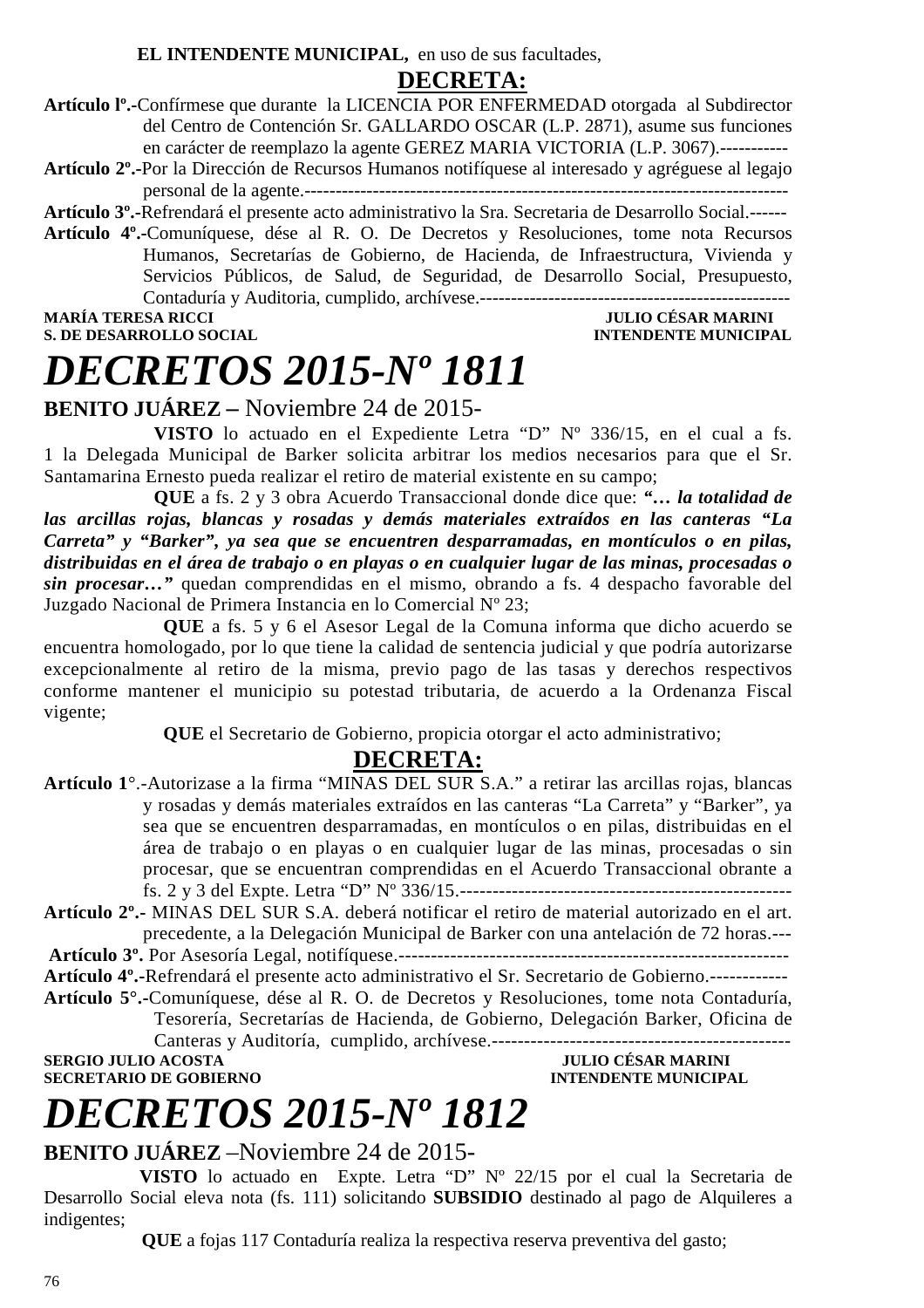**EL INTENDENTE MUNICIPAL,** en uso de sus facultades,

## **DECRETA:**

- **Artículo lº.-**Confírmese que durante la LICENCIA POR ENFERMEDAD otorgada al Subdirector del Centro de Contención Sr. GALLARDO OSCAR (L.P. 2871), asume sus funciones en carácter de reemplazo la agente GEREZ MARIA VICTORIA (L.P. 3067).-----------
- **Artículo 2º.-**Por la Dirección de Recursos Humanos notifíquese al interesado y agréguese al legajo personal de la agente.------------------------------------------------------------------------------

**Artículo 3º.-**Refrendará el presente acto administrativo la Sra. Secretaria de Desarrollo Social.------

**Artículo 4º.-**Comuníquese, dése al R. O. De Decretos y Resoluciones, tome nota Recursos Humanos, Secretarías de Gobierno, de Hacienda, de Infraestructura, Vivienda y Servicios Públicos, de Salud, de Seguridad, de Desarrollo Social, Presupuesto, Contaduría y Auditoria, cumplido, archívese.--------------------------------------------------

**S. DE DESARROLLO SOCIAL** 

## **MARINI INTENDENTE MUNICIPAL**

# *DECRETOS 2015-Nº 1811*

## **BENITO JUÁREZ –** Noviembre 24 de 2015-

**VISTO** lo actuado en el Expediente Letra "D" Nº 336/15, en el cual a fs. 1 la Delegada Municipal de Barker solicita arbitrar los medios necesarios para que el Sr. Santamarina Ernesto pueda realizar el retiro de material existente en su campo;

 **QUE** a fs. 2 y 3 obra Acuerdo Transaccional donde dice que: *"… la totalidad de las arcillas rojas, blancas y rosadas y demás materiales extraídos en las canteras "La Carreta" y "Barker", ya sea que se encuentren desparramadas, en montículos o en pilas, distribuidas en el área de trabajo o en playas o en cualquier lugar de las minas, procesadas o sin procesar…"* quedan comprendidas en el mismo, obrando a fs. 4 despacho favorable del Juzgado Nacional de Primera Instancia en lo Comercial Nº 23;

 **QUE** a fs. 5 y 6 el Asesor Legal de la Comuna informa que dicho acuerdo se encuentra homologado, por lo que tiene la calidad de sentencia judicial y que podría autorizarse excepcionalmente al retiro de la misma, previo pago de las tasas y derechos respectivos conforme mantener el municipio su potestad tributaria, de acuerdo a la Ordenanza Fiscal vigente;

**QUE** el Secretario de Gobierno, propicia otorgar el acto administrativo;

## **DECRETA:**

- **Artículo 1**°.-Autorizase a la firma "MINAS DEL SUR S.A." a retirar las arcillas rojas, blancas y rosadas y demás materiales extraídos en las canteras "La Carreta" y "Barker", ya sea que se encuentren desparramadas, en montículos o en pilas, distribuidas en el área de trabajo o en playas o en cualquier lugar de las minas, procesadas o sin procesar, que se encuentran comprendidas en el Acuerdo Transaccional obrante a fs. 2 y 3 del Expte. Letra "D" Nº 336/15.---------------------------------------------------
- **Artículo 2º.-** MINAS DEL SUR S.A. deberá notificar el retiro de material autorizado en el art. precedente, a la Delegación Municipal de Barker con una antelación de 72 horas.---

**Artículo 3º.** Por Asesoría Legal, notifíquese.------------------------------------------------------------

**Artículo 4º.-**Refrendará el presente acto administrativo el Sr. Secretario de Gobierno.------------

**Artículo 5°.-**Comuníquese, dése al R. O. de Decretos y Resoluciones, tome nota Contaduría, Tesorería, Secretarías de Hacienda, de Gobierno, Delegación Barker, Oficina de

Canteras y Auditoría, cumplido, archívese.---------------------------------------------- **SERGIO JULIO ACOSTA JULIO CÉSAR MARINI** 

**INTENDENTE MUNICIPAL** 

# *DECRETOS 2015-Nº 1812*

## **BENITO JUÁREZ** –Noviembre 24 de 2015-

 **VISTO** lo actuado en Expte. Letra "D" Nº 22/15 por el cual la Secretaria de Desarrollo Social eleva nota (fs. 111) solicitando **SUBSIDIO** destinado al pago de Alquileres a indigentes;

 **QUE** a fojas 117 Contaduría realiza la respectiva reserva preventiva del gasto;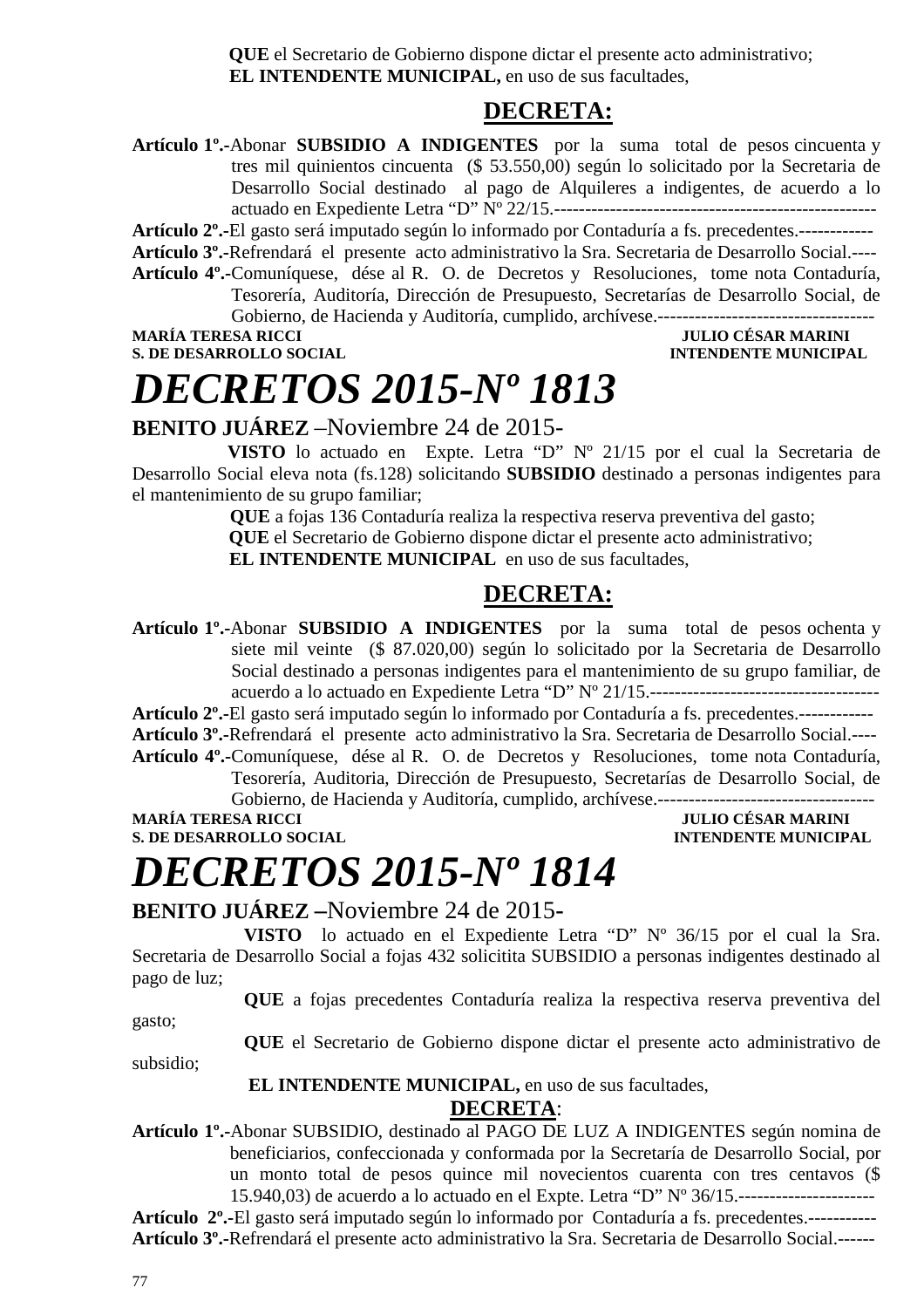**QUE** el Secretario de Gobierno dispone dictar el presente acto administrativo;  **EL INTENDENTE MUNICIPAL,** en uso de sus facultades,

## **DECRETA:**

**Artículo 1º.-**Abonar **SUBSIDIO A INDIGENTES** por la suma total de pesos cincuenta y tres mil quinientos cincuenta (\$ 53.550,00) según lo solicitado por la Secretaria de Desarrollo Social destinado al pago de Alquileres a indigentes, de acuerdo a lo actuado en Expediente Letra "D" Nº 22/15.----------------------------------------------------

**Artículo 2º.-**El gasto será imputado según lo informado por Contaduría a fs. precedentes.------------

**Artículo 3º.-**Refrendará el presente acto administrativo la Sra. Secretaria de Desarrollo Social.----

**Artículo 4º.-**Comuníquese, dése al R. O. de Decretos y Resoluciones, tome nota Contaduría, Tesorería, Auditoría, Dirección de Presupuesto, Secretarías de Desarrollo Social, de Gobierno, de Hacienda y Auditoría, cumplido, archívese.-----------------------------------

**S. DE DESARROLLO SOCIAL CONSUMING AND SOCIAL CONSUMING A SERVICE OF A SERVICE OF A SERVICE OF A SERVICE OF A SERVICE OF A SERVICE OF A SERVICE OF A SERVICE OF A SERVICE OF A SERVICE OF A SERVICE OF A SERVICE OF A SERVICE** 

## **MARÍA TERESA RICCI JULIO CÉSAR MARINI**

# *DECRETOS 2015-Nº 1813*

**BENITO JUÁREZ** –Noviembre 24 de 2015-

 **VISTO** lo actuado en Expte. Letra "D" Nº 21/15 por el cual la Secretaria de Desarrollo Social eleva nota (fs.128) solicitando **SUBSIDIO** destinado a personas indigentes para el mantenimiento de su grupo familiar;

> **QUE** a fojas 136 Contaduría realiza la respectiva reserva preventiva del gasto;  **QUE** el Secretario de Gobierno dispone dictar el presente acto administrativo; **EL INTENDENTE MUNICIPAL** en uso de sus facultades.

## **DECRETA:**

**Artículo 1º.-**Abonar **SUBSIDIO A INDIGENTES** por la suma total de pesos ochenta y siete mil veinte (\$ 87.020,00) según lo solicitado por la Secretaria de Desarrollo Social destinado a personas indigentes para el mantenimiento de su grupo familiar, de acuerdo a lo actuado en Expediente Letra "D" Nº 21/15.-------------------------------------

**Artículo 2º.-**El gasto será imputado según lo informado por Contaduría a fs. precedentes.------------

**Artículo 3º.-**Refrendará el presente acto administrativo la Sra. Secretaria de Desarrollo Social.---- **Artículo 4º.-**Comuníquese, dése al R. O. de Decretos y Resoluciones, tome nota Contaduría,

Tesorería, Auditoria, Dirección de Presupuesto, Secretarías de Desarrollo Social, de Gobierno, de Hacienda y Auditoría, cumplido, archívese.-----------------------------------

**JULIO CÉSAR MARINI S. DE DESARROLLO SOCIAL** *INTENDENTE MUNICIPAL* 

# *DECRETOS 2015-Nº 1814*

## **BENITO JUÁREZ –**Noviembre 24 de 2015**-**

**VISTO** lo actuado en el Expediente Letra "D" Nº 36/15 por el cual la Sra. Secretaria de Desarrollo Social a fojas 432 solicitita SUBSIDIO a personas indigentes destinado al pago de luz;

**QUE** a fojas precedentes Contaduría realiza la respectiva reserva preventiva del

gasto;

**QUE** el Secretario de Gobierno dispone dictar el presente acto administrativo de

subsidio;

 **EL INTENDENTE MUNICIPAL,** en uso de sus facultades,

### **DECRETA**:

**Artículo 1º.-**Abonar SUBSIDIO, destinado al PAGO DE LUZ A INDIGENTES según nomina de beneficiarios, confeccionada y conformada por la Secretaría de Desarrollo Social, por un monto total de pesos quince mil novecientos cuarenta con tres centavos (\$ 15.940,03) de acuerdo a lo actuado en el Expte. Letra "D" Nº 36/15.----------------------

**Artículo 2º.-**El gasto será imputado según lo informado por Contaduría a fs. precedentes.----------- **Artículo 3º.-**Refrendará el presente acto administrativo la Sra. Secretaria de Desarrollo Social.------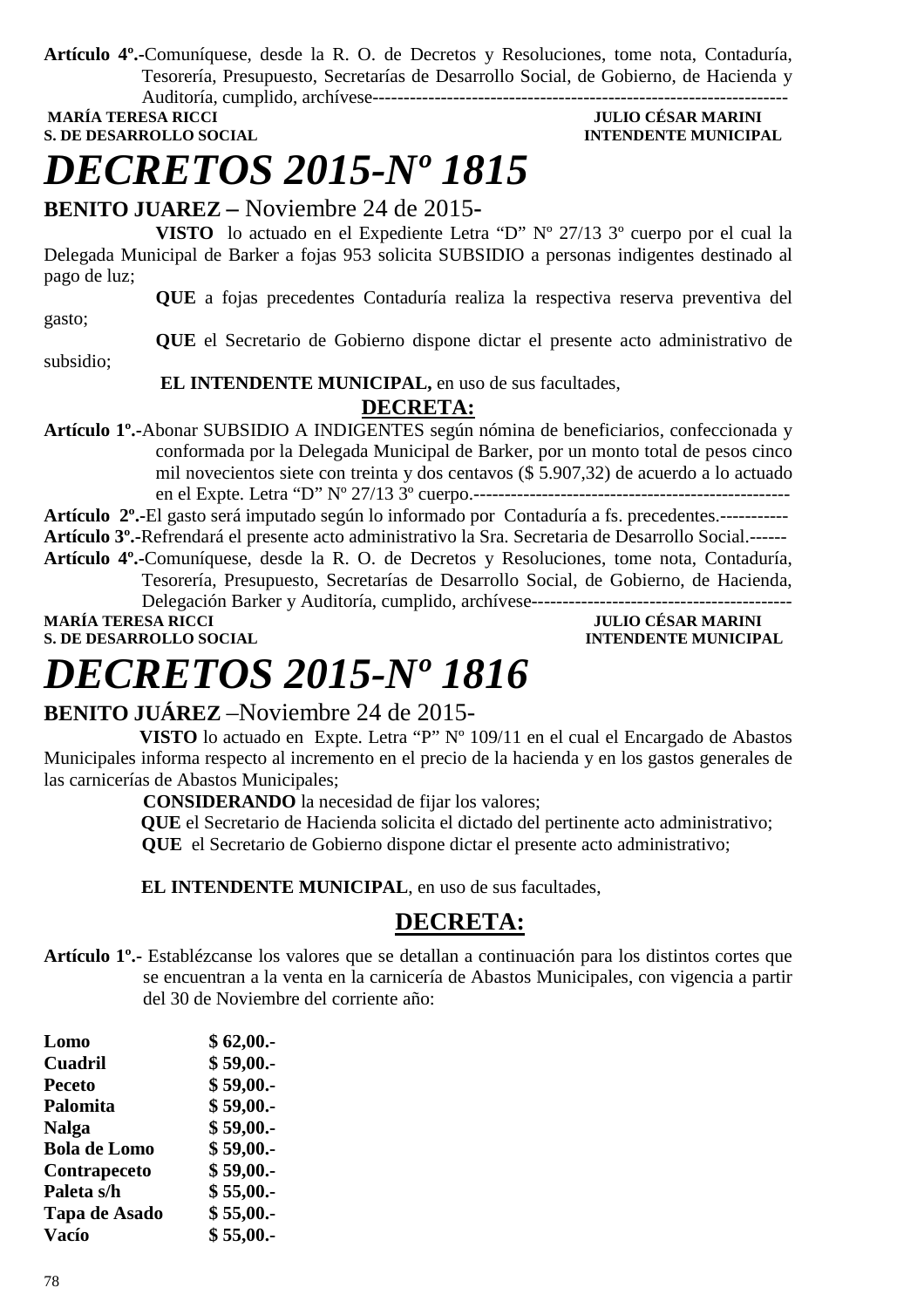**Artículo 4º.-**Comuníquese, desde la R. O. de Decretos y Resoluciones, tome nota, Contaduría, Tesorería, Presupuesto, Secretarías de Desarrollo Social, de Gobierno, de Hacienda y Auditoría, cumplido, archívese-------------------------------------------------------------------

**S. DE DESARROLLO SOCIAL CONSUMING A LOCAL CONSUMING A LOCAL CONSUMING A LOCAL CONSUMING A LOCAL CONSUMING A LOCAL CONSUMING A LOCAL CONSUMING A LOCAL CONSUMING A LOCAL CONSUMING A LOCAL CONSUMING A LOCAL CONSUMING A LOCAL** 

## **MULIO CÉSAR MARINI**

# *DECRETOS 2015-Nº 1815*

**BENITO JUAREZ –** Noviembre 24 de 2015**-** 

**VISTO** lo actuado en el Expediente Letra "D" Nº 27/13 3º cuerpo por el cual la Delegada Municipal de Barker a fojas 953 solicita SUBSIDIO a personas indigentes destinado al pago de luz;

**QUE** a fojas precedentes Contaduría realiza la respectiva reserva preventiva del

gasto;

**QUE** el Secretario de Gobierno dispone dictar el presente acto administrativo de subsidio;

 **EL INTENDENTE MUNICIPAL,** en uso de sus facultades,

## **DECRETA:**

**Artículo 1º.-**Abonar SUBSIDIO A INDIGENTES según nómina de beneficiarios, confeccionada y conformada por la Delegada Municipal de Barker, por un monto total de pesos cinco mil novecientos siete con treinta y dos centavos (\$ 5.907,32) de acuerdo a lo actuado en el Expte. Letra "D" Nº 27/13 3º cuerpo.---------------------------------------------------

**Artículo 2º.-**El gasto será imputado según lo informado por Contaduría a fs. precedentes.----------- **Artículo 3º.-**Refrendará el presente acto administrativo la Sra. Secretaria de Desarrollo Social.------

**Artículo 4º.-**Comuníquese, desde la R. O. de Decretos y Resoluciones, tome nota, Contaduría, Tesorería, Presupuesto, Secretarías de Desarrollo Social, de Gobierno, de Hacienda,

Delegación Barker y Auditoría, cumplido, archívese------------------------------------------

**S. DE DESARROLLO SOCIAL** 

**MULIO CÉSAR MARINI<br>INTENDENTE MUNICIPAL** 

# *DECRETOS 2015-Nº 1816*

## **BENITO JUÁREZ** –Noviembre 24 de 2015-

 **VISTO** lo actuado en Expte. Letra "P" Nº 109/11 en el cual el Encargado de Abastos Municipales informa respecto al incremento en el precio de la hacienda y en los gastos generales de las carnicerías de Abastos Municipales;

**CONSIDERANDO** la necesidad de fijar los valores;

 **QUE** el Secretario de Hacienda solicita el dictado del pertinente acto administrativo;  **QUE** el Secretario de Gobierno dispone dictar el presente acto administrativo;

 **EL INTENDENTE MUNICIPAL**, en uso de sus facultades,

## **DECRETA:**

**Artículo 1º.-** Establézcanse los valores que se detallan a continuación para los distintos cortes que se encuentran a la venta en la carnicería de Abastos Municipales, con vigencia a partir del 30 de Noviembre del corriente año:

| Lomo                | \$62,00. |
|---------------------|----------|
| <b>Cuadril</b>      | \$59,00. |
| <b>Peceto</b>       | \$59,00. |
| Palomita            | \$59,00. |
| <b>Nalga</b>        | \$59,00. |
| <b>Bola de Lomo</b> | \$59,00. |
| Contrapeceto        | \$59,00. |
| Paleta s/h          | \$55,00. |
| Tapa de Asado       | \$55,00. |
| <b>Vacío</b>        | \$55,00. |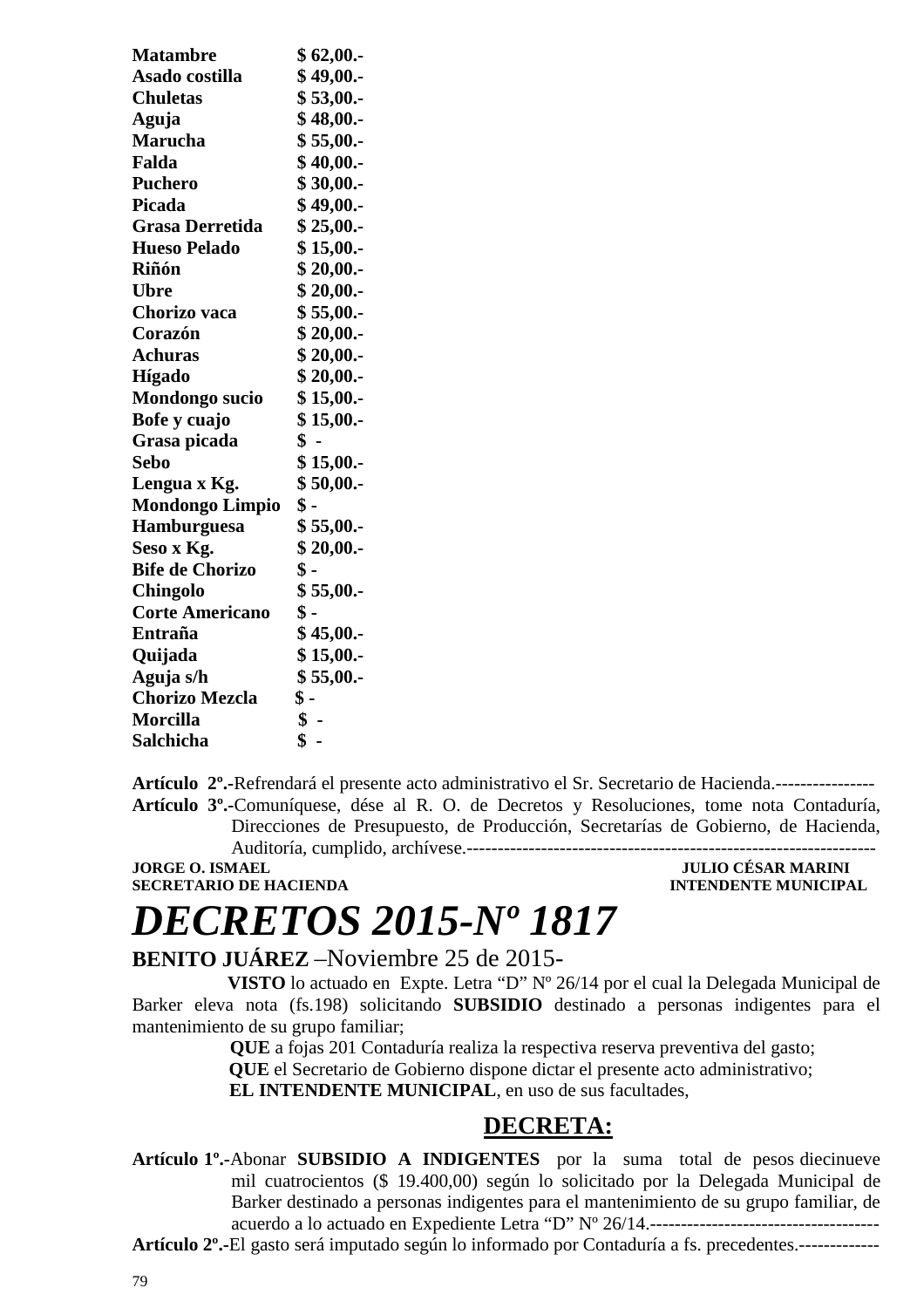| <b>Matambre</b>        | \$62,00.        |
|------------------------|-----------------|
| Asado costilla         | \$49,00.        |
| <b>Chuletas</b>        | \$53,00.        |
| Aguja                  | \$48,00.        |
| <b>Marucha</b>         | \$55,00.        |
| Falda                  | \$40,00.        |
| <b>Puchero</b>         | \$30,00.        |
| <b>Picada</b>          | \$49,00.        |
| <b>Grasa Derretida</b> | \$25,00.        |
| <b>Hueso Pelado</b>    | \$15,00.        |
| Riñón                  | \$20,00.        |
| Ubre                   | \$20,00.        |
| Chorizo vaca           | \$55,00.        |
| Corazón                | \$20,00.        |
| Achuras                | \$20,00.        |
| Hígado                 | \$20,00.        |
| <b>Mondongo</b> sucio  | \$15,00.        |
| Bofe y cuajo           | \$15,00.        |
| Grasa picada           | $\mathbf{\$}$ . |
| <b>Sebo</b>            | \$15,00.        |
| Lengua x Kg.           | \$50,00.        |
| <b>Mondongo Limpio</b> | \$ -            |
| Hamburguesa            | \$55,00.        |
| Seso x Kg.             | \$20,00.        |
| <b>Bife de Chorizo</b> | $\$ -           |
| Chingolo               | \$55,00.        |
| <b>Corte Americano</b> | $\$ -           |
| Entraña                | \$45,00.        |
| Quijada                | \$15,00.        |
| Aguja s/h              | \$55,00.        |
| <b>Chorizo Mezcla</b>  | \$ -            |
| <b>Morcilla</b>        | \$-             |
| Salchicha              | \$              |

**Artículo 2º.-**Refrendará el presente acto administrativo el Sr. Secretario de Hacienda.---------------- **Artículo 3º.-**Comuníquese, dése al R. O. de Decretos y Resoluciones, tome nota Contaduría, Direcciones de Presupuesto, de Producción, Secretarías de Gobierno, de Hacienda, Auditoría, cumplido, archívese.------------------------------------------------------------------

### **JORGE O. ISMAEL JULIO CÉSAR MARINI SECRETARIO DE HACIENDA INTENDENTE MUNICIPAL**

# *DECRETOS 2015-Nº 1817*

## **BENITO JUÁREZ** –Noviembre 25 de 2015-

 **VISTO** lo actuado en Expte. Letra "D" Nº 26/14 por el cual la Delegada Municipal de Barker eleva nota (fs.198) solicitando **SUBSIDIO** destinado a personas indigentes para el mantenimiento de su grupo familiar;

 **QUE** a fojas 201 Contaduría realiza la respectiva reserva preventiva del gasto;  **QUE** el Secretario de Gobierno dispone dictar el presente acto administrativo;  **EL INTENDENTE MUNICIPAL**, en uso de sus facultades,

## **DECRETA:**

**Artículo 1º.-**Abonar **SUBSIDIO A INDIGENTES** por la suma total de pesos diecinueve mil cuatrocientos (\$ 19.400,00) según lo solicitado por la Delegada Municipal de Barker destinado a personas indigentes para el mantenimiento de su grupo familiar, de acuerdo a lo actuado en Expediente Letra "D" Nº 26/14.-------------------------------------

**Artículo 2º.-**El gasto será imputado según lo informado por Contaduría a fs. precedentes.-------------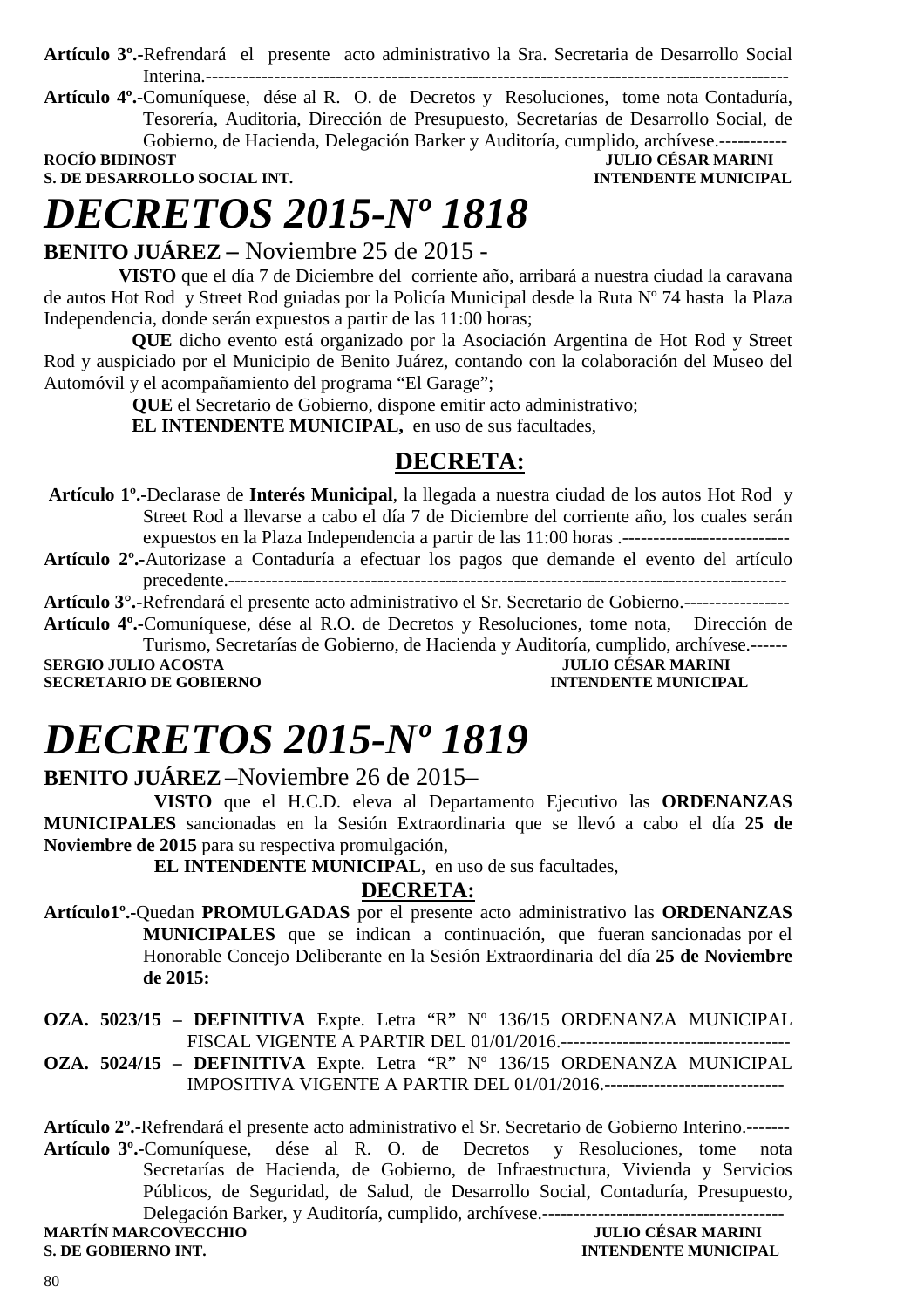**Artículo 3º.-**Refrendará el presente acto administrativo la Sra. Secretaria de Desarrollo Social Interina.----------------------------------------------------------------------------------------------

**Artículo 4º.-**Comuníquese, dése al R. O. de Decretos y Resoluciones, tome nota Contaduría, Tesorería, Auditoria, Dirección de Presupuesto, Secretarías de Desarrollo Social, de Gobierno, de Hacienda, Delegación Barker y Auditoría, cumplido, archívese.----------------<br>IULIO CÉSAR MARINI

**S. DE DESARROLLO SOCIAL INT.** 

**FRONTI BIDINO BIDENTE MUNICIPAL** 

# *DECRETOS 2015-Nº 1818*

## **BENITO JUÁREZ –** Noviembre 25 de 2015 -

 **VISTO** que el día 7 de Diciembre del corriente año, arribará a nuestra ciudad la caravana de autos Hot Rod y Street Rod guiadas por la Policía Municipal desde la Ruta Nº 74 hasta la Plaza Independencia, donde serán expuestos a partir de las 11:00 horas;

**QUE** dicho evento está organizado por la Asociación Argentina de Hot Rod y Street Rod y auspiciado por el Municipio de Benito Juárez, contando con la colaboración del Museo del Automóvil y el acompañamiento del programa "El Garage";

**QUE** el Secretario de Gobierno, dispone emitir acto administrativo;

**EL INTENDENTE MUNICIPAL,** en uso de sus facultades,

## **DECRETA:**

 **Artículo 1º.-**Declarase de **Interés Municipal**, la llegada a nuestra ciudad de los autos Hot Rod y Street Rod a llevarse a cabo el día 7 de Diciembre del corriente año, los cuales serán expuestos en la Plaza Independencia a partir de las 11:00 horas .---------------------------

**Artículo 2º.-**Autorizase a Contaduría a efectuar los pagos que demande el evento del artículo precedente.------------------------------------------------------------------------------------------

**Artículo 3°.-**Refrendará el presente acto administrativo el Sr. Secretario de Gobierno.-----------------

**Artículo 4º.-**Comuníquese, dése al R.O. de Decretos y Resoluciones, tome nota, Dirección de Turismo, Secretarías de Gobierno, de Hacienda y Auditoría, cumplido, archívese.------

**SERGIO JULIO ACOSTA JULIO CÉSAR MARINI<br>SECRETARIO DE GOBIERNO DE PORTUGAL DE LOS DE LOGO DE COBIERNO DE LOGO DE LOGO DE LOGO DE LOGO DE LOGO DE LOGO D SECRETARIO DE GOBIERNO** 

# *DECRETOS 2015-Nº 1819*

**BENITO JUÁREZ** –Noviembre 26 de 2015–

 **VISTO** que el H.C.D. eleva al Departamento Ejecutivo las **ORDENANZAS MUNICIPALES** sancionadas en la Sesión Extraordinaria que se llevó a cabo el día **25 de Noviembre de 2015** para su respectiva promulgación,

**EL INTENDENTE MUNICIPAL**, en uso de sus facultades,

### **DECRETA:**

**Artículo1º.-**Quedan **PROMULGADAS** por el presente acto administrativo las **ORDENANZAS MUNICIPALES** que se indican a continuación, que fueran sancionadas por el Honorable Concejo Deliberante en la Sesión Extraordinaria del día **25 de Noviembre de 2015:** 

**OZA. 5023/15 – DEFINITIVA** Expte. Letra "R" Nº 136/15 ORDENANZA MUNICIPAL FISCAL VIGENTE A PARTIR DEL 01/01/2016.-------------------------------------

**OZA. 5024/15 – DEFINITIVA** Expte. Letra "R" Nº 136/15 ORDENANZA MUNICIPAL IMPOSITIVA VIGENTE A PARTIR DEL 01/01/2016.-----------------------------

**Artículo 2º.-**Refrendará el presente acto administrativo el Sr. Secretario de Gobierno Interino.------- **Artículo 3º.-**Comuníquese, dése al R. O. de Decretos y Resoluciones, tome nota Secretarías de Hacienda, de Gobierno, de Infraestructura, Vivienda y Servicios Públicos, de Seguridad, de Salud, de Desarrollo Social, Contaduría, Presupuesto, Delegación Barker, y Auditoría, cumplido, archívese.--------------------------------------- MARTÍN MARCOVECCHIO JULIO CÉSAR MARINI<br>
S. DE GOBIERNO INT.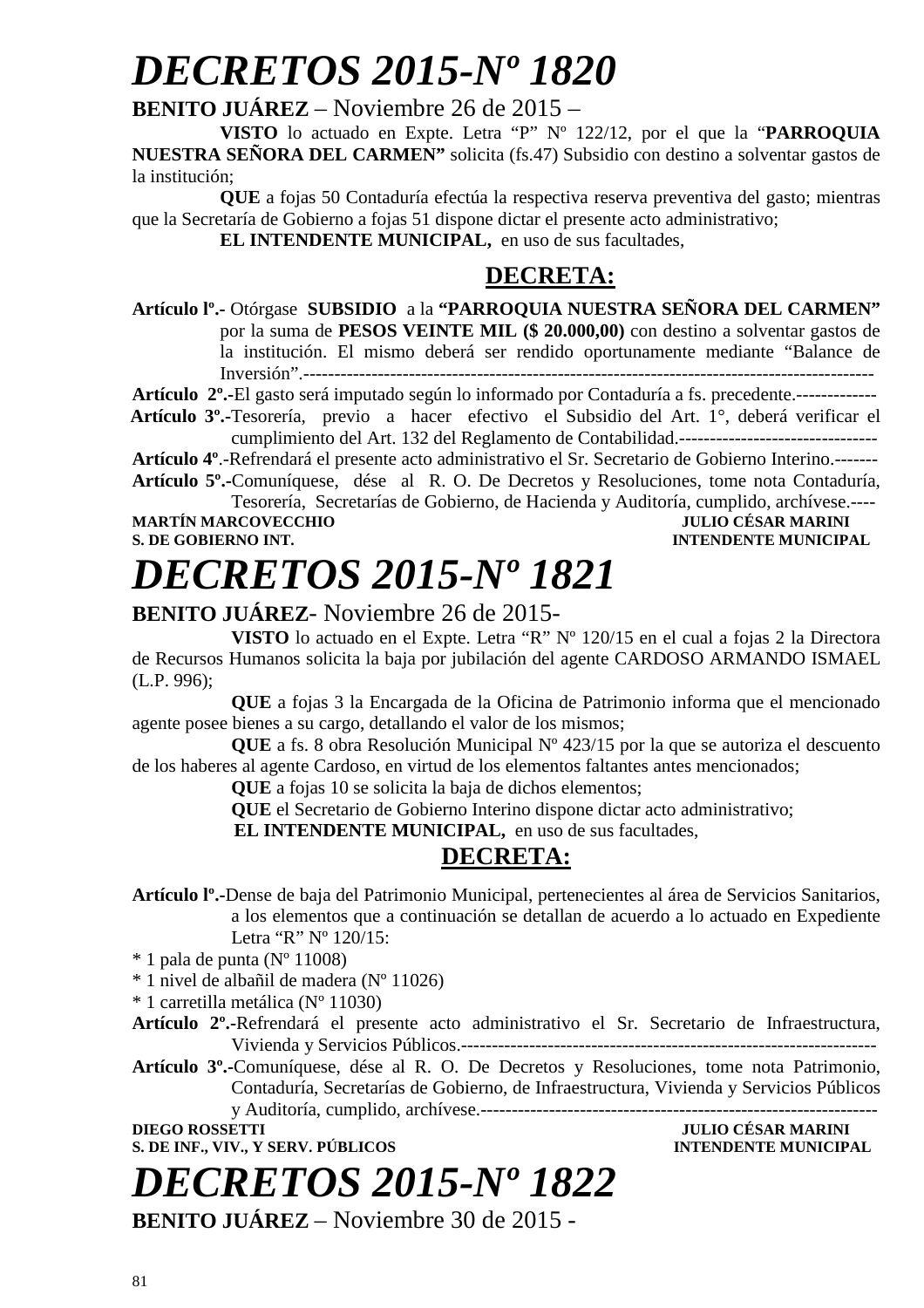# *DECRETOS 2015-Nº 1820*

## **BENITO JUÁREZ** – Noviembre 26 de 2015 –

**VISTO** lo actuado en Expte. Letra "P" Nº 122/12, por el que la "**PARROQUIA NUESTRA SEÑORA DEL CARMEN"** solicita (fs.47) Subsidio con destino a solventar gastos de la institución;

**QUE** a fojas 50 Contaduría efectúa la respectiva reserva preventiva del gasto; mientras que la Secretaría de Gobierno a fojas 51 dispone dictar el presente acto administrativo;

**EL INTENDENTE MUNICIPAL,** en uso de sus facultades,

## **DECRETA:**

**Artículo lº.-** Otórgase **SUBSIDIO** a la **"PARROQUIA NUESTRA SEÑORA DEL CARMEN"**  por la suma de **PESOS VEINTE MIL (\$ 20.000,00)** con destino a solventar gastos de la institución. El mismo deberá ser rendido oportunamente mediante "Balance de Inversión".--------------------------------------------------------------------------------------------

**Artículo 2º.-**El gasto será imputado según lo informado por Contaduría a fs. precedente.-------------

 **Artículo 3º.-**Tesorería, previo a hacer efectivo el Subsidio del Art. 1°, deberá verificar el cumplimiento del Art. 132 del Reglamento de Contabilidad.--------------------------------

**Artículo 4º**.-Refrendará el presente acto administrativo el Sr. Secretario de Gobierno Interino.------- **Artículo 5º.-**Comuníquese, dése al R. O. De Decretos y Resoluciones, tome nota Contaduría,

Tesorería, Secretarías de Gobierno, de Hacienda y Auditoría, cumplido, archívese.----

**MARTÍN MARCOVECCHIO<br>S. DE GOBIERNO INT.** 

## **INTENDENTE MUNICIPAL**

**DIEGO ROSSETTI JULIO CÉSAR MARINI** 

# *DECRETOS 2015-Nº 1821*

## **BENITO JUÁREZ**- Noviembre 26 de 2015-

**VISTO** lo actuado en el Expte. Letra "R" Nº 120/15 en el cual a fojas 2 la Directora de Recursos Humanos solicita la baja por jubilación del agente CARDOSO ARMANDO ISMAEL (L.P. 996);

**QUE** a fojas 3 la Encargada de la Oficina de Patrimonio informa que el mencionado agente posee bienes a su cargo, detallando el valor de los mismos;

**QUE** a fs. 8 obra Resolución Municipal Nº 423/15 por la que se autoriza el descuento de los haberes al agente Cardoso, en virtud de los elementos faltantes antes mencionados;

**QUE** a fojas 10 se solicita la baja de dichos elementos;

 **QUE** el Secretario de Gobierno Interino dispone dictar acto administrativo;

 **EL INTENDENTE MUNICIPAL,** en uso de sus facultades,

## **DECRETA:**

**Artículo lº.-**Dense de baja del Patrimonio Municipal, pertenecientes al área de Servicios Sanitarios, a los elementos que a continuación se detallan de acuerdo a lo actuado en Expediente Letra "R" N° 120/15:

 $*$  1 pala de punta (N° 11008)

\* 1 nivel de albañil de madera (Nº 11026)

\* 1 carretilla metálica (Nº 11030)

**Artículo 2º.-**Refrendará el presente acto administrativo el Sr. Secretario de Infraestructura, Vivienda y Servicios Públicos.-------------------------------------------------------------------

**Artículo 3º.-**Comuníquese, dése al R. O. De Decretos y Resoluciones, tome nota Patrimonio, Contaduría, Secretarías de Gobierno, de Infraestructura, Vivienda y Servicios Públicos y Auditoría, cumplido, archívese.----------------------------------------------------------------

**S. DE INF., VIV., Y SERV. PÚBLICOS INTENDENTE MUNICIPAL** 

# *DECRETOS 2015-Nº 1822*

**BENITO JUÁREZ** – Noviembre 30 de 2015 -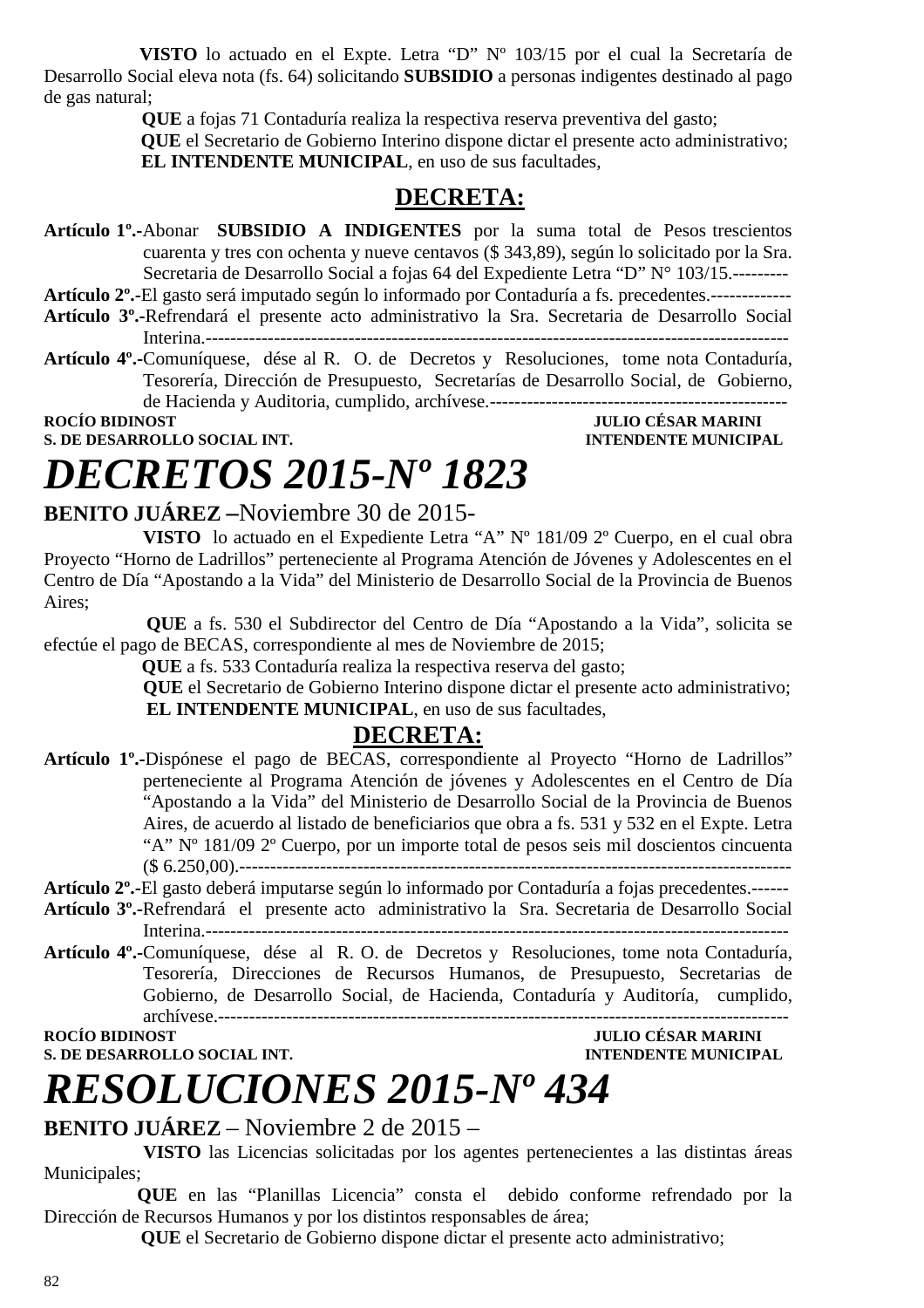**VISTO** lo actuado en el Expte. Letra "D" Nº 103/15 por el cual la Secretaría de Desarrollo Social eleva nota (fs. 64) solicitando **SUBSIDIO** a personas indigentes destinado al pago de gas natural;

 **QUE** a fojas 71 Contaduría realiza la respectiva reserva preventiva del gasto;

 **QUE** el Secretario de Gobierno Interino dispone dictar el presente acto administrativo;  **EL INTENDENTE MUNICIPAL**, en uso de sus facultades,

## **DECRETA:**

**Artículo 1º.-**Abonar **SUBSIDIO A INDIGENTES** por la suma total de Pesos trescientos cuarenta y tres con ochenta y nueve centavos (\$ 343,89), según lo solicitado por la Sra. Secretaria de Desarrollo Social a fojas 64 del Expediente Letra "D" N° 103/15.---------

**Artículo 2º.-**El gasto será imputado según lo informado por Contaduría a fs. precedentes.-------------

- **Artículo 3º.-**Refrendará el presente acto administrativo la Sra. Secretaria de Desarrollo Social Interina.----------------------------------------------------------------------------------------------
- **Artículo 4º.-**Comuníquese, dése al R. O. de Decretos y Resoluciones, tome nota Contaduría, Tesorería, Dirección de Presupuesto, Secretarías de Desarrollo Social, de Gobierno, de Hacienda y Auditoria, cumplido, archívese.------------------------------------------------

**ROCÍO BIDINOST JULIO CÉSAR MARINI S. DE DESARROLLO SOCIAL INT. INTENDENTE MUNICIPAL** 

# *DECRETOS 2015-Nº 1823*

## **BENITO JUÁREZ –**Noviembre 30 de 2015-

**VISTO** lo actuado en el Expediente Letra "A" Nº 181/09 2º Cuerpo, en el cual obra Proyecto "Horno de Ladrillos" perteneciente al Programa Atención de Jóvenes y Adolescentes en el Centro de Día "Apostando a la Vida" del Ministerio de Desarrollo Social de la Provincia de Buenos Aires;

 **QUE** a fs. 530 el Subdirector del Centro de Día "Apostando a la Vida", solicita se efectúe el pago de BECAS, correspondiente al mes de Noviembre de 2015;

 **QUE** a fs. 533 Contaduría realiza la respectiva reserva del gasto;

**QUE** el Secretario de Gobierno Interino dispone dictar el presente acto administrativo; **EL INTENDENTE MUNICIPAL**, en uso de sus facultades,

## **DECRETA:**

**Artículo 1º.-**Dispónese el pago de BECAS, correspondiente al Proyecto "Horno de Ladrillos" perteneciente al Programa Atención de jóvenes y Adolescentes en el Centro de Día "Apostando a la Vida" del Ministerio de Desarrollo Social de la Provincia de Buenos Aires, de acuerdo al listado de beneficiarios que obra a fs. 531 y 532 en el Expte. Letra "A" Nº 181/09 2º Cuerpo, por un importe total de pesos seis mil doscientos cincuenta (\$ 6.250,00).-----------------------------------------------------------------------------------------

## **Artículo 2º.-**El gasto deberá imputarse según lo informado por Contaduría a fojas precedentes.------

- **Artículo 3º.-**Refrendará el presente acto administrativo la Sra. Secretaria de Desarrollo Social Interina.----------------------------------------------------------------------------------------------
- **Artículo 4º.-**Comuníquese, dése al R. O. de Decretos y Resoluciones, tome nota Contaduría, Tesorería, Direcciones de Recursos Humanos, de Presupuesto, Secretarias de Gobierno, de Desarrollo Social, de Hacienda, Contaduría y Auditoría, cumplido, archívese.--------------------------------------------------------------------------------------------

**ROCÍO BIDINOST JULIO CÉSAR MARINI** 

**S. DE DESARROLLO SOCIAL INT.** INTENDENTE MUNICIPAL

# *RESOLUCIONES 2015-Nº 434*

## **BENITO JUÁREZ** – Noviembre 2 de 2015 –

 **VISTO** las Licencias solicitadas por los agentes pertenecientes a las distintas áreas Municipales;

 **QUE** en las "Planillas Licencia" consta el debido conforme refrendado por la Dirección de Recursos Humanos y por los distintos responsables de área;

 **QUE** el Secretario de Gobierno dispone dictar el presente acto administrativo;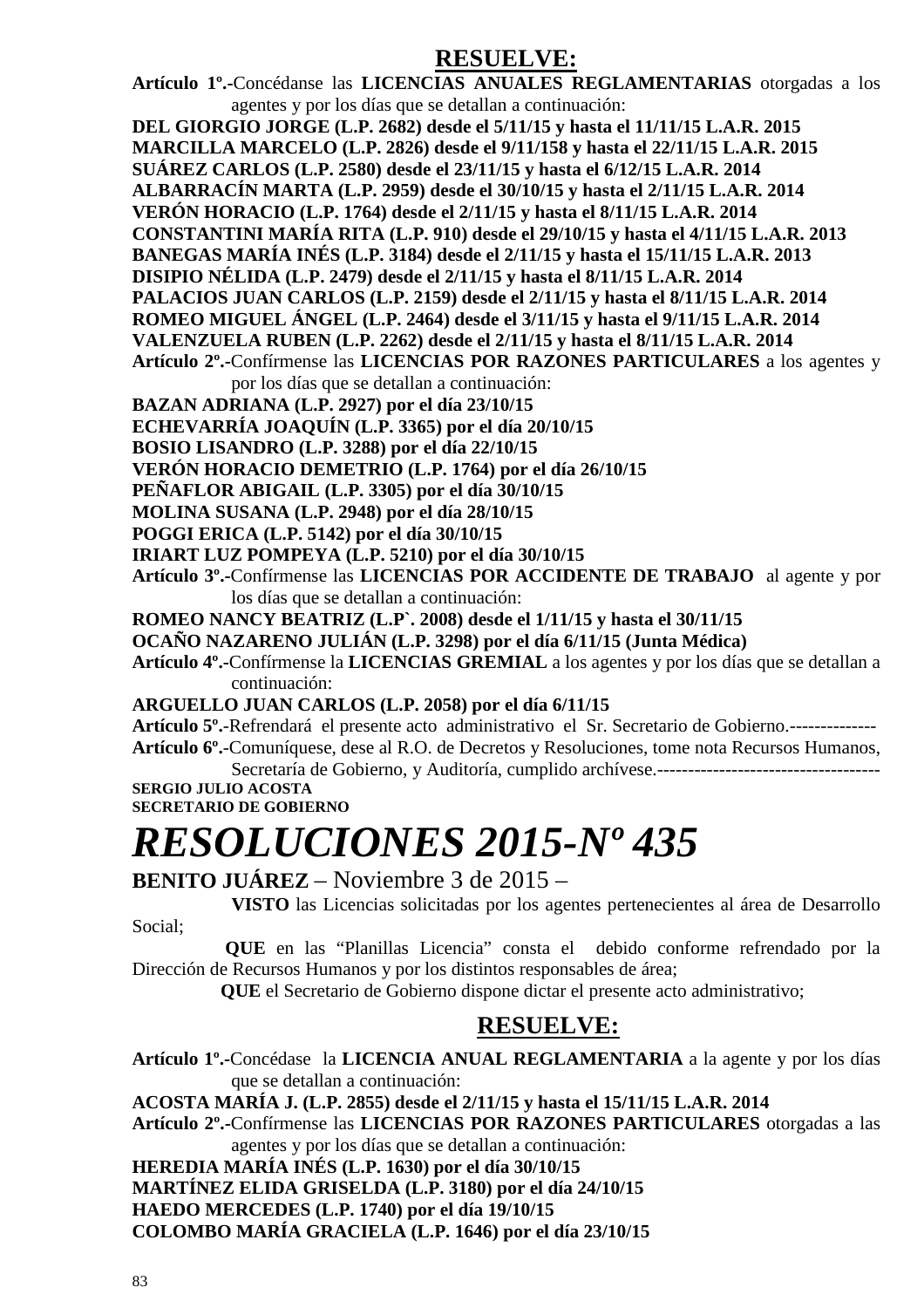## **RESUELVE:**

**Artículo 1º.-**Concédanse las **LICENCIAS ANUALES REGLAMENTARIAS** otorgadas a los agentes y por los días que se detallan a continuación:

**DEL GIORGIO JORGE (L.P. 2682) desde el 5/11/15 y hasta el 11/11/15 L.A.R. 2015** 

**MARCILLA MARCELO (L.P. 2826) desde el 9/11/158 y hasta el 22/11/15 L.A.R. 2015** 

**SUÁREZ CARLOS (L.P. 2580) desde el 23/11/15 y hasta el 6/12/15 L.A.R. 2014** 

- **ALBARRACÍN MARTA (L.P. 2959) desde el 30/10/15 y hasta el 2/11/15 L.A.R. 2014**
- **VERÓN HORACIO (L.P. 1764) desde el 2/11/15 y hasta el 8/11/15 L.A.R. 2014**
- **CONSTANTINI MARÍA RITA (L.P. 910) desde el 29/10/15 y hasta el 4/11/15 L.A.R. 2013**
- **BANEGAS MARÍA INÉS (L.P. 3184) desde el 2/11/15 y hasta el 15/11/15 L.A.R. 2013**

**DISIPIO NÉLIDA (L.P. 2479) desde el 2/11/15 y hasta el 8/11/15 L.A.R. 2014** 

**PALACIOS JUAN CARLOS (L.P. 2159) desde el 2/11/15 y hasta el 8/11/15 L.A.R. 2014** 

**ROMEO MIGUEL ÁNGEL (L.P. 2464) desde el 3/11/15 y hasta el 9/11/15 L.A.R. 2014** 

- **VALENZUELA RUBEN (L.P. 2262) desde el 2/11/15 y hasta el 8/11/15 L.A.R. 2014**
- **Artículo 2º.-**Confírmense las **LICENCIAS POR RAZONES PARTICULARES** a los agentes y por los días que se detallan a continuación:
- **BAZAN ADRIANA (L.P. 2927) por el día 23/10/15**

**ECHEVARRÍA JOAQUÍN (L.P. 3365) por el día 20/10/15** 

**BOSIO LISANDRO (L.P. 3288) por el día 22/10/15** 

**VERÓN HORACIO DEMETRIO (L.P. 1764) por el día 26/10/15** 

- **PEÑAFLOR ABIGAIL (L.P. 3305) por el día 30/10/15**
- **MOLINA SUSANA (L.P. 2948) por el día 28/10/15**
- **POGGI ERICA (L.P. 5142) por el día 30/10/15**

**IRIART LUZ POMPEYA (L.P. 5210) por el día 30/10/15** 

- **Artículo 3º.-**Confírmense las **LICENCIAS POR ACCIDENTE DE TRABAJO** al agente y por los días que se detallan a continuación:
- **ROMEO NANCY BEATRIZ (L.P`. 2008) desde el 1/11/15 y hasta el 30/11/15**
- **OCAÑO NAZARENO JULIÁN (L.P. 3298) por el día 6/11/15 (Junta Médica)**

**Artículo 4º.-**Confírmense la **LICENCIAS GREMIAL** a los agentes y por los días que se detallan a continuación:

**ARGUELLO JUAN CARLOS (L.P. 2058) por el día 6/11/15**

**Artículo 5º.**-Refrendará el presente acto administrativo el Sr. Secretario de Gobierno.-------------- **Artículo 6º.**-Comuníquese, dese al R.O. de Decretos y Resoluciones, tome nota Recursos Humanos,

Secretaría de Gobierno, y Auditoría, cumplido archívese.------------------------------------ **SERGIO JULIO ACOSTA** 

**SECRETARIO DE GOBIERNO** 

# *RESOLUCIONES 2015-Nº 435*

**BENITO JUÁREZ** – Noviembre 3 de 2015 –

 **VISTO** las Licencias solicitadas por los agentes pertenecientes al área de Desarrollo Social;

 **QUE** en las "Planillas Licencia" consta el debido conforme refrendado por la Dirección de Recursos Humanos y por los distintos responsables de área;

 **QUE** el Secretario de Gobierno dispone dictar el presente acto administrativo;

## **RESUELVE:**

**Artículo 1º.-**Concédase la **LICENCIA ANUAL REGLAMENTARIA** a la agente y por los días que se detallan a continuación:

**ACOSTA MARÍA J. (L.P. 2855) desde el 2/11/15 y hasta el 15/11/15 L.A.R. 2014** 

**Artículo 2º.-**Confírmense las **LICENCIAS POR RAZONES PARTICULARES** otorgadas a las agentes y por los días que se detallan a continuación:

**HEREDIA MARÍA INÉS (L.P. 1630) por el día 30/10/15** 

**MARTÍNEZ ELIDA GRISELDA (L.P. 3180) por el día 24/10/15** 

**HAEDO MERCEDES (L.P. 1740) por el día 19/10/15** 

**COLOMBO MARÍA GRACIELA (L.P. 1646) por el día 23/10/15**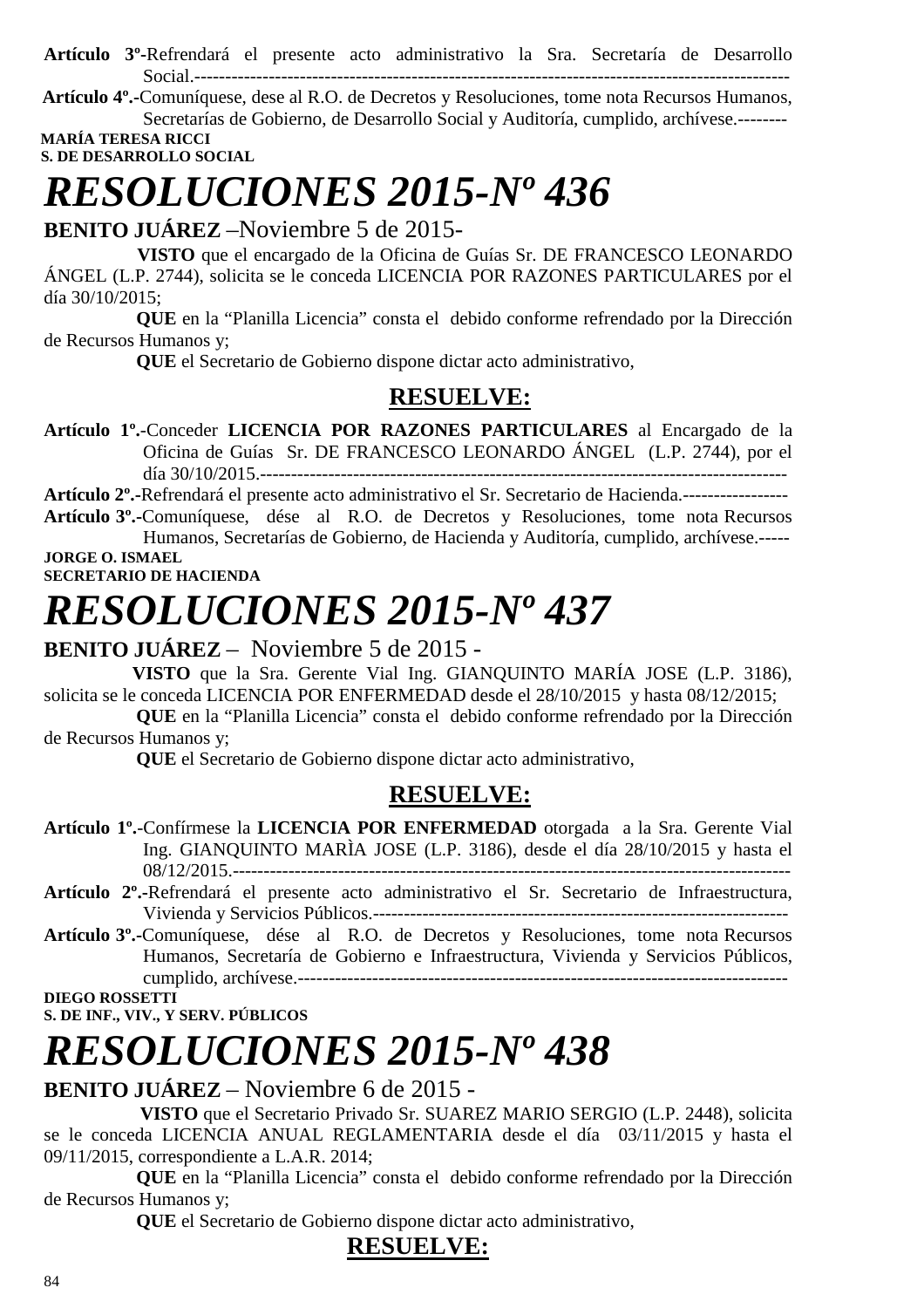**Artículo 3º-**Refrendará el presente acto administrativo la Sra. Secretaría de Desarrollo Social.------------------------------------------------------------------------------------------------

 **Artículo 4º.-**Comuníquese, dese al R.O. de Decretos y Resoluciones, tome nota Recursos Humanos, Secretarías de Gobierno, de Desarrollo Social y Auditoría, cumplido, archívese.--------

 **MARÍA TERESA RICCI S. DE DESARROLLO SOCIAL** 

# *RESOLUCIONES 2015-Nº 436*

**BENITO JUÁREZ** –Noviembre 5 de 2015-

 **VISTO** que el encargado de la Oficina de Guías Sr. DE FRANCESCO LEONARDO ÁNGEL (L.P. 2744), solicita se le conceda LICENCIA POR RAZONES PARTICULARES por el día 30/10/2015;

 **QUE** en la "Planilla Licencia" consta el debido conforme refrendado por la Dirección de Recursos Humanos y;

 **QUE** el Secretario de Gobierno dispone dictar acto administrativo,

## **RESUELVE:**

**Artículo 1º.**-Conceder **LICENCIA POR RAZONES PARTICULARES** al Encargado de la Oficina de Guías Sr. DE FRANCESCO LEONARDO ÁNGEL (L.P. 2744), por el día 30/10/2015.-------------------------------------------------------------------------------------

**Artículo 2º.-**Refrendará el presente acto administrativo el Sr. Secretario de Hacienda.-----------------

**Artículo 3º.-**Comuníquese, dése al R.O. de Decretos y Resoluciones, tome nota Recursos Humanos, Secretarías de Gobierno, de Hacienda y Auditoría, cumplido, archívese.----- **JORGE O. ISMAEL** 

### **SECRETARIO DE HACIENDA**

# *RESOLUCIONES 2015-Nº 437*

## **BENITO JUÁREZ** – Noviembre 5 de 2015 -

 **VISTO** que la Sra. Gerente Vial Ing. GIANQUINTO MARÍA JOSE (L.P. 3186), solicita se le conceda LICENCIA POR ENFERMEDAD desde el 28/10/2015 y hasta 08/12/2015;

 **QUE** en la "Planilla Licencia" consta el debido conforme refrendado por la Dirección de Recursos Humanos y;

 **QUE** el Secretario de Gobierno dispone dictar acto administrativo,

## **RESUELVE:**

- **Artículo 1º.**-Confírmese la **LICENCIA POR ENFERMEDAD** otorgada a la Sra. Gerente Vial Ing. GIANQUINTO MARÌA JOSE (L.P. 3186), desde el día 28/10/2015 y hasta el 08/12/2015.------------------------------------------------------------------------------------------
- **Artículo 2º.-**Refrendará el presente acto administrativo el Sr. Secretario de Infraestructura, Vivienda y Servicios Públicos.-------------------------------------------------------------------
- **Artículo 3º.-**Comuníquese, dése al R.O. de Decretos y Resoluciones, tome nota Recursos Humanos, Secretaría de Gobierno e Infraestructura, Vivienda y Servicios Públicos, cumplido, archívese.-------------------------------------------------------------------------------

**DIEGO ROSSETTI** 

**S. DE INF., VIV., Y SERV. PÚBLICOS** 

# *RESOLUCIONES 2015-Nº 438*

## **BENITO JUÁREZ** – Noviembre 6 de 2015 -

 **VISTO** que el Secretario Privado Sr. SUAREZ MARIO SERGIO (L.P. 2448), solicita se le conceda LICENCIA ANUAL REGLAMENTARIA desde el día 03/11/2015 y hasta el 09/11/2015, correspondiente a L.A.R. 2014;

 **QUE** en la "Planilla Licencia" consta el debido conforme refrendado por la Dirección de Recursos Humanos y;

 **QUE** el Secretario de Gobierno dispone dictar acto administrativo,

## **RESUELVE:**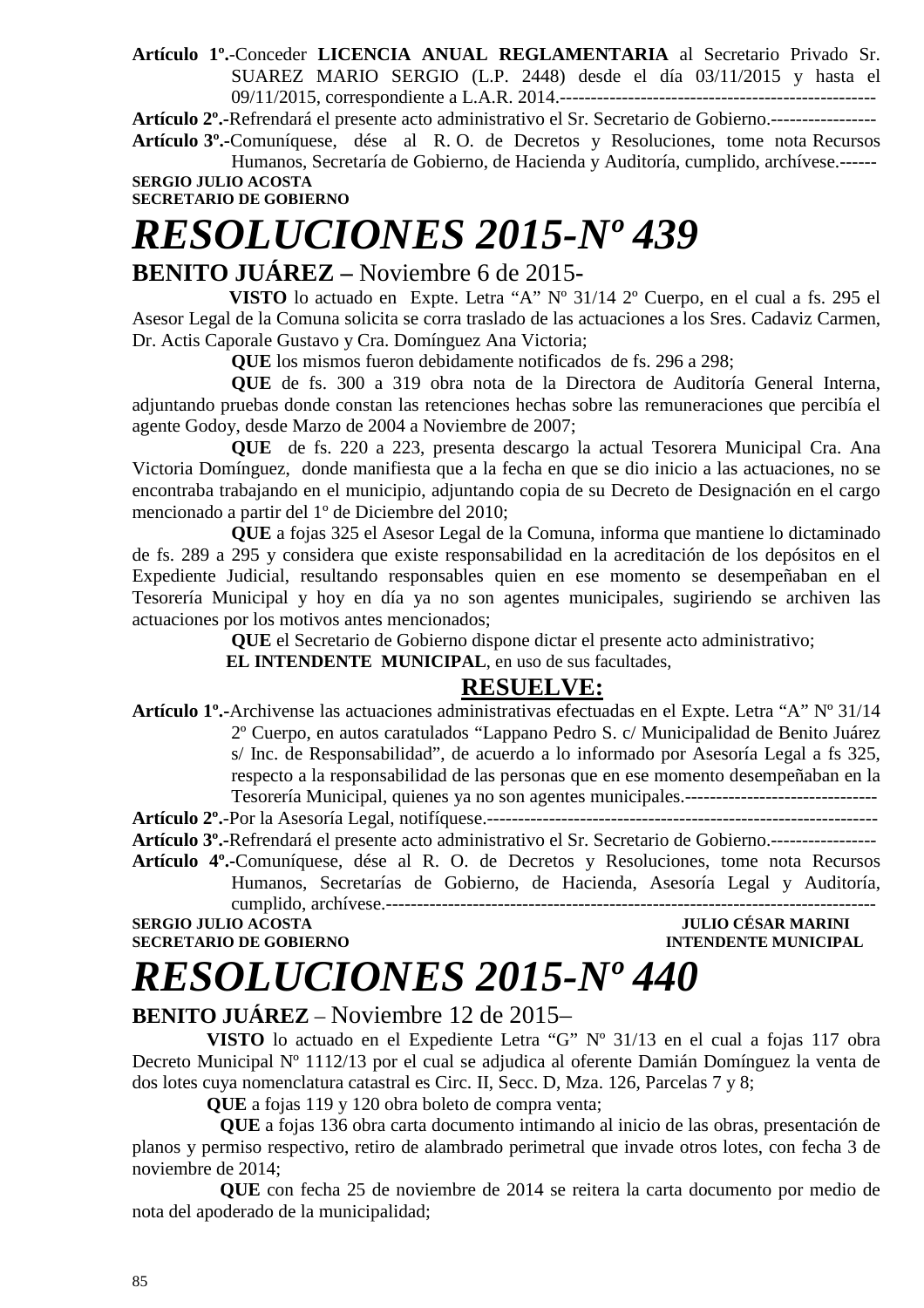**Artículo 1º.**-Conceder **LICENCIA ANUAL REGLAMENTARIA** al Secretario Privado Sr. SUAREZ MARIO SERGIO (L.P. 2448) desde el día 03/11/2015 y hasta el 09/11/2015, correspondiente a L.A.R. 2014.---------------------------------------------------

**Artículo 2º.-**Refrendará el presente acto administrativo el Sr. Secretario de Gobierno.-----------------

**Artículo 3º.-**Comuníquese, dése al R. O. de Decretos y Resoluciones, tome nota Recursos Humanos, Secretaría de Gobierno, de Hacienda y Auditoría, cumplido, archívese.------ **SERGIO JULIO ACOSTA** 

**SECRETARIO DE GOBIERNO** 

## *RESOLUCIONES 2015-Nº 439*  **BENITO JUÁREZ –** Noviembre 6 de 2015**-**

 **VISTO** lo actuado en Expte. Letra "A" Nº 31/14 2º Cuerpo, en el cual a fs. 295 el Asesor Legal de la Comuna solicita se corra traslado de las actuaciones a los Sres. Cadaviz Carmen, Dr. Actis Caporale Gustavo y Cra. Domínguez Ana Victoria;

**QUE** los mismos fueron debidamente notificados de fs. 296 a 298;

**QUE** de fs. 300 a 319 obra nota de la Directora de Auditoría General Interna, adjuntando pruebas donde constan las retenciones hechas sobre las remuneraciones que percibía el agente Godoy, desde Marzo de 2004 a Noviembre de 2007;

**QUE** de fs. 220 a 223, presenta descargo la actual Tesorera Municipal Cra. Ana Victoria Domínguez, donde manifiesta que a la fecha en que se dio inicio a las actuaciones, no se encontraba trabajando en el municipio, adjuntando copia de su Decreto de Designación en el cargo mencionado a partir del 1º de Diciembre del 2010;

**QUE** a fojas 325 el Asesor Legal de la Comuna, informa que mantiene lo dictaminado de fs. 289 a 295 y considera que existe responsabilidad en la acreditación de los depósitos en el Expediente Judicial, resultando responsables quien en ese momento se desempeñaban en el Tesorería Municipal y hoy en día ya no son agentes municipales, sugiriendo se archiven las actuaciones por los motivos antes mencionados;

**QUE** el Secretario de Gobierno dispone dictar el presente acto administrativo;

 **EL INTENDENTE MUNICIPAL**, en uso de sus facultades,

## **RESUELVE:**

**Artículo 1º.-**Archivense las actuaciones administrativas efectuadas en el Expte. Letra "A" Nº 31/14 2º Cuerpo, en autos caratulados "Lappano Pedro S. c/ Municipalidad de Benito Juárez s/ Inc. de Responsabilidad", de acuerdo a lo informado por Asesoría Legal a fs 325,

respecto a la responsabilidad de las personas que en ese momento desempeñaban en la Tesorería Municipal, quienes ya no son agentes municipales.-------------------------------

**Artículo 2º.**-Por la Asesoría Legal, notifíquese.---------------------------------------------------------------

**Artículo 3º.-**Refrendará el presente acto administrativo el Sr. Secretario de Gobierno.-----------------

**Artículo 4º.-**Comuníquese, dése al R. O. de Decretos y Resoluciones, tome nota Recursos Humanos, Secretarías de Gobierno, de Hacienda, Asesoría Legal y Auditoría,

cumplido, archívese.-------------------------------------------------------------------------------

### **SERGIO JULIO ACOSTA JULIO CÉSAR MARINI SECRETARIO DE GOBIERNO INTENDENTE MUNICIPAL**

*RESOLUCIONES 2015-Nº 440* 

## **BENITO JUÁREZ** – Noviembre 12 de 2015–

 **VISTO** lo actuado en el Expediente Letra "G" Nº 31/13 en el cual a fojas 117 obra Decreto Municipal Nº 1112/13 por el cual se adjudica al oferente Damián Domínguez la venta de dos lotes cuya nomenclatura catastral es Circ. II, Secc. D, Mza. 126, Parcelas 7 y 8;

 **QUE** a fojas 119 y 120 obra boleto de compra venta;

 **QUE** a fojas 136 obra carta documento intimando al inicio de las obras, presentación de planos y permiso respectivo, retiro de alambrado perimetral que invade otros lotes, con fecha 3 de noviembre de 2014;

 **QUE** con fecha 25 de noviembre de 2014 se reitera la carta documento por medio de nota del apoderado de la municipalidad;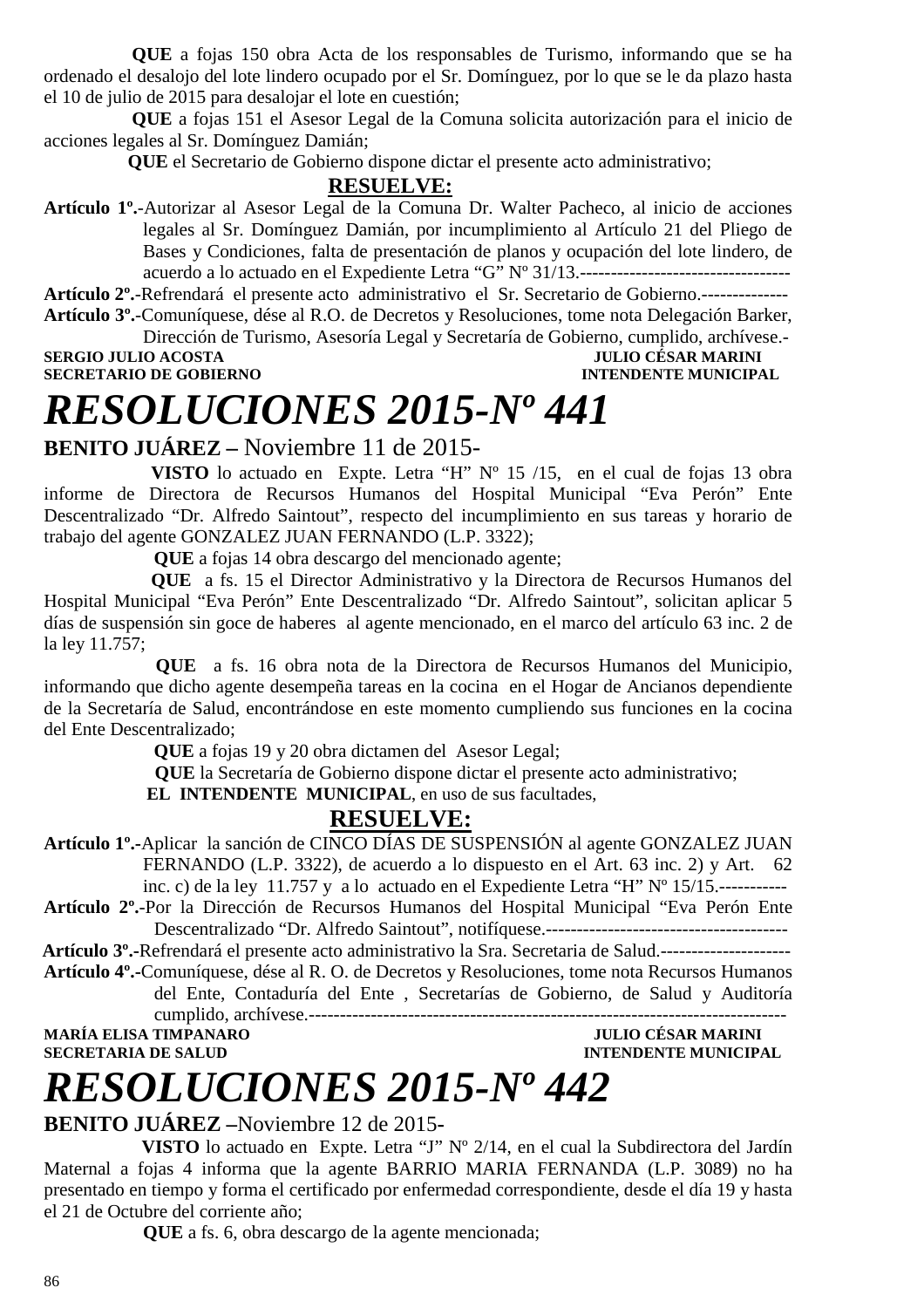**QUE** a fojas 150 obra Acta de los responsables de Turismo, informando que se ha ordenado el desalojo del lote lindero ocupado por el Sr. Domínguez, por lo que se le da plazo hasta el 10 de julio de 2015 para desalojar el lote en cuestión;

 **QUE** a fojas 151 el Asesor Legal de la Comuna solicita autorización para el inicio de acciones legales al Sr. Domínguez Damián;

 **QUE** el Secretario de Gobierno dispone dictar el presente acto administrativo;

### **RESUELVE:**

**Artículo 1º.**-Autorizar al Asesor Legal de la Comuna Dr. Walter Pacheco, al inicio de acciones legales al Sr. Domínguez Damián, por incumplimiento al Artículo 21 del Pliego de Bases y Condiciones, falta de presentación de planos y ocupación del lote lindero, de acuerdo a lo actuado en el Expediente Letra "G" Nº 31/13.----------------------------------

**Artículo 2º.**-Refrendará el presente acto administrativo el Sr. Secretario de Gobierno.--------------

**Artículo 3º.**-Comuníquese, dése al R.O. de Decretos y Resoluciones, tome nota Delegación Barker, Dirección de Turismo, Asesoría Legal y Secretaría de Gobierno, cumplido, archívese.-

**SERGIO JULIO ACOSTA<br>SECRETARIO DE GOBIERNO** 

## **INTENDENTE MUNICIPAL**

# *RESOLUCIONES 2015-Nº 441*

## **BENITO JUÁREZ –** Noviembre 11 de 2015-

 **VISTO** lo actuado en Expte. Letra "H" Nº 15 /15, en el cual de fojas 13 obra informe de Directora de Recursos Humanos del Hospital Municipal "Eva Perón" Ente Descentralizado "Dr. Alfredo Saintout", respecto del incumplimiento en sus tareas y horario de trabajo del agente GONZALEZ JUAN FERNANDO (L.P. 3322);

 **QUE** a fojas 14 obra descargo del mencionado agente;

 **QUE** a fs. 15 el Director Administrativo y la Directora de Recursos Humanos del Hospital Municipal "Eva Perón" Ente Descentralizado "Dr. Alfredo Saintout", solicitan aplicar 5 días de suspensión sin goce de haberes al agente mencionado, en el marco del artículo 63 inc. 2 de la ley 11.757;

 **QUE** a fs. 16 obra nota de la Directora de Recursos Humanos del Municipio, informando que dicho agente desempeña tareas en la cocina en el Hogar de Ancianos dependiente de la Secretaría de Salud, encontrándose en este momento cumpliendo sus funciones en la cocina del Ente Descentralizado;

 **QUE** a fojas 19 y 20 obra dictamen del Asesor Legal;

 **QUE** la Secretaría de Gobierno dispone dictar el presente acto administrativo;

 **EL INTENDENTE MUNICIPAL**, en uso de sus facultades,

## **RESUELVE:**

**Artículo 1º.-**Aplicar la sanción de CINCO DÍAS DE SUSPENSIÓN al agente GONZALEZ JUAN FERNANDO (L.P. 3322), de acuerdo a lo dispuesto en el Art. 63 inc. 2) y Art. 62 inc. c) de la ley 11.757 y a lo actuado en el Expediente Letra "H" Nº 15/15.-----------

**Artículo 2º.**-Por la Dirección de Recursos Humanos del Hospital Municipal "Eva Perón Ente Descentralizado "Dr. Alfredo Saintout", notifíquese.---------------------------------------

 **Artículo 3º.-**Refrendará el presente acto administrativo la Sra. Secretaria de Salud.---------------------

**Artículo 4º.-**Comuníquese, dése al R. O. de Decretos y Resoluciones, tome nota Recursos Humanos del Ente, Contaduría del Ente , Secretarías de Gobierno, de Salud y Auditoría cumplido, archívese.-----------------------------------------------------------------------------

**MARÍA ELISA TIMPANARO** 

**SECRETARIA DE SALUD INTENDENTE MUNICIPAL** 

# *RESOLUCIONES 2015-Nº 442*

### **BENITO JUÁREZ –**Noviembre 12 de 2015**-**

 **VISTO** lo actuado en Expte. Letra "J" Nº 2/14, en el cual la Subdirectora del Jardín Maternal a fojas 4 informa que la agente BARRIO MARIA FERNANDA (L.P. 3089) no ha presentado en tiempo y forma el certificado por enfermedad correspondiente, desde el día 19 y hasta el 21 de Octubre del corriente año;

**QUE** a fs. 6, obra descargo de la agente mencionada;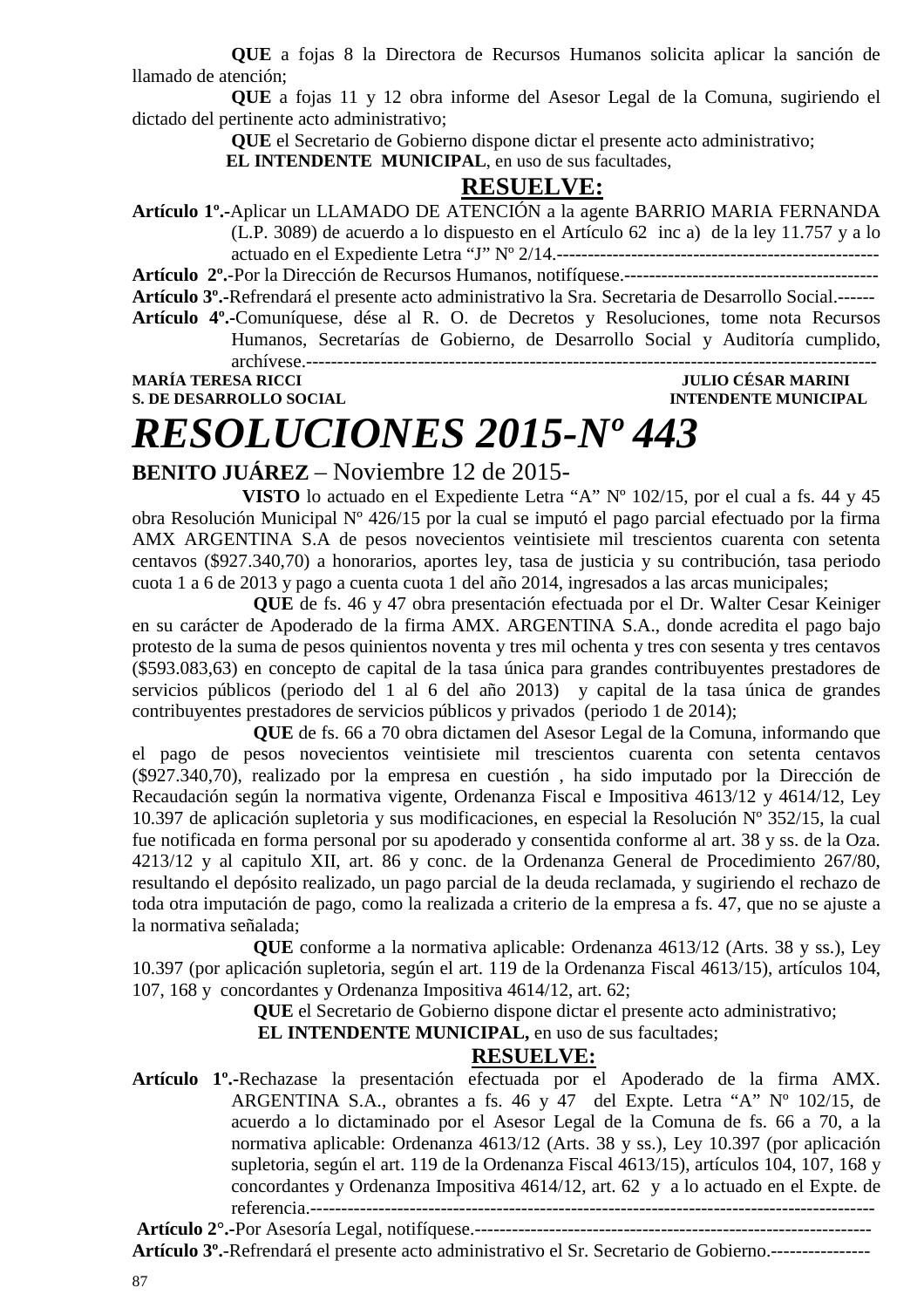**QUE** a fojas 8 la Directora de Recursos Humanos solicita aplicar la sanción de llamado de atención;

**QUE** a fojas 11 y 12 obra informe del Asesor Legal de la Comuna, sugiriendo el dictado del pertinente acto administrativo;

**QUE** el Secretario de Gobierno dispone dictar el presente acto administrativo;

 **EL INTENDENTE MUNICIPAL**, en uso de sus facultades,

### **RESUELVE:**

**Artículo 1º.-**Aplicar un LLAMADO DE ATENCIÓN a la agente BARRIO MARIA FERNANDA (L.P. 3089) de acuerdo a lo dispuesto en el Artículo 62 inc a) de la ley 11.757 y a lo actuado en el Expediente Letra "J" Nº 2/14.----------------------------------------------------

**Artículo 2º.**-Por la Dirección de Recursos Humanos, notifíquese.-----------------------------------------

**Artículo 3º.-**Refrendará el presente acto administrativo la Sra. Secretaria de Desarrollo Social.------

**Artículo 4º.-**Comuníquese, dése al R. O. de Decretos y Resoluciones, tome nota Recursos Humanos, Secretarías de Gobierno, de Desarrollo Social y Auditoría cumplido, archívese.--------------------------------------------------------------------------------------------

**MARÍA TERESA RICCI JULIO CÉSAR MARINI S. DE DESARROLLO SOCIAL** 

# *RESOLUCIONES 2015-Nº 443*

## **BENITO JUÁREZ** – Noviembre 12 de 2015-

**VISTO** lo actuado en el Expediente Letra "A" Nº 102/15, por el cual a fs. 44 y 45 obra Resolución Municipal Nº 426/15 por la cual se imputó el pago parcial efectuado por la firma AMX ARGENTINA S.A de pesos novecientos veintisiete mil trescientos cuarenta con setenta centavos (\$927.340,70) a honorarios, aportes ley, tasa de justicia y su contribución, tasa periodo cuota 1 a 6 de 2013 y pago a cuenta cuota 1 del año 2014, ingresados a las arcas municipales;

**QUE** de fs. 46 y 47 obra presentación efectuada por el Dr. Walter Cesar Keiniger en su carácter de Apoderado de la firma AMX. ARGENTINA S.A., donde acredita el pago bajo protesto de la suma de pesos quinientos noventa y tres mil ochenta y tres con sesenta y tres centavos (\$593.083,63) en concepto de capital de la tasa única para grandes contribuyentes prestadores de servicios públicos (periodo del 1 al 6 del año 2013) y capital de la tasa única de grandes contribuyentes prestadores de servicios públicos y privados (periodo 1 de 2014);

**QUE** de fs. 66 a 70 obra dictamen del Asesor Legal de la Comuna, informando que el pago de pesos novecientos veintisiete mil trescientos cuarenta con setenta centavos (\$927.340,70), realizado por la empresa en cuestión , ha sido imputado por la Dirección de Recaudación según la normativa vigente, Ordenanza Fiscal e Impositiva 4613/12 y 4614/12, Ley 10.397 de aplicación supletoria y sus modificaciones, en especial la Resolución Nº 352/15, la cual fue notificada en forma personal por su apoderado y consentida conforme al art. 38 y ss. de la Oza. 4213/12 y al capitulo XII, art. 86 y conc. de la Ordenanza General de Procedimiento 267/80, resultando el depósito realizado, un pago parcial de la deuda reclamada, y sugiriendo el rechazo de toda otra imputación de pago, como la realizada a criterio de la empresa a fs. 47, que no se ajuste a la normativa señalada;

**QUE** conforme a la normativa aplicable: Ordenanza 4613/12 (Arts. 38 y ss.), Ley 10.397 (por aplicación supletoria, según el art. 119 de la Ordenanza Fiscal 4613/15), artículos 104, 107, 168 y concordantes y Ordenanza Impositiva 4614/12, art. 62;

**QUE** el Secretario de Gobierno dispone dictar el presente acto administrativo;

 **EL INTENDENTE MUNICIPAL,** en uso de sus facultades;

### **RESUELVE:**

**Artículo 1º.-**Rechazase la presentación efectuada por el Apoderado de la firma AMX. ARGENTINA S.A., obrantes a fs. 46 y 47 del Expte. Letra "A" Nº 102/15, de acuerdo a lo dictaminado por el Asesor Legal de la Comuna de fs. 66 a 70, a la normativa aplicable: Ordenanza 4613/12 (Arts. 38 y ss.), Ley 10.397 (por aplicación supletoria, según el art. 119 de la Ordenanza Fiscal 4613/15), artículos 104, 107, 168 y concordantes y Ordenanza Impositiva 4614/12, art. 62 y a lo actuado en el Expte. de referencia.-------------------------------------------------------------------------------------------

**Artículo 2°.-**Por Asesoría Legal, notifíquese.----------------------------------------------------------------

**Artículo 3º.**-Refrendará el presente acto administrativo el Sr. Secretario de Gobierno.----------------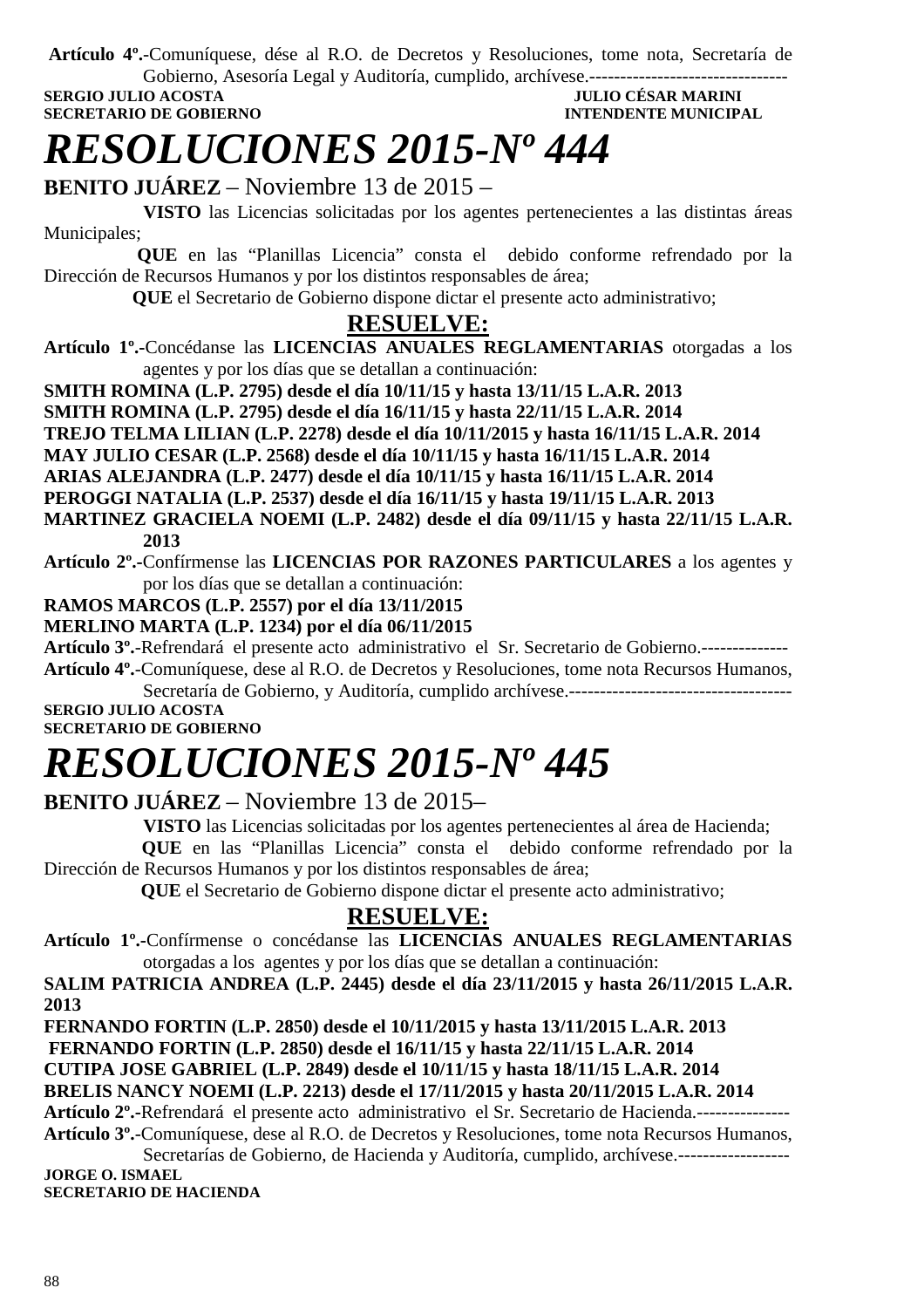**Artículo 4º.**-Comuníquese, dése al R.O. de Decretos y Resoluciones, tome nota, Secretaría de Gobierno, Asesoría Legal y Auditoría, cumplido, archívese.--------------------------------

**SERGIO JULIO ACOSTA** 

**SECRETARIO DE GOBIERNO INTENDENTE MUNICIPAL** 

# *RESOLUCIONES 2015-Nº 444*

**BENITO JUÁREZ** – Noviembre 13 de 2015 –

 **VISTO** las Licencias solicitadas por los agentes pertenecientes a las distintas áreas Municipales;

 **QUE** en las "Planillas Licencia" consta el debido conforme refrendado por la Dirección de Recursos Humanos y por los distintos responsables de área;

 **QUE** el Secretario de Gobierno dispone dictar el presente acto administrativo;

## **RESUELVE:**

**Artículo 1º.-**Concédanse las **LICENCIAS ANUALES REGLAMENTARIAS** otorgadas a los agentes y por los días que se detallan a continuación:

**SMITH ROMINA (L.P. 2795) desde el día 10/11/15 y hasta 13/11/15 L.A.R. 2013** 

**SMITH ROMINA (L.P. 2795) desde el día 16/11/15 y hasta 22/11/15 L.A.R. 2014** 

**TREJO TELMA LILIAN (L.P. 2278) desde el día 10/11/2015 y hasta 16/11/15 L.A.R. 2014** 

**MAY JULIO CESAR (L.P. 2568) desde el día 10/11/15 y hasta 16/11/15 L.A.R. 2014** 

**ARIAS ALEJANDRA (L.P. 2477) desde el día 10/11/15 y hasta 16/11/15 L.A.R. 2014** 

**PEROGGI NATALIA (L.P. 2537) desde el día 16/11/15 y hasta 19/11/15 L.A.R. 2013** 

**MARTINEZ GRACIELA NOEMI (L.P. 2482) desde el día 09/11/15 y hasta 22/11/15 L.A.R. 2013**

**Artículo 2º.-**Confírmense las **LICENCIAS POR RAZONES PARTICULARES** a los agentes y por los días que se detallan a continuación:

## **RAMOS MARCOS (L.P. 2557) por el día 13/11/2015**

## **MERLINO MARTA (L.P. 1234) por el día 06/11/2015**

**Artículo 3º.**-Refrendará el presente acto administrativo el Sr. Secretario de Gobierno.-------------- **Artículo 4º.**-Comuníquese, dese al R.O. de Decretos y Resoluciones, tome nota Recursos Humanos,

Secretaría de Gobierno, y Auditoría, cumplido archívese.------------------------------------

**SERGIO JULIO ACOSTA SECRETARIO DE GOBIERNO** 

# *RESOLUCIONES 2015-Nº 445*

**BENITO JUÁREZ** – Noviembre 13 de 2015–

**VISTO** las Licencias solicitadas por los agentes pertenecientes al área de Hacienda;

 **QUE** en las "Planillas Licencia" consta el debido conforme refrendado por la Dirección de Recursos Humanos y por los distintos responsables de área;

 **QUE** el Secretario de Gobierno dispone dictar el presente acto administrativo;

## **RESUELVE:**

**Artículo 1º.-**Confírmense o concédanse las **LICENCIAS ANUALES REGLAMENTARIAS**  otorgadas a los agentes y por los días que se detallan a continuación:

**SALIM PATRICIA ANDREA (L.P. 2445) desde el día 23/11/2015 y hasta 26/11/2015 L.A.R. 2013** 

**FERNANDO FORTIN (L.P. 2850) desde el 10/11/2015 y hasta 13/11/2015 L.A.R. 2013** 

 **FERNANDO FORTIN (L.P. 2850) desde el 16/11/15 y hasta 22/11/15 L.A.R. 2014** 

**CUTIPA JOSE GABRIEL (L.P. 2849) desde el 10/11/15 y hasta 18/11/15 L.A.R. 2014** 

**BRELIS NANCY NOEMI (L.P. 2213) desde el 17/11/2015 y hasta 20/11/2015 L.A.R. 2014** 

**Artículo 2º.-**Refrendará el presente acto administrativo el Sr. Secretario de Hacienda.--------------- **Artículo 3º.**-Comuníquese, dese al R.O. de Decretos y Resoluciones, tome nota Recursos Humanos, Secretarías de Gobierno, de Hacienda y Auditoría, cumplido, archívese.------------------

**JORGE O. ISMAEL SECRETARIO DE HACIENDA**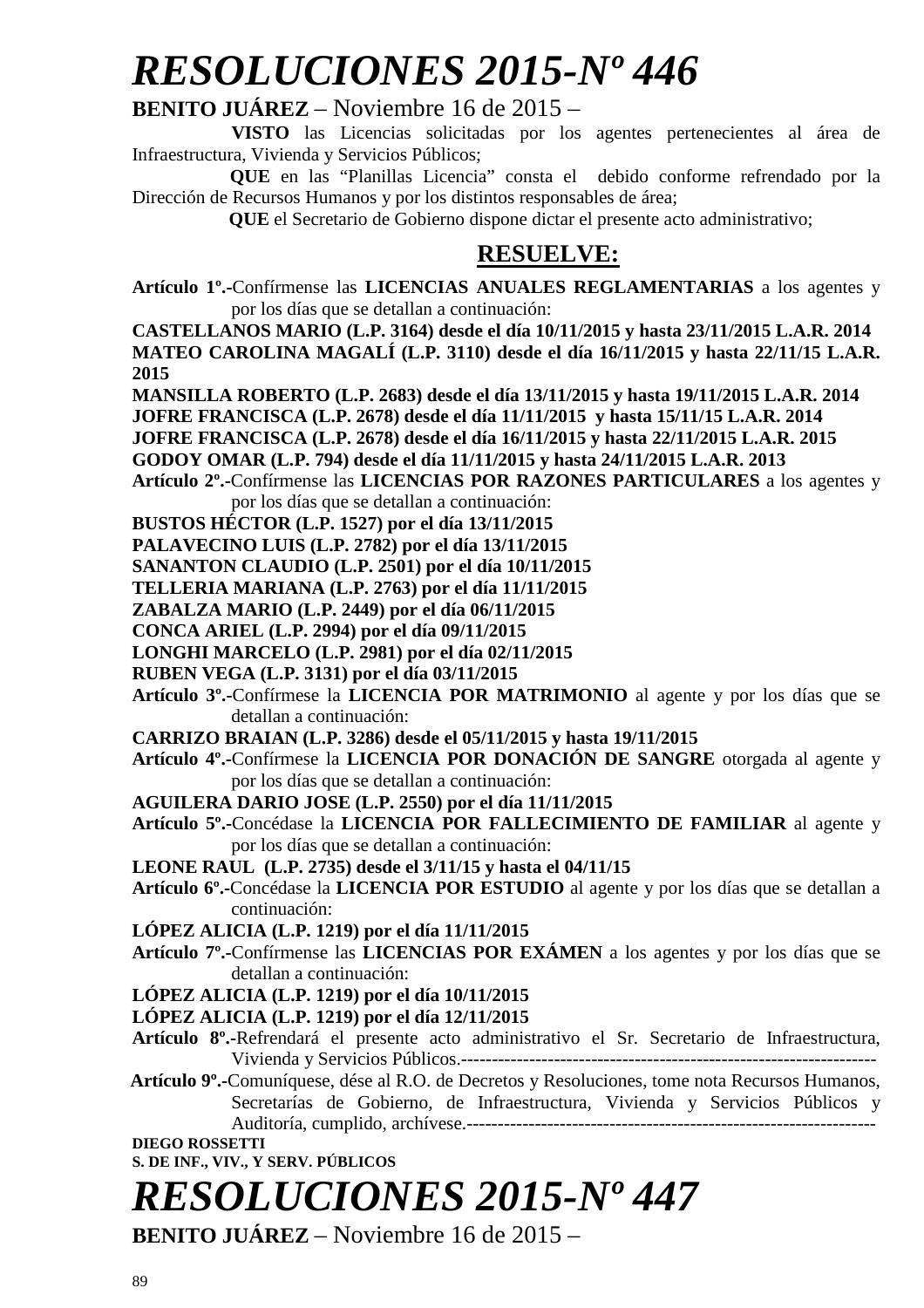# *RESOLUCIONES 2015-Nº 446*

## **BENITO JUÁREZ** – Noviembre 16 de 2015 –

 **VISTO** las Licencias solicitadas por los agentes pertenecientes al área de Infraestructura, Vivienda y Servicios Públicos;

 **QUE** en las "Planillas Licencia" consta el debido conforme refrendado por la Dirección de Recursos Humanos y por los distintos responsables de área;

 **QUE** el Secretario de Gobierno dispone dictar el presente acto administrativo;

## **RESUELVE:**

**Artículo 1º.-**Confírmense las **LICENCIAS ANUALES REGLAMENTARIAS** a los agentes y por los días que se detallan a continuación:

**CASTELLANOS MARIO (L.P. 3164) desde el día 10/11/2015 y hasta 23/11/2015 L.A.R. 2014 MATEO CAROLINA MAGALÍ (L.P. 3110) desde el día 16/11/2015 y hasta 22/11/15 L.A.R. 2015** 

**MANSILLA ROBERTO (L.P. 2683) desde el día 13/11/2015 y hasta 19/11/2015 L.A.R. 2014** 

**JOFRE FRANCISCA (L.P. 2678) desde el día 11/11/2015 y hasta 15/11/15 L.A.R. 2014** 

**JOFRE FRANCISCA (L.P. 2678) desde el día 16/11/2015 y hasta 22/11/2015 L.A.R. 2015** 

**GODOY OMAR (L.P. 794) desde el día 11/11/2015 y hasta 24/11/2015 L.A.R. 2013** 

**Artículo 2º.-**Confírmense las **LICENCIAS POR RAZONES PARTICULARES** a los agentes y por los días que se detallan a continuación:

**BUSTOS HÉCTOR (L.P. 1527) por el día 13/11/2015** 

**PALAVECINO LUIS (L.P. 2782) por el día 13/11/2015** 

**SANANTON CLAUDIO (L.P. 2501) por el día 10/11/2015** 

**TELLERIA MARIANA (L.P. 2763) por el día 11/11/2015** 

**ZABALZA MARIO (L.P. 2449) por el día 06/11/2015** 

**CONCA ARIEL (L.P. 2994) por el día 09/11/2015** 

**LONGHI MARCELO (L.P. 2981) por el día 02/11/2015** 

**RUBEN VEGA (L.P. 3131) por el día 03/11/2015** 

**Artículo 3º.-**Confírmese la **LICENCIA POR MATRIMONIO** al agente y por los días que se detallan a continuación:

**CARRIZO BRAIAN (L.P. 3286) desde el 05/11/2015 y hasta 19/11/2015** 

**Artículo 4º.-**Confírmese la **LICENCIA POR DONACIÓN DE SANGRE** otorgada al agente y por los días que se detallan a continuación:

**AGUILERA DARIO JOSE (L.P. 2550) por el día 11/11/2015** 

**Artículo 5º.-**Concédase la **LICENCIA POR FALLECIMIENTO DE FAMILIAR** al agente y por los días que se detallan a continuación:

**LEONE RAUL (L.P. 2735) desde el 3/11/15 y hasta el 04/11/15** 

**Artículo 6º.-**Concédase la **LICENCIA POR ESTUDIO** al agente y por los días que se detallan a continuación:

**LÓPEZ ALICIA (L.P. 1219) por el día 11/11/2015** 

**Artículo 7º.-**Confírmense las **LICENCIAS POR EXÁMEN** a los agentes y por los días que se detallan a continuación:

**LÓPEZ ALICIA (L.P. 1219) por el día 10/11/2015** 

**LÓPEZ ALICIA (L.P. 1219) por el día 12/11/2015**

**Artículo 8º.-**Refrendará el presente acto administrativo el Sr. Secretario de Infraestructura, Vivienda y Servicios Públicos.-------------------------------------------------------------------

 **Artículo 9º.-**Comuníquese, dése al R.O. de Decretos y Resoluciones, tome nota Recursos Humanos, Secretarías de Gobierno, de Infraestructura, Vivienda y Servicios Públicos y Auditoría, cumplido, archívese.------------------------------------------------------------------

**DIEGO ROSSETTI** 

**S. DE INF., VIV., Y SERV. PÚBLICOS** 

# *RESOLUCIONES 2015-Nº 447*

**BENITO JUÁREZ** – Noviembre 16 de 2015 –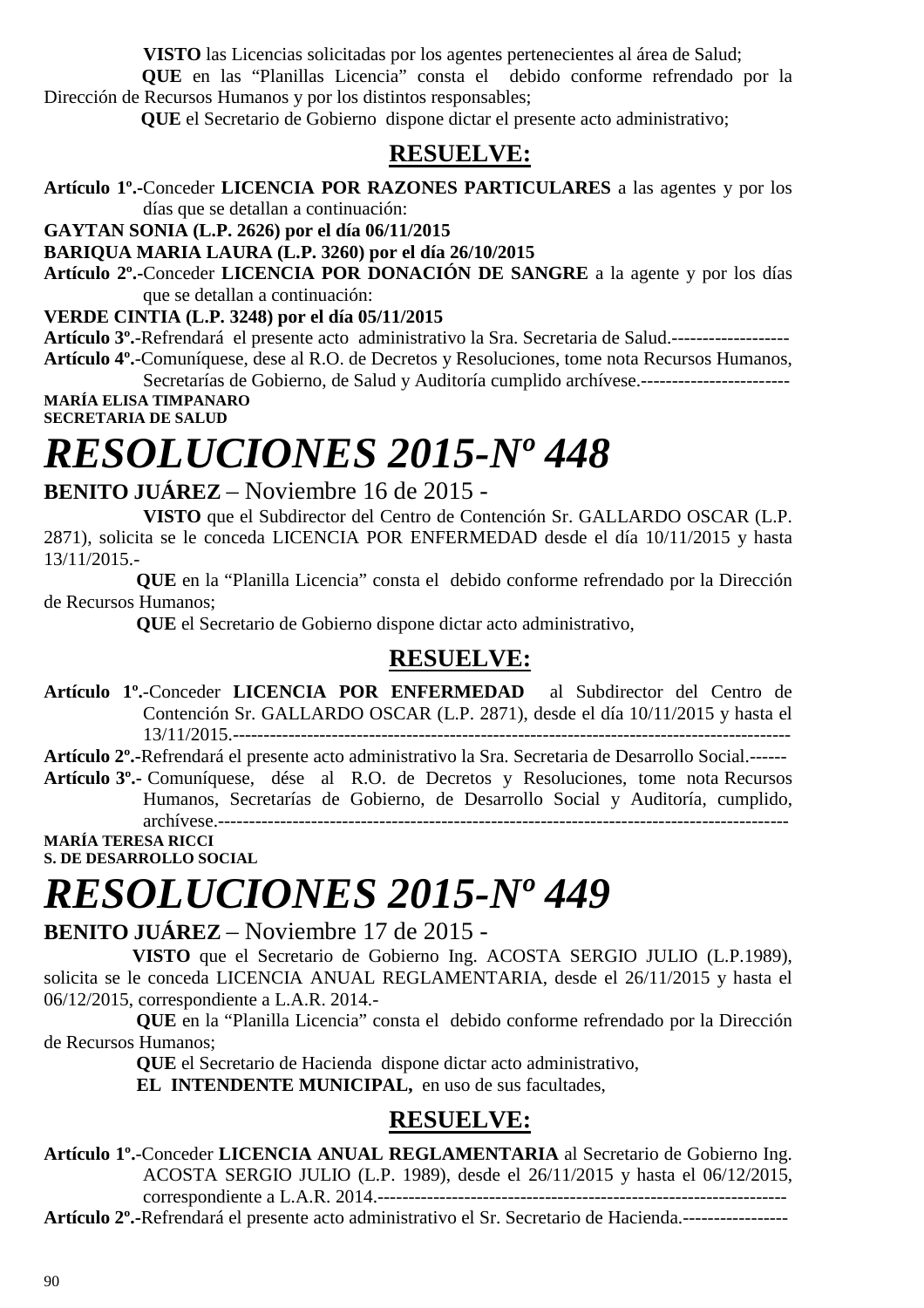**VISTO** las Licencias solicitadas por los agentes pertenecientes al área de Salud;

 **QUE** en las "Planillas Licencia" consta el debido conforme refrendado por la Dirección de Recursos Humanos y por los distintos responsables;

 **QUE** el Secretario de Gobierno dispone dictar el presente acto administrativo;

## **RESUELVE:**

**Artículo 1º.-**Conceder **LICENCIA POR RAZONES PARTICULARES** a las agentes y por los días que se detallan a continuación:

**GAYTAN SONIA (L.P. 2626) por el día 06/11/2015** 

**BARIQUA MARIA LAURA (L.P. 3260) por el día 26/10/2015** 

**Artículo 2º.-**Conceder **LICENCIA POR DONACIÓN DE SANGRE** a la agente y por los días que se detallan a continuación:

**VERDE CINTIA (L.P. 3248) por el día 05/11/2015** 

**Artículo 3º.**-Refrendará el presente acto administrativo la Sra. Secretaria de Salud.------------------- **Artículo 4º.**-Comuníquese, dese al R.O. de Decretos y Resoluciones, tome nota Recursos Humanos,

Secretarías de Gobierno, de Salud y Auditoría cumplido archívese.-----------------------**MARÍA ELISA TIMPANARO** 

**SECRETARIA DE SALUD** 

# *RESOLUCIONES 2015-Nº 448*

**BENITO JUÁREZ** – Noviembre 16 de 2015 -

 **VISTO** que el Subdirector del Centro de Contención Sr. GALLARDO OSCAR (L.P. 2871), solicita se le conceda LICENCIA POR ENFERMEDAD desde el día 10/11/2015 y hasta 13/11/2015.-

 **QUE** en la "Planilla Licencia" consta el debido conforme refrendado por la Dirección de Recursos Humanos;

 **QUE** el Secretario de Gobierno dispone dictar acto administrativo,

## **RESUELVE:**

**Artículo 1º.**-Conceder **LICENCIA POR ENFERMEDAD** al Subdirector del Centro de Contención Sr. GALLARDO OSCAR (L.P. 2871), desde el día 10/11/2015 y hasta el 13/11/2015.------------------------------------------------------------------------------------------

**Artículo 2º.-**Refrendará el presente acto administrativo la Sra. Secretaria de Desarrollo Social.------ **Artículo 3º.-** Comuníquese, dése al R.O. de Decretos y Resoluciones, tome nota Recursos Humanos, Secretarías de Gobierno, de Desarrollo Social y Auditoría, cumplido,

archívese.-------------------------------------------------------------------------------------------- **MARÍA TERESA RICCI** 

**S. DE DESARROLLO SOCIAL** 

# *RESOLUCIONES 2015-Nº 449*

**BENITO JUÁREZ** – Noviembre 17 de 2015 -

 **VISTO** que el Secretario de Gobierno Ing. ACOSTA SERGIO JULIO (L.P.1989), solicita se le conceda LICENCIA ANUAL REGLAMENTARIA, desde el 26/11/2015 y hasta el 06/12/2015, correspondiente a L.A.R. 2014.-

 **QUE** en la "Planilla Licencia" consta el debido conforme refrendado por la Dirección de Recursos Humanos;

 **QUE** el Secretario de Hacienda dispone dictar acto administrativo,

 **EL INTENDENTE MUNICIPAL,** en uso de sus facultades,

## **RESUELVE:**

**Artículo 1º.**-Conceder **LICENCIA ANUAL REGLAMENTARIA** al Secretario de Gobierno Ing. ACOSTA SERGIO JULIO (L.P. 1989), desde el 26/11/2015 y hasta el 06/12/2015, correspondiente a L.A.R. 2014.------------------------------------------------------------------

**Artículo 2º.-**Refrendará el presente acto administrativo el Sr. Secretario de Hacienda.-----------------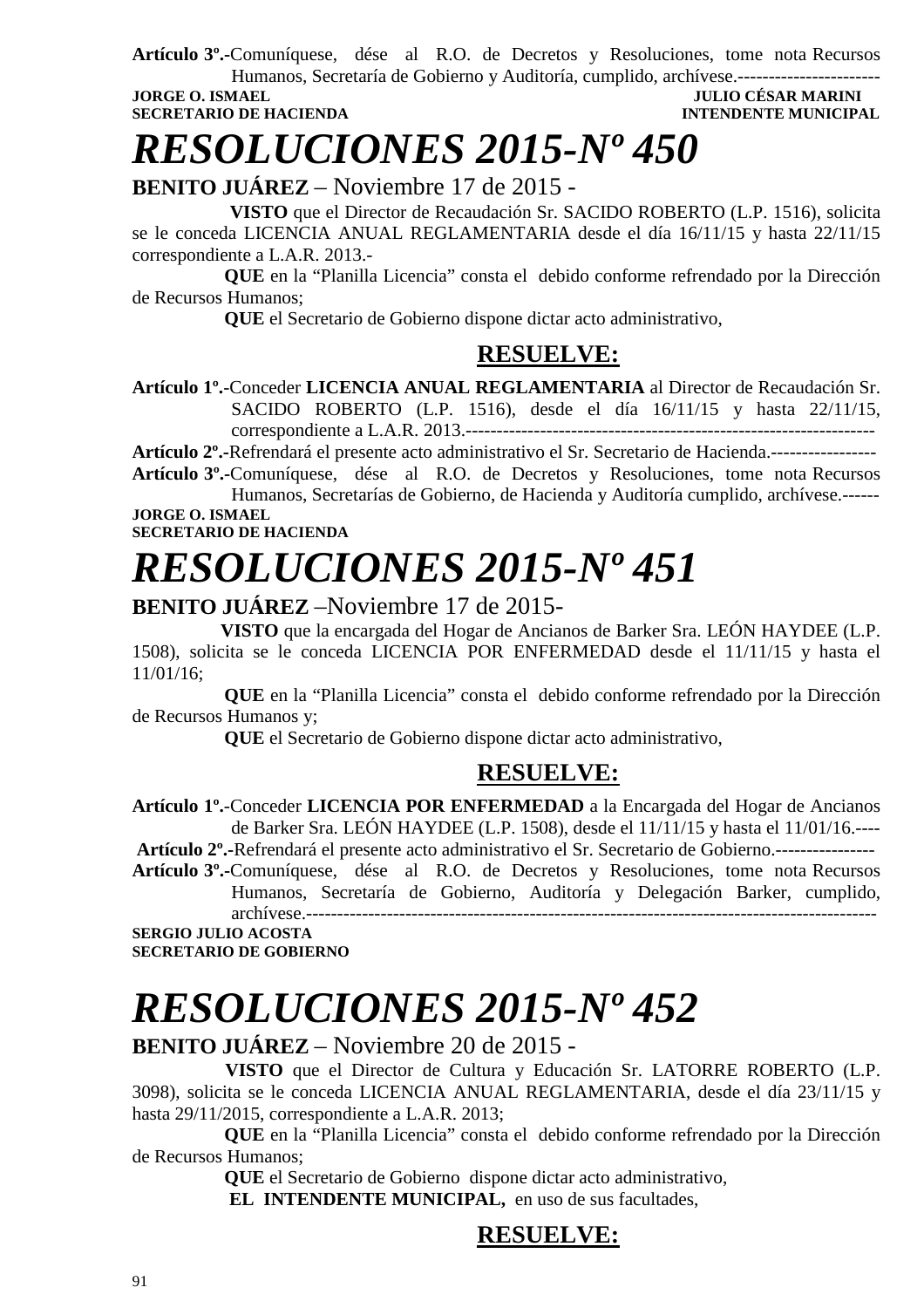**Artículo 3º.-**Comuníquese, dése al R.O. de Decretos y Resoluciones, tome nota Recursos

Humanos, Secretaría de Gobierno y Auditoría, cumplido, archívese.----------------------- **JORGE O. ISMAEL JULIO CÉSAR MARINI SECRETARIO DE HACIENDA INTENDENTE MUNICIPAL** 

*RESOLUCIONES 2015-Nº 450* 

**BENITO JUÁREZ** – Noviembre 17 de 2015 -

 **VISTO** que el Director de Recaudación Sr. SACIDO ROBERTO (L.P. 1516), solicita se le conceda LICENCIA ANUAL REGLAMENTARIA desde el día 16/11/15 y hasta 22/11/15 correspondiente a L.A.R. 2013.-

 **QUE** en la "Planilla Licencia" consta el debido conforme refrendado por la Dirección de Recursos Humanos;

 **QUE** el Secretario de Gobierno dispone dictar acto administrativo,

## **RESUELVE:**

**Artículo 1º.**-Conceder **LICENCIA ANUAL REGLAMENTARIA** al Director de Recaudación Sr. SACIDO ROBERTO (L.P. 1516), desde el día 16/11/15 y hasta 22/11/15, correspondiente a L.A.R. 2013.------------------------------------------------------------------

**Artículo 2º.-**Refrendará el presente acto administrativo el Sr. Secretario de Hacienda.----------------- **Artículo 3º.-**Comuníquese, dése al R.O. de Decretos y Resoluciones, tome nota Recursos

Humanos, Secretarías de Gobierno, de Hacienda y Auditoría cumplido, archívese.------ **JORGE O. ISMAEL** 

**SECRETARIO DE HACIENDA**

# *RESOLUCIONES 2015-Nº 451*

## **BENITO JUÁREZ** –Noviembre 17 de 2015-

 **VISTO** que la encargada del Hogar de Ancianos de Barker Sra. LEÓN HAYDEE (L.P. 1508), solicita se le conceda LICENCIA POR ENFERMEDAD desde el 11/11/15 y hasta el 11/01/16;

 **QUE** en la "Planilla Licencia" consta el debido conforme refrendado por la Dirección de Recursos Humanos y;

 **QUE** el Secretario de Gobierno dispone dictar acto administrativo,

## **RESUELVE:**

**Artículo 1º.**-Conceder **LICENCIA POR ENFERMEDAD** a la Encargada del Hogar de Ancianos de Barker Sra. LEÓN HAYDEE (L.P. 1508), desde el 11/11/15 y hasta el 11/01/16.---- **Artículo 2º.-**Refrendará el presente acto administrativo el Sr. Secretario de Gobierno.----------------

**Artículo 3º.-**Comuníquese, dése al R.O. de Decretos y Resoluciones, tome nota Recursos Humanos, Secretaría de Gobierno, Auditoría y Delegación Barker, cumplido, archívese.--------------------------------------------------------------------------------------------

**SERGIO JULIO ACOSTA SECRETARIO DE GOBIERNO** 

# *RESOLUCIONES 2015-Nº 452*

## **BENITO JUÁREZ** – Noviembre 20 de 2015 -

 **VISTO** que el Director de Cultura y Educación Sr. LATORRE ROBERTO (L.P. 3098), solicita se le conceda LICENCIA ANUAL REGLAMENTARIA, desde el día 23/11/15 y hasta 29/11/2015, correspondiente a L.A.R. 2013;

 **QUE** en la "Planilla Licencia" consta el debido conforme refrendado por la Dirección de Recursos Humanos;

 **QUE** el Secretario de Gobierno dispone dictar acto administrativo,  **EL INTENDENTE MUNICIPAL,** en uso de sus facultades,

## **RESUELVE:**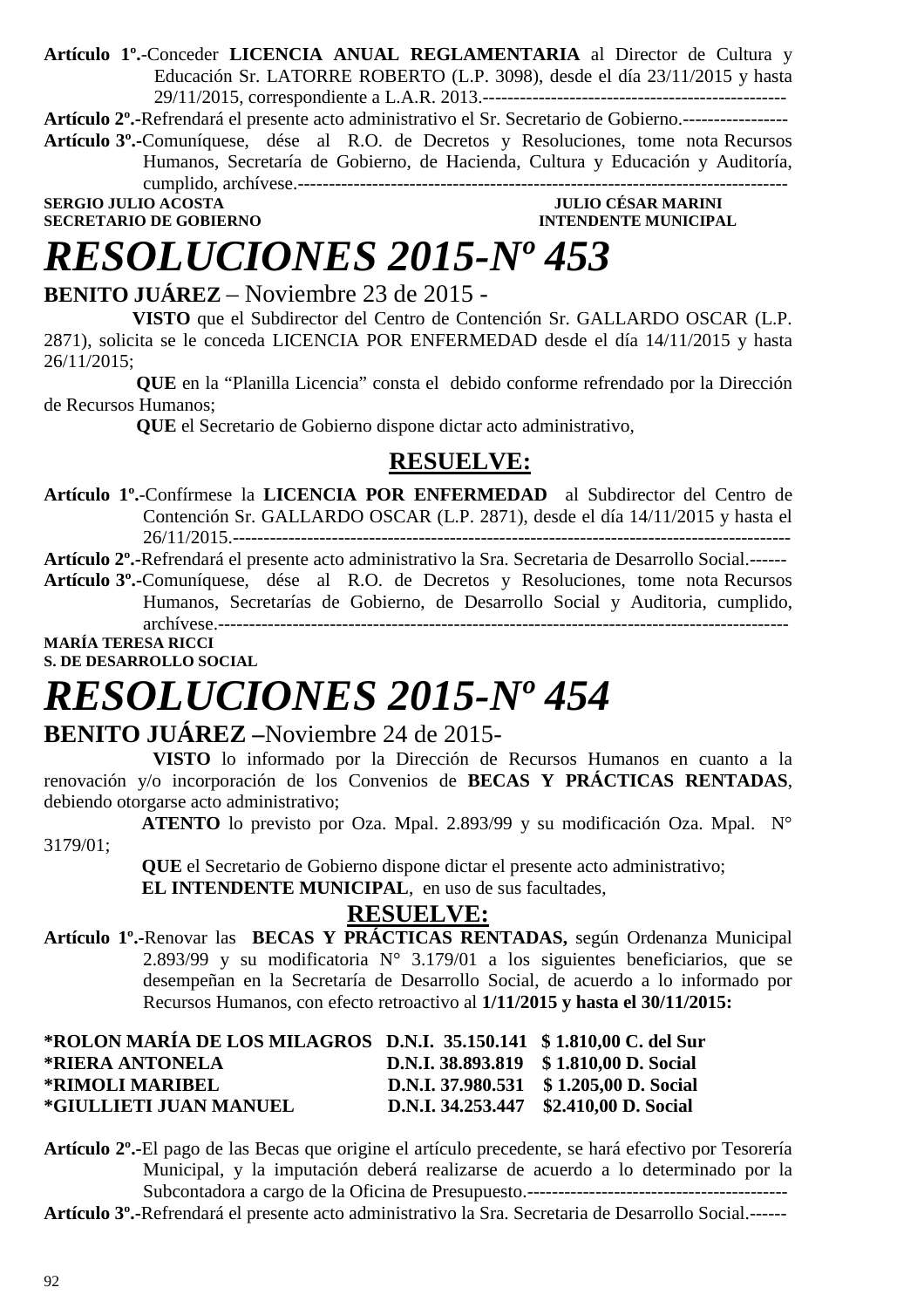**Artículo 1º.**-Conceder **LICENCIA ANUAL REGLAMENTARIA** al Director de Cultura y Educación Sr. LATORRE ROBERTO (L.P. 3098), desde el día 23/11/2015 y hasta 29/11/2015, correspondiente a L.A.R. 2013.-------------------------------------------------

**Artículo 2º.-**Refrendará el presente acto administrativo el Sr. Secretario de Gobierno.-----------------

**Artículo 3º.-**Comuníquese, dése al R.O. de Decretos y Resoluciones, tome nota Recursos Humanos, Secretaría de Gobierno, de Hacienda, Cultura y Educación y Auditoría, cumplido, archívese.-------------------------------------------------------------------------------

**SERGIO JULIO ACOSTA SECRETARIO DE GOBIERNO INTENDENTE MUNICIPAL** 

# *RESOLUCIONES 2015-Nº 453*

## **BENITO JUÁREZ** – Noviembre 23 de 2015 -

 **VISTO** que el Subdirector del Centro de Contención Sr. GALLARDO OSCAR (L.P. 2871), solicita se le conceda LICENCIA POR ENFERMEDAD desde el día 14/11/2015 y hasta 26/11/2015;

 **QUE** en la "Planilla Licencia" consta el debido conforme refrendado por la Dirección de Recursos Humanos;

 **QUE** el Secretario de Gobierno dispone dictar acto administrativo,

## **RESUELVE:**

**Artículo 1º.**-Confírmese la **LICENCIA POR ENFERMEDAD** al Subdirector del Centro de Contención Sr. GALLARDO OSCAR (L.P. 2871), desde el día 14/11/2015 y hasta el 26/11/2015.------------------------------------------------------------------------------------------

**Artículo 2º.-**Refrendará el presente acto administrativo la Sra. Secretaria de Desarrollo Social.------

**Artículo 3º.-**Comuníquese, dése al R.O. de Decretos y Resoluciones, tome nota Recursos Humanos, Secretarías de Gobierno, de Desarrollo Social y Auditoria, cumplido, archívese.-------------------------------------------------------------------------------------------- **MARÍA TERESA RICCI** 

**S. DE DESARROLLO SOCIAL** 

# *RESOLUCIONES 2015-Nº 454*

## **BENITO JUÁREZ –**Noviembre 24 de 2015-

 **VISTO** lo informado por la Dirección de Recursos Humanos en cuanto a la renovación y/o incorporación de los Convenios de **BECAS Y PRÁCTICAS RENTADAS**, debiendo otorgarse acto administrativo;

 **ATENTO** lo previsto por Oza. Mpal. 2.893/99 y su modificación Oza. Mpal. N° 3179/01;

 **QUE** el Secretario de Gobierno dispone dictar el presente acto administrativo;

 **EL INTENDENTE MUNICIPAL**, en uso de sus facultades,

## **RESUELVE:**

**Artículo 1º.-**Renovar las **BECAS Y PRÁCTICAS RENTADAS,** según Ordenanza Municipal 2.893/99 y su modificatoria N° 3.179/01 a los siguientes beneficiarios, que se desempeñan en la Secretaría de Desarrollo Social, de acuerdo a lo informado por Recursos Humanos, con efecto retroactivo al **1/11/2015 y hasta el 30/11/2015:** 

| *ROLON MARÍA DE LOS MILAGROS D.N.I. 35.150.141 \$1.810,00 C. del Sur |                                        |
|----------------------------------------------------------------------|----------------------------------------|
| *RIERA ANTONELA                                                      | D.N.I. 38.893.819 \$1.810,00 D. Social |
| <b>*RIMOLI MARIBEL</b>                                               | D.N.I. 37.980.531 \$1.205,00 D. Social |
| *GIULLIETI JUAN MANUEL                                               | D.N.I. 34.253.447 \$2.410,00 D. Social |

**Artículo 2º.-**El pago de las Becas que origine el artículo precedente, se hará efectivo por Tesorería Municipal, y la imputación deberá realizarse de acuerdo a lo determinado por la Subcontadora a cargo de la Oficina de Presupuesto.------------------------------------------

**Artículo 3º.-**Refrendará el presente acto administrativo la Sra. Secretaria de Desarrollo Social.------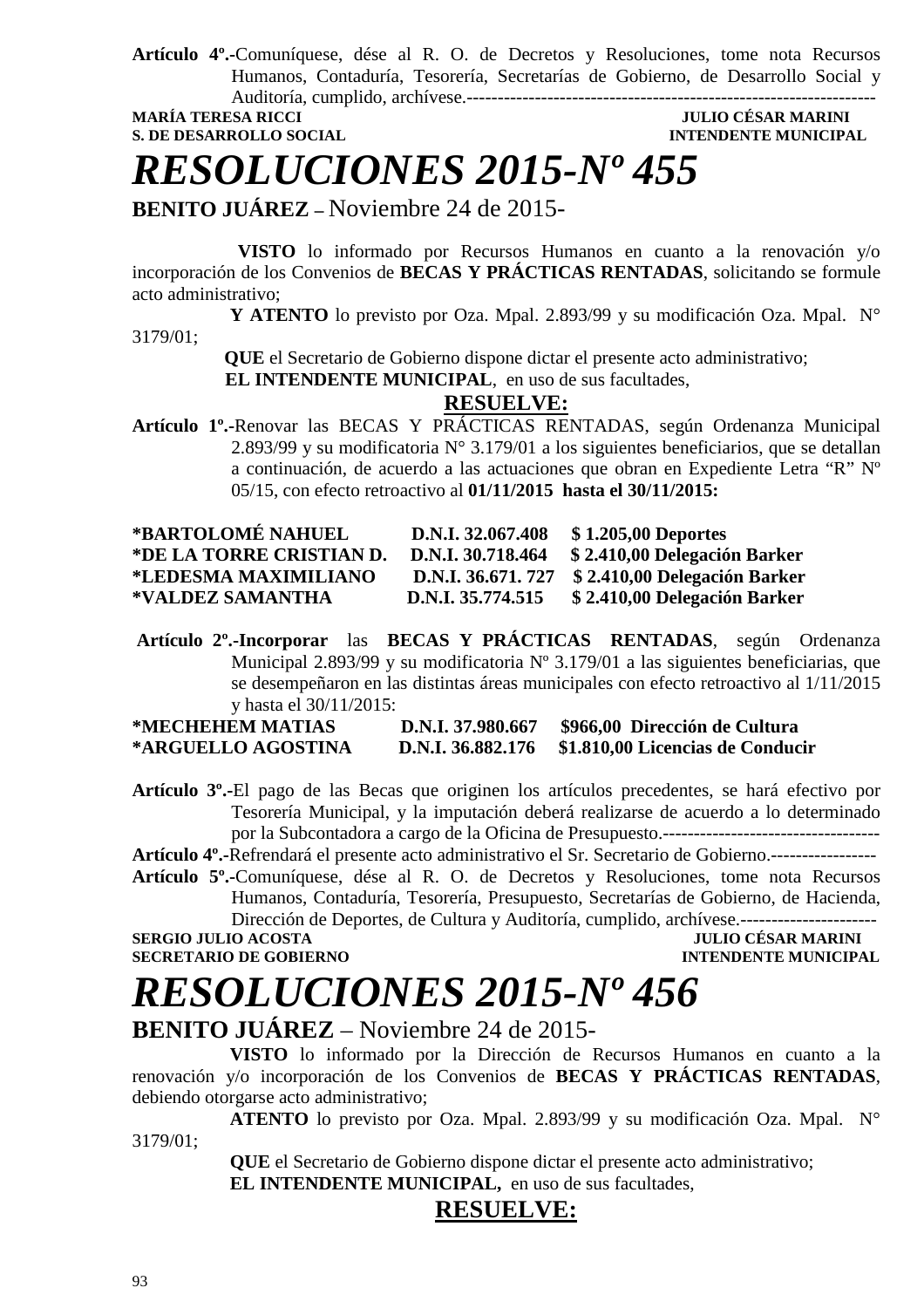**Artículo 4º.-**Comuníquese, dése al R. O. de Decretos y Resoluciones, tome nota Recursos Humanos, Contaduría, Tesorería, Secretarías de Gobierno, de Desarrollo Social y Auditoría, cumplido, archívese.------------------------------------------------------------------

**MARÍA TERESA RICCI** 

## **S. DE DESARROLLO SOCIAL CONSUMING A LOCAL CONSUMING A LOCAL CONSUMING A LOCAL CONSUMING A LOCAL CONSUMING A LOCAL CONSUMING A LOCAL CONSUMING A LOCAL CONSUMING A LOCAL CONSUMING A LOCAL CONSUMING A LOCAL CONSUMING A LOCAL**

*RESOLUCIONES 2015-Nº 455* 

**BENITO JUÁREZ –** Noviembre 24 de 2015-

 **VISTO** lo informado por Recursos Humanos en cuanto a la renovación y/o incorporación de los Convenios de **BECAS Y PRÁCTICAS RENTADAS**, solicitando se formule acto administrativo;

 **Y ATENTO** lo previsto por Oza. Mpal. 2.893/99 y su modificación Oza. Mpal. N° 3179/01;

 **QUE** el Secretario de Gobierno dispone dictar el presente acto administrativo;

 **EL INTENDENTE MUNICIPAL**, en uso de sus facultades,

## **RESUELVE:**

**Artículo 1º.-**Renovar las BECAS Y PRÁCTICAS RENTADAS, según Ordenanza Municipal 2.893/99 y su modificatoria N° 3.179/01 a los siguientes beneficiarios, que se detallan a continuación, de acuerdo a las actuaciones que obran en Expediente Letra "R" Nº 05/15, con efecto retroactivo al **01/11/2015 hasta el 30/11/2015:** 

| *BARTOLOMÉ NAHUEL        | D.N.I. 32.067.408 | \$1.205,00 Deportes                              |
|--------------------------|-------------------|--------------------------------------------------|
| *DE LA TORRE CRISTIAN D. | D.N.I. 30.718.464 | \$2.410,00 Delegación Barker                     |
| *LEDESMA MAXIMILIANO     |                   | D.N.I. 36.671. 727 \$ 2.410,00 Delegación Barker |
| *VALDEZ SAMANTHA         | D.N.I. 35.774.515 | \$2.410,00 Delegación Barker                     |

**Artículo 2º.-Incorporar** las **BECAS Y PRÁCTICAS RENTADAS**, según Ordenanza Municipal 2.893/99 y su modificatoria Nº 3.179/01 a las siguientes beneficiarias, que se desempeñaron en las distintas áreas municipales con efecto retroactivo al 1/11/2015 y hasta el 30/11/2015:

| *MECHEHEM MATIAS   | D.N.I. 37.980.667 | \$966,00 Dirección de Cultura                      |
|--------------------|-------------------|----------------------------------------------------|
| *ARGUELLO AGOSTINA |                   | D.N.I. 36.882.176 \$1.810,00 Licencias de Conducir |

**Artículo 3º.-**El pago de las Becas que originen los artículos precedentes, se hará efectivo por Tesorería Municipal, y la imputación deberá realizarse de acuerdo a lo determinado por la Subcontadora a cargo de la Oficina de Presupuesto.-----------------------------------

**Artículo 4º.-**Refrendará el presente acto administrativo el Sr. Secretario de Gobierno.-----------------

**Artículo 5º.-**Comuníquese, dése al R. O. de Decretos y Resoluciones, tome nota Recursos Humanos, Contaduría, Tesorería, Presupuesto, Secretarías de Gobierno, de Hacienda, Dirección de Deportes, de Cultura y Auditoría, cumplido, archívese.----------------------

**SERGIO JULIO ACOSTA JULIO CÉSAR MARINI SECRETARIO DE GOBIERNO INTENDENTE MUNICIPAL** 

# *RESOLUCIONES 2015-Nº 456*

**BENITO JUÁREZ** – Noviembre 24 de 2015-

 **VISTO** lo informado por la Dirección de Recursos Humanos en cuanto a la renovación y/o incorporación de los Convenios de **BECAS Y PRÁCTICAS RENTADAS**, debiendo otorgarse acto administrativo;

 **ATENTO** lo previsto por Oza. Mpal. 2.893/99 y su modificación Oza. Mpal. N° 3179/01;

 **QUE** el Secretario de Gobierno dispone dictar el presente acto administrativo;  **EL INTENDENTE MUNICIPAL,** en uso de sus facultades,

## **RESUELVE:**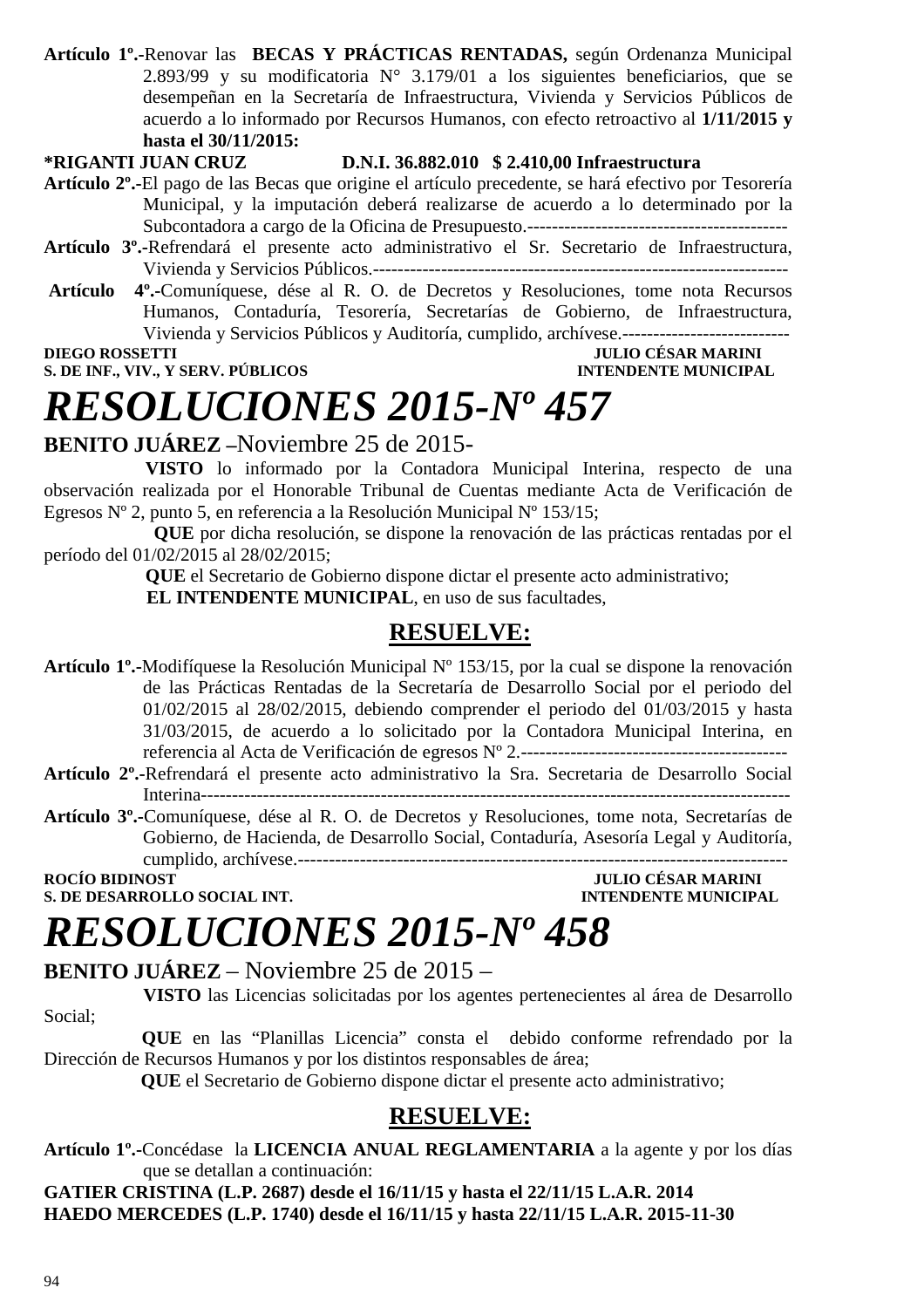**Artículo 1º.-**Renovar las **BECAS Y PRÁCTICAS RENTADAS,** según Ordenanza Municipal 2.893/99 y su modificatoria  $N^{\circ}$  3.179/01 a los siguientes beneficiarios, que se desempeñan en la Secretaría de Infraestructura, Vivienda y Servicios Públicos de acuerdo a lo informado por Recursos Humanos, con efecto retroactivo al **1/11/2015 y hasta el 30/11/2015:** 

### **\*RIGANTI JUAN CRUZ D.N.I. 36.882.010 \$ 2.410,00 Infraestructura**

**Artículo 2º.-**El pago de las Becas que origine el artículo precedente, se hará efectivo por Tesorería Municipal, y la imputación deberá realizarse de acuerdo a lo determinado por la Subcontadora a cargo de la Oficina de Presupuesto.------------------------------------------

- **Artículo 3º.-**Refrendará el presente acto administrativo el Sr. Secretario de Infraestructura, Vivienda y Servicios Públicos.-------------------------------------------------------------------
- **Artículo 4º.-**Comuníquese, dése al R. O. de Decretos y Resoluciones, tome nota Recursos Humanos, Contaduría, Tesorería, Secretarías de Gobierno, de Infraestructura, Vivienda y Servicios Públicos y Auditoría, cumplido, archívese.---------------------------

**DIEGO ROSSETTI JULIO CÉSAR MARINI** 

## **S. DE INF., VIV., Y SERV. PÚBLICOS INTENDENTE MUNICIPAL**

## *RESOLUCIONES 2015-Nº 457*

**BENITO JUÁREZ –**Noviembre 25 de 2015-

 **VISTO** lo informado por la Contadora Municipal Interina, respecto de una observación realizada por el Honorable Tribunal de Cuentas mediante Acta de Verificación de Egresos Nº 2, punto 5, en referencia a la Resolución Municipal Nº 153/15;

**QUE** por dicha resolución, se dispone la renovación de las prácticas rentadas por el período del 01/02/2015 al 28/02/2015;

 **QUE** el Secretario de Gobierno dispone dictar el presente acto administrativo; **EL INTENDENTE MUNICIPAL**, en uso de sus facultades.

## **RESUELVE:**

**Artículo 1º.-**Modifíquese la Resolución Municipal Nº 153/15, por la cual se dispone la renovación de las Prácticas Rentadas de la Secretaría de Desarrollo Social por el periodo del 01/02/2015 al 28/02/2015, debiendo comprender el periodo del 01/03/2015 y hasta 31/03/2015, de acuerdo a lo solicitado por la Contadora Municipal Interina, en referencia al Acta de Verificación de egresos Nº 2.-------------------------------------------

- **Artículo 2º.-**Refrendará el presente acto administrativo la Sra. Secretaria de Desarrollo Social Interina-----------------------------------------------------------------------------------------------
- **Artículo 3º.-**Comuníquese, dése al R. O. de Decretos y Resoluciones, tome nota, Secretarías de Gobierno, de Hacienda, de Desarrollo Social, Contaduría, Asesoría Legal y Auditoría, cumplido, archívese.-------------------------------------------------------------------------------

**S. DE DESARROLLO SOCIAL INT.** 

**ROCIÓ BIDE BIDENTE MUNICIPAL<br>INTENDENTE MUNICIPAL** 

## *RESOLUCIONES 2015-Nº 458*

**BENITO JUÁREZ** – Noviembre 25 de 2015 –

 **VISTO** las Licencias solicitadas por los agentes pertenecientes al área de Desarrollo Social;

 **QUE** en las "Planillas Licencia" consta el debido conforme refrendado por la Dirección de Recursos Humanos y por los distintos responsables de área;

 **QUE** el Secretario de Gobierno dispone dictar el presente acto administrativo;

## **RESUELVE:**

**Artículo 1º.-**Concédase la **LICENCIA ANUAL REGLAMENTARIA** a la agente y por los días que se detallan a continuación:

**GATIER CRISTINA (L.P. 2687) desde el 16/11/15 y hasta el 22/11/15 L.A.R. 2014 HAEDO MERCEDES (L.P. 1740) desde el 16/11/15 y hasta 22/11/15 L.A.R. 2015-11-30**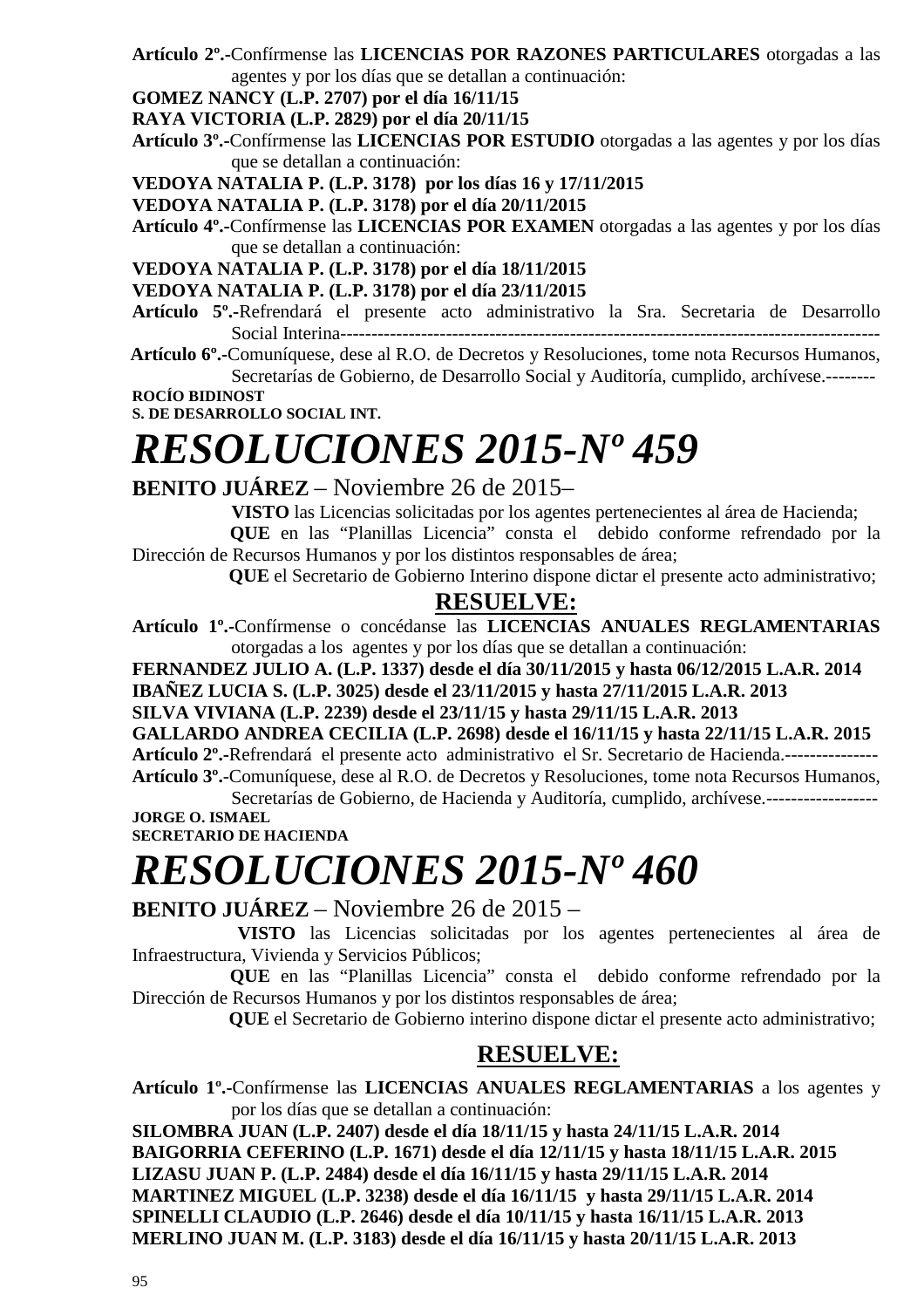- **Artículo 2º.-**Confírmense las **LICENCIAS POR RAZONES PARTICULARES** otorgadas a las agentes y por los días que se detallan a continuación:
- **GOMEZ NANCY (L.P. 2707) por el día 16/11/15**

**RAYA VICTORIA (L.P. 2829) por el día 20/11/15** 

- **Artículo 3º.-**Confírmense las **LICENCIAS POR ESTUDIO** otorgadas a las agentes y por los días que se detallan a continuación:
- **VEDOYA NATALIA P. (L.P. 3178) por los días 16 y 17/11/2015**
- **VEDOYA NATALIA P. (L.P. 3178) por el día 20/11/2015**
- **Artículo 4º.-**Confírmense las **LICENCIAS POR EXAMEN** otorgadas a las agentes y por los días que se detallan a continuación:

**VEDOYA NATALIA P. (L.P. 3178) por el día 18/11/2015** 

- **VEDOYA NATALIA P. (L.P. 3178) por el día 23/11/2015**
- **Artículo 5º.-**Refrendará el presente acto administrativo la Sra. Secretaria de Desarrollo Social Interina---------------------------------------------------------------------------------------
- **Artículo 6º.-**Comuníquese, dese al R.O. de Decretos y Resoluciones, tome nota Recursos Humanos, Secretarías de Gobierno, de Desarrollo Social y Auditoría, cumplido, archívese.--------

**ROCÍO BIDINOST S. DE DESARROLLO SOCIAL INT.** 

# *RESOLUCIONES 2015-Nº 459*

## **BENITO JUÁREZ** – Noviembre 26 de 2015–

 **VISTO** las Licencias solicitadas por los agentes pertenecientes al área de Hacienda; **QUE** en las "Planillas Licencia" consta el debido conforme refrendado por la

Dirección de Recursos Humanos y por los distintos responsables de área;  **QUE** el Secretario de Gobierno Interino dispone dictar el presente acto administrativo;

## **RESUELVE:**

**Artículo 1º.-**Confírmense o concédanse las **LICENCIAS ANUALES REGLAMENTARIAS**  otorgadas a los agentes y por los días que se detallan a continuación:

**FERNANDEZ JULIO A. (L.P. 1337) desde el día 30/11/2015 y hasta 06/12/2015 L.A.R. 2014 IBAÑEZ LUCIA S. (L.P. 3025) desde el 23/11/2015 y hasta 27/11/2015 L.A.R. 2013** 

**SILVA VIVIANA (L.P. 2239) desde el 23/11/15 y hasta 29/11/15 L.A.R. 2013** 

**GALLARDO ANDREA CECILIA (L.P. 2698) desde el 16/11/15 y hasta 22/11/15 L.A.R. 2015 Artículo 2º.-**Refrendará el presente acto administrativo el Sr. Secretario de Hacienda.---------------

**Artículo 3º.**-Comuníquese, dese al R.O. de Decretos y Resoluciones, tome nota Recursos Humanos, Secretarías de Gobierno, de Hacienda y Auditoría, cumplido, archívese.------------------

**JORGE O. ISMAEL SECRETARIO DE HACIENDA** 

# *RESOLUCIONES 2015-Nº 460*

**BENITO JUÁREZ** – Noviembre 26 de 2015 –

 **VISTO** las Licencias solicitadas por los agentes pertenecientes al área de Infraestructura, Vivienda y Servicios Públicos;

 **QUE** en las "Planillas Licencia" consta el debido conforme refrendado por la Dirección de Recursos Humanos y por los distintos responsables de área;

 **QUE** el Secretario de Gobierno interino dispone dictar el presente acto administrativo;

## **RESUELVE:**

**Artículo 1º.-**Confírmense las **LICENCIAS ANUALES REGLAMENTARIAS** a los agentes y por los días que se detallan a continuación:

**SILOMBRA JUAN (L.P. 2407) desde el día 18/11/15 y hasta 24/11/15 L.A.R. 2014 BAIGORRIA CEFERINO (L.P. 1671) desde el día 12/11/15 y hasta 18/11/15 L.A.R. 2015 LIZASU JUAN P. (L.P. 2484) desde el día 16/11/15 y hasta 29/11/15 L.A.R. 2014 MARTINEZ MIGUEL (L.P. 3238) desde el día 16/11/15 y hasta 29/11/15 L.A.R. 2014 SPINELLI CLAUDIO (L.P. 2646) desde el día 10/11/15 y hasta 16/11/15 L.A.R. 2013 MERLINO JUAN M. (L.P. 3183) desde el día 16/11/15 y hasta 20/11/15 L.A.R. 2013**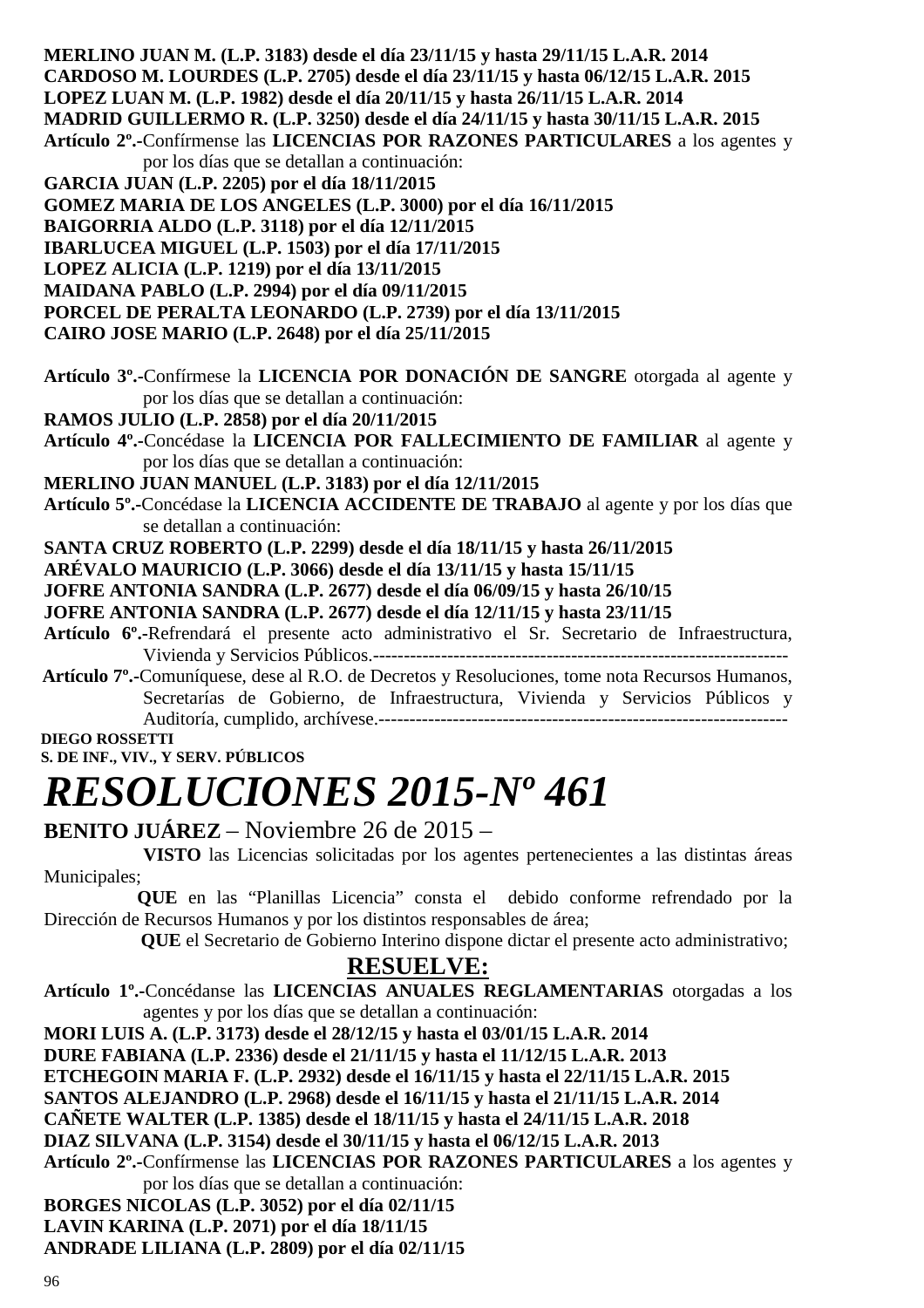**MERLINO JUAN M. (L.P. 3183) desde el día 23/11/15 y hasta 29/11/15 L.A.R. 2014 CARDOSO M. LOURDES (L.P. 2705) desde el día 23/11/15 y hasta 06/12/15 L.A.R. 2015 LOPEZ LUAN M. (L.P. 1982) desde el día 20/11/15 y hasta 26/11/15 L.A.R. 2014 MADRID GUILLERMO R. (L.P. 3250) desde el día 24/11/15 y hasta 30/11/15 L.A.R. 2015 Artículo 2º.-**Confírmense las **LICENCIAS POR RAZONES PARTICULARES** a los agentes y por los días que se detallan a continuación: **GARCIA JUAN (L.P. 2205) por el día 18/11/2015 GOMEZ MARIA DE LOS ANGELES (L.P. 3000) por el día 16/11/2015 BAIGORRIA ALDO (L.P. 3118) por el día 12/11/2015 IBARLUCEA MIGUEL (L.P. 1503) por el día 17/11/2015 LOPEZ ALICIA (L.P. 1219) por el día 13/11/2015 MAIDANA PABLO (L.P. 2994) por el día 09/11/2015 PORCEL DE PERALTA LEONARDO (L.P. 2739) por el día 13/11/2015 CAIRO JOSE MARIO (L.P. 2648) por el día 25/11/2015 Artículo 3º.-**Confírmese la **LICENCIA POR DONACIÓN DE SANGRE** otorgada al agente y por los días que se detallan a continuación: **RAMOS JULIO (L.P. 2858) por el día 20/11/2015 Artículo 4º.-**Concédase la **LICENCIA POR FALLECIMIENTO DE FAMILIAR** al agente y por los días que se detallan a continuación: **MERLINO JUAN MANUEL (L.P. 3183) por el día 12/11/2015 Artículo 5º.-**Concédase la **LICENCIA ACCIDENTE DE TRABAJO** al agente y por los días que se detallan a continuación: **SANTA CRUZ ROBERTO (L.P. 2299) desde el día 18/11/15 y hasta 26/11/2015 ARÉVALO MAURICIO (L.P. 3066) desde el día 13/11/15 y hasta 15/11/15 JOFRE ANTONIA SANDRA (L.P. 2677) desde el día 06/09/15 y hasta 26/10/15 JOFRE ANTONIA SANDRA (L.P. 2677) desde el día 12/11/15 y hasta 23/11/15 Artículo 6º.-**Refrendará el presente acto administrativo el Sr. Secretario de Infraestructura, Vivienda y Servicios Públicos.-------------------------------------------------------------------  **Artículo 7º.-**Comuníquese, dese al R.O. de Decretos y Resoluciones, tome nota Recursos Humanos, Secretarías de Gobierno, de Infraestructura, Vivienda y Servicios Públicos y Auditoría, cumplido, archívese.------------------------------------------------------------------  **DIEGO ROSSETTI S. DE INF., VIV., Y SERV. PÚBLICOS**  *RESOLUCIONES 2015-Nº 461*  **BENITO JUÁREZ** – Noviembre 26 de 2015 – **VISTO** las Licencias solicitadas por los agentes pertenecientes a las distintas áreas

Municipales;

 **QUE** en las "Planillas Licencia" consta el debido conforme refrendado por la Dirección de Recursos Humanos y por los distintos responsables de área;

 **QUE** el Secretario de Gobierno Interino dispone dictar el presente acto administrativo;

## **RESUELVE:**

**Artículo 1º.-**Concédanse las **LICENCIAS ANUALES REGLAMENTARIAS** otorgadas a los agentes y por los días que se detallan a continuación:

**MORI LUIS A. (L.P. 3173) desde el 28/12/15 y hasta el 03/01/15 L.A.R. 2014 DURE FABIANA (L.P. 2336) desde el 21/11/15 y hasta el 11/12/15 L.A.R. 2013** 

**ETCHEGOIN MARIA F. (L.P. 2932) desde el 16/11/15 y hasta el 22/11/15 L.A.R. 2015** 

**SANTOS ALEJANDRO (L.P. 2968) desde el 16/11/15 y hasta el 21/11/15 L.A.R. 2014** 

**CAÑETE WALTER (L.P. 1385) desde el 18/11/15 y hasta el 24/11/15 L.A.R. 2018** 

**DIAZ SILVANA (L.P. 3154) desde el 30/11/15 y hasta el 06/12/15 L.A.R. 2013** 

**Artículo 2º.-**Confírmense las **LICENCIAS POR RAZONES PARTICULARES** a los agentes y por los días que se detallan a continuación:

**BORGES NICOLAS (L.P. 3052) por el día 02/11/15** 

**LAVIN KARINA (L.P. 2071) por el día 18/11/15** 

**ANDRADE LILIANA (L.P. 2809) por el día 02/11/15**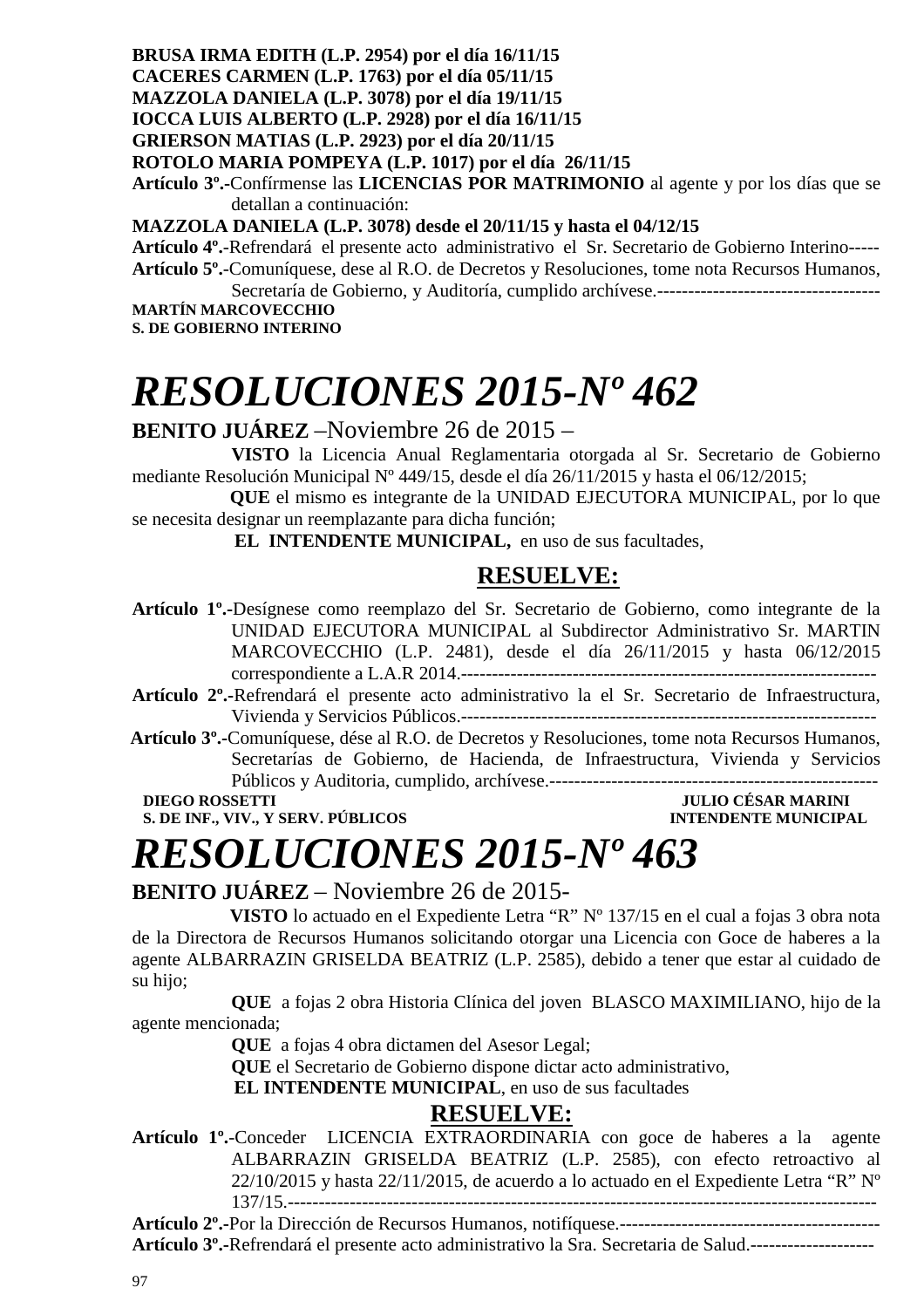**BRUSA IRMA EDITH (L.P. 2954) por el día 16/11/15 CACERES CARMEN (L.P. 1763) por el día 05/11/15 MAZZOLA DANIELA (L.P. 3078) por el día 19/11/15 IOCCA LUIS ALBERTO (L.P. 2928) por el día 16/11/15 GRIERSON MATIAS (L.P. 2923) por el día 20/11/15 ROTOLO MARIA POMPEYA (L.P. 1017) por el día 26/11/15 Artículo 3º.-**Confírmense las **LICENCIAS POR MATRIMONIO** al agente y por los días que se detallan a continuación:

**MAZZOLA DANIELA (L.P. 3078) desde el 20/11/15 y hasta el 04/12/15** 

**Artículo 4º.**-Refrendará el presente acto administrativo el Sr. Secretario de Gobierno Interino----- **Artículo 5º.**-Comuníquese, dese al R.O. de Decretos y Resoluciones, tome nota Recursos Humanos,

Secretaría de Gobierno, y Auditoría, cumplido archívese.------------------------------------ **MARTÍN MARCOVECCHIO S. DE GOBIERNO INTERINO**

# *RESOLUCIONES 2015-Nº 462*

## **BENITO JUÁREZ** –Noviembre 26 de 2015 –

 **VISTO** la Licencia Anual Reglamentaria otorgada al Sr. Secretario de Gobierno mediante Resolución Municipal Nº 449/15, desde el día 26/11/2015 y hasta el 06/12/2015;

 **QUE** el mismo es integrante de la UNIDAD EJECUTORA MUNICIPAL, por lo que se necesita designar un reemplazante para dicha función;

 **EL INTENDENTE MUNICIPAL,** en uso de sus facultades,

## **RESUELVE:**

- **Artículo 1º.-**Desígnese como reemplazo del Sr. Secretario de Gobierno, como integrante de la UNIDAD EJECUTORA MUNICIPAL al Subdirector Administrativo Sr. MARTIN MARCOVECCHIO (L.P. 2481), desde el día 26/11/2015 y hasta 06/12/2015 correspondiente a L.A.R 2014.-------------------------------------------------------------------
- **Artículo 2º.-**Refrendará el presente acto administrativo la el Sr. Secretario de Infraestructura, Vivienda y Servicios Públicos.-------------------------------------------------------------------
- **Artículo 3º.-**Comuníquese, dése al R.O. de Decretos y Resoluciones, tome nota Recursos Humanos, Secretarías de Gobierno, de Hacienda, de Infraestructura, Vivienda y Servicios Públicos y Auditoria, cumplido, archívese.-----------------------------------------------------

**S. DE INF., VIV., Y SERV. PÚBLICOS** 

## **DIEGO ROSSETTI JULIO CÉSAR MARINI**

# *RESOLUCIONES 2015-Nº 463*

## **BENITO JUÁREZ** – Noviembre 26 de 2015-

 **VISTO** lo actuado en el Expediente Letra "R" Nº 137/15 en el cual a fojas 3 obra nota de la Directora de Recursos Humanos solicitando otorgar una Licencia con Goce de haberes a la agente ALBARRAZIN GRISELDA BEATRIZ (L.P. 2585), debido a tener que estar al cuidado de su hijo;

**QUE** a fojas 2 obra Historia Clínica del joven BLASCO MAXIMILIANO, hijo de la agente mencionada;

**QUE** a fojas 4 obra dictamen del Asesor Legal;

**QUE** el Secretario de Gobierno dispone dictar acto administrativo,

 **EL INTENDENTE MUNICIPAL**, en uso de sus facultades

## **RESUELVE:**

**Artículo 1º.**-Conceder LICENCIA EXTRAORDINARIA con goce de haberes a la agente ALBARRAZIN GRISELDA BEATRIZ (L.P. 2585), con efecto retroactivo al 22/10/2015 y hasta 22/11/2015, de acuerdo a lo actuado en el Expediente Letra "R" Nº 137/15.-----------------------------------------------------------------------------------------------

**Artículo 2º.-**Por la Dirección de Recursos Humanos, notifíquese.------------------------------------------

**Artículo 3º.-**Refrendará el presente acto administrativo la Sra. Secretaria de Salud.--------------------